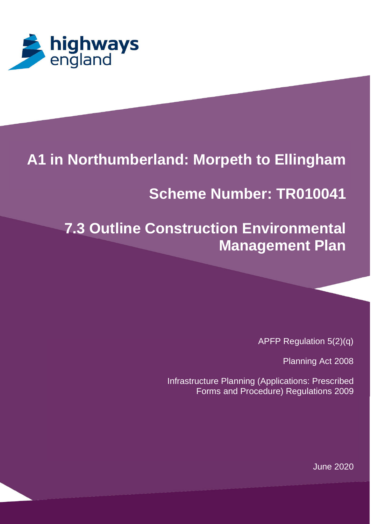

#### and: Morneth to Filinghai 1.1.1801.and **mo**rpour to **E**ningual **A1 in Northumberland: Morpeth to Ellingham**

#### $\mathbf{F} \mathbf{R}$ **Scheme Number: TR010041**

**7.3 Outline Construction Environmental Management Plan**

APFP Regulation 5(2)(q)

Planning Act 2008

Infrastructure Planning (Applications: Prescribed Forms and Procedure) Regulations 2009

June 2020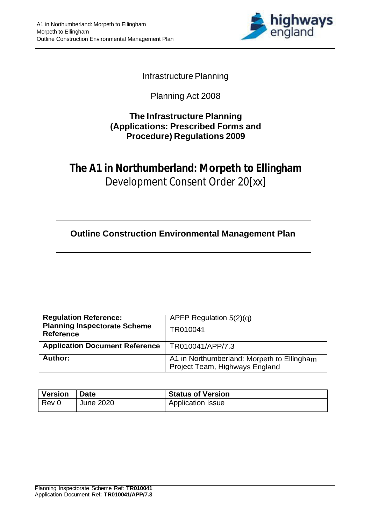

#### Infrastructure Planning

#### Planning Act 2008

#### **The Infrastructure Planning (Applications: Prescribed Forms and Procedure) Regulations 2009**

# **The A1 in Northumberland: Morpeth to Ellingham** Development Consent Order 20[xx]

**Outline Construction Environmental Management Plan**

| <b>Regulation Reference:</b>                            | APFP Regulation $5(2)(q)$                                                    |
|---------------------------------------------------------|------------------------------------------------------------------------------|
| <b>Planning Inspectorate Scheme</b><br><b>Reference</b> | TR010041                                                                     |
| <b>Application Document Reference</b>                   | TR010041/APP/7.3                                                             |
| Author:                                                 | A1 in Northumberland: Morpeth to Ellingham<br>Project Team, Highways England |

| <b>Version</b> | <b>Date</b> | <b>Status of Version</b> |
|----------------|-------------|--------------------------|
| l Rev 0        | June 2020   | <b>Application Issue</b> |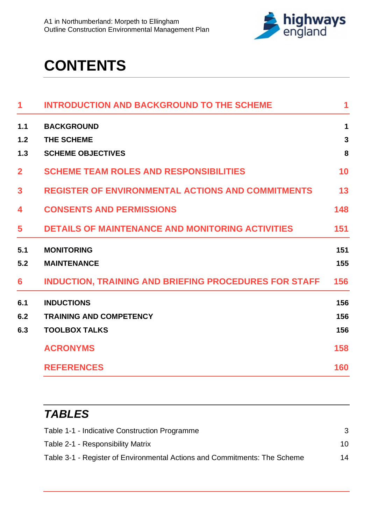

# **CONTENTS**

| 1              | <b>INTRODUCTION AND BACKGROUND TO THE SCHEME</b>             | $\blacktriangleleft$    |
|----------------|--------------------------------------------------------------|-------------------------|
| 1.1            | <b>BACKGROUND</b>                                            | 1                       |
| 1.2            | <b>THE SCHEME</b>                                            | $\overline{\mathbf{3}}$ |
| 1.3            | <b>SCHEME OBJECTIVES</b>                                     | 8                       |
| $\overline{2}$ | <b>SCHEME TEAM ROLES AND RESPONSIBILITIES</b>                | 10                      |
| 3              | <b>REGISTER OF ENVIRONMENTAL ACTIONS AND COMMITMENTS</b>     | 13                      |
| 4              | <b>CONSENTS AND PERMISSIONS</b>                              | 148                     |
| 5              | <b>DETAILS OF MAINTENANCE AND MONITORING ACTIVITIES</b>      | 151                     |
| 5.1            | <b>MONITORING</b>                                            | 151                     |
| 5.2            | <b>MAINTENANCE</b>                                           | 155                     |
| 6              | <b>INDUCTION, TRAINING AND BRIEFING PROCEDURES FOR STAFF</b> | 156                     |
| 6.1            | <b>INDUCTIONS</b>                                            | 156                     |
| 6.2            | <b>TRAINING AND COMPETENCY</b>                               | 156                     |
| 6.3            | <b>TOOLBOX TALKS</b>                                         | 156                     |
|                | <b>ACRONYMS</b>                                              | 158                     |
|                | <b>REFERENCES</b>                                            | 160                     |

# *TABLES*

| Table 1-1 - Indicative Construction Programme                             |      |
|---------------------------------------------------------------------------|------|
| Table 2-1 - Responsibility Matrix                                         | 10 I |
| Table 3-1 - Register of Environmental Actions and Commitments: The Scheme | 14   |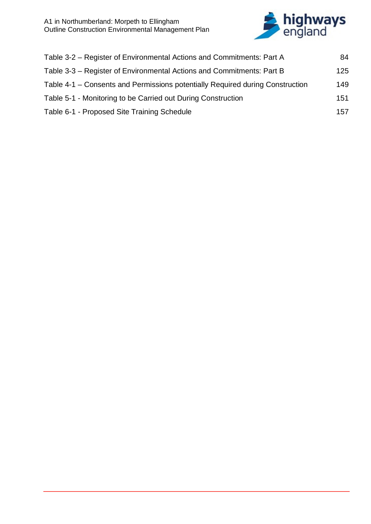

| Table 3-2 – Register of Environmental Actions and Commitments: Part A         | 84  |
|-------------------------------------------------------------------------------|-----|
| Table 3-3 – Register of Environmental Actions and Commitments: Part B         | 125 |
| Table 4-1 – Consents and Permissions potentially Required during Construction | 149 |
| Table 5-1 - Monitoring to be Carried out During Construction                  | 151 |
| Table 6-1 - Proposed Site Training Schedule                                   | 157 |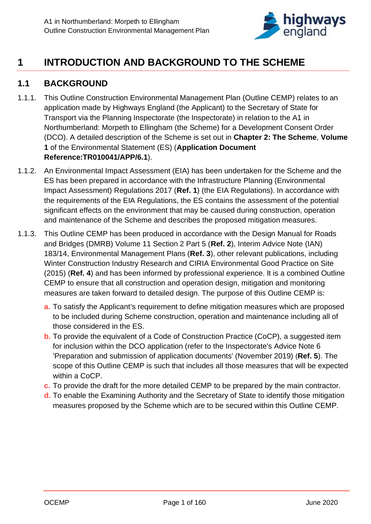

### **1 INTRODUCTION AND BACKGROUND TO THE SCHEME**

#### **1.1 BACKGROUND**

- 1.1.1. This Outline Construction Environmental Management Plan (Outline CEMP) relates to an application made by Highways England (the Applicant) to the Secretary of State for Transport via the Planning Inspectorate (the Inspectorate) in relation to the A1 in Northumberland: Morpeth to Ellingham (the Scheme) for a Development Consent Order (DCO). A detailed description of the Scheme is set out in **Chapter 2: The Scheme**, **Volume 1** of the Environmental Statement (ES) (**Application Document Reference:TR010041/APP/6.1**).
- 1.1.2. An Environmental Impact Assessment (EIA) has been undertaken for the Scheme and the ES has been prepared in accordance with the Infrastructure Planning (Environmental Impact Assessment) Regulations 2017 (**Ref. 1**) (the EIA Regulations). In accordance with the requirements of the EIA Regulations, the ES contains the assessment of the potential significant effects on the environment that may be caused during construction, operation and maintenance of the Scheme and describes the proposed mitigation measures.
- 1.1.3. This Outline CEMP has been produced in accordance with the Design Manual for Roads and Bridges (DMRB) Volume 11 Section 2 Part 5 (**Ref. 2**), Interim Advice Note (IAN) 183/14, Environmental Management Plans (**Ref. 3**), other relevant publications, including Winter Construction Industry Research and CIRIA Environmental Good Practice on Site (2015) (**Ref. 4**) and has been informed by professional experience. It is a combined Outline CEMP to ensure that all construction and operation design, mitigation and monitoring measures are taken forward to detailed design. The purpose of this Outline CEMP is:
	- **a.** To satisfy the Applicant's requirement to define mitigation measures which are proposed to be included during Scheme construction, operation and maintenance including all of those considered in the ES.
	- **b.** To provide the equivalent of a Code of Construction Practice (CoCP), a suggested item for inclusion within the DCO application (refer to the Inspectorate's Advice Note 6 'Preparation and submission of application documents' (November 2019) (**Ref. 5**). The scope of this Outline CEMP is such that includes all those measures that will be expected within a CoCP.
	- **c.** To provide the draft for the more detailed CEMP to be prepared by the main contractor.
	- **d.** To enable the Examining Authority and the Secretary of State to identify those mitigation measures proposed by the Scheme which are to be secured within this Outline CEMP.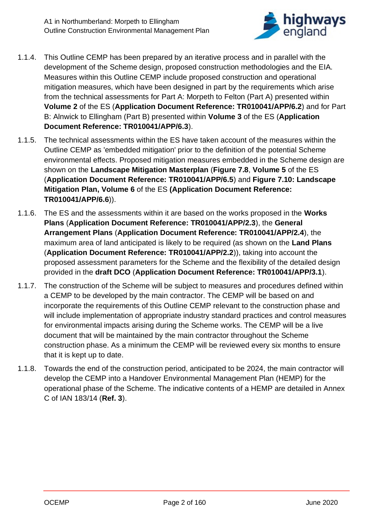

- 1.1.4. This Outline CEMP has been prepared by an iterative process and in parallel with the development of the Scheme design, proposed construction methodologies and the EIA. Measures within this Outline CEMP include proposed construction and operational mitigation measures, which have been designed in part by the requirements which arise from the technical assessments for Part A: Morpeth to Felton (Part A) presented within **Volume 2** of the ES (**Application Document Reference: TR010041/APP/6.2**) and for Part B: Alnwick to Ellingham (Part B) presented within **Volume 3** of the ES (**Application Document Reference: TR010041/APP/6.3**).
- 1.1.5. The technical assessments within the ES have taken account of the measures within the Outline CEMP as 'embedded mitigation' prior to the definition of the potential Scheme environmental effects. Proposed mitigation measures embedded in the Scheme design are shown on the **Landscape Mitigation Masterplan** (**Figure 7.8**, **Volume 5** of the ES (**Application Document Reference: TR010041/APP/6.5**) and **Figure 7.10: Landscape Mitigation Plan, Volume 6** of the ES **(Application Document Reference: TR010041/APP/6.6**)).
- 1.1.6. The ES and the assessments within it are based on the works proposed in the **Works Plans** (**Application Document Reference: TR010041/APP/2.3**), the **General Arrangement Plans** (**Application Document Reference: TR010041/APP/2.4**), the maximum area of land anticipated is likely to be required (as shown on the **Land Plans** (**Application Document Reference: TR010041/APP/2.2**)), taking into account the proposed assessment parameters for the Scheme and the flexibility of the detailed design provided in the **draft DCO** (**Application Document Reference: TR010041/APP/3.1**).
- 1.1.7. The construction of the Scheme will be subject to measures and procedures defined within a CEMP to be developed by the main contractor. The CEMP will be based on and incorporate the requirements of this Outline CEMP relevant to the construction phase and will include implementation of appropriate industry standard practices and control measures for environmental impacts arising during the Scheme works. The CEMP will be a live document that will be maintained by the main contractor throughout the Scheme construction phase. As a minimum the CEMP will be reviewed every six months to ensure that it is kept up to date.
- 1.1.8. Towards the end of the construction period, anticipated to be 2024, the main contractor will develop the CEMP into a Handover Environmental Management Plan (HEMP) for the operational phase of the Scheme. The indicative contents of a HEMP are detailed in Annex C of IAN 183/14 (**Ref. 3**).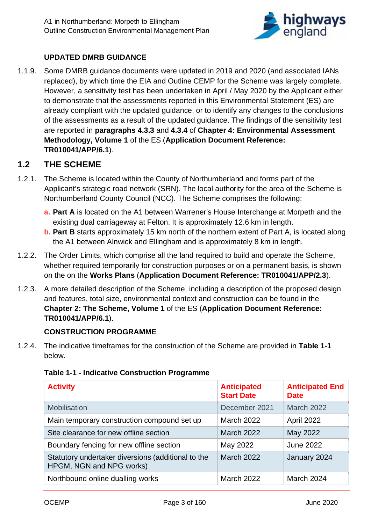

#### **UPDATED DMRB GUIDANCE**

1.1.9. Some DMRB guidance documents were updated in 2019 and 2020 (and associated IANs replaced), by which time the EIA and Outline CEMP for the Scheme was largely complete. However, a sensitivity test has been undertaken in April / May 2020 by the Applicant either to demonstrate that the assessments reported in this Environmental Statement (ES) are already compliant with the updated guidance, or to identify any changes to the conclusions of the assessments as a result of the updated guidance. The findings of the sensitivity test are reported in **paragraphs 4.3.3** and **4.3.4** of **Chapter 4: Environmental Assessment Methodology, Volume 1** of the ES (**Application Document Reference: TR010041/APP/6.1**).

#### **1.2 THE SCHEME**

- 1.2.1. The Scheme is located within the County of Northumberland and forms part of the Applicant's strategic road network (SRN). The local authority for the area of the Scheme is Northumberland County Council (NCC). The Scheme comprises the following:
	- **a. Part A** is located on the A1 between Warrener's House Interchange at Morpeth and the existing dual carriageway at Felton. It is approximately 12.6 km in length.
	- **b. Part B** starts approximately 15 km north of the northern extent of Part A, is located along the A1 between Alnwick and Ellingham and is approximately 8 km in length.
- 1.2.2. The Order Limits, which comprise all the land required to build and operate the Scheme, whether required temporarily for construction purposes or on a permanent basis, is shown on the on the **Works Plans** (**Application Document Reference: TR010041/APP/2.3**).
- 1.2.3. A more detailed description of the Scheme, including a description of the proposed design and features, total size, environmental context and construction can be found in the **Chapter 2: The Scheme, Volume 1** of the ES (**Application Document Reference: TR010041/APP/6.1**).

#### **CONSTRUCTION PROGRAMME**

1.2.4. The indicative timeframes for the construction of the Scheme are provided in **Table 1-1** below.

| <b>Activity</b>                                                                | <b>Anticipated</b><br><b>Start Date</b> | <b>Anticipated End</b><br><b>Date</b> |
|--------------------------------------------------------------------------------|-----------------------------------------|---------------------------------------|
| <b>Mobilisation</b>                                                            | December 2021                           | March 2022                            |
| Main temporary construction compound set up                                    | March 2022                              | April 2022                            |
| Site clearance for new offline section                                         | March 2022                              | May 2022                              |
| Boundary fencing for new offline section                                       | May 2022                                | <b>June 2022</b>                      |
| Statutory undertaker diversions (additional to the<br>HPGM, NGN and NPG works) | <b>March 2022</b>                       | January 2024                          |
| Northbound online dualling works                                               | March 2022                              | March 2024                            |

#### **Table 1-1 - Indicative Construction Programme**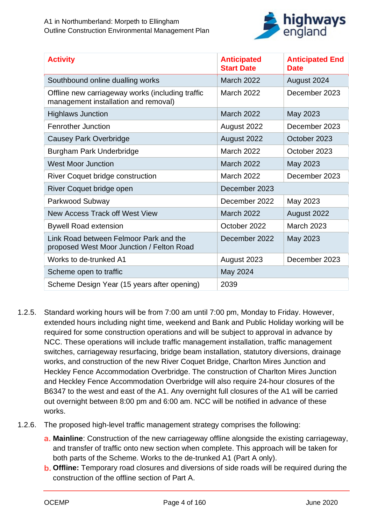

| <b>Activity</b>                                                                          | <b>Anticipated</b><br><b>Start Date</b> | <b>Anticipated End</b><br><b>Date</b> |
|------------------------------------------------------------------------------------------|-----------------------------------------|---------------------------------------|
| Southbound online dualling works                                                         | <b>March 2022</b>                       | August 2024                           |
| Offline new carriageway works (including traffic<br>management installation and removal) | <b>March 2022</b>                       | December 2023                         |
| <b>Highlaws Junction</b>                                                                 | <b>March 2022</b>                       | May 2023                              |
| <b>Fenrother Junction</b>                                                                | August 2022                             | December 2023                         |
| <b>Causey Park Overbridge</b>                                                            | August 2022                             | October 2023                          |
| Burgham Park Underbridge                                                                 | <b>March 2022</b>                       | October 2023                          |
| <b>West Moor Junction</b>                                                                | <b>March 2022</b>                       | May 2023                              |
| <b>River Coquet bridge construction</b>                                                  | <b>March 2022</b>                       | December 2023                         |
| River Coquet bridge open                                                                 | December 2023                           |                                       |
| Parkwood Subway                                                                          | December 2022                           | May 2023                              |
| <b>New Access Track off West View</b>                                                    | <b>March 2022</b>                       | August 2022                           |
| <b>Bywell Road extension</b>                                                             | October 2022                            | <b>March 2023</b>                     |
| Link Road between Felmoor Park and the<br>proposed West Moor Junction / Felton Road      | December 2022                           | May 2023                              |
| Works to de-trunked A1                                                                   | August 2023                             | December 2023                         |
| Scheme open to traffic                                                                   | May 2024                                |                                       |
| Scheme Design Year (15 years after opening)                                              | 2039                                    |                                       |

- 1.2.5. Standard working hours will be from 7:00 am until 7:00 pm, Monday to Friday. However, extended hours including night time, weekend and Bank and Public Holiday working will be required for some construction operations and will be subject to approval in advance by NCC. These operations will include traffic management installation, traffic management switches, carriageway resurfacing, bridge beam installation, statutory diversions, drainage works, and construction of the new River Coquet Bridge, Charlton Mires Junction and Heckley Fence Accommodation Overbridge. The construction of Charlton Mires Junction and Heckley Fence Accommodation Overbridge will also require 24-hour closures of the B6347 to the west and east of the A1. Any overnight full closures of the A1 will be carried out overnight between 8:00 pm and 6:00 am. NCC will be notified in advance of these works.
- 1.2.6. The proposed high-level traffic management strategy comprises the following:
	- **Mainline**: Construction of the new carriageway offline alongside the existing carriageway, and transfer of traffic onto new section when complete. This approach will be taken for both parts of the Scheme. Works to the de-trunked A1 (Part A only).
	- **Offline:** Temporary road closures and diversions of side roads will be required during the construction of the offline section of Part A.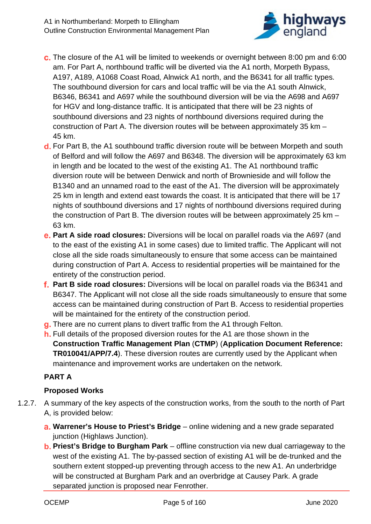

- The closure of the A1 will be limited to weekends or overnight between 8:00 pm and 6:00 am. For Part A, northbound traffic will be diverted via the A1 north, Morpeth Bypass, A197, A189, A1068 Coast Road, Alnwick A1 north, and the B6341 for all traffic types. The southbound diversion for cars and local traffic will be via the A1 south Alnwick, B6346, B6341 and A697 while the southbound diversion will be via the A698 and A697 for HGV and long-distance traffic. It is anticipated that there will be 23 nights of southbound diversions and 23 nights of northbound diversions required during the construction of Part A. The diversion routes will be between approximately 35 km – 45 km.
- d. For Part B, the A1 southbound traffic diversion route will be between Morpeth and south of Belford and will follow the A697 and B6348. The diversion will be approximately 63 km in length and be located to the west of the existing A1. The A1 northbound traffic diversion route will be between Denwick and north of Brownieside and will follow the B1340 and an unnamed road to the east of the A1. The diversion will be approximately 25 km in length and extend east towards the coast. It is anticipated that there will be 17 nights of southbound diversions and 17 nights of northbound diversions required during the construction of Part B. The diversion routes will be between approximately 25 km – 63 km.
- **Part A side road closures:** Diversions will be local on parallel roads via the A697 (and to the east of the existing A1 in some cases) due to limited traffic. The Applicant will not close all the side roads simultaneously to ensure that some access can be maintained during construction of Part A. Access to residential properties will be maintained for the entirety of the construction period.
- **Part B side road closures:** Diversions will be local on parallel roads via the B6341 and B6347. The Applicant will not close all the side roads simultaneously to ensure that some access can be maintained during construction of Part B. Access to residential properties will be maintained for the entirety of the construction period.
- **q**. There are no current plans to divert traffic from the A1 through Felton.
- h. Full details of the proposed diversion routes for the A1 are those shown in the **Construction Traffic Management Plan** (**CTMP**) (**Application Document Reference: TR010041/APP/7.4**). These diversion routes are currently used by the Applicant when maintenance and improvement works are undertaken on the network.

#### **PART A**

#### **Proposed Works**

- 1.2.7. A summary of the key aspects of the construction works, from the south to the north of Part A, is provided below:
	- **Warrener's House to Priest's Bridge** online widening and a new grade separated junction (Highlaws Junction).
	- **b. Priest's Bridge to Burgham Park** offline construction via new dual carriageway to the west of the existing A1. The by-passed section of existing A1 will be de-trunked and the southern extent stopped-up preventing through access to the new A1. An underbridge will be constructed at Burgham Park and an overbridge at Causey Park. A grade separated junction is proposed near Fenrother.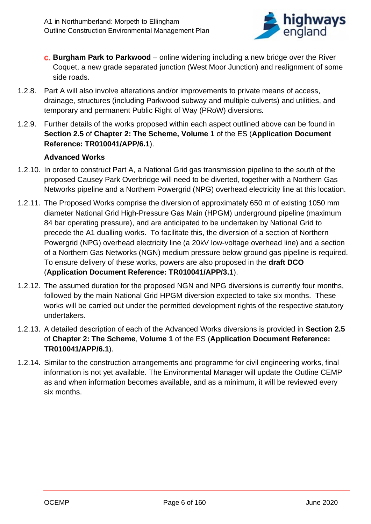

- **c. Burgham Park to Parkwood** online widening including a new bridge over the River Coquet, a new grade separated junction (West Moor Junction) and realignment of some side roads.
- 1.2.8. Part A will also involve alterations and/or improvements to private means of access, drainage, structures (including Parkwood subway and multiple culverts) and utilities, and temporary and permanent Public Right of Way (PRoW) diversions.
- 1.2.9. Further details of the works proposed within each aspect outlined above can be found in **Section 2.5** of **Chapter 2: The Scheme, Volume 1** of the ES (**Application Document Reference: TR010041/APP/6.1**).

#### **Advanced Works**

- 1.2.10. In order to construct Part A, a National Grid gas transmission pipeline to the south of the proposed Causey Park Overbridge will need to be diverted, together with a Northern Gas Networks pipeline and a Northern Powergrid (NPG) overhead electricity line at this location.
- 1.2.11. The Proposed Works comprise the diversion of approximately 650 m of existing 1050 mm diameter National Grid High-Pressure Gas Main (HPGM) underground pipeline (maximum 84 bar operating pressure), and are anticipated to be undertaken by National Grid to precede the A1 dualling works. To facilitate this, the diversion of a section of Northern Powergrid (NPG) overhead electricity line (a 20kV low-voltage overhead line) and a section of a Northern Gas Networks (NGN) medium pressure below ground gas pipeline is required. To ensure delivery of these works, powers are also proposed in the **draft DCO** (**Application Document Reference: TR010041/APP/3.1**).
- 1.2.12. The assumed duration for the proposed NGN and NPG diversions is currently four months, followed by the main National Grid HPGM diversion expected to take six months. These works will be carried out under the permitted development rights of the respective statutory undertakers.
- 1.2.13. A detailed description of each of the Advanced Works diversions is provided in **Section 2.5** of **Chapter 2: The Scheme**, **Volume 1** of the ES (**Application Document Reference: TR010041/APP/6.1**).
- 1.2.14. Similar to the construction arrangements and programme for civil engineering works, final information is not yet available. The Environmental Manager will update the Outline CEMP as and when information becomes available, and as a minimum, it will be reviewed every six months.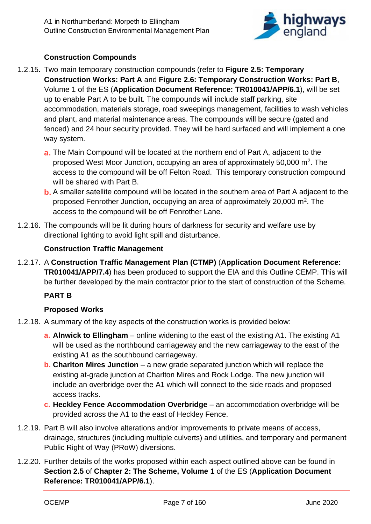

#### **Construction Compounds**

- 1.2.15. Two main temporary construction compounds (refer to **Figure 2.5: Temporary Construction Works: Part A** and **Figure 2.6: Temporary Construction Works: Part B**, Volume 1 of the ES (**Application Document Reference: TR010041/APP/6.1**), will be set up to enable Part A to be built. The compounds will include staff parking, site accommodation, materials storage, road sweepings management, facilities to wash vehicles and plant, and material maintenance areas. The compounds will be secure (gated and fenced) and 24 hour security provided. They will be hard surfaced and will implement a one way system.
	- a. The Main Compound will be located at the northern end of Part A, adjacent to the proposed West Moor Junction, occupying an area of approximately 50,000 m<sup>2</sup>. The access to the compound will be off Felton Road. This temporary construction compound will be shared with Part B.
	- b. A smaller satellite compound will be located in the southern area of Part A adjacent to the proposed Fenrother Junction, occupying an area of approximately 20,000 m<sup>2</sup>. The access to the compound will be off Fenrother Lane.
- 1.2.16. The compounds will be lit during hours of darkness for security and welfare use by directional lighting to avoid light spill and disturbance.

#### **Construction Traffic Management**

1.2.17. A **Construction Traffic Management Plan (CTMP)** (**Application Document Reference: TR010041/APP/7.4**) has been produced to support the EIA and this Outline CEMP. This will be further developed by the main contractor prior to the start of construction of the Scheme.

#### **PART B**

#### **Proposed Works**

- 1.2.18. A summary of the key aspects of the construction works is provided below:
	- **a. Alnwick to Ellingham** online widening to the east of the existing A1. The existing A1 will be used as the northbound carriageway and the new carriageway to the east of the existing A1 as the southbound carriageway.
	- **b. Charlton Mires Junction** a new grade separated junction which will replace the existing at-grade junction at Charlton Mires and Rock Lodge. The new junction will include an overbridge over the A1 which will connect to the side roads and proposed access tracks.
	- **c. Heckley Fence Accommodation Overbridge** an accommodation overbridge will be provided across the A1 to the east of Heckley Fence.
- 1.2.19. Part B will also involve alterations and/or improvements to private means of access, drainage, structures (including multiple culverts) and utilities, and temporary and permanent Public Right of Way (PRoW) diversions.
- 1.2.20. Further details of the works proposed within each aspect outlined above can be found in **Section 2.5** of **Chapter 2: The Scheme, Volume 1** of the ES (**Application Document Reference: TR010041/APP/6.1**).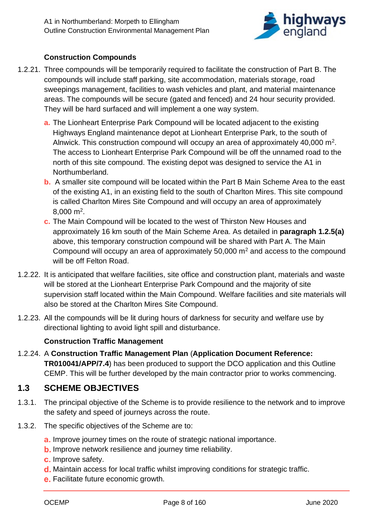

#### **Construction Compounds**

- 1.2.21. Three compounds will be temporarily required to facilitate the construction of Part B. The compounds will include staff parking, site accommodation, materials storage, road sweepings management, facilities to wash vehicles and plant, and material maintenance areas. The compounds will be secure (gated and fenced) and 24 hour security provided. They will be hard surfaced and will implement a one way system.
	- **a.** The Lionheart Enterprise Park Compound will be located adjacent to the existing Highways England maintenance depot at Lionheart Enterprise Park, to the south of Alnwick. This construction compound will occupy an area of approximately 40,000  $m^2$ . The access to Lionheart Enterprise Park Compound will be off the unnamed road to the north of this site compound. The existing depot was designed to service the A1 in Northumberland.
	- **b.** A smaller site compound will be located within the Part B Main Scheme Area to the east of the existing A1, in an existing field to the south of Charlton Mires. This site compound is called Charlton Mires Site Compound and will occupy an area of approximately  $8,000 \text{ m}^2$ .
	- **c.** The Main Compound will be located to the west of Thirston New Houses and approximately 16 km south of the Main Scheme Area. As detailed in **paragraph 1.2.5(a)** above, this temporary construction compound will be shared with Part A. The Main Compound will occupy an area of approximately 50,000  $m<sup>2</sup>$  and access to the compound will be off Felton Road.
- 1.2.22. It is anticipated that welfare facilities, site office and construction plant, materials and waste will be stored at the Lionheart Enterprise Park Compound and the majority of site supervision staff located within the Main Compound. Welfare facilities and site materials will also be stored at the Charlton Mires Site Compound.
- 1.2.23. All the compounds will be lit during hours of darkness for security and welfare use by directional lighting to avoid light spill and disturbance.

#### **Construction Traffic Management**

1.2.24. A **Construction Traffic Management Plan** (**Application Document Reference: TR010041/APP/7.4**) has been produced to support the DCO application and this Outline CEMP. This will be further developed by the main contractor prior to works commencing.

#### **1.3 SCHEME OBJECTIVES**

- 1.3.1. The principal objective of the Scheme is to provide resilience to the network and to improve the safety and speed of journeys across the route.
- 1.3.2. The specific objectives of the Scheme are to:
	- a. Improve journey times on the route of strategic national importance.
	- **b.** Improve network resilience and journey time reliability.
	- c. Improve safety.
	- d. Maintain access for local traffic whilst improving conditions for strategic traffic.
	- e. Facilitate future economic growth.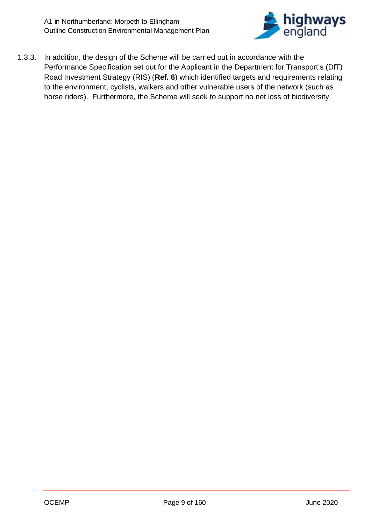

1.3.3. In addition, the design of the Scheme will be carried out in accordance with the Performance Specification set out for the Applicant in the Department for Transport's (DfT) Road Investment Strategy (RIS) (**Ref. 6**) which identified targets and requirements relating to the environment, cyclists, walkers and other vulnerable users of the network (such as horse riders). Furthermore, the Scheme will seek to support no net loss of biodiversity.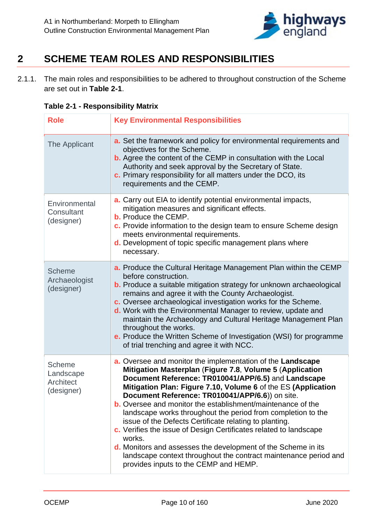

### **2 SCHEME TEAM ROLES AND RESPONSIBILITIES**

2.1.1. The main roles and responsibilities to be adhered to throughout construction of the Scheme are set out in **Table 2-1**.

| <b>Role</b>                                                  | <b>Key Environmental Responsibilities</b>                                                                                                                                                                                                                                                                                                                                                                                                                                                                                                                                                                                                                                                                                                                      |
|--------------------------------------------------------------|----------------------------------------------------------------------------------------------------------------------------------------------------------------------------------------------------------------------------------------------------------------------------------------------------------------------------------------------------------------------------------------------------------------------------------------------------------------------------------------------------------------------------------------------------------------------------------------------------------------------------------------------------------------------------------------------------------------------------------------------------------------|
| The Applicant                                                | a. Set the framework and policy for environmental requirements and<br>objectives for the Scheme.<br><b>b.</b> Agree the content of the CEMP in consultation with the Local<br>Authority and seek approval by the Secretary of State.<br>c. Primary responsibility for all matters under the DCO, its<br>requirements and the CEMP.                                                                                                                                                                                                                                                                                                                                                                                                                             |
| Environmental<br>Consultant<br>(designer)                    | a. Carry out EIA to identify potential environmental impacts,<br>mitigation measures and significant effects.<br><b>b.</b> Produce the CEMP.<br>c. Provide information to the design team to ensure Scheme design<br>meets environmental requirements.<br>d. Development of topic specific management plans where<br>necessary.                                                                                                                                                                                                                                                                                                                                                                                                                                |
| <b>Scheme</b><br>Archaeologist<br>(designer)                 | a. Produce the Cultural Heritage Management Plan within the CEMP<br>before construction.<br><b>b.</b> Produce a suitable mitigation strategy for unknown archaeological<br>remains and agree it with the County Archaeologist.<br>c. Oversee archaeological investigation works for the Scheme.<br>d. Work with the Environmental Manager to review, update and<br>maintain the Archaeology and Cultural Heritage Management Plan<br>throughout the works.<br>e. Produce the Written Scheme of Investigation (WSI) for programme<br>of trial trenching and agree it with NCC.                                                                                                                                                                                  |
| <b>Scheme</b><br>Landscape<br><b>Architect</b><br>(designer) | a. Oversee and monitor the implementation of the Landscape<br>Mitigation Masterplan (Figure 7.8, Volume 5 (Application<br>Document Reference: TR010041/APP/6.5) and Landscape<br>Mitigation Plan: Figure 7.10, Volume 6 of the ES (Application<br>Document Reference: TR010041/APP/6.6)) on site.<br><b>b.</b> Oversee and monitor the establishment/maintenance of the<br>landscape works throughout the period from completion to the<br>issue of the Defects Certificate relating to planting.<br>c. Verifies the issue of Design Certificates related to landscape<br>works.<br>d. Monitors and assesses the development of the Scheme in its<br>landscape context throughout the contract maintenance period and<br>provides inputs to the CEMP and HEMP. |

#### **Table 2-1 - Responsibility Matrix**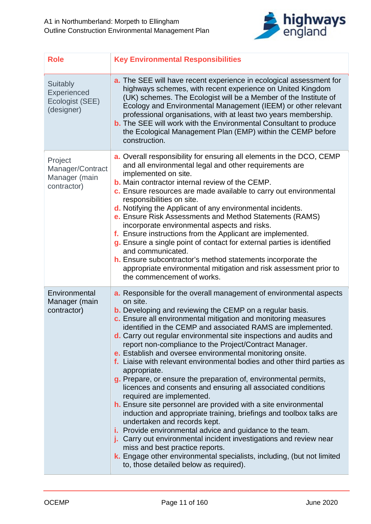

| <b>Role</b>                                                 | <b>Key Environmental Responsibilities</b>                                                                                                                                                                                                                                                                                                                                                                                                                                                                                                                                                                                                                                                                                                                                                                                                                                                                                                                                                                                                                                                                                                                                                                              |
|-------------------------------------------------------------|------------------------------------------------------------------------------------------------------------------------------------------------------------------------------------------------------------------------------------------------------------------------------------------------------------------------------------------------------------------------------------------------------------------------------------------------------------------------------------------------------------------------------------------------------------------------------------------------------------------------------------------------------------------------------------------------------------------------------------------------------------------------------------------------------------------------------------------------------------------------------------------------------------------------------------------------------------------------------------------------------------------------------------------------------------------------------------------------------------------------------------------------------------------------------------------------------------------------|
| Suitably<br>Experienced<br>Ecologist (SEE)<br>(designer)    | a. The SEE will have recent experience in ecological assessment for<br>highways schemes, with recent experience on United Kingdom<br>(UK) schemes. The Ecologist will be a Member of the Institute of<br>Ecology and Environmental Management (IEEM) or other relevant<br>professional organisations, with at least two years membership.<br><b>b.</b> The SEE will work with the Environmental Consultant to produce<br>the Ecological Management Plan (EMP) within the CEMP before<br>construction.                                                                                                                                                                                                                                                                                                                                                                                                                                                                                                                                                                                                                                                                                                                  |
| Project<br>Manager/Contract<br>Manager (main<br>contractor) | a. Overall responsibility for ensuring all elements in the DCO, CEMP<br>and all environmental legal and other requirements are<br>implemented on site.<br><b>b.</b> Main contractor internal review of the CEMP.<br>c. Ensure resources are made available to carry out environmental<br>responsibilities on site.<br>d. Notifying the Applicant of any environmental incidents.<br>e. Ensure Risk Assessments and Method Statements (RAMS)<br>incorporate environmental aspects and risks.<br>f. Ensure instructions from the Applicant are implemented.<br>g. Ensure a single point of contact for external parties is identified<br>and communicated.<br>h. Ensure subcontractor's method statements incorporate the<br>appropriate environmental mitigation and risk assessment prior to<br>the commencement of works.                                                                                                                                                                                                                                                                                                                                                                                             |
| Environmental<br>Manager (main<br>contractor)               | a. Responsible for the overall management of environmental aspects<br>on site.<br><b>b.</b> Developing and reviewing the CEMP on a regular basis.<br>c. Ensure all environmental mitigation and monitoring measures<br>identified in the CEMP and associated RAMS are implemented.<br>d. Carry out regular environmental site inspections and audits and<br>report non-compliance to the Project/Contract Manager.<br>e. Establish and oversee environmental monitoring onsite.<br>f. Liaise with relevant environmental bodies and other third parties as<br>appropriate.<br>g. Prepare, or ensure the preparation of, environmental permits,<br>licences and consents and ensuring all associated conditions<br>required are implemented.<br><b>h.</b> Ensure site personnel are provided with a site environmental<br>induction and appropriate training, briefings and toolbox talks are<br>undertaken and records kept.<br>i. Provide environmental advice and guidance to the team.<br>j. Carry out environmental incident investigations and review near<br>miss and best practice reports.<br>k. Engage other environmental specialists, including, (but not limited<br>to, those detailed below as required). |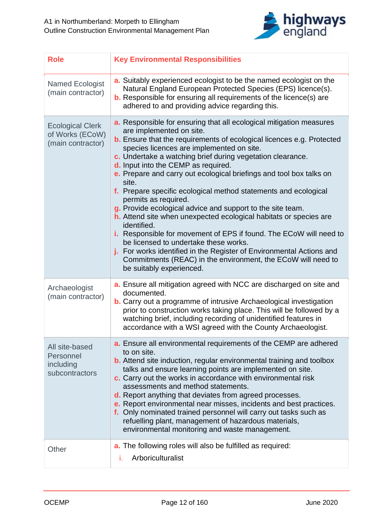

| <b>Role</b>                                                     | <b>Key Environmental Responsibilities</b>                                                                                                                                                                                                                                                                                                                                                                                                                                                                                                                                                                                                                                                                                                                                                                                                                                                                                                         |
|-----------------------------------------------------------------|---------------------------------------------------------------------------------------------------------------------------------------------------------------------------------------------------------------------------------------------------------------------------------------------------------------------------------------------------------------------------------------------------------------------------------------------------------------------------------------------------------------------------------------------------------------------------------------------------------------------------------------------------------------------------------------------------------------------------------------------------------------------------------------------------------------------------------------------------------------------------------------------------------------------------------------------------|
| <b>Named Ecologist</b><br>(main contractor)                     | a. Suitably experienced ecologist to be the named ecologist on the<br>Natural England European Protected Species (EPS) licence(s).<br><b>b.</b> Responsible for ensuring all requirements of the licence(s) are<br>adhered to and providing advice regarding this.                                                                                                                                                                                                                                                                                                                                                                                                                                                                                                                                                                                                                                                                                |
| <b>Ecological Clerk</b><br>of Works (ECoW)<br>(main contractor) | a. Responsible for ensuring that all ecological mitigation measures<br>are implemented on site.<br><b>b.</b> Ensure that the requirements of ecological licences e.g. Protected<br>species licences are implemented on site.<br>c. Undertake a watching brief during vegetation clearance.<br>d. Input into the CEMP as required.<br>e. Prepare and carry out ecological briefings and tool box talks on<br>site.<br>f. Prepare specific ecological method statements and ecological<br>permits as required.<br>g. Provide ecological advice and support to the site team.<br>h. Attend site when unexpected ecological habitats or species are<br>identified.<br>i. Responsible for movement of EPS if found. The ECoW will need to<br>be licensed to undertake these works.<br>j. For works identified in the Register of Environmental Actions and<br>Commitments (REAC) in the environment, the ECoW will need to<br>be suitably experienced. |
| Archaeologist<br>(main contractor)                              | a. Ensure all mitigation agreed with NCC are discharged on site and<br>documented.<br><b>b.</b> Carry out a programme of intrusive Archaeological investigation<br>prior to construction works taking place. This will be followed by a<br>watching brief, including recording of unidentified features in<br>accordance with a WSI agreed with the County Archaeologist.                                                                                                                                                                                                                                                                                                                                                                                                                                                                                                                                                                         |
| All site-based<br>Personnel<br>including<br>subcontractors      | a. Ensure all environmental requirements of the CEMP are adhered<br>to on site.<br><b>b.</b> Attend site induction, regular environmental training and toolbox<br>talks and ensure learning points are implemented on site.<br>c. Carry out the works in accordance with environmental risk<br>assessments and method statements.<br>d. Report anything that deviates from agreed processes.<br>e. Report environmental near misses, incidents and best practices.<br>f. Only nominated trained personnel will carry out tasks such as<br>refuelling plant, management of hazardous materials,<br>environmental monitoring and waste management.                                                                                                                                                                                                                                                                                                  |
| Other                                                           | a. The following roles will also be fulfilled as required:<br>Arboriculturalist<br>T.                                                                                                                                                                                                                                                                                                                                                                                                                                                                                                                                                                                                                                                                                                                                                                                                                                                             |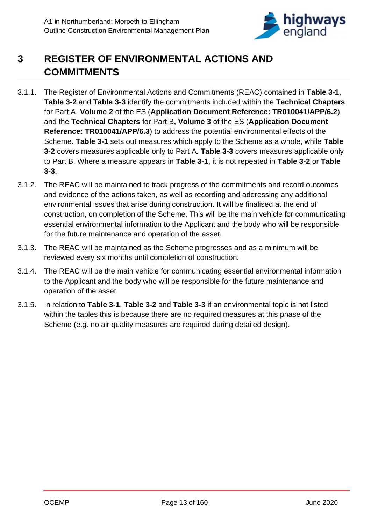

## **3 REGISTER OF ENVIRONMENTAL ACTIONS AND COMMITMENTS**

- 3.1.1. The Register of Environmental Actions and Commitments (REAC) contained in **Table 3-1**, **Table 3-2** and **Table 3-3** identify the commitments included within the **Technical Chapters** for Part A, **Volume 2** of the ES (**Application Document Reference: TR010041/APP/6.2**) and the **Technical Chapters** for Part B**, Volume 3** of the ES (**Application Document Reference: TR010041/APP/6.3**) to address the potential environmental effects of the Scheme. **Table 3-1** sets out measures which apply to the Scheme as a whole, while **Table 3-2** covers measures applicable only to Part A. **Table 3-3** covers measures applicable only to Part B. Where a measure appears in **Table 3-1**, it is not repeated in **Table 3-2** or **Table 3-3**.
- 3.1.2. The REAC will be maintained to track progress of the commitments and record outcomes and evidence of the actions taken, as well as recording and addressing any additional environmental issues that arise during construction. It will be finalised at the end of construction, on completion of the Scheme. This will be the main vehicle for communicating essential environmental information to the Applicant and the body who will be responsible for the future maintenance and operation of the asset.
- 3.1.3. The REAC will be maintained as the Scheme progresses and as a minimum will be reviewed every six months until completion of construction.
- 3.1.4. The REAC will be the main vehicle for communicating essential environmental information to the Applicant and the body who will be responsible for the future maintenance and operation of the asset.
- 3.1.5. In relation to **Table 3-1**, **Table 3-2** and **Table 3-3** if an environmental topic is not listed within the tables this is because there are no required measures at this phase of the Scheme (e.g. no air quality measures are required during detailed design).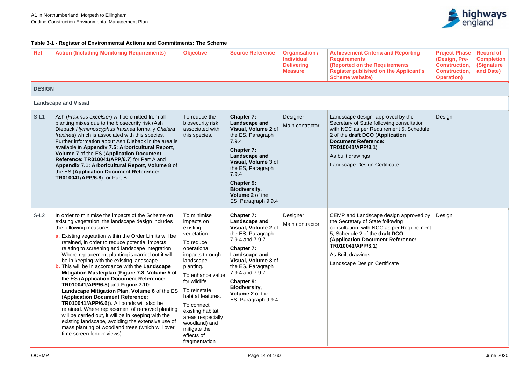

| Table 3-1 - Register of Environmental Actions and Commitments: The Scheme |  |  |
|---------------------------------------------------------------------------|--|--|
|---------------------------------------------------------------------------|--|--|

| <b>Ref</b>    | <b>Action (Including Monitoring Requirements)</b>                                                                                                                                                                                                                                                                                                                                                                                                                                                                                                                                                                                                                                                                                                                                                                                                                                                                                                                                                     | <b>Objective</b>                                                                                                                                                                                                                                                                                                               | <b>Source Reference</b>                                                                                                                                                                                                                                                                       | <b>Organisation /</b><br><b>Individual</b><br><b>Delivering</b><br><b>Measure</b> | <b>Achievement Criteria and Reporting</b><br><b>Requirements</b><br><b>(Reported on the Requirements</b><br><b>Register published on the Applicant's</b><br><b>Scheme website)</b>                                                                                    | <b>Project Phase</b><br>(Design, Pre-<br><b>Construction,</b><br><b>Construction,</b><br><b>Operation</b> ) | <b>Record of</b><br><b>Completion</b><br><b>(Signature</b><br>and Date) |
|---------------|-------------------------------------------------------------------------------------------------------------------------------------------------------------------------------------------------------------------------------------------------------------------------------------------------------------------------------------------------------------------------------------------------------------------------------------------------------------------------------------------------------------------------------------------------------------------------------------------------------------------------------------------------------------------------------------------------------------------------------------------------------------------------------------------------------------------------------------------------------------------------------------------------------------------------------------------------------------------------------------------------------|--------------------------------------------------------------------------------------------------------------------------------------------------------------------------------------------------------------------------------------------------------------------------------------------------------------------------------|-----------------------------------------------------------------------------------------------------------------------------------------------------------------------------------------------------------------------------------------------------------------------------------------------|-----------------------------------------------------------------------------------|-----------------------------------------------------------------------------------------------------------------------------------------------------------------------------------------------------------------------------------------------------------------------|-------------------------------------------------------------------------------------------------------------|-------------------------------------------------------------------------|
| <b>DESIGN</b> |                                                                                                                                                                                                                                                                                                                                                                                                                                                                                                                                                                                                                                                                                                                                                                                                                                                                                                                                                                                                       |                                                                                                                                                                                                                                                                                                                                |                                                                                                                                                                                                                                                                                               |                                                                                   |                                                                                                                                                                                                                                                                       |                                                                                                             |                                                                         |
|               | <b>Landscape and Visual</b>                                                                                                                                                                                                                                                                                                                                                                                                                                                                                                                                                                                                                                                                                                                                                                                                                                                                                                                                                                           |                                                                                                                                                                                                                                                                                                                                |                                                                                                                                                                                                                                                                                               |                                                                                   |                                                                                                                                                                                                                                                                       |                                                                                                             |                                                                         |
| $S-L1$        | Ash (Fraxinus excelsior) will be omitted from all<br>planting mixes due to the biosecurity risk (Ash<br>Dieback Hymenoscyphus fraxinea formally Chalara<br>fraxinea) which is associated with this species.<br>Further information about Ash Dieback in the area is<br>available in Appendix 7.5: Arboricultural Report,<br>Volume 7 of the ES (Application Document<br>Reference: TR010041/APP/6.7) for Part A and<br>Appendix 7.1: Arboricultural Report, Volume 8 of<br>the ES (Application Document Reference:<br><b>TR010041/APP/6.8)</b> for Part B.                                                                                                                                                                                                                                                                                                                                                                                                                                            | To reduce the<br>biosecurity risk<br>associated with<br>this species.                                                                                                                                                                                                                                                          | <b>Chapter 7:</b><br>Landscape and<br>Visual, Volume 2 of<br>the ES, Paragraph<br>7.9.4<br><b>Chapter 7:</b><br>Landscape and<br>Visual, Volume 3 of<br>the ES, Paragraph<br>7.9.4<br><b>Chapter 9:</b><br><b>Biodiversity,</b><br>Volume 2 of the<br>ES, Paragraph 9.9.4                     | Designer<br>Main contractor                                                       | Landscape design approved by the<br>Secretary of State following consultation<br>with NCC as per Requirement 5, Schedule<br>2 of the draft DCO (Application<br><b>Document Reference:</b><br>TR010041/APP/3.1)<br>As built drawings<br>Landscape Design Certificate   | Design                                                                                                      |                                                                         |
| $S-L2$        | In order to minimise the impacts of the Scheme on<br>existing vegetation, the landscape design includes<br>the following measures:<br>a. Existing vegetation within the Order Limits will be<br>retained, in order to reduce potential impacts<br>relating to screening and landscape integration.<br>Where replacement planting is carried out it will<br>be in keeping with the existing landscape.<br><b>b.</b> This will be in accordance with the <b>Landscape</b><br>Mitigation Masterplan (Figure 7.8, Volume 5 of<br>the ES (Application Document Reference:<br><b>TR010041/APP/6.5) and Figure 7.10:</b><br>Landscape Mitigation Plan, Volume 6 of the ES<br>(Application Document Reference:<br>TR010041/APP/6.6)). All ponds will also be<br>retained. Where replacement of removed planting<br>will be carried out, it will be in keeping with the<br>existing landscape, avoiding the extensive use of<br>mass planting of woodland trees (which will over<br>time screen longer views). | To minimise<br>impacts on<br>existing<br>vegetation.<br>To reduce<br>operational<br>impacts through<br>landscape<br>planting.<br>To enhance value<br>for wildlife.<br>To reinstate<br>habitat features.<br>To connect<br>existing habitat<br>areas (especially<br>woodland) and<br>mitigate the<br>effects of<br>fragmentation | <b>Chapter 7:</b><br>Landscape and<br>Visual, Volume 2 of<br>the ES, Paragraph<br>7.9.4 and 7.9.7<br><b>Chapter 7:</b><br>Landscape and<br>Visual, Volume 3 of<br>the ES, Paragraph<br>7.9.4 and 7.9.7<br><b>Chapter 9:</b><br><b>Biodiversity,</b><br>Volume 2 of the<br>ES, Paragraph 9.9.4 | Designer<br>Main contractor                                                       | CEMP and Landscape design approved by<br>the Secretary of State following<br>consultation with NCC as per Requirement<br>5, Schedule 2 of the draft DCO<br>(Application Document Reference:<br>TR010041/APP/3.1)<br>As Built drawings<br>Landscape Design Certificate | Design                                                                                                      |                                                                         |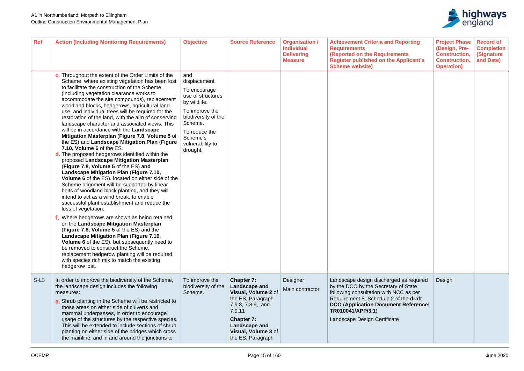

| <b>Ref</b> | <b>Action (Including Monitoring Requirements)</b>                                                                                                                                                                                                                                                                                                                                                                                                                                                                                                                                                                                                                                                                                                                                                                                                                                                                                                                                                                                                                                                                                                                                                                                                                                                                                                                                                                                                                                                                          | <b>Objective</b>                                                                                                                                                                           | <b>Source Reference</b>                                                                                                                                                                         | <b>Organisation /</b><br><b>Individual</b><br><b>Delivering</b><br><b>Measure</b> | <b>Achievement Criteria and Reporting</b><br><b>Requirements</b><br><b>(Reported on the Requirements)</b><br><b>Register published on the Applicant's</b><br><b>Scheme website)</b>                                                                                     | <b>Project Phase</b><br>(Design, Pre-<br><b>Construction,</b><br><b>Construction,</b><br><b>Operation</b> ) | <b>Record of</b><br><b>Completion</b><br><b>(Signature</b><br>and Date) |
|------------|----------------------------------------------------------------------------------------------------------------------------------------------------------------------------------------------------------------------------------------------------------------------------------------------------------------------------------------------------------------------------------------------------------------------------------------------------------------------------------------------------------------------------------------------------------------------------------------------------------------------------------------------------------------------------------------------------------------------------------------------------------------------------------------------------------------------------------------------------------------------------------------------------------------------------------------------------------------------------------------------------------------------------------------------------------------------------------------------------------------------------------------------------------------------------------------------------------------------------------------------------------------------------------------------------------------------------------------------------------------------------------------------------------------------------------------------------------------------------------------------------------------------------|--------------------------------------------------------------------------------------------------------------------------------------------------------------------------------------------|-------------------------------------------------------------------------------------------------------------------------------------------------------------------------------------------------|-----------------------------------------------------------------------------------|-------------------------------------------------------------------------------------------------------------------------------------------------------------------------------------------------------------------------------------------------------------------------|-------------------------------------------------------------------------------------------------------------|-------------------------------------------------------------------------|
|            | c. Throughout the extent of the Order Limits of the<br>Scheme, where existing vegetation has been lost<br>to facilitate the construction of the Scheme<br>(including vegetation clearance works to<br>accommodate the site compounds), replacement<br>woodland blocks, hedgerows, agricultural land<br>use, and individual trees will be required for the<br>restoration of the land, with the aim of conserving<br>landscape character and associated views. This<br>will be in accordance with the Landscape<br>Mitigation Masterplan (Figure 7.8, Volume 5 of<br>the ES) and Landscape Mitigation Plan (Figure<br>7.10, Volume 6 of the ES.<br>d. The proposed hedgerows identified within the<br>proposed Landscape Mitigation Masterplan<br>(Figure 7.8, Volume 5 of the ES) and<br>Landscape Mitigation Plan (Figure 7.10,<br><b>Volume 6</b> of the ES), located on either side of the<br>Scheme alignment will be supported by linear<br>belts of woodland block planting, and they will<br>intend to act as a wind break, to enable<br>successful plant establishment and reduce the<br>loss of vegetation.<br>f. Where hedgerows are shown as being retained<br>on the Landscape Mitigation Masterplan<br>(Figure 7.8, Volume 5 of the ES) and the<br>Landscape Mitigation Plan (Figure 7.10,<br><b>Volume 6</b> of the ES), but subsequently need to<br>be removed to construct the Scheme,<br>replacement hedgerow planting will be required,<br>with species rich mix to match the existing<br>hedgerow lost. | and<br>displacement.<br>To encourage<br>use of structures<br>by wildlife.<br>To improve the<br>biodiversity of the<br>Scheme.<br>To reduce the<br>Scheme's<br>vulnerability to<br>drought. |                                                                                                                                                                                                 |                                                                                   |                                                                                                                                                                                                                                                                         |                                                                                                             |                                                                         |
| $S-L3$     | In order to improve the biodiversity of the Scheme,<br>the landscape design includes the following<br>measures:<br>a. Shrub planting in the Scheme will be restricted to<br>those areas on either side of culverts and<br>mammal underpasses, in order to encourage<br>usage of the structures by the respective species.<br>This will be extended to include sections of shrub<br>planting on either side of the bridges which cross<br>the mainline, and in and around the junctions to                                                                                                                                                                                                                                                                                                                                                                                                                                                                                                                                                                                                                                                                                                                                                                                                                                                                                                                                                                                                                                  | To improve the<br>biodiversity of the<br>Scheme.                                                                                                                                           | <b>Chapter 7:</b><br>Landscape and<br>Visual, Volume 2 of<br>the ES, Paragraph<br>7.9.8, 7.8.9, and<br>7.9.11<br><b>Chapter 7:</b><br>Landscape and<br>Visual, Volume 3 of<br>the ES, Paragraph | Designer<br>Main contractor                                                       | Landscape design discharged as required<br>by the DCO by the Secretary of State<br>following consultation with NCC as per<br>Requirement 5, Schedule 2 of the draft<br><b>DCO (Application Document Reference:</b><br>TR010041/APP/3.1)<br>Landscape Design Certificate | Design                                                                                                      |                                                                         |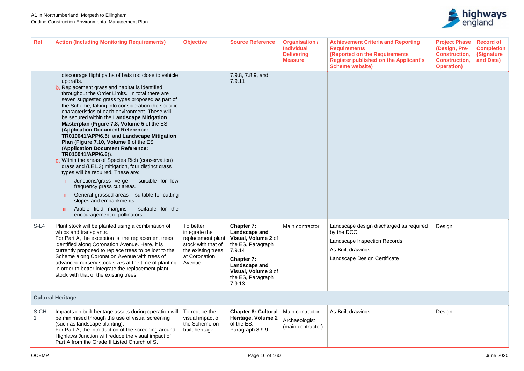

| <b>Ref</b> | <b>Action (Including Monitoring Requirements)</b>                                                                                                                                                                                                                                                                                                                                                                                                                                                                                                                                                                                                                                                                                                                                                                                                                                                                                                                                                                      | <b>Objective</b>                                                                                                        | <b>Source Reference</b>                                                                                                                                                              | <b>Organisation /</b><br><b>Individual</b><br><b>Delivering</b><br><b>Measure</b> | <b>Achievement Criteria and Reporting</b><br><b>Requirements</b><br><b>(Reported on the Requirements)</b><br><b>Register published on the Applicant's</b><br><b>Scheme website)</b> | <b>Project Phase</b><br>(Design, Pre-<br><b>Construction,</b><br><b>Construction,</b><br><b>Operation)</b> | <b>Record of</b><br><b>Completion</b><br><b>(Signature</b><br>and Date) |
|------------|------------------------------------------------------------------------------------------------------------------------------------------------------------------------------------------------------------------------------------------------------------------------------------------------------------------------------------------------------------------------------------------------------------------------------------------------------------------------------------------------------------------------------------------------------------------------------------------------------------------------------------------------------------------------------------------------------------------------------------------------------------------------------------------------------------------------------------------------------------------------------------------------------------------------------------------------------------------------------------------------------------------------|-------------------------------------------------------------------------------------------------------------------------|--------------------------------------------------------------------------------------------------------------------------------------------------------------------------------------|-----------------------------------------------------------------------------------|-------------------------------------------------------------------------------------------------------------------------------------------------------------------------------------|------------------------------------------------------------------------------------------------------------|-------------------------------------------------------------------------|
|            | discourage flight paths of bats too close to vehicle<br>updrafts.<br><b>b.</b> Replacement grassland habitat is identified<br>throughout the Order Limits. In total there are<br>seven suggested grass types proposed as part of<br>the Scheme, taking into consideration the specific<br>characteristics of each environment. These will<br>be secured within the Landscape Mitigation<br>Masterplan (Figure 7.8, Volume 5 of the ES<br>(Application Document Reference:<br>TR010041/APP/6.5), and Landscape Mitigation<br>Plan (Figure 7.10, Volume 6 of the ES<br>(Application Document Reference:<br>TR010041/APP/6.6)).<br>c. Within the areas of Species Rich (conservation)<br>grassland (LE1.3) mitigation, four distinct grass<br>types will be required. These are:<br>Junctions/grass verge – suitable for low<br>frequency grass cut areas.<br>General grassed areas - suitable for cutting<br>slopes and embankments.<br>Arable field margins – suitable for the<br>iii.<br>encouragement of pollinators. |                                                                                                                         | 7.9.8, 7.8.9, and<br>7.9.11                                                                                                                                                          |                                                                                   |                                                                                                                                                                                     |                                                                                                            |                                                                         |
| $S-L4$     | Plant stock will be planted using a combination of<br>whips and transplants.<br>For Part A, the exception is the replacement trees<br>identified along Coronation Avenue. Here, it is<br>currently proposed to replace trees to be lost to the<br>Scheme along Coronation Avenue with trees of<br>advanced nursery stock sizes at the time of planting<br>in order to better integrate the replacement plant<br>stock with that of the existing trees.                                                                                                                                                                                                                                                                                                                                                                                                                                                                                                                                                                 | To better<br>integrate the<br>replacement plant<br>stock with that of<br>the existing trees<br>at Coronation<br>Avenue. | <b>Chapter 7:</b><br>Landscape and<br>Visual, Volume 2 of<br>the ES, Paragraph<br>7.9.14<br><b>Chapter 7:</b><br>Landscape and<br>Visual, Volume 3 of<br>the ES, Paragraph<br>7.9.13 | Main contractor                                                                   | Landscape design discharged as required<br>by the DCO<br>Landscape Inspection Records<br>As Built drawings<br>Landscape Design Certificate                                          | Design                                                                                                     |                                                                         |
|            | <b>Cultural Heritage</b>                                                                                                                                                                                                                                                                                                                                                                                                                                                                                                                                                                                                                                                                                                                                                                                                                                                                                                                                                                                               |                                                                                                                         |                                                                                                                                                                                      |                                                                                   |                                                                                                                                                                                     |                                                                                                            |                                                                         |
| S-CH       | Impacts on built heritage assets during operation will<br>be minimised through the use of visual screening<br>(such as landscape planting).<br>For Part A, the introduction of the screening around<br>Highlaws Junction will reduce the visual impact of<br>Part A from the Grade II Listed Church of St                                                                                                                                                                                                                                                                                                                                                                                                                                                                                                                                                                                                                                                                                                              | To reduce the<br>visual impact of<br>the Scheme on<br>built heritage                                                    | <b>Chapter 8: Cultural</b><br>Heritage, Volume 2<br>of the ES,<br>Paragraph 8.9.9                                                                                                    | Main contractor<br>Archaeologist<br>(main contractor)                             | As Built drawings                                                                                                                                                                   | Design                                                                                                     |                                                                         |

| S-CH | Impacts on built heritage assets during operation will<br>be minimised through the use of visual screening<br>(such as landscape planting).<br>For Part A, the introduction of the screening around<br>Highlaws Junction will reduce the visual impact of<br>Part A from the Grade II Listed Church of St | To reduce the<br>visual impact of<br>the Scheme on<br>built heritage | <b>Chapter 8: Cultural</b>   Main contractor<br>$^{\dagger}$ Heritage, Volume 2 $_{\parallel}$<br>of the ES.<br>Paragraph 8.9.9 | Archaeologist<br>(main contractor) | As Built drawings |
|------|-----------------------------------------------------------------------------------------------------------------------------------------------------------------------------------------------------------------------------------------------------------------------------------------------------------|----------------------------------------------------------------------|---------------------------------------------------------------------------------------------------------------------------------|------------------------------------|-------------------|
|------|-----------------------------------------------------------------------------------------------------------------------------------------------------------------------------------------------------------------------------------------------------------------------------------------------------------|----------------------------------------------------------------------|---------------------------------------------------------------------------------------------------------------------------------|------------------------------------|-------------------|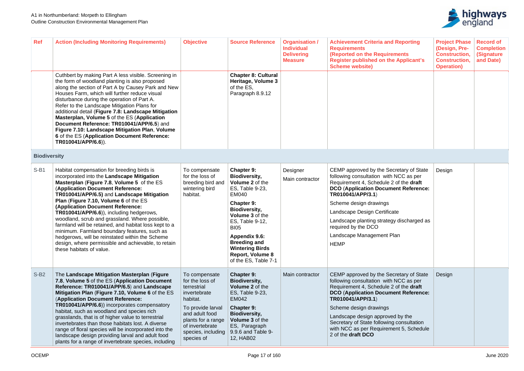

| <b>Ref</b>          | <b>Action (Including Monitoring Requirements)</b>                                                                                                                                                                                                                                                                                                                                                                                                                                                                                                                                                                                                  | <b>Objective</b>                                                                                                                                                                                | <b>Source Reference</b>                                                                                                                                                                                                                                                                                                       | <b>Organisation /</b><br><b>Individual</b><br><b>Delivering</b><br><b>Measure</b> | <b>Achievement Criteria and Reporting</b><br><b>Requirements</b><br><b>(Reported on the Requirements</b><br><b>Register published on the Applicant's</b><br><b>Scheme website)</b>                                                                                                                                                                                          | <b>Project Phase</b><br>(Design, Pre-<br><b>Construction,</b><br><b>Construction,</b><br><b>Operation</b> ) | <b>Record of</b><br><b>Completion</b><br><b>(Signature</b><br>and Date) |
|---------------------|----------------------------------------------------------------------------------------------------------------------------------------------------------------------------------------------------------------------------------------------------------------------------------------------------------------------------------------------------------------------------------------------------------------------------------------------------------------------------------------------------------------------------------------------------------------------------------------------------------------------------------------------------|-------------------------------------------------------------------------------------------------------------------------------------------------------------------------------------------------|-------------------------------------------------------------------------------------------------------------------------------------------------------------------------------------------------------------------------------------------------------------------------------------------------------------------------------|-----------------------------------------------------------------------------------|-----------------------------------------------------------------------------------------------------------------------------------------------------------------------------------------------------------------------------------------------------------------------------------------------------------------------------------------------------------------------------|-------------------------------------------------------------------------------------------------------------|-------------------------------------------------------------------------|
|                     | Cuthbert by making Part A less visible. Screening in<br>the form of woodland planting is also proposed<br>along the section of Part A by Causey Park and New<br>Houses Farm, which will further reduce visual<br>disturbance during the operation of Part A.<br>Refer to the Landscape Mitigation Plans for<br>additional detail (Figure 7.8: Landscape Mitigation<br>Masterplan, Volume 5 of the ES (Application<br>Document Reference: TR010041/APP/6.5) and<br>Figure 7.10: Landscape Mitigation Plan, Volume<br>6 of the ES (Application Document Reference:<br>TR010041/APP/6.6)).                                                            |                                                                                                                                                                                                 | <b>Chapter 8: Cultural</b><br>Heritage, Volume 3<br>of the ES,<br>Paragraph 8.9.12                                                                                                                                                                                                                                            |                                                                                   |                                                                                                                                                                                                                                                                                                                                                                             |                                                                                                             |                                                                         |
| <b>Biodiversity</b> |                                                                                                                                                                                                                                                                                                                                                                                                                                                                                                                                                                                                                                                    |                                                                                                                                                                                                 |                                                                                                                                                                                                                                                                                                                               |                                                                                   |                                                                                                                                                                                                                                                                                                                                                                             |                                                                                                             |                                                                         |
| $S-B1$              | Habitat compensation for breeding birds is<br>incorporated into the Landscape Mitigation<br>Masterplan (Figure 7.8, Volume 5 of the ES<br>(Application Document Reference:<br>TR010041/APP/6.5) and Landscape Mitigation<br>Plan (Figure 7.10, Volume 6 of the ES<br>(Application Document Reference:<br>TR010041/APP/6.6)), including hedgerows,<br>woodland, scrub and grassland. Where possible,<br>farmland will be retained, and habitat loss kept to a<br>minimum. Farmland boundary features, such as<br>hedgerows, will be reinstated within the Scheme<br>design, where permissible and achievable, to retain<br>these habitats of value. | To compensate<br>for the loss of<br>breeding bird and<br>wintering bird<br>habitat.                                                                                                             | <b>Chapter 9:</b><br><b>Biodiversity,</b><br>Volume 2 of the<br>ES, Table 9-23,<br><b>EM040</b><br><b>Chapter 9:</b><br><b>Biodiversity,</b><br>Volume 3 of the<br>ES, Table 9-12,<br><b>BI05</b><br><b>Appendix 9.6:</b><br><b>Breeding and</b><br><b>Wintering Birds</b><br><b>Report, Volume 8</b><br>of the ES, Table 7-1 | Designer<br>Main contractor                                                       | CEMP approved by the Secretary of State<br>following consultation with NCC as per<br>Requirement 4, Schedule 2 of the draft<br><b>DCO (Application Document Reference:</b><br>TR010041/APP/3.1)<br>Scheme design drawings<br>Landscape Design Certificate<br>Landscape planting strategy discharged as<br>required by the DCO<br>Landscape Management Plan<br><b>HEMP</b>   | Design                                                                                                      |                                                                         |
| $S-B2$              | The Landscape Mitigation Masterplan (Figure<br>7.8, Volume 5 of the ES (Application Document<br>Reference: TR010041/APP/6.5) and Landscape<br>Mitigation Plan (Figure 7.10, Volume 6 of the ES<br>(Application Document Reference:<br>TR010041/APP/6.6)) incorporates compensatory<br>habitat, such as woodland and species rich<br>grasslands, that is of higher value to terrestrial<br>invertebrates than those habitats lost. A diverse<br>range of floral species will be incorporated into the<br>landscape design providing larval and adult food<br>plants for a range of invertebrate species, including                                  | To compensate<br>for the loss of<br>terrestrial<br>invertebrate<br>habitat.<br>To provide larval<br>and adult food<br>plants for a range<br>of invertebrate<br>species, including<br>species of | <b>Chapter 9:</b><br><b>Biodiversity,</b><br>Volume 2 of the<br>ES, Table 9-23,<br><b>EM042</b><br><b>Chapter 9:</b><br><b>Biodiversity,</b><br>Volume 3 of the<br>ES, Paragraph<br>9.9.6 and Table 9-<br>12, HAB02                                                                                                           | Main contractor                                                                   | CEMP approved by the Secretary of State<br>following consultation with NCC as per<br>Requirement 4, Schedule 2 of the draft<br><b>DCO (Application Document Reference:</b><br>TR010041/APP/3.1)<br>Scheme design drawings<br>Landscape design approved by the<br>Secretary of State following consultation<br>with NCC as per Requirement 5, Schedule<br>2 of the draft DCO | Design                                                                                                      |                                                                         |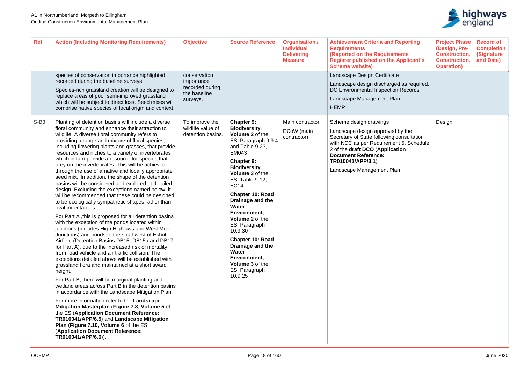

| <b>Ref</b> | <b>Action (Including Monitoring Requirements)</b>                                                                                                                                                                                                                                                                                                                                                                                                                                                                                                                                                                                                                                                                                                                                                                                                                                                                                                                                                                                                                                                                                                                                                                                                                                                                                                                                                                                                                                                                                                                                                                                                                                                                                                         | <b>Objective</b>                                                          | <b>Source Reference</b>                                                                                                                                                                                                                                                                                                                                                                                                                                                       | <b>Organisation /</b><br><b>Individual</b><br><b>Delivering</b><br><b>Measure</b> | <b>Achievement Criteria and Reporting</b><br><b>Requirements</b><br><b>(Reported on the Requirements</b><br><b>Register published on the Applicant's</b><br><b>Scheme website)</b>                                                                                    | <b>Project Phase</b><br>(Design, Pre-<br><b>Construction,</b><br><b>Construction,</b><br><b>Operation</b> ) | <b>Record of</b><br><b>Completion</b><br><b>(Signature</b><br>and Date) |
|------------|-----------------------------------------------------------------------------------------------------------------------------------------------------------------------------------------------------------------------------------------------------------------------------------------------------------------------------------------------------------------------------------------------------------------------------------------------------------------------------------------------------------------------------------------------------------------------------------------------------------------------------------------------------------------------------------------------------------------------------------------------------------------------------------------------------------------------------------------------------------------------------------------------------------------------------------------------------------------------------------------------------------------------------------------------------------------------------------------------------------------------------------------------------------------------------------------------------------------------------------------------------------------------------------------------------------------------------------------------------------------------------------------------------------------------------------------------------------------------------------------------------------------------------------------------------------------------------------------------------------------------------------------------------------------------------------------------------------------------------------------------------------|---------------------------------------------------------------------------|-------------------------------------------------------------------------------------------------------------------------------------------------------------------------------------------------------------------------------------------------------------------------------------------------------------------------------------------------------------------------------------------------------------------------------------------------------------------------------|-----------------------------------------------------------------------------------|-----------------------------------------------------------------------------------------------------------------------------------------------------------------------------------------------------------------------------------------------------------------------|-------------------------------------------------------------------------------------------------------------|-------------------------------------------------------------------------|
|            | species of conservation importance highlighted<br>recorded during the baseline surveys.<br>Species-rich grassland creation will be designed to<br>replace areas of poor semi-improved grassland<br>which will be subject to direct loss. Seed mixes will<br>comprise native species of local origin and context.                                                                                                                                                                                                                                                                                                                                                                                                                                                                                                                                                                                                                                                                                                                                                                                                                                                                                                                                                                                                                                                                                                                                                                                                                                                                                                                                                                                                                                          | conservation<br>importance<br>recorded during<br>the baseline<br>surveys. |                                                                                                                                                                                                                                                                                                                                                                                                                                                                               |                                                                                   | Landscape Design Certificate<br>Landscape design discharged as required.<br><b>DC Environmental Inspection Records</b><br>Landscape Management Plan<br><b>HEMP</b>                                                                                                    |                                                                                                             |                                                                         |
| $S-B3$     | Planting of detention basins will include a diverse<br>floral community and enhance their attraction to<br>wildlife. A diverse floral community refers to<br>providing a range and mixture of floral species,<br>including flowering plants and grasses, that provide<br>resources and niches to a variety of invertebrates<br>which in turn provide a resource for species that<br>prey on the invertebrates. This will be achieved<br>through the use of a native and locally appropriate<br>seed mix. In addition, the shape of the detention<br>basins will be considered and explored at detailed<br>design. Excluding the exceptions named below, it<br>will be recommended that these could be designed<br>to be ecologically sympathetic shapes rather than<br>oval indentations.<br>For Part A, this is proposed for all detention basins<br>with the exception of the ponds located within<br>junctions (includes High Highlaws and West Moor<br>Junctions) and ponds to the southwest of Eshott<br>Airfield (Detention Basins DB15, DB15a and DB17<br>for Part A), due to the increased risk of mortality<br>from road vehicle and air traffic collision. The<br>exceptions detailed above will be established with<br>grassland flora and maintained at a short sward<br>height.<br>For Part B, there will be marginal planting and<br>wetland areas across Part B in the detention basins<br>in accordance with the Landscape Mitigation Plan.<br>For more information refer to the Landscape<br>Mitigation Masterplan (Figure 7.8, Volume 5 of<br>the ES (Application Document Reference:<br>TR010041/APP/6.5) and Landscape Mitigation<br>Plan (Figure 7.10, Volume 6 of the ES<br>(Application Document Reference:<br>TR010041/APP/6.6)). | To improve the<br>wildlife value of<br>detention basins.                  | <b>Chapter 9:</b><br><b>Biodiversity,</b><br>Volume 2 of the<br>ES, Paragraph 9.9.4<br>and Table 9-23,<br>EM043<br><b>Chapter 9:</b><br><b>Biodiversity,</b><br>Volume 3 of the<br>ES, Table 9-12,<br><b>EC14</b><br><b>Chapter 10: Road</b><br><b>Drainage and the</b><br>Water<br>Environment,<br>Volume 2 of the<br>ES, Paragraph<br>10.9.30<br><b>Chapter 10: Road</b><br><b>Drainage and the</b><br>Water<br>Environment,<br>Volume 3 of the<br>ES, Paragraph<br>10.9.25 | Main contractor<br>ECoW (main<br>contractor)                                      | Scheme design drawings<br>Landscape design approved by the<br>Secretary of State following consultation<br>with NCC as per Requirement 5, Schedule<br>2 of the draft DCO (Application<br><b>Document Reference:</b><br>TR010041/APP/3.1)<br>Landscape Management Plan | Design                                                                                                      |                                                                         |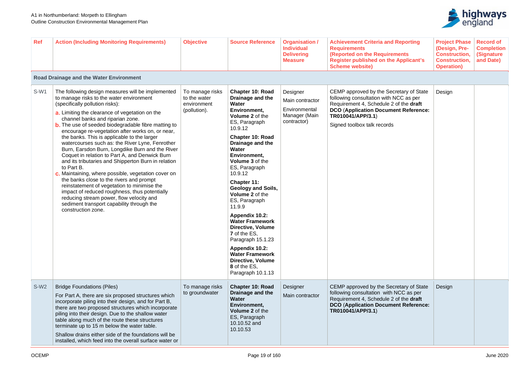

| <b>Ref</b> | <b>Action (Including Monitoring Requirements)</b>                                                                                                                                                                                                                                                                                                                                                                                                                                                                                                                                                                                                                                                                                                                                                                                                                                                                                      | <b>Objective</b>                                               | <b>Source Reference</b>                                                                                                                                                                                                                                                                                                                                                                                                                                                                                                                                                                    | <b>Organisation /</b><br><b>Individual</b><br><b>Delivering</b><br><b>Measure</b> | <b>Achievement Criteria and Reporting</b><br><b>Requirements</b><br><b>(Reported on the Requirements</b><br><b>Register published on the Applicant's</b><br><b>Scheme website)</b>                                             | <b>Project Phase</b><br>(Design, Pre-<br><b>Construction,</b><br><b>Construction,</b><br><b>Operation</b> ) | <b>Record of</b><br><b>Completion</b><br><b>(Signature</b><br>and Date) |
|------------|----------------------------------------------------------------------------------------------------------------------------------------------------------------------------------------------------------------------------------------------------------------------------------------------------------------------------------------------------------------------------------------------------------------------------------------------------------------------------------------------------------------------------------------------------------------------------------------------------------------------------------------------------------------------------------------------------------------------------------------------------------------------------------------------------------------------------------------------------------------------------------------------------------------------------------------|----------------------------------------------------------------|--------------------------------------------------------------------------------------------------------------------------------------------------------------------------------------------------------------------------------------------------------------------------------------------------------------------------------------------------------------------------------------------------------------------------------------------------------------------------------------------------------------------------------------------------------------------------------------------|-----------------------------------------------------------------------------------|--------------------------------------------------------------------------------------------------------------------------------------------------------------------------------------------------------------------------------|-------------------------------------------------------------------------------------------------------------|-------------------------------------------------------------------------|
|            | <b>Road Drainage and the Water Environment</b>                                                                                                                                                                                                                                                                                                                                                                                                                                                                                                                                                                                                                                                                                                                                                                                                                                                                                         |                                                                |                                                                                                                                                                                                                                                                                                                                                                                                                                                                                                                                                                                            |                                                                                   |                                                                                                                                                                                                                                |                                                                                                             |                                                                         |
| $S-W1$     | The following design measures will be implemented<br>to manage risks to the water environment<br>(specifically pollution risks):<br>a. Limiting the clearance of vegetation on the<br>channel banks and riparian zone.<br><b>b.</b> The use of seeded biodegradable fibre matting to<br>encourage re-vegetation after works on, or near,<br>the banks. This is applicable to the larger<br>watercourses such as: the River Lyne, Fenrother<br>Burn, Earsdon Burn, Longdike Burn and the River<br>Coquet in relation to Part A, and Denwick Burn<br>and its tributaries and Shipperton Burn in relation<br>to Part B.<br>c. Maintaining, where possible, vegetation cover on<br>the banks close to the rivers and prompt<br>reinstatement of vegetation to minimise the<br>impact of reduced roughness, thus potentially<br>reducing stream power, flow velocity and<br>sediment transport capability through the<br>construction zone. | To manage risks<br>to the water<br>environment<br>(pollution). | Chapter 10: Road<br>Drainage and the<br><b>Water</b><br>Environment,<br>Volume 2 of the<br>ES, Paragraph<br>10.9.12<br><b>Chapter 10: Road</b><br><b>Drainage and the</b><br><b>Water</b><br>Environment,<br>Volume 3 of the<br>ES, Paragraph<br>10.9.12<br>Chapter 11:<br><b>Geology and Soils,</b><br>Volume 2 of the<br>ES, Paragraph<br>11.9.9<br><b>Appendix 10.2:</b><br><b>Water Framework</b><br><b>Directive, Volume</b><br>7 of the ES,<br>Paragraph 15.1.23<br><b>Appendix 10.2:</b><br><b>Water Framework</b><br><b>Directive, Volume</b><br>8 of the ES,<br>Paragraph 10.1.13 | Designer<br>Main contractor<br>Environmental<br>Manager (Main<br>contractor)      | CEMP approved by the Secretary of State<br>following consultation with NCC as per<br>Requirement 4, Schedule 2 of the draft<br><b>DCO (Application Document Reference:</b><br>TR010041/APP/3.1)<br>Signed toolbox talk records | Design                                                                                                      |                                                                         |
| $S-W2$     | <b>Bridge Foundations (Piles)</b><br>For Part A, there are six proposed structures which<br>incorporate piling into their design, and for Part B,<br>there are two proposed structures which incorporate<br>piling into their design. Due to the shallow water<br>table along much of the route these structures<br>terminate up to 15 m below the water table.<br>Shallow drains either side of the foundations will be<br>installed, which feed into the overall surface water or                                                                                                                                                                                                                                                                                                                                                                                                                                                    | To manage risks<br>to groundwater                              | <b>Chapter 10: Road</b><br>Drainage and the<br><b>Water</b><br>Environment,<br>Volume 2 of the<br>ES, Paragraph<br>10.10.52 and<br>10.10.53                                                                                                                                                                                                                                                                                                                                                                                                                                                | Designer<br>Main contractor                                                       | CEMP approved by the Secretary of State<br>following consultation with NCC as per<br>Requirement 4, Schedule 2 of the draft<br><b>DCO (Application Document Reference:</b><br>TR010041/APP/3.1)                                | Design                                                                                                      |                                                                         |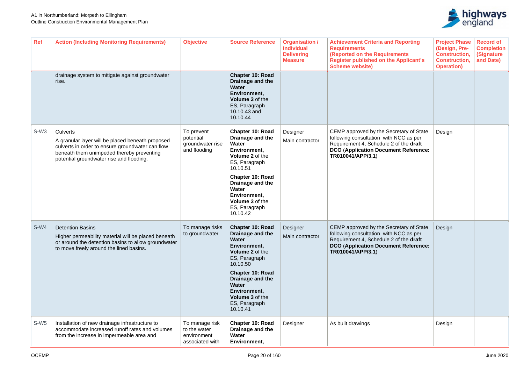

| <b>Ref</b> | <b>Action (Including Monitoring Requirements)</b>                                                                                                                                                                | <b>Objective</b>                                                 | <b>Source Reference</b>                                                                                                                                                                                                                                    | <b>Organisation /</b><br><b>Individual</b><br><b>Delivering</b><br><b>Measure</b> | <b>Achievement Criteria and Reporting</b><br><b>Requirements</b><br><b>(Reported on the Requirements)</b><br><b>Register published on the Applicant's</b><br><b>Scheme website)</b>             | <b>Project Phase</b><br>(Design, Pre-<br><b>Construction,</b><br><b>Construction,</b><br><b>Operation</b> ) | <b>Record of</b><br><b>Completion</b><br><b>(Signature</b><br>and Date) |
|------------|------------------------------------------------------------------------------------------------------------------------------------------------------------------------------------------------------------------|------------------------------------------------------------------|------------------------------------------------------------------------------------------------------------------------------------------------------------------------------------------------------------------------------------------------------------|-----------------------------------------------------------------------------------|-------------------------------------------------------------------------------------------------------------------------------------------------------------------------------------------------|-------------------------------------------------------------------------------------------------------------|-------------------------------------------------------------------------|
|            | drainage system to mitigate against groundwater<br>rise.                                                                                                                                                         |                                                                  | Chapter 10: Road<br><b>Drainage and the</b><br><b>Water</b><br>Environment,<br>Volume 3 of the<br>ES, Paragraph<br>10.10.43 and<br>10.10.44                                                                                                                |                                                                                   |                                                                                                                                                                                                 |                                                                                                             |                                                                         |
| $S-W3$     | <b>Culverts</b><br>A granular layer will be placed beneath proposed<br>culverts in order to ensure groundwater can flow<br>beneath them unimpeded thereby preventing<br>potential groundwater rise and flooding. | To prevent<br>potential<br>groundwater rise<br>and flooding      | Chapter 10: Road<br>Drainage and the<br><b>Water</b><br>Environment,<br>Volume 2 of the<br>ES, Paragraph<br>10.10.51<br><b>Chapter 10: Road</b><br>Drainage and the<br><b>Water</b><br>Environment,<br>Volume 3 of the<br>ES, Paragraph<br>10.10.42        | Designer<br>Main contractor                                                       | CEMP approved by the Secretary of State<br>following consultation with NCC as per<br>Requirement 4, Schedule 2 of the draft<br><b>DCO (Application Document Reference:</b><br>TR010041/APP/3.1) | Design                                                                                                      |                                                                         |
| $S-W4$     | <b>Detention Basins</b><br>Higher permeability material will be placed beneath<br>or around the detention basins to allow groundwater<br>to move freely around the lined basins.                                 | To manage risks<br>to groundwater                                | <b>Chapter 10: Road</b><br>Drainage and the<br><b>Water</b><br>Environment,<br>Volume 2 of the<br>ES, Paragraph<br>10.10.50<br><b>Chapter 10: Road</b><br>Drainage and the<br><b>Water</b><br>Environment,<br>Volume 3 of the<br>ES, Paragraph<br>10.10.41 | Designer<br>Main contractor                                                       | CEMP approved by the Secretary of State<br>following consultation with NCC as per<br>Requirement 4, Schedule 2 of the draft<br><b>DCO (Application Document Reference:</b><br>TR010041/APP/3.1) | Design                                                                                                      |                                                                         |
| $S-W5$     | Installation of new drainage infrastructure to<br>accommodate increased runoff rates and volumes<br>from the increase in impermeable area and                                                                    | To manage risk<br>to the water<br>environment<br>associated with | <b>Chapter 10: Road</b><br>Drainage and the<br>Water<br>Environment,                                                                                                                                                                                       | Designer                                                                          | As built drawings                                                                                                                                                                               | Design                                                                                                      |                                                                         |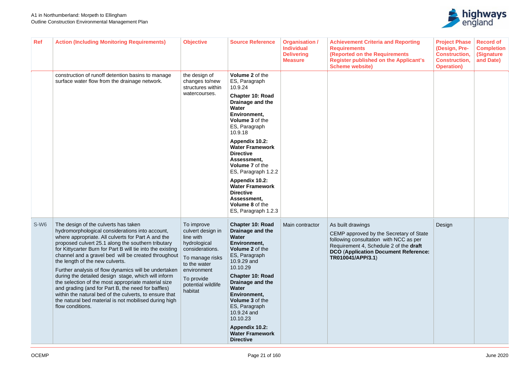

| <b>Ref</b>       | <b>Action (Including Monitoring Requirements)</b>                                                                                                                                                                                                                                                                                                                                                                                                                                                                                                                                                                                                                                                                              | <b>Objective</b>                                                                                                                                                                 | <b>Source Reference</b>                                                                                                                                                                                                                                                                                                                                                                                                                   | <b>Organisation /</b><br><b>Individual</b><br><b>Delivering</b><br><b>Measure</b> | <b>Achievement Criteria and Reporting</b><br><b>Requirements</b><br><b>(Reported on the Requirements</b><br><b>Register published on the Applicant's</b><br><b>Scheme website)</b>                                   | <b>Project Phase</b><br>(Design, Pre-<br><b>Construction,</b><br><b>Construction,</b><br><b>Operation</b> ) | <b>Record of</b><br><b>Completion</b><br>(Signature<br>and Date) |
|------------------|--------------------------------------------------------------------------------------------------------------------------------------------------------------------------------------------------------------------------------------------------------------------------------------------------------------------------------------------------------------------------------------------------------------------------------------------------------------------------------------------------------------------------------------------------------------------------------------------------------------------------------------------------------------------------------------------------------------------------------|----------------------------------------------------------------------------------------------------------------------------------------------------------------------------------|-------------------------------------------------------------------------------------------------------------------------------------------------------------------------------------------------------------------------------------------------------------------------------------------------------------------------------------------------------------------------------------------------------------------------------------------|-----------------------------------------------------------------------------------|----------------------------------------------------------------------------------------------------------------------------------------------------------------------------------------------------------------------|-------------------------------------------------------------------------------------------------------------|------------------------------------------------------------------|
|                  | construction of runoff detention basins to manage<br>surface water flow from the drainage network.                                                                                                                                                                                                                                                                                                                                                                                                                                                                                                                                                                                                                             | the design of<br>changes to/new<br>structures within<br>watercourses.                                                                                                            | Volume 2 of the<br>ES, Paragraph<br>10.9.24<br><b>Chapter 10: Road</b><br>Drainage and the<br>Water<br><b>Environment,</b><br>Volume 3 of the<br>ES, Paragraph<br>10.9.18<br><b>Appendix 10.2:</b><br><b>Water Framework</b><br><b>Directive</b><br>Assessment,<br>Volume 7 of the<br>ES, Paragraph 1.2.2<br><b>Appendix 10.2:</b><br><b>Water Framework</b><br><b>Directive</b><br>Assessment,<br>Volume 8 of the<br>ES, Paragraph 1.2.3 |                                                                                   |                                                                                                                                                                                                                      |                                                                                                             |                                                                  |
| S-W <sub>6</sub> | The design of the culverts has taken<br>hydromorphological considerations into account,<br>where appropriate. All culverts for Part A and the<br>proposed culvert 25.1 along the southern tributary<br>for Kittycarter Burn for Part B will tie into the existing<br>channel and a gravel bed will be created throughout<br>the length of the new culverts.<br>Further analysis of flow dynamics will be undertaken<br>during the detailed design stage, which will inform<br>the selection of the most appropriate material size<br>and grading (and for Part B, the need for baffles)<br>within the natural bed of the culverts, to ensure that<br>the natural bed material is not mobilised during high<br>flow conditions. | To improve<br>culvert design in<br>line with<br>hydrological<br>considerations.<br>To manage risks<br>to the water<br>environment<br>To provide<br>potential wildlife<br>habitat | <b>Chapter 10: Road</b><br>Drainage and the<br>Water<br>Environment,<br>Volume 2 of the<br>ES, Paragraph<br>10.9.29 and<br>10.10.29<br><b>Chapter 10: Road</b><br><b>Drainage and the</b><br><b>Water</b><br>Environment,<br>Volume 3 of the<br>ES, Paragraph<br>10.9.24 and<br>10.10.23<br><b>Appendix 10.2:</b><br><b>Water Framework</b><br><b>Directive</b>                                                                           | Main contractor                                                                   | As built drawings<br>CEMP approved by the Secretary of State<br>following consultation with NCC as per<br>Requirement 4, Schedule 2 of the draft<br><b>DCO (Application Document Reference:</b><br>TR010041/APP/3.1) | Design                                                                                                      |                                                                  |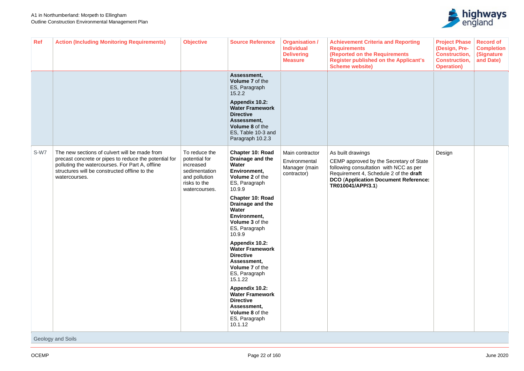

| <b>Ref</b> | <b>Action (Including Monitoring Requirements)</b>                                                                                                                                                                           | <b>Objective</b>                                                                                               | <b>Source Reference</b>                                                                                                                                                                                                                                                                                                                                                                                                                                                                                                          | <b>Organisation /</b><br><b>Individual</b><br><b>Delivering</b><br><b>Measure</b> | <b>Achievement Criteria and Reporting</b><br><b>Requirements</b><br>(Reported on the Requirements<br><b>Register published on the Applicant's</b><br><b>Scheme website)</b>                                          | <b>Project Phase</b><br>(Design, Pre-<br><b>Construction,</b><br><b>Construction,</b><br><b>Operation</b> ) | <b>Record of</b><br><b>Completion</b><br><b>(Signature</b><br>and Date) |
|------------|-----------------------------------------------------------------------------------------------------------------------------------------------------------------------------------------------------------------------------|----------------------------------------------------------------------------------------------------------------|----------------------------------------------------------------------------------------------------------------------------------------------------------------------------------------------------------------------------------------------------------------------------------------------------------------------------------------------------------------------------------------------------------------------------------------------------------------------------------------------------------------------------------|-----------------------------------------------------------------------------------|----------------------------------------------------------------------------------------------------------------------------------------------------------------------------------------------------------------------|-------------------------------------------------------------------------------------------------------------|-------------------------------------------------------------------------|
|            |                                                                                                                                                                                                                             |                                                                                                                | Assessment,<br>Volume 7 of the<br>ES, Paragraph<br>15.2.2<br><b>Appendix 10.2:</b><br><b>Water Framework</b><br><b>Directive</b><br>Assessment,<br>Volume 8 of the<br>ES, Table 10-3 and<br>Paragraph 10.2.3                                                                                                                                                                                                                                                                                                                     |                                                                                   |                                                                                                                                                                                                                      |                                                                                                             |                                                                         |
| S-W7       | The new sections of culvert will be made from<br>precast concrete or pipes to reduce the potential for<br>polluting the watercourses. For Part A, offline<br>structures will be constructed offline to the<br>watercourses. | To reduce the<br>potential for<br>increased<br>sedimentation<br>and pollution<br>risks to the<br>watercourses. | <b>Chapter 10: Road</b><br>Drainage and the<br><b>Water</b><br>Environment,<br>Volume 2 of the<br>ES, Paragraph<br>10.9.9<br><b>Chapter 10: Road</b><br>Drainage and the<br><b>Water</b><br>Environment,<br>Volume 3 of the<br>ES, Paragraph<br>10.9.9<br><b>Appendix 10.2:</b><br><b>Water Framework</b><br><b>Directive</b><br>Assessment,<br>Volume 7 of the<br>ES, Paragraph<br>15.1.22<br><b>Appendix 10.2:</b><br><b>Water Framework</b><br><b>Directive</b><br>Assessment,<br>Volume 8 of the<br>ES, Paragraph<br>10.1.12 | Main contractor<br>Environmental<br>Manager (main<br>contractor)                  | As built drawings<br>CEMP approved by the Secretary of State<br>following consultation with NCC as per<br>Requirement 4, Schedule 2 of the draft<br><b>DCO (Application Document Reference:</b><br>TR010041/APP/3.1) | Design                                                                                                      |                                                                         |
|            | <b>Geology and Soils</b>                                                                                                                                                                                                    |                                                                                                                |                                                                                                                                                                                                                                                                                                                                                                                                                                                                                                                                  |                                                                                   |                                                                                                                                                                                                                      |                                                                                                             |                                                                         |

Geology and Soils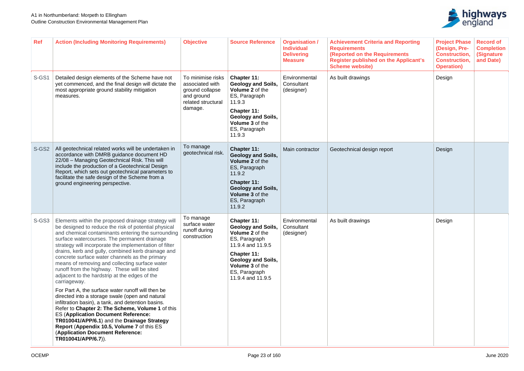

| <b>Ref</b> | <b>Action (Including Monitoring Requirements)</b>                                                                                                                                                                                                                                                                                                                                                                                                                                                                                                                                                                                                                                                                                                                                                                                                                                                                                                                              | <b>Objective</b>                                                                                       | <b>Source Reference</b>                                                                                                                                                                                | <b>Organisation /</b><br><b>Individual</b><br><b>Delivering</b><br><b>Measure</b> | <b>Achievement Criteria and Reporting</b><br><b>Requirements</b><br><b>(Reported on the Requirements)</b><br><b>Register published on the Applicant's</b><br><b>Scheme website)</b> | <b>Project Phase</b><br>(Design, Pre-<br><b>Construction,</b><br><b>Construction,</b><br><b>Operation</b> ) | <b>Record of</b><br><b>Completion</b><br><b>(Signature</b><br>and Date) |
|------------|--------------------------------------------------------------------------------------------------------------------------------------------------------------------------------------------------------------------------------------------------------------------------------------------------------------------------------------------------------------------------------------------------------------------------------------------------------------------------------------------------------------------------------------------------------------------------------------------------------------------------------------------------------------------------------------------------------------------------------------------------------------------------------------------------------------------------------------------------------------------------------------------------------------------------------------------------------------------------------|--------------------------------------------------------------------------------------------------------|--------------------------------------------------------------------------------------------------------------------------------------------------------------------------------------------------------|-----------------------------------------------------------------------------------|-------------------------------------------------------------------------------------------------------------------------------------------------------------------------------------|-------------------------------------------------------------------------------------------------------------|-------------------------------------------------------------------------|
| S-GS1      | Detailed design elements of the Scheme have not<br>yet commenced, and the final design will dictate the<br>most appropriate ground stability mitigation<br>measures.                                                                                                                                                                                                                                                                                                                                                                                                                                                                                                                                                                                                                                                                                                                                                                                                           | To minimise risks<br>associated with<br>ground collapse<br>and ground<br>related structural<br>damage. | Chapter 11:<br><b>Geology and Soils,</b><br>Volume 2 of the<br>ES, Paragraph<br>11.9.3<br><b>Chapter 11:</b><br><b>Geology and Soils,</b><br>Volume 3 of the<br>ES, Paragraph<br>11.9.3                | Environmental<br>Consultant<br>(designer)                                         | As built drawings                                                                                                                                                                   | Design                                                                                                      |                                                                         |
| S-GS2      | All geotechnical related works will be undertaken in<br>accordance with DMRB guidance document HD<br>22/08 - Managing Geotechnical Risk. This will<br>include the production of a Geotechnical Design<br>Report, which sets out geotechnical parameters to<br>facilitate the safe design of the Scheme from a<br>ground engineering perspective.                                                                                                                                                                                                                                                                                                                                                                                                                                                                                                                                                                                                                               | To manage<br>geotechnical risk.                                                                        | <b>Chapter 11:</b><br><b>Geology and Soils,</b><br>Volume 2 of the<br>ES, Paragraph<br>11.9.2<br><b>Chapter 11:</b><br><b>Geology and Soils,</b><br>Volume 3 of the<br>ES, Paragraph<br>11.9.2         | Main contractor                                                                   | Geotechnical design report                                                                                                                                                          | Design                                                                                                      |                                                                         |
| S-GS3      | Elements within the proposed drainage strategy will<br>be designed to reduce the risk of potential physical<br>and chemical contaminants entering the surrounding<br>surface watercourses. The permanent drainage<br>strategy will incorporate the implementation of filter<br>drains, kerb and gully, combined kerb drainage and<br>concrete surface water channels as the primary<br>means of removing and collecting surface water<br>runoff from the highway. These will be sited<br>adjacent to the hardstrip at the edges of the<br>carriageway.<br>For Part A, the surface water runoff will then be<br>directed into a storage swale (open and natural<br>infiltration basin), a tank, and detention basins.<br>Refer to Chapter 2: The Scheme, Volume 1 of this<br><b>ES (Application Document Reference:</b><br>TR010041/APP/6.1) and the Drainage Strategy<br>Report (Appendix 10.5, Volume 7 of this ES<br>(Application Document Reference:<br>TR010041/APP/6.7)). | To manage<br>surface water<br>runoff during<br>construction                                            | Chapter 11:<br><b>Geology and Soils,</b><br>Volume 2 of the<br>ES, Paragraph<br>11.9.4 and 11.9.5<br>Chapter 11:<br><b>Geology and Soils,</b><br>Volume 3 of the<br>ES, Paragraph<br>11.9.4 and 11.9.5 | Environmental<br>Consultant<br>(designer)                                         | As built drawings                                                                                                                                                                   | Design                                                                                                      |                                                                         |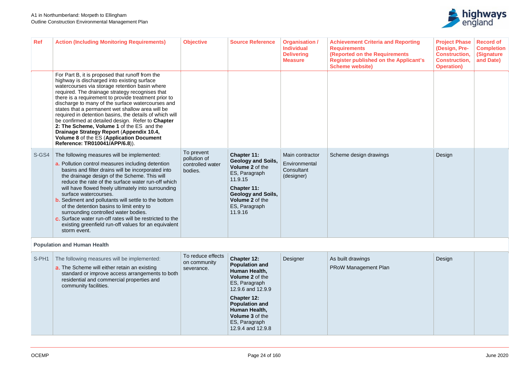| <b>Ref</b> | <b>Action (Including Monitoring Requirements)</b>                                                                                                                                                                                                                                                                                                                                                                                                                                                                                                                                                                                                           | <b>Objective</b>                                          | <b>Source Reference</b>                                                                                                                                                                                            | <b>Organisation /</b><br><b>Individual</b><br><b>Delivering</b><br><b>Measure</b> | <b>Achievement Criteria and Reporting</b><br><b>Requirements</b><br><b>(Reported on the Requirements</b><br><b>Register published on the Applicant's</b><br><b>Scheme website)</b> | <b>Project Phase</b><br>(Design, Pre-<br><b>Construction,</b><br><b>Construction,</b><br><b>Operation</b> ) | <b>Record of</b><br><b>Completion</b><br><b>(Signature</b><br>and Date) |
|------------|-------------------------------------------------------------------------------------------------------------------------------------------------------------------------------------------------------------------------------------------------------------------------------------------------------------------------------------------------------------------------------------------------------------------------------------------------------------------------------------------------------------------------------------------------------------------------------------------------------------------------------------------------------------|-----------------------------------------------------------|--------------------------------------------------------------------------------------------------------------------------------------------------------------------------------------------------------------------|-----------------------------------------------------------------------------------|------------------------------------------------------------------------------------------------------------------------------------------------------------------------------------|-------------------------------------------------------------------------------------------------------------|-------------------------------------------------------------------------|
|            | For Part B, it is proposed that runoff from the<br>highway is discharged into existing surface<br>watercourses via storage retention basin where<br>required. The drainage strategy recognises that<br>there is a requirement to provide treatment prior to<br>discharge to many of the surface watercourses and<br>states that a permanent wet shallow area will be<br>required in detention basins, the details of which will<br>be confirmed at detailed design. Refer to Chapter<br>2: The Scheme, Volume 1 of the ES and the<br>Drainage Strategy Report (Appendix 10.4,<br>Volume 8 of the ES (Application Document<br>Reference: TR010041/APP/6.8)). |                                                           |                                                                                                                                                                                                                    |                                                                                   |                                                                                                                                                                                    |                                                                                                             |                                                                         |
| S-GS4      | The following measures will be implemented:<br>a. Pollution control measures including detention<br>basins and filter drains will be incorporated into<br>the drainage design of the Scheme. This will<br>reduce the rate of the surface water run-off which<br>will have flowed freely ultimately into surrounding<br>surface watercourses.<br><b>b.</b> Sediment and pollutants will settle to the bottom<br>of the detention basins to limit entry to<br>surrounding controlled water bodies.<br>c. Surface water run-off rates will be restricted to the<br>existing greenfield run-off values for an equivalent<br>storm event.                        | To prevent<br>pollution of<br>controlled water<br>bodies. | <b>Chapter 11:</b><br><b>Geology and Soils,</b><br>Volume 2 of the<br>ES, Paragraph<br>11.9.15<br><b>Chapter 11:</b><br><b>Geology and Soils,</b><br>Volume 2 of the<br>ES, Paragraph<br>11.9.16                   | Main contractor<br>Environmental<br>Consultant<br>(designer)                      | Scheme design drawings                                                                                                                                                             | Design                                                                                                      |                                                                         |
|            | <b>Population and Human Health</b>                                                                                                                                                                                                                                                                                                                                                                                                                                                                                                                                                                                                                          |                                                           |                                                                                                                                                                                                                    |                                                                                   |                                                                                                                                                                                    |                                                                                                             |                                                                         |
| S-PH1      | The following measures will be implemented:<br>a. The Scheme will either retain an existing<br>standard or improve access arrangements to both<br>residential and commercial properties and<br>community facilities.                                                                                                                                                                                                                                                                                                                                                                                                                                        | To reduce effects<br>on community<br>severance.           | Chapter 12:<br><b>Population and</b><br>Human Health,<br>Volume 2 of the<br>ES, Paragraph<br>12.9.6 and 12.9.9<br><b>Chapter 12:</b><br><b>Population and</b><br>Human Health,<br>Volume 3 of the<br>ES, Paragraph | Designer                                                                          | As built drawings<br><b>PRoW Management Plan</b>                                                                                                                                   | Design                                                                                                      |                                                                         |

12.9.4 and 12.9.8

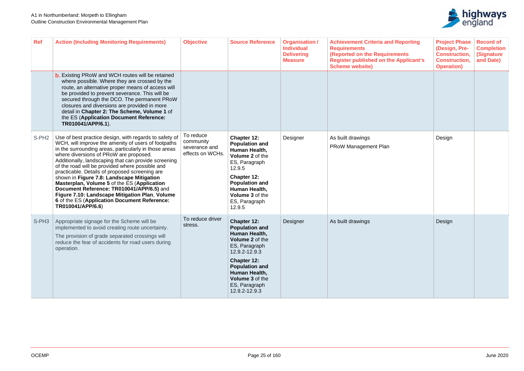

| <b>Ref</b>        | <b>Action (Including Monitoring Requirements)</b>                                                                                                                                                                                                                                                                                                                                                                                                                                                                                                                                                                                             | <b>Objective</b>                                            | <b>Source Reference</b>                                                                                                                                                                                                                | <b>Organisation /</b><br><b>Individual</b><br><b>Delivering</b><br><b>Measure</b> | <b>Achievement Criteria and Reporting</b><br><b>Requirements</b><br><b>(Reported on the Requirements)</b><br><b>Register published on the Applicant's</b><br><b>Scheme website)</b> | <b>Project Phase</b><br>(Design, Pre-<br><b>Construction,</b><br><b>Construction,</b><br><b>Operation</b> ) | <b>Record of</b><br><b>Completion</b><br><b>(Signature</b><br>and Date) |
|-------------------|-----------------------------------------------------------------------------------------------------------------------------------------------------------------------------------------------------------------------------------------------------------------------------------------------------------------------------------------------------------------------------------------------------------------------------------------------------------------------------------------------------------------------------------------------------------------------------------------------------------------------------------------------|-------------------------------------------------------------|----------------------------------------------------------------------------------------------------------------------------------------------------------------------------------------------------------------------------------------|-----------------------------------------------------------------------------------|-------------------------------------------------------------------------------------------------------------------------------------------------------------------------------------|-------------------------------------------------------------------------------------------------------------|-------------------------------------------------------------------------|
|                   | <b>b.</b> Existing PRoW and WCH routes will be retained<br>where possible. Where they are crossed by the<br>route, an alternative proper means of access will<br>be provided to prevent severance. This will be<br>secured through the DCO. The permanent PRoW<br>closures and diversions are provided in more<br>detail in Chapter 2: The Scheme, Volume 1 of<br>the ES (Application Document Reference:<br>TR010041/APP/6.1).                                                                                                                                                                                                               |                                                             |                                                                                                                                                                                                                                        |                                                                                   |                                                                                                                                                                                     |                                                                                                             |                                                                         |
| S-PH <sub>2</sub> | Use of best practice design, with regards to safety of<br>WCH, will improve the amenity of users of footpaths<br>in the surrounding areas, particularly in those areas<br>where diversions of PRoW are proposed.<br>Additionally, landscaping that can provide screening<br>of the road will be provided where possible and<br>practicable. Details of proposed screening are<br>shown in Figure 7.8: Landscape Mitigation<br>Masterplan, Volume 5 of the ES (Application<br>Document Reference: TR010041/APP/6.5) and<br>Figure 7.10: Landscape Mitigation Plan, Volume<br>6 of the ES (Application Document Reference:<br>TR010041/APP/6.6) | To reduce<br>community<br>severance and<br>effects on WCHs. | Chapter 12:<br><b>Population and</b><br>Human Health,<br>Volume 2 of the<br>ES, Paragraph<br>12.9.5<br>Chapter 12:<br><b>Population and</b><br>Human Health,<br>Volume 3 of the<br>ES, Paragraph<br>12.9.5                             | Designer                                                                          | As built drawings<br><b>PRoW Management Plan</b>                                                                                                                                    | Design                                                                                                      |                                                                         |
| S-PH <sub>3</sub> | Appropriate signage for the Scheme will be<br>implemented to avoid creating route uncertainty.<br>The provision of grade separated crossings will<br>reduce the fear of accidents for road users during<br>operation.                                                                                                                                                                                                                                                                                                                                                                                                                         | To reduce driver<br>stress.                                 | <b>Chapter 12:</b><br><b>Population and</b><br>Human Health,<br>Volume 2 of the<br>ES, Paragraph<br>12.9.2-12.9.3<br><b>Chapter 12:</b><br><b>Population and</b><br>Human Health,<br>Volume 3 of the<br>ES, Paragraph<br>12.9.2-12.9.3 | Designer                                                                          | As built drawings                                                                                                                                                                   | Design                                                                                                      |                                                                         |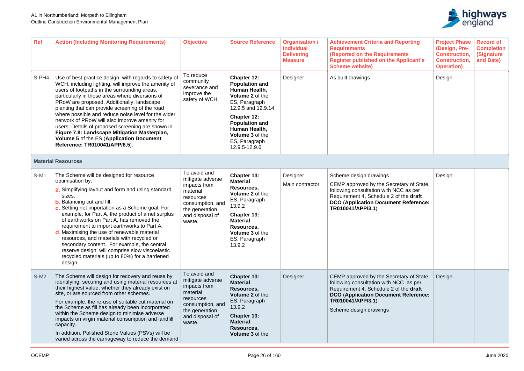

| <b>Ref</b> | <b>Action (Including Monitoring Requirements)</b>                                                                                                                                                                                                                                                                                                                                                                                                                                                                                                                                                                            | <b>Objective</b>                                                                                                                             | <b>Source Reference</b>                                                                                                                                                                                                       | <b>Organisation /</b><br><b>Individual</b><br><b>Delivering</b><br><b>Measure</b> | <b>Achievement Criteria and Reporting</b><br><b>Requirements</b><br><b>(Reported on the Requirements)</b><br><b>Register published on the Applicant's</b><br><b>Scheme website)</b>                                       | <b>Project Phase</b><br>(Design, Pre-<br><b>Construction,</b><br><b>Construction,</b><br><b>Operation</b> ) | <b>Record of</b><br><b>Completion</b><br><b>(Signature</b><br>and Date) |
|------------|------------------------------------------------------------------------------------------------------------------------------------------------------------------------------------------------------------------------------------------------------------------------------------------------------------------------------------------------------------------------------------------------------------------------------------------------------------------------------------------------------------------------------------------------------------------------------------------------------------------------------|----------------------------------------------------------------------------------------------------------------------------------------------|-------------------------------------------------------------------------------------------------------------------------------------------------------------------------------------------------------------------------------|-----------------------------------------------------------------------------------|---------------------------------------------------------------------------------------------------------------------------------------------------------------------------------------------------------------------------|-------------------------------------------------------------------------------------------------------------|-------------------------------------------------------------------------|
| S-PH4      | Use of best practice design, with regards to safety of<br>WCH, including lighting, will improve the amenity of<br>users of footpaths in the surrounding areas,<br>particularly in those areas where diversions of<br>PRoW are proposed. Additionally, landscape<br>planting that can provide screening of the road<br>where possible and reduce noise level for the wider<br>network of PRoW will also improve amenity for<br>users. Details of proposed screening are shown in<br>Figure 7.8: Landscape Mitigation Masterplan,<br>Volume 5 of the ES (Application Document<br>Reference: TR010041/APP/6.5).                 | To reduce<br>community<br>severance and<br>improve the<br>safety of WCH                                                                      | Chapter 12:<br><b>Population and</b><br>Human Health,<br>Volume 2 of the<br>ES, Paragraph<br>12.9.5 and 12.9.14<br>Chapter 12:<br><b>Population and</b><br>Human Health,<br>Volume 3 of the<br>ES, Paragraph<br>12.9.5-12.9.6 | Designer                                                                          | As built drawings                                                                                                                                                                                                         | Design                                                                                                      |                                                                         |
|            | <b>Material Resources</b>                                                                                                                                                                                                                                                                                                                                                                                                                                                                                                                                                                                                    |                                                                                                                                              |                                                                                                                                                                                                                               |                                                                                   |                                                                                                                                                                                                                           |                                                                                                             |                                                                         |
| $S-M1$     | The Scheme will be designed for resource<br>optimisation by:<br>a. Simplifying layout and form and using standard<br>sizes.<br><b>b.</b> Balancing cut and fill.<br>c. Setting net importation as a Scheme goal. For<br>example, for Part A, the product of a net surplus<br>of earthworks on Part A, has removed the<br>requirement to import earthworks to Part A.<br>d. Maximising the use of renewable material<br>resources, and materials with recycled or<br>secondary content. For example, the central<br>reserve design will comprise slow viscoelastic<br>recycled materials (up to 80%) for a hardened<br>design | To avoid and<br>mitigate adverse<br>impacts from<br>material<br>resources<br>consumption, and<br>the generation<br>and disposal of<br>waste. | Chapter 13:<br><b>Material</b><br>Resources,<br>Volume 2 of the<br>ES, Paragraph<br>13.9.2<br>Chapter 13:<br><b>Material</b><br>Resources,<br>Volume 3 of the<br>ES, Paragraph<br>13.9.2                                      | Designer<br>Main contractor                                                       | Scheme design drawings<br>CEMP approved by the Secretary of State<br>following consultation with NCC as per<br>Requirement 4, Schedule 2 of the draft<br><b>DCO (Application Document Reference:</b><br>TR010041/APP/3.1) | Design                                                                                                      |                                                                         |
| $S-M2$     | The Scheme will design for recovery and reuse by<br>identifying, securing and using material resources at<br>their highest value, whether they already exist on<br>site, or are sourced from other schemes.<br>For example, the re-use of suitable cut material on<br>the Scheme as fill has already been incorporated<br>within the Scheme design to minimise adverse<br>impacts on virgin material consumption and landfill<br>capacity.<br>In addition, Polished Stone Values (PSVs) will be<br>varied across the carriageway to reduce the demand                                                                        | To avoid and<br>mitigate adverse<br>impacts from<br>material<br>resources<br>consumption, and<br>the generation<br>and disposal of<br>waste. | <b>Chapter 13:</b><br><b>Material</b><br>Resources,<br>Volume 2 of the<br>ES, Paragraph<br>13.9.2<br><b>Chapter 13:</b><br><b>Material</b><br>Resources,<br>Volume 3 of the                                                   | Designer                                                                          | CEMP approved by the Secretary of State<br>following consultation with NCC as per<br>Requirement 4, Schedule 2 of the draft<br><b>DCO (Application Document Reference:</b><br>TR010041/APP/3.1)<br>Scheme design drawings | Design                                                                                                      |                                                                         |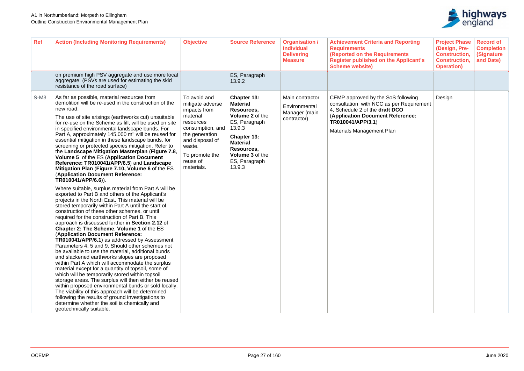

| <b>Ref</b> | <b>Action (Including Monitoring Requirements)</b><br>on premium high PSV aggregate and use more local                                                                                                                                                                                                                                                                                                                                                                                                                                                                                                                                                                                                                                                                                                                                                                                                                                                                                                                                                                                                                                                                                                                                                                                                                                                                                                                                                                                                                                                                                                                                                                                                                                                                                                                                                                        | <b>Objective</b>                                                                                                                                                                                 | <b>Source Reference</b>                                                                                                                                                                         | <b>Organisation /</b><br><b>Individual</b><br><b>Delivering</b><br><b>Measure</b> | <b>Achievement Criteria and Reporting</b><br><b>Requirements</b><br><b>(Reported on the Requirements)</b><br><b>Register published on the Applicant's</b><br><b>Scheme website)</b>                           | <b>Project Phase</b><br>(Design, Pre-<br><b>Construction,</b><br><b>Construction,</b><br><b>Operation</b> ) | <b>Record of</b><br><b>Completion</b><br><b>(Signature</b><br>and Date) |
|------------|------------------------------------------------------------------------------------------------------------------------------------------------------------------------------------------------------------------------------------------------------------------------------------------------------------------------------------------------------------------------------------------------------------------------------------------------------------------------------------------------------------------------------------------------------------------------------------------------------------------------------------------------------------------------------------------------------------------------------------------------------------------------------------------------------------------------------------------------------------------------------------------------------------------------------------------------------------------------------------------------------------------------------------------------------------------------------------------------------------------------------------------------------------------------------------------------------------------------------------------------------------------------------------------------------------------------------------------------------------------------------------------------------------------------------------------------------------------------------------------------------------------------------------------------------------------------------------------------------------------------------------------------------------------------------------------------------------------------------------------------------------------------------------------------------------------------------------------------------------------------------|--------------------------------------------------------------------------------------------------------------------------------------------------------------------------------------------------|-------------------------------------------------------------------------------------------------------------------------------------------------------------------------------------------------|-----------------------------------------------------------------------------------|---------------------------------------------------------------------------------------------------------------------------------------------------------------------------------------------------------------|-------------------------------------------------------------------------------------------------------------|-------------------------------------------------------------------------|
|            | aggregate. (PSVs are used for estimating the skid<br>resistance of the road surface)                                                                                                                                                                                                                                                                                                                                                                                                                                                                                                                                                                                                                                                                                                                                                                                                                                                                                                                                                                                                                                                                                                                                                                                                                                                                                                                                                                                                                                                                                                                                                                                                                                                                                                                                                                                         |                                                                                                                                                                                                  | ES, Paragraph<br>13.9.2                                                                                                                                                                         |                                                                                   |                                                                                                                                                                                                               |                                                                                                             |                                                                         |
| $S-M3$     | As far as possible, material resources from<br>demolition will be re-used in the construction of the<br>new road.<br>The use of site arisings (earthworks cut) unsuitable<br>for re-use on the Scheme as fill, will be used on site<br>in specified environmental landscape bunds. For<br>Part A, approximately 145,000 $m3$ will be reused for<br>essential mitigation in these landscape bunds, for<br>screening or protected species mitigation. Refer to<br>the Landscape Mitigation Masterplan (Figure 7.8,<br>Volume 5 of the ES (Application Document<br>Reference: TR010041/APP/6.5) and Landscape<br>Mitigation Plan (Figure 7.10, Volume 6 of the ES<br>(Application Document Reference:<br>TR010041/APP/6.6)).<br>Where suitable, surplus material from Part A will be<br>exported to Part B and others of the Applicant's<br>projects in the North East. This material will be<br>stored temporarily within Part A until the start of<br>construction of these other schemes, or until<br>required for the construction of Part B. This<br>approach is discussed further in Section 2.12 of<br>Chapter 2: The Scheme, Volume 1 of the ES<br>(Application Document Reference:<br><b>TR010041/APP/6.1)</b> as addressed by Assessment<br>Parameters 4, 5 and 9. Should other schemes not<br>be available to use the material, additional bunds<br>and slackened earthworks slopes are proposed<br>within Part A which will accommodate the surplus<br>material except for a quantity of topsoil, some of<br>which will be temporarily stored within topsoil<br>storage areas. The surplus will then either be reused<br>within proposed environmental bunds or sold locally.<br>The viability of this approach will be determined<br>following the results of ground investigations to<br>determine whether the soil is chemically and<br>geotechnically suitable. | To avoid and<br>mitigate adverse<br>impacts from<br>material<br>resources<br>consumption, and $\vert$<br>the generation<br>and disposal of<br>waste.<br>To promote the<br>reuse of<br>materials. | <b>Chapter 13:</b><br><b>Material</b><br>Resources,<br>Volume 2 of the<br>ES, Paragraph<br>13.9.3<br>Chapter 13:<br><b>Material</b><br>Resources,<br>Volume 3 of the<br>ES, Paragraph<br>13.9.3 | Main contractor<br>Environmental<br>Manager (main<br>contractor)                  | CEMP approved by the SoS following<br>consultation with NCC as per Requirement<br>4, Schedule 2 of the draft DCO<br>(Application Document Reference:<br>TR010041/APP/3.1)<br><b>Materials Management Plan</b> | Design                                                                                                      |                                                                         |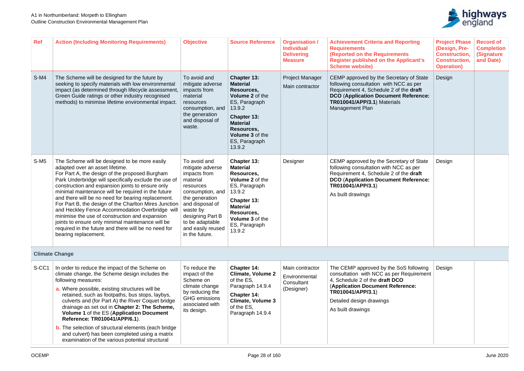

| <b>Ref</b> | <b>Action (Including Monitoring Requirements)</b>                                                                                                                                                                                                                                                                                                                                                                                                                                                                                                                                                                                                              | <b>Objective</b>                                                                                                                                                                                                             | <b>Source Reference</b>                                                                                                                                                                                | <b>Organisation /</b><br><b>Individual</b><br><b>Delivering</b><br><b>Measure</b> | <b>Achievement Criteria and Reporting</b><br><b>Requirements</b><br><b>(Reported on the Requirements</b><br><b>Register published on the Applicant's</b><br><b>Scheme website)</b>                                             | <b>Project Phase</b><br>(Design, Pre-<br><b>Construction,</b><br><b>Construction,</b><br><b>Operation</b> ) | <b>Record of</b><br><b>Completion</b><br>(Signature<br>and Date) |
|------------|----------------------------------------------------------------------------------------------------------------------------------------------------------------------------------------------------------------------------------------------------------------------------------------------------------------------------------------------------------------------------------------------------------------------------------------------------------------------------------------------------------------------------------------------------------------------------------------------------------------------------------------------------------------|------------------------------------------------------------------------------------------------------------------------------------------------------------------------------------------------------------------------------|--------------------------------------------------------------------------------------------------------------------------------------------------------------------------------------------------------|-----------------------------------------------------------------------------------|--------------------------------------------------------------------------------------------------------------------------------------------------------------------------------------------------------------------------------|-------------------------------------------------------------------------------------------------------------|------------------------------------------------------------------|
| $S-M4$     | The Scheme will be designed for the future by<br>seeking to specify materials with low environmental<br>impact (as determined through lifecycle assessment,<br>Green Guide ratings or other industry recognised<br>methods) to minimise lifetime environmental impact.                                                                                                                                                                                                                                                                                                                                                                                         | To avoid and<br>mitigate adverse<br>impacts from<br>material<br>resources<br>consumption, and<br>the generation<br>and disposal of<br>waste.                                                                                 | <b>Chapter 13:</b><br><b>Material</b><br>Resources,<br>Volume 2 of the<br>ES, Paragraph<br>13.9.2<br><b>Chapter 13:</b><br><b>Material</b><br>Resources,<br>Volume 3 of the<br>ES, Paragraph<br>13.9.2 | <b>Project Manager</b><br>Main contractor                                         | CEMP approved by the Secretary of State<br>following consultation with NCC as per<br>Requirement 4, Schedule 2 of the draft<br><b>DCO (Application Document Reference:</b><br>TR010041/APP/3.1) Materials<br>Management Plan   | Design                                                                                                      |                                                                  |
| $S-M5$     | The Scheme will be designed to be more easily<br>adapted over an asset lifetime.<br>For Part A, the design of the proposed Burgham<br>Park Underbridge will specifically exclude the use of<br>construction and expansion joints to ensure only<br>minimal maintenance will be required in the future<br>and there will be no need for bearing replacement.<br>For Part B, the design of the Charlton Mires Junction<br>and Heckley Fence Accommodation Overbridge will<br>minimise the use of construction and expansion<br>joints to ensure only minimal maintenance will be<br>required in the future and there will be no need for<br>bearing replacement. | To avoid and<br>mitigate adverse<br>impacts from<br>material<br>resources<br>consumption, and<br>the generation<br>and disposal of<br>waste by<br>designing Part B<br>to be adaptable<br>and easily reused<br>in the future. | Chapter 13:<br><b>Material</b><br>Resources,<br>Volume 2 of the<br>ES, Paragraph<br>13.9.2<br>Chapter 13:<br><b>Material</b><br>Resources,<br>Volume 3 of the<br>ES, Paragraph<br>13.9.2               | Designer                                                                          | CEMP approved by the Secretary of State<br>following consultation with NCC as per<br>Requirement 4, Schedule 2 of the draft<br><b>DCO (Application Document Reference:</b><br>TR010041/APP/3.1)<br>As built drawings           | Design                                                                                                      |                                                                  |
|            | <b>Climate Change</b>                                                                                                                                                                                                                                                                                                                                                                                                                                                                                                                                                                                                                                          |                                                                                                                                                                                                                              |                                                                                                                                                                                                        |                                                                                   |                                                                                                                                                                                                                                |                                                                                                             |                                                                  |
| S-CC1      | In order to reduce the impact of the Scheme on<br>climate change, the Scheme design includes the<br>following measures:<br>a. Where possible, existing structures will be<br>retained, such as footpaths, bus stops, laybys,<br>culverts and (for Part A) the River Coquet bridge<br>drainage as set out in Chapter 2: The Scheme,<br>Volume 1 of the ES (Application Document<br>Reference: TR010041/APP/6.1).<br><b>b.</b> The selection of structural elements (each bridge<br>and culvert) has been completed using a matrix<br>examination of the various potential structural                                                                            | To reduce the<br>impact of the<br>Scheme on<br>climate change<br>by reducing the<br><b>GHG</b> emissions<br>associated with<br>its design.                                                                                   | <b>Chapter 14:</b><br><b>Climate, Volume 2</b><br>of the ES,<br>Paragraph 14.9.4<br><b>Chapter 14:</b><br><b>Climate, Volume 3</b><br>of the ES,<br>Paragraph 14.9.4                                   | Main contractor<br>Environmental<br>Consultant<br>(Designer)                      | The CEMP approved by the SoS following<br>consultation with NCC as per Requirement<br>4, Schedule 2 of the draft DCO<br>(Application Document Reference:<br>TR010041/APP/3.1)<br>Detailed design drawings<br>As built drawings | Design                                                                                                      |                                                                  |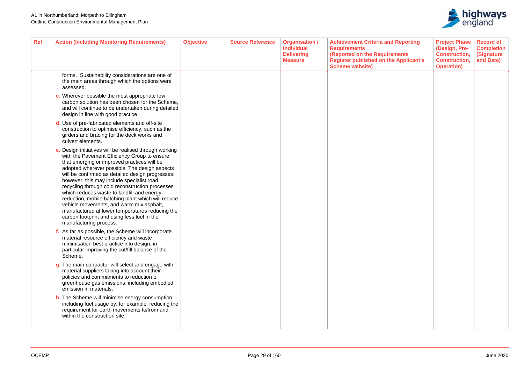

| <b>Ref</b> | <b>Action (Including Monitoring Requirements)</b>                                                                                                                                                                                                                                                                                                                                                                                                                                                                                                                                                                                      | <b>Objective</b> | <b>Source Reference</b> | <b>Organisation /</b><br><b>Individual</b><br><b>Delivering</b><br><b>Measure</b> | <b>Achievement Criteria and Reporting</b><br><b>Requirements</b><br><b>(Reported on the Requirements</b><br><b>Register published on the Applicant's</b><br><b>Scheme website)</b> | <b>Project Phase</b><br>(Design, Pre-<br><b>Construction,</b><br><b>Construction,</b><br><b>Operation</b> ) | <b>Record of</b><br><b>Completion</b><br><b>(Signature</b><br>and Date) |
|------------|----------------------------------------------------------------------------------------------------------------------------------------------------------------------------------------------------------------------------------------------------------------------------------------------------------------------------------------------------------------------------------------------------------------------------------------------------------------------------------------------------------------------------------------------------------------------------------------------------------------------------------------|------------------|-------------------------|-----------------------------------------------------------------------------------|------------------------------------------------------------------------------------------------------------------------------------------------------------------------------------|-------------------------------------------------------------------------------------------------------------|-------------------------------------------------------------------------|
|            | forms. Sustainability considerations are one of<br>the main areas through which the options were<br>assessed.                                                                                                                                                                                                                                                                                                                                                                                                                                                                                                                          |                  |                         |                                                                                   |                                                                                                                                                                                    |                                                                                                             |                                                                         |
|            | c. Wherever possible the most appropriate low<br>carbon solution has been chosen for the Scheme,<br>and will continue to be undertaken during detailed<br>design in line with good practice                                                                                                                                                                                                                                                                                                                                                                                                                                            |                  |                         |                                                                                   |                                                                                                                                                                                    |                                                                                                             |                                                                         |
|            | d. Use of pre-fabricated elements and off-site<br>construction to optimise efficiency, such as the<br>girders and bracing for the deck works and<br>culvert elements.                                                                                                                                                                                                                                                                                                                                                                                                                                                                  |                  |                         |                                                                                   |                                                                                                                                                                                    |                                                                                                             |                                                                         |
|            | e. Design initiatives will be realised through working<br>with the Pavement Efficiency Group to ensure<br>that emerging or improved practices will be<br>adopted wherever possible. The design aspects<br>will be confirmed as detailed design progresses;<br>however, this may include specialist road<br>recycling through cold reconstruction processes<br>which reduces waste to landfill and energy<br>reduction, mobile batching plant which will reduce<br>vehicle movements, and warm mix asphalt,<br>manufactured at lower temperatures reducing the<br>carbon footprint and using less fuel in the<br>manufacturing process. |                  |                         |                                                                                   |                                                                                                                                                                                    |                                                                                                             |                                                                         |
|            | As far as possible, the Scheme will incorporate<br>material resource efficiency and waste<br>minimisation best practice into design, in<br>particular improving the cut/fill balance of the<br>Scheme.                                                                                                                                                                                                                                                                                                                                                                                                                                 |                  |                         |                                                                                   |                                                                                                                                                                                    |                                                                                                             |                                                                         |
|            | g. The main contractor will select and engage with<br>material suppliers taking into account their<br>policies and commitments to reduction of<br>greenhouse gas emissions, including embodied<br>emission in materials.                                                                                                                                                                                                                                                                                                                                                                                                               |                  |                         |                                                                                   |                                                                                                                                                                                    |                                                                                                             |                                                                         |
|            | <b>h.</b> The Scheme will minimise energy consumption<br>including fuel usage by, for example, reducing the<br>requirement for earth movements to/from and<br>within the construction site.                                                                                                                                                                                                                                                                                                                                                                                                                                            |                  |                         |                                                                                   |                                                                                                                                                                                    |                                                                                                             |                                                                         |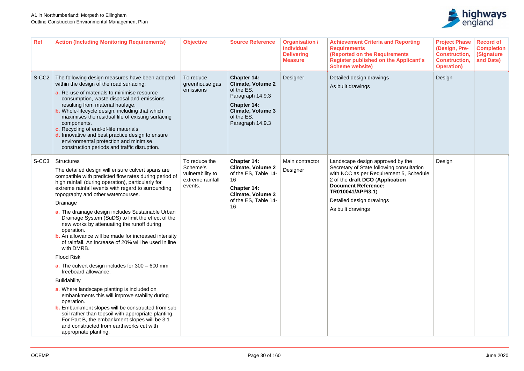

| <b>Ref</b>        | <b>Action (Including Monitoring Requirements)</b>                                                                                                                                                                                                                                                                                                                                                                                                                                                                                                                                                                                                                                                                                                                                                                                                                                                                                                                                                                                                                                                      | <b>Objective</b>                                                             | <b>Source Reference</b>                                                                                                                                       | <b>Organisation /</b><br><b>Individual</b><br><b>Delivering</b><br><b>Measure</b> | <b>Achievement Criteria and Reporting</b><br><b>Requirements</b><br><b>(Reported on the Requirements</b><br><b>Register published on the Applicant's</b><br><b>Scheme website)</b>                                                                              | <b>Project Phase</b><br>(Design, Pre-<br><b>Construction,</b><br><b>Construction,</b><br><b>Operation</b> ) | <b>Record of</b><br><b>Completion</b><br><b>(Signature</b><br>and Date) |
|-------------------|--------------------------------------------------------------------------------------------------------------------------------------------------------------------------------------------------------------------------------------------------------------------------------------------------------------------------------------------------------------------------------------------------------------------------------------------------------------------------------------------------------------------------------------------------------------------------------------------------------------------------------------------------------------------------------------------------------------------------------------------------------------------------------------------------------------------------------------------------------------------------------------------------------------------------------------------------------------------------------------------------------------------------------------------------------------------------------------------------------|------------------------------------------------------------------------------|---------------------------------------------------------------------------------------------------------------------------------------------------------------|-----------------------------------------------------------------------------------|-----------------------------------------------------------------------------------------------------------------------------------------------------------------------------------------------------------------------------------------------------------------|-------------------------------------------------------------------------------------------------------------|-------------------------------------------------------------------------|
| S-CC <sub>2</sub> | The following design measures have been adopted<br>within the design of the road surfacing:<br>a. Re-use of materials to minimise resource<br>consumption, waste disposal and emissions<br>resulting from material haulage.<br><b>b.</b> Whole-lifecycle design, including that which<br>maximises the residual life of existing surfacing<br>components.<br>c. Recycling of end-of-life materials<br>d. Innovative and best practice design to ensure<br>environmental protection and minimise<br>construction periods and traffic disruption.                                                                                                                                                                                                                                                                                                                                                                                                                                                                                                                                                        | To reduce<br>greenhouse gas<br>emissions                                     | <b>Chapter 14:</b><br><b>Climate, Volume 2</b><br>of the ES,<br>Paragraph 14.9.3<br>Chapter 14:<br><b>Climate, Volume 3</b><br>of the ES,<br>Paragraph 14.9.3 | Designer                                                                          | Detailed design drawings<br>As built drawings                                                                                                                                                                                                                   | Design                                                                                                      |                                                                         |
| S-CC <sub>3</sub> | <b>Structures</b><br>The detailed design will ensure culvert spans are<br>compatible with predicted flow rates during period of<br>high rainfall (during operation), particularly for<br>extreme rainfall events with regard to surrounding<br>topography and other watercourses.<br><b>Drainage</b><br>a. The drainage design includes Sustainable Urban<br>Drainage System (SuDS) to limit the effect of the<br>new works by attenuating the runoff during<br>operation.<br><b>b.</b> An allowance will be made for increased intensity<br>of rainfall. An increase of 20% will be used in line<br>with DMRB.<br><b>Flood Risk</b><br><b>a.</b> The culvert design includes for $300 - 600$ mm<br>freeboard allowance.<br><b>Buildability</b><br>a. Where landscape planting is included on<br>embankments this will improve stability during<br>operation.<br><b>b.</b> Embankment slopes will be constructed from sub<br>soil rather than topsoil with appropriate planting.<br>For Part B, the embankment slopes will be 3:1<br>and constructed from earthworks cut with<br>appropriate planting. | To reduce the<br>Scheme's<br>vulnerability to<br>extreme rainfall<br>events. | Chapter 14:<br><b>Climate, Volume 2</b><br>of the ES, Table 14-<br>16<br>Chapter 14:<br><b>Climate, Volume 3</b><br>of the ES, Table 14-<br>16                | Main contractor<br>Designer                                                       | Landscape design approved by the<br>Secretary of State following consultation<br>with NCC as per Requirement 5, Schedule<br>2 of the draft DCO (Application<br><b>Document Reference:</b><br>TR010041/APP/3.1)<br>Detailed design drawings<br>As built drawings | Design                                                                                                      |                                                                         |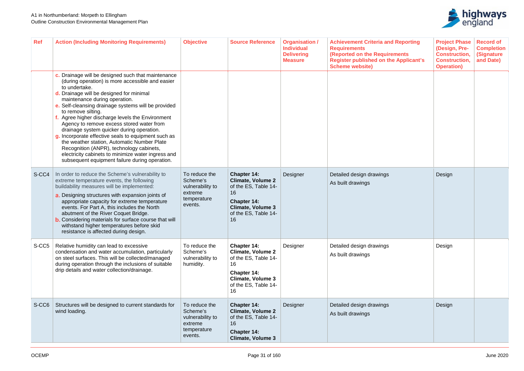

| <b>Ref</b>        | <b>Action (Including Monitoring Requirements)</b>                                                                                                                                                                                                                                                                                                                                                                                                                                                                                                                                                                                                                                      | <b>Objective</b>                                                                   | <b>Source Reference</b>                                                                                                                               | <b>Organisation /</b><br><b>Individual</b><br><b>Delivering</b><br><b>Measure</b> | <b>Achievement Criteria and Reporting</b><br><b>Requirements</b><br><b>(Reported on the Requirements)</b><br><b>Register published on the Applicant's</b><br><b>Scheme website)</b> | <b>Project Phase</b><br>(Design, Pre-<br><b>Construction,</b><br><b>Construction,</b><br><b>Operation</b> ) | <b>Record of</b><br><b>Completion</b><br><b>(Signature</b><br>and Date) |
|-------------------|----------------------------------------------------------------------------------------------------------------------------------------------------------------------------------------------------------------------------------------------------------------------------------------------------------------------------------------------------------------------------------------------------------------------------------------------------------------------------------------------------------------------------------------------------------------------------------------------------------------------------------------------------------------------------------------|------------------------------------------------------------------------------------|-------------------------------------------------------------------------------------------------------------------------------------------------------|-----------------------------------------------------------------------------------|-------------------------------------------------------------------------------------------------------------------------------------------------------------------------------------|-------------------------------------------------------------------------------------------------------------|-------------------------------------------------------------------------|
|                   | c. Drainage will be designed such that maintenance<br>(during operation) is more accessible and easier<br>to undertake.<br>d. Drainage will be designed for minimal<br>maintenance during operation.<br>e. Self-cleansing drainage systems will be provided<br>to remove silting.<br>Agree higher discharge levels the Environment<br>Agency to remove excess stored water from<br>drainage system quicker during operation.<br>g. Incorporate effective seals to equipment such as<br>the weather station, Automatic Number Plate<br>Recognition (ANPR), technology cabinets,<br>electricity cabinets to minimize water ingress and<br>subsequent equipment failure during operation. |                                                                                    |                                                                                                                                                       |                                                                                   |                                                                                                                                                                                     |                                                                                                             |                                                                         |
| S-CC4             | In order to reduce the Scheme's vulnerability to<br>extreme temperature events, the following<br>buildability measures will be implemented:<br>a. Designing structures with expansion joints of<br>appropriate capacity for extreme temperature<br>events. For Part A, this includes the North<br>abutment of the River Coquet Bridge.<br><b>b.</b> Considering materials for surface course that will<br>withstand higher temperatures before skid<br>resistance is affected during design.                                                                                                                                                                                           | To reduce the<br>Scheme's<br>vulnerability to<br>extreme<br>temperature<br>events. | <b>Chapter 14:</b><br><b>Climate, Volume 2</b><br>of the ES, Table 14-<br>16<br>Chapter 14:<br><b>Climate, Volume 3</b><br>of the ES, Table 14-<br>16 | Designer                                                                          | Detailed design drawings<br>As built drawings                                                                                                                                       | Design                                                                                                      |                                                                         |
| S-CC <sub>5</sub> | Relative humidity can lead to excessive<br>condensation and water accumulation, particularly<br>on steel surfaces. This will be collected/managed<br>during operation through the inclusions of suitable<br>drip details and water collection/drainage.                                                                                                                                                                                                                                                                                                                                                                                                                                | To reduce the<br>Scheme's<br>vulnerability to<br>humidity.                         | Chapter 14:<br><b>Climate, Volume 2</b><br>of the ES, Table 14-<br>16<br>Chapter 14:<br><b>Climate, Volume 3</b><br>of the ES, Table 14-<br>16        | Designer                                                                          | Detailed design drawings<br>As built drawings                                                                                                                                       | Design                                                                                                      |                                                                         |
| S-CC6             | Structures will be designed to current standards for<br>wind loading.                                                                                                                                                                                                                                                                                                                                                                                                                                                                                                                                                                                                                  | To reduce the<br>Scheme's<br>vulnerability to<br>extreme<br>temperature<br>events. | <b>Chapter 14:</b><br><b>Climate, Volume 2</b><br>of the ES, Table 14-<br>16<br>Chapter 14:<br><b>Climate, Volume 3</b>                               | Designer                                                                          | Detailed design drawings<br>As built drawings                                                                                                                                       | Design                                                                                                      |                                                                         |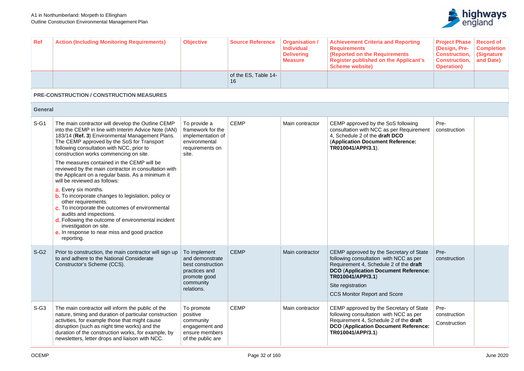

| <b>Ref</b>     | <b>Action (Including Monitoring Requirements)</b>                                                                                                                                                                                                                                                                                               | <b>Objective</b>                                                                                                 | <b>Source Reference</b>    | <b>Organisation /</b><br><b>Individual</b><br><b>Delivering</b><br><b>Measure</b> | <b>Achievement Criteria and Reporting</b><br><b>Requirements</b><br><b>(Reported on the Requirements</b><br><b>Register published on the Applicant's</b><br><b>Scheme website)</b>                                                                          | <b>Project Phase</b><br>(Design, Pre-<br><b>Construction,</b><br><b>Construction,</b><br><b>Operation</b> ) | <b>Record of</b><br><b>Completion</b><br><b>(Signature</b><br>and Date) |
|----------------|-------------------------------------------------------------------------------------------------------------------------------------------------------------------------------------------------------------------------------------------------------------------------------------------------------------------------------------------------|------------------------------------------------------------------------------------------------------------------|----------------------------|-----------------------------------------------------------------------------------|-------------------------------------------------------------------------------------------------------------------------------------------------------------------------------------------------------------------------------------------------------------|-------------------------------------------------------------------------------------------------------------|-------------------------------------------------------------------------|
|                |                                                                                                                                                                                                                                                                                                                                                 |                                                                                                                  | of the ES, Table 14-<br>16 |                                                                                   |                                                                                                                                                                                                                                                             |                                                                                                             |                                                                         |
|                | <b>PRE-CONSTRUCTION / CONSTRUCTION MEASURES</b>                                                                                                                                                                                                                                                                                                 |                                                                                                                  |                            |                                                                                   |                                                                                                                                                                                                                                                             |                                                                                                             |                                                                         |
| <b>General</b> |                                                                                                                                                                                                                                                                                                                                                 |                                                                                                                  |                            |                                                                                   |                                                                                                                                                                                                                                                             |                                                                                                             |                                                                         |
| $S-G1$         | The main contractor will develop the Outline CEMP<br>into the CEMP in line with Interim Advice Note (IAN)<br>183/14 (Ref. 3) Environmental Management Plans.<br>The CEMP approved by the SoS for Transport<br>following consultation with NCC, prior to<br>construction works commencing on site.<br>The measures contained in the CEMP will be | To provide a<br>framework for the<br>implementation of<br>environmental<br>requirements on<br>site.              | <b>CEMP</b>                | Main contractor                                                                   | CEMP approved by the SoS following<br>consultation with NCC as per Requirement<br>4. Schedule 2 of the draft DCO<br>(Application Document Reference:<br>TR010041/APP/3.1).                                                                                  | Pre-<br>construction                                                                                        |                                                                         |
|                | reviewed by the main contractor in consultation with<br>the Applicant on a regular basis. As a minimum it<br>will be reviewed as follows:                                                                                                                                                                                                       |                                                                                                                  |                            |                                                                                   |                                                                                                                                                                                                                                                             |                                                                                                             |                                                                         |
|                | a. Every six months.<br><b>b.</b> To incorporate changes to legislation, policy or<br>other requirements.<br>c. To incorporate the outcomes of environmental<br>audits and inspections.<br>d. Following the outcome of environmental incident<br>investigation on site.<br>e. In response to near miss and good practice<br>reporting.          |                                                                                                                  |                            |                                                                                   |                                                                                                                                                                                                                                                             |                                                                                                             |                                                                         |
| $S-G2$         | Prior to construction, the main contractor will sign up<br>to and adhere to the National Considerate<br>Constructor's Scheme (CCS).                                                                                                                                                                                                             | To implement<br>and demonstrate<br>best construction<br>practices and<br>promote good<br>community<br>relations. | <b>CEMP</b>                | Main contractor                                                                   | CEMP approved by the Secretary of State<br>following consultation with NCC as per<br>Requirement 4, Schedule 2 of the draft<br><b>DCO (Application Document Reference:</b><br>TR010041/APP/3.1)<br>Site registration<br><b>CCS Monitor Report and Score</b> | Pre-<br>construction                                                                                        |                                                                         |
| $S-G3$         | The main contractor will inform the public of the<br>nature, timing and duration of particular construction<br>activities, for example those that might cause<br>disruption (such as night time works) and the<br>duration of the construction works, for example, by<br>newsletters, letter drops and liaison with NCC.                        | To promote<br>positive<br>community<br>engagement and<br>ensure members<br>of the public are                     | <b>CEMP</b>                | Main contractor                                                                   | CEMP approved by the Secretary of State<br>following consultation with NCC as per<br>Requirement 4, Schedule 2 of the draft<br><b>DCO (Application Document Reference:</b><br>TR010041/APP/3.1)                                                             | Pre-<br>construction<br>Construction                                                                        |                                                                         |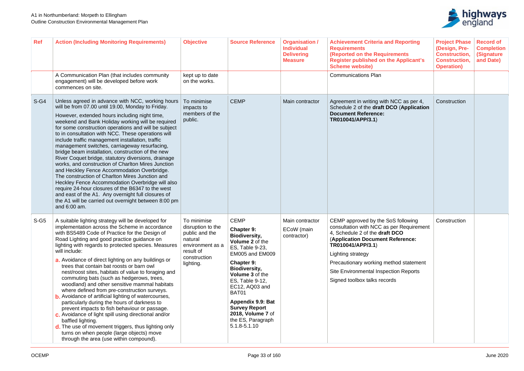

| <b>Ref</b> | <b>Action (Including Monitoring Requirements)</b>                                                                                                                                                                                                                                                                                                                                                                                                                                                                                                                                                                                                                                                                                                                                                                                                                                                                                                                                   | <b>Objective</b>                                                                                                            | <b>Source Reference</b>                                                                                                                                                                                                                                                                                                         | <b>Organisation /</b><br><b>Individual</b><br><b>Delivering</b><br><b>Measure</b> | <b>Achievement Criteria and Reporting</b><br><b>Requirements</b><br><b>(Reported on the Requirements</b><br><b>Register published on the Applicant's</b><br><b>Scheme website)</b>                                                                                                                                | <b>Project Phase</b><br>(Design, Pre-<br><b>Construction,</b><br><b>Construction,</b><br><b>Operation</b> ) | <b>Record of</b><br><b>Completion</b><br><b>(Signature</b><br>and Date) |
|------------|-------------------------------------------------------------------------------------------------------------------------------------------------------------------------------------------------------------------------------------------------------------------------------------------------------------------------------------------------------------------------------------------------------------------------------------------------------------------------------------------------------------------------------------------------------------------------------------------------------------------------------------------------------------------------------------------------------------------------------------------------------------------------------------------------------------------------------------------------------------------------------------------------------------------------------------------------------------------------------------|-----------------------------------------------------------------------------------------------------------------------------|---------------------------------------------------------------------------------------------------------------------------------------------------------------------------------------------------------------------------------------------------------------------------------------------------------------------------------|-----------------------------------------------------------------------------------|-------------------------------------------------------------------------------------------------------------------------------------------------------------------------------------------------------------------------------------------------------------------------------------------------------------------|-------------------------------------------------------------------------------------------------------------|-------------------------------------------------------------------------|
|            | A Communication Plan (that includes community<br>engagement) will be developed before work<br>commences on site.                                                                                                                                                                                                                                                                                                                                                                                                                                                                                                                                                                                                                                                                                                                                                                                                                                                                    | kept up to date<br>on the works.                                                                                            |                                                                                                                                                                                                                                                                                                                                 |                                                                                   | <b>Communications Plan</b>                                                                                                                                                                                                                                                                                        |                                                                                                             |                                                                         |
| $S-G4$     | Unless agreed in advance with NCC, working hours<br>will be from 07.00 until 19.00, Monday to Friday.<br>However, extended hours including night time,<br>weekend and Bank Holiday working will be required<br>for some construction operations and will be subject<br>to in consultation with NCC. These operations will<br>include traffic management installation, traffic<br>management switches, carriageway resurfacing,<br>bridge beam installation, construction of the new<br>River Coquet bridge, statutory diversions, drainage<br>works, and construction of Charlton Mires Junction<br>and Heckley Fence Accommodation Overbridge.<br>The construction of Charlton Mires Junction and<br>Heckley Fence Accommodation Overbridge will also<br>require 24-hour closures of the B6347 to the west<br>and east of the A1. Any overnight full closures of<br>the A1 will be carried out overnight between 8:00 pm<br>and 6:00 am.                                           | To minimise<br>impacts to<br>members of the<br>public.                                                                      | <b>CEMP</b>                                                                                                                                                                                                                                                                                                                     | Main contractor                                                                   | Agreement in writing with NCC as per 4,<br>Schedule 2 of the draft DCO (Application<br><b>Document Reference:</b><br>TR010041/APP/3.1)                                                                                                                                                                            | Construction                                                                                                |                                                                         |
| $S-G5$     | A suitable lighting strategy will be developed for<br>implementation across the Scheme in accordance<br>with BS5489 Code of Practice for the Design of<br>Road Lighting and good practice guidance on<br>lighting with regards to protected species. Measures<br>will include:<br>a. Avoidance of direct lighting on any buildings or<br>trees that contain bat roosts or barn owl<br>nest/roost sites, habitats of value to foraging and<br>commuting bats (such as hedgerows, trees,<br>woodland) and other sensitive mammal habitats<br>where defined from pre-construction surveys.<br><b>b.</b> Avoidance of artificial lighting of watercourses,<br>particularly during the hours of darkness to<br>prevent impacts to fish behaviour or passage.<br>c. Avoidance of light spill using directional and/or<br>baffled lighting.<br>d. The use of movement triggers, thus lighting only<br>turns on when people (large objects) move<br>through the area (use within compound). | To minimise<br>disruption to the<br>public and the<br>natural<br>environment as a<br>result of<br>construction<br>lighting. | <b>CEMP</b><br><b>Chapter 9:</b><br>Biodiversity,<br>Volume 2 of the<br>ES, Table 9-23,<br>EM005 and EM009<br><b>Chapter 9:</b><br><b>Biodiversity,</b><br>Volume 3 of the<br>ES, Table 9-12,<br>EC12, AQ03 and<br>BAT01<br>Appendix 9.9: Bat<br><b>Survey Report</b><br>2018, Volume 7 of<br>the ES, Paragraph<br>5.1.8-5.1.10 | Main contractor<br>ECoW (main<br>contractor)                                      | CEMP approved by the SoS following<br>consultation with NCC as per Requirement<br>4. Schedule 2 of the draft DCO<br>(Application Document Reference:<br>TR010041/APP/3.1)<br>Lighting strategy<br>Precautionary working method statement<br>Site Environmental Inspection Reports<br>Signed toolbox talks records | Construction                                                                                                |                                                                         |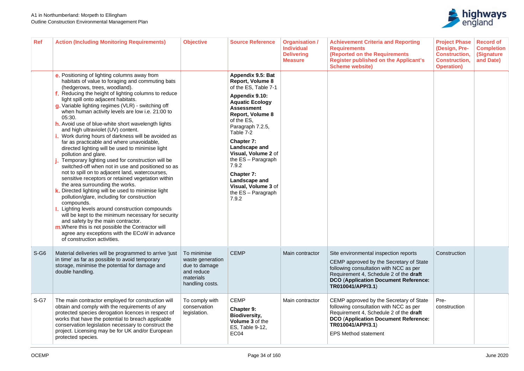

| <b>Ref</b> | <b>Action (Including Monitoring Requirements)</b>                                                                                                                                                                                                                                                                                                                                                                                                                                                                                                                                                                                                                                                                                                                                                                                                                                                                                                                                                                                                                                                                                                                                                                                                                                           | <b>Objective</b>                                                                               | <b>Source Reference</b>                                                                                                                                                                                                                                                                                                                                                                                          | <b>Organisation /</b><br><b>Individual</b><br><b>Delivering</b><br><b>Measure</b> | <b>Achievement Criteria and Reporting</b><br><b>Requirements</b><br><b>(Reported on the Requirements</b><br><b>Register published on the Applicant's</b><br><b>Scheme website)</b>                                                       | <b>Project Phase</b><br>(Design, Pre-<br><b>Construction,</b><br><b>Construction,</b><br><b>Operation</b> ) | <b>Record of</b><br><b>Completion</b><br><b>(Signature</b><br>and Date) |
|------------|---------------------------------------------------------------------------------------------------------------------------------------------------------------------------------------------------------------------------------------------------------------------------------------------------------------------------------------------------------------------------------------------------------------------------------------------------------------------------------------------------------------------------------------------------------------------------------------------------------------------------------------------------------------------------------------------------------------------------------------------------------------------------------------------------------------------------------------------------------------------------------------------------------------------------------------------------------------------------------------------------------------------------------------------------------------------------------------------------------------------------------------------------------------------------------------------------------------------------------------------------------------------------------------------|------------------------------------------------------------------------------------------------|------------------------------------------------------------------------------------------------------------------------------------------------------------------------------------------------------------------------------------------------------------------------------------------------------------------------------------------------------------------------------------------------------------------|-----------------------------------------------------------------------------------|------------------------------------------------------------------------------------------------------------------------------------------------------------------------------------------------------------------------------------------|-------------------------------------------------------------------------------------------------------------|-------------------------------------------------------------------------|
|            | e. Positioning of lighting columns away from<br>habitats of value to foraging and commuting bats<br>(hedgerows, trees, woodland).<br>Reducing the height of lighting columns to reduce<br>light spill onto adjacent habitats.<br>g. Variable lighting regimes (VLR) - switching off<br>when human activity levels are low i.e. 21:00 to<br>05:30.<br><b>h.</b> Avoid use of blue-white short wavelength lights<br>and high ultraviolet (UV) content.<br>Work during hours of darkness will be avoided as<br>far as practicable and where unavoidable,<br>directed lighting will be used to minimise light<br>pollution and glare.<br>Temporary lighting used for construction will be<br>switched-off when not in use and positioned so as<br>not to spill on to adjacent land, watercourses,<br>sensitive receptors or retained vegetation within<br>the area surrounding the works.<br>k. Directed lighting will be used to minimise light<br>pollution/glare, including for construction<br>compounds.<br>Lighting levels around construction compounds<br>will be kept to the minimum necessary for security<br>and safety by the main contractor.<br>m. Where this is not possible the Contractor will<br>agree any exceptions with the ECoW in advance<br>of construction activities. |                                                                                                | <b>Appendix 9.5: Bat</b><br><b>Report, Volume 8</b><br>of the ES, Table 7-1<br>Appendix 9.10:<br><b>Aquatic Ecology</b><br><b>Assessment</b><br><b>Report, Volume 8</b><br>of the ES,<br>Paragraph 7.2.5,<br>Table 7-2<br><b>Chapter 7:</b><br>Landscape and<br>Visual, Volume 2 of<br>the $ES - Paragraph$<br>7.9.2<br>Chapter 7:<br><b>Landscape and</b><br>Visual, Volume 3 of<br>the ES - Paragraph<br>7.9.2 |                                                                                   |                                                                                                                                                                                                                                          |                                                                                                             |                                                                         |
| $S-G6$     | Material deliveries will be programmed to arrive 'just<br>in time' as far as possible to avoid temporary<br>storage, minimise the potential for damage and<br>double handling.                                                                                                                                                                                                                                                                                                                                                                                                                                                                                                                                                                                                                                                                                                                                                                                                                                                                                                                                                                                                                                                                                                              | To minimise<br>waste generation<br>due to damage<br>and reduce<br>materials<br>handling costs. | <b>CEMP</b>                                                                                                                                                                                                                                                                                                                                                                                                      | Main contractor                                                                   | Site environmental inspection reports<br>CEMP approved by the Secretary of State<br>following consultation with NCC as per<br>Requirement 4, Schedule 2 of the draft<br><b>DCO (Application Document Reference:</b><br>TR010041/APP/3.1) | Construction                                                                                                |                                                                         |
| $S-G7$     | The main contractor employed for construction will<br>obtain and comply with the requirements of any<br>protected species derogation licences in respect of<br>works that have the potential to breach applicable<br>conservation legislation necessary to construct the<br>project. Licensing may be for UK and/or European<br>protected species.                                                                                                                                                                                                                                                                                                                                                                                                                                                                                                                                                                                                                                                                                                                                                                                                                                                                                                                                          | To comply with<br>conservation<br>legislation.                                                 | <b>CEMP</b><br><b>Chapter 9:</b><br><b>Biodiversity,</b><br>Volume 3 of the<br>ES, Table 9-12,<br>EC04                                                                                                                                                                                                                                                                                                           | Main contractor                                                                   | CEMP approved by the Secretary of State<br>following consultation with NCC as per<br>Requirement 4, Schedule 2 of the draft<br><b>DCO (Application Document Reference:</b><br>TR010041/APP/3.1)<br><b>EPS Method statement</b>           | Pre-<br>construction                                                                                        |                                                                         |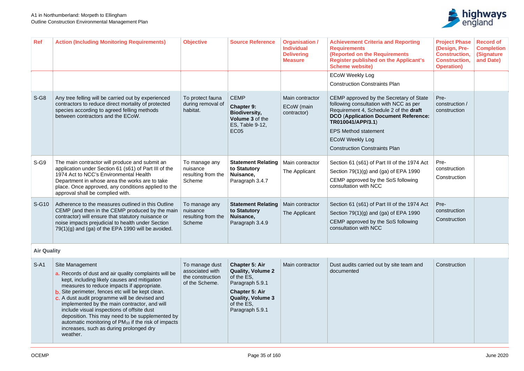

| <b>Ref</b>         | <b>Action (Including Monitoring Requirements)</b>                                                                                                                                                                                                                                                                                                                                                                                                                                                                                                              | <b>Objective</b>                                                        | <b>Source Reference</b>                                                                                                                                                  | <b>Organisation /</b><br><b>Individual</b><br><b>Delivering</b><br><b>Measure</b> | <b>Achievement Criteria and Reporting</b><br><b>Requirements</b><br><b>(Reported on the Requirements</b><br><b>Register published on the Applicant's</b><br><b>Scheme website)</b>                                                                                                               | <b>Project Phase</b><br>(Design, Pre-<br><b>Construction,</b><br><b>Construction,</b><br><b>Operation</b> ) | <b>Record of</b><br><b>Completion</b><br><b>(Signature</b><br>and Date) |
|--------------------|----------------------------------------------------------------------------------------------------------------------------------------------------------------------------------------------------------------------------------------------------------------------------------------------------------------------------------------------------------------------------------------------------------------------------------------------------------------------------------------------------------------------------------------------------------------|-------------------------------------------------------------------------|--------------------------------------------------------------------------------------------------------------------------------------------------------------------------|-----------------------------------------------------------------------------------|--------------------------------------------------------------------------------------------------------------------------------------------------------------------------------------------------------------------------------------------------------------------------------------------------|-------------------------------------------------------------------------------------------------------------|-------------------------------------------------------------------------|
|                    |                                                                                                                                                                                                                                                                                                                                                                                                                                                                                                                                                                |                                                                         |                                                                                                                                                                          |                                                                                   | <b>ECoW Weekly Log</b><br><b>Construction Constraints Plan</b>                                                                                                                                                                                                                                   |                                                                                                             |                                                                         |
| $S-G8$             | Any tree felling will be carried out by experienced<br>contractors to reduce direct mortality of protected<br>species according to agreed felling methods<br>between contractors and the ECoW.                                                                                                                                                                                                                                                                                                                                                                 | To protect fauna<br>during removal of<br>habitat.                       | <b>CEMP</b><br><b>Chapter 9:</b><br><b>Biodiversity,</b><br>Volume 3 of the<br>ES, Table 9-12,<br><b>EC05</b>                                                            | Main contractor<br>ECoW (main<br>contractor)                                      | CEMP approved by the Secretary of State<br>following consultation with NCC as per<br>Requirement 4, Schedule 2 of the draft<br><b>DCO (Application Document Reference:</b><br>TR010041/APP/3.1)<br><b>EPS Method statement</b><br><b>ECoW Weekly Log</b><br><b>Construction Constraints Plan</b> | Pre-<br>construction /<br>construction                                                                      |                                                                         |
| $S-G9$             | The main contractor will produce and submit an<br>application under Section 61 (s61) of Part III of the<br>1974 Act to NCC's Environmental Health<br>Department in whose area the works are to take<br>place. Once approved, any conditions applied to the<br>approval shall be complied with.                                                                                                                                                                                                                                                                 | To manage any<br>nuisance<br>resulting from the<br>Scheme               | <b>Statement Relating</b><br>to Statutory<br>Nuisance,<br>Paragraph 3.4.7                                                                                                | Main contractor<br>The Applicant                                                  | Section 61 (s61) of Part III of the 1974 Act<br>Section $79(1)(g)$ and $(ga)$ of EPA 1990<br>CEMP approved by the SoS following<br>consultation with NCC                                                                                                                                         | Pre-<br>construction<br>Construction                                                                        |                                                                         |
| S-G10              | Adherence to the measures outlined in this Outline<br>CEMP (and then in the CEMP produced by the main<br>contractor) will ensure that statutory nuisance or<br>noise impacts prejudicial to health under Section<br>$79(1)(g)$ and (ga) of the EPA 1990 will be avoided.                                                                                                                                                                                                                                                                                       | To manage any<br>nuisance<br>resulting from the<br>Scheme               | <b>Statement Relating</b><br>to Statutory<br>Nuisance,<br>Paragraph 3.4.9                                                                                                | Main contractor<br>The Applicant                                                  | Section 61 (s61) of Part III of the 1974 Act<br>Section $79(1)(g)$ and $(ga)$ of EPA 1990<br>CEMP approved by the SoS following<br>consultation with NCC                                                                                                                                         | Pre-<br>construction<br>Construction                                                                        |                                                                         |
| <b>Air Quality</b> |                                                                                                                                                                                                                                                                                                                                                                                                                                                                                                                                                                |                                                                         |                                                                                                                                                                          |                                                                                   |                                                                                                                                                                                                                                                                                                  |                                                                                                             |                                                                         |
| $S-4$              | Site Management<br>a. Records of dust and air quality complaints will be<br>kept, including likely causes and mitigation<br>measures to reduce impacts if appropriate.<br><b>b.</b> Site perimeter, fences etc will be kept clean.<br>c. A dust audit programme will be devised and<br>implemented by the main contractor, and will<br>include visual inspections of offsite dust<br>deposition. This may need to be supplemented by<br>automatic monitoring of PM <sub>10</sub> if the risk of impacts<br>increases, such as during prolonged dry<br>weather. | To manage dust<br>associated with<br>the construction<br>of the Scheme. | <b>Chapter 5: Air</b><br><b>Quality, Volume 2</b><br>of the ES,<br>Paragraph 5.9.1<br><b>Chapter 5: Air</b><br><b>Quality, Volume 3</b><br>of the ES,<br>Paragraph 5.9.1 | Main contractor                                                                   | Dust audits carried out by site team and<br>documented                                                                                                                                                                                                                                           | Construction                                                                                                |                                                                         |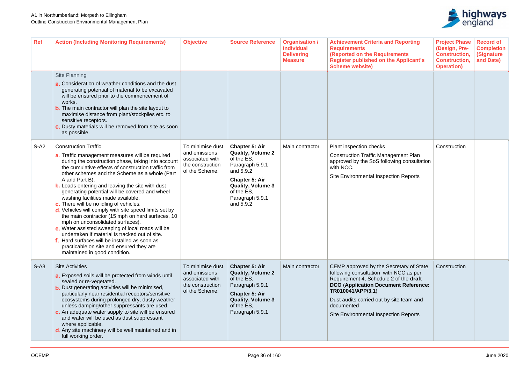

| <b>Ref</b> | <b>Action (Including Monitoring Requirements)</b>                                                                                                                                                                                                                                                                                                                                                                                                                                                                                                                                                                                                                                                                                                                                                                                               | <b>Objective</b>                                                                           | <b>Source Reference</b>                                                                                                                                                                            | <b>Organisation /</b><br><b>Individual</b><br><b>Delivering</b><br><b>Measure</b> | <b>Achievement Criteria and Reporting</b><br><b>Requirements</b><br><b>(Reported on the Requirements</b><br><b>Register published on the Applicant's</b><br><b>Scheme website)</b>                                                                                                                        | <b>Project Phase</b><br>(Design, Pre-<br><b>Construction,</b><br><b>Construction,</b><br><b>Operation</b> ) | <b>Record of</b><br><b>Completion</b><br><b>(Signature</b><br>and Date) |
|------------|-------------------------------------------------------------------------------------------------------------------------------------------------------------------------------------------------------------------------------------------------------------------------------------------------------------------------------------------------------------------------------------------------------------------------------------------------------------------------------------------------------------------------------------------------------------------------------------------------------------------------------------------------------------------------------------------------------------------------------------------------------------------------------------------------------------------------------------------------|--------------------------------------------------------------------------------------------|----------------------------------------------------------------------------------------------------------------------------------------------------------------------------------------------------|-----------------------------------------------------------------------------------|-----------------------------------------------------------------------------------------------------------------------------------------------------------------------------------------------------------------------------------------------------------------------------------------------------------|-------------------------------------------------------------------------------------------------------------|-------------------------------------------------------------------------|
|            | <b>Site Planning</b><br>a. Consideration of weather conditions and the dust<br>generating potential of material to be excavated<br>will be ensured prior to the commencement of<br>works.<br><b>b.</b> The main contractor will plan the site layout to<br>maximise distance from plant/stockpiles etc. to<br>sensitive receptors.<br>c. Dusty materials will be removed from site as soon<br>as possible.                                                                                                                                                                                                                                                                                                                                                                                                                                      |                                                                                            |                                                                                                                                                                                                    |                                                                                   |                                                                                                                                                                                                                                                                                                           |                                                                                                             |                                                                         |
| $S-A2$     | <b>Construction Traffic</b><br>a. Traffic management measures will be required<br>during the construction phase, taking into account<br>the cumulative effects of construction traffic from<br>other schemes and the Scheme as a whole (Part<br>A and Part B).<br><b>b.</b> Loads entering and leaving the site with dust<br>generating potential will be covered and wheel<br>washing facilities made available.<br>c. There will be no idling of vehicles.<br>d. Vehicles will comply with site speed limits set by<br>the main contractor (15 mph on hard surfaces, 10<br>mph on unconsolidated surfaces).<br>e. Water assisted sweeping of local roads will be<br>undertaken if material is tracked out of site.<br>Hard surfaces will be installed as soon as<br>practicable on site and ensured they are<br>maintained in good condition. | To minimise dust<br>and emissions<br>associated with<br>the construction<br>of the Scheme. | <b>Chapter 5: Air</b><br><b>Quality, Volume 2</b><br>of the ES,<br>Paragraph 5.9.1<br>and 5.9.2<br><b>Chapter 5: Air</b><br><b>Quality, Volume 3</b><br>of the ES,<br>Paragraph 5.9.1<br>and 5.9.2 | Main contractor                                                                   | Plant inspection checks<br><b>Construction Traffic Management Plan</b><br>approved by the SoS following consultation<br>with NCC.<br><b>Site Environmental Inspection Reports</b>                                                                                                                         | Construction                                                                                                |                                                                         |
| $S-A3$     | <b>Site Activities</b><br>a. Exposed soils will be protected from winds until<br>sealed or re-vegetated.<br><b>b.</b> Dust generating activities will be minimised,<br>particularly near residential receptors/sensitive<br>ecosystems during prolonged dry, dusty weather<br>unless damping/other suppressants are used.<br>c. An adequate water supply to site will be ensured<br>and water will be used as dust suppressant<br>where applicable.<br>d. Any site machinery will be well maintained and in<br>full working order.                                                                                                                                                                                                                                                                                                              | To minimise dust<br>and emissions<br>associated with<br>the construction<br>of the Scheme. | <b>Chapter 5: Air</b><br><b>Quality, Volume 2</b><br>of the ES,<br>Paragraph 5.9.1<br><b>Chapter 5: Air</b><br><b>Quality, Volume 3</b><br>of the ES,<br>Paragraph 5.9.1                           | Main contractor                                                                   | CEMP approved by the Secretary of State<br>following consultation with NCC as per<br>Requirement 4, Schedule 2 of the draft<br><b>DCO (Application Document Reference:</b><br>TR010041/APP/3.1)<br>Dust audits carried out by site team and<br>documented<br><b>Site Environmental Inspection Reports</b> | Construction                                                                                                |                                                                         |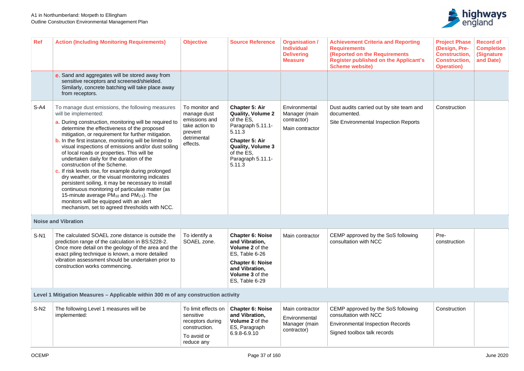

| <b>Ref</b> | <b>Action (Including Monitoring Requirements)</b>                                                                                                                                                                                                                                                                                                                                                                                                                                                                                                                                                                                                                                                                                                                                                                                                              | <b>Objective</b>                                                                                       | <b>Source Reference</b>                                                                                                                                                                          | <b>Organisation /</b><br><b>Individual</b><br><b>Delivering</b><br><b>Measure</b> | <b>Achievement Criteria and Reporting</b><br><b>Requirements</b><br>(Reported on the Requirements<br><b>Register published on the Applicant's</b><br><b>Scheme website)</b> | <b>Project Phase</b><br>(Design, Pre-<br><b>Construction,</b><br><b>Construction,</b><br><b>Operation</b> ) | <b>Record of</b><br><b>Completion</b><br><b>(Signature</b><br>and Date) |
|------------|----------------------------------------------------------------------------------------------------------------------------------------------------------------------------------------------------------------------------------------------------------------------------------------------------------------------------------------------------------------------------------------------------------------------------------------------------------------------------------------------------------------------------------------------------------------------------------------------------------------------------------------------------------------------------------------------------------------------------------------------------------------------------------------------------------------------------------------------------------------|--------------------------------------------------------------------------------------------------------|--------------------------------------------------------------------------------------------------------------------------------------------------------------------------------------------------|-----------------------------------------------------------------------------------|-----------------------------------------------------------------------------------------------------------------------------------------------------------------------------|-------------------------------------------------------------------------------------------------------------|-------------------------------------------------------------------------|
|            | e. Sand and aggregates will be stored away from<br>sensitive receptors and screened/shielded.<br>Similarly, concrete batching will take place away<br>from receptors.                                                                                                                                                                                                                                                                                                                                                                                                                                                                                                                                                                                                                                                                                          |                                                                                                        |                                                                                                                                                                                                  |                                                                                   |                                                                                                                                                                             |                                                                                                             |                                                                         |
| $S-AA$     | To manage dust emissions, the following measures<br>will be implemented:<br>a. During construction, monitoring will be required to<br>determine the effectiveness of the proposed<br>mitigation, or requirement for further mitigation.<br><b>b.</b> In the first instance, monitoring will be limited to<br>visual inspections of emissions and/or dust soiling<br>of local roads or properties. This will be<br>undertaken daily for the duration of the<br>construction of the Scheme.<br>c. If risk levels rise, for example during prolonged<br>dry weather, or the visual monitoring indicates<br>persistent soiling, it may be necessary to install<br>continuous monitoring of particulate matter (as<br>15-minute average $PM_{10}$ and $PM_{2.5}$ ). The<br>monitors will be equipped with an alert<br>mechanism, set to agreed thresholds with NCC. | To monitor and<br>manage dust<br>emissions and<br>take action to<br>prevent<br>detrimental<br>effects. | <b>Chapter 5: Air</b><br><b>Quality, Volume 2</b><br>of the ES,<br>Paragraph 5.11.1-<br>5.11.3<br><b>Chapter 5: Air</b><br><b>Quality, Volume 3</b><br>of the ES,<br>Paragraph 5.11.1-<br>5.11.3 | Environmental<br>Manager (main<br>contractor)<br>Main contractor                  | Dust audits carried out by site team and<br>documented.<br><b>Site Environmental Inspection Reports</b>                                                                     | Construction                                                                                                |                                                                         |
|            | <b>Noise and Vibration</b>                                                                                                                                                                                                                                                                                                                                                                                                                                                                                                                                                                                                                                                                                                                                                                                                                                     |                                                                                                        |                                                                                                                                                                                                  |                                                                                   |                                                                                                                                                                             |                                                                                                             |                                                                         |
| $S-N1$     | The calculated SOAEL zone distance is outside the<br>prediction range of the calculation in BS:5228-2.<br>Once more detail on the geology of the area and the<br>exact piling technique is known, a more detailed<br>vibration assessment should be undertaken prior to<br>construction works commencing.                                                                                                                                                                                                                                                                                                                                                                                                                                                                                                                                                      | To identify a<br>SOAEL zone.                                                                           | <b>Chapter 6: Noise</b><br>and Vibration,<br>Volume 2 of the<br>ES, Table 6-26<br><b>Chapter 6: Noise</b><br>and Vibration,<br>Volume 3 of the<br>ES, Table 6-29                                 | Main contractor                                                                   | CEMP approved by the SoS following<br>consultation with NCC                                                                                                                 | Pre-<br>construction                                                                                        |                                                                         |
|            | Level 1 Mitigation Measures - Applicable within 300 m of any construction activity                                                                                                                                                                                                                                                                                                                                                                                                                                                                                                                                                                                                                                                                                                                                                                             |                                                                                                        |                                                                                                                                                                                                  |                                                                                   |                                                                                                                                                                             |                                                                                                             |                                                                         |
| $S-N2$     | The following Level 1 measures will be<br>implemented:                                                                                                                                                                                                                                                                                                                                                                                                                                                                                                                                                                                                                                                                                                                                                                                                         | To limit effects on<br>sensitive<br>receptors during<br>construction.<br>To avoid or<br>reduce any     | <b>Chapter 6: Noise</b><br>and Vibration,<br>Volume 2 of the<br>ES, Paragraph<br>6.9.8-6.9.10                                                                                                    | Main contractor<br>Environmental<br>Manager (main<br>contractor)                  | CEMP approved by the SoS following<br>consultation with NCC<br><b>Environmental Inspection Records</b><br>Signed toolbox talk records                                       | Construction                                                                                                |                                                                         |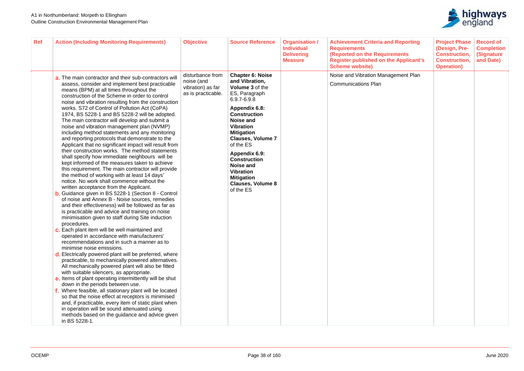

| <b>Ref</b> | <b>Action (Including Monitoring Requirements)</b>                                                                                                                                                                                                                                                                                                                                                                                                                                                                                                                                                                                                                                                                                                                                                                                                                                                                                                                                                                                                                                                                                                                                                                                                                                                                                                                                                                                                                                                                                                                                                                                                                                                                                                                                                                                                                                                                                                                                                                                                                      | <b>Objective</b>                                                          | <b>Source Reference</b>                                                                                                                                                                                                                                                                                                                                                                         | <b>Organisation /</b><br><b>Individual</b><br><b>Delivering</b><br><b>Measure</b> | <b>Achievement Criteria and Reporting</b><br><b>Requirements</b><br><b>(Reported on the Requirements</b><br><b>Register published on the Applicant's</b><br><b>Scheme website)</b> | <b>Project Phase</b><br>(Design, Pre-<br><b>Construction,</b><br><b>Construction,</b><br><b>Operation</b> ) | <b>Record of</b><br><b>Completion</b><br><b>(Signature</b><br>and Date) |
|------------|------------------------------------------------------------------------------------------------------------------------------------------------------------------------------------------------------------------------------------------------------------------------------------------------------------------------------------------------------------------------------------------------------------------------------------------------------------------------------------------------------------------------------------------------------------------------------------------------------------------------------------------------------------------------------------------------------------------------------------------------------------------------------------------------------------------------------------------------------------------------------------------------------------------------------------------------------------------------------------------------------------------------------------------------------------------------------------------------------------------------------------------------------------------------------------------------------------------------------------------------------------------------------------------------------------------------------------------------------------------------------------------------------------------------------------------------------------------------------------------------------------------------------------------------------------------------------------------------------------------------------------------------------------------------------------------------------------------------------------------------------------------------------------------------------------------------------------------------------------------------------------------------------------------------------------------------------------------------------------------------------------------------------------------------------------------------|---------------------------------------------------------------------------|-------------------------------------------------------------------------------------------------------------------------------------------------------------------------------------------------------------------------------------------------------------------------------------------------------------------------------------------------------------------------------------------------|-----------------------------------------------------------------------------------|------------------------------------------------------------------------------------------------------------------------------------------------------------------------------------|-------------------------------------------------------------------------------------------------------------|-------------------------------------------------------------------------|
|            | a. The main contractor and their sub-contractors will<br>assess, consider and implement best practicable<br>means (BPM) at all times throughout the<br>construction of the Scheme in order to control<br>noise and vibration resulting from the construction<br>works. S72 of Control of Pollution Act (CoPA)<br>1974, BS 5228-1 and BS 5228-2 will be adopted.<br>The main contractor will develop and submit a<br>noise and vibration management plan (NVMP)<br>including method statements and any monitoring<br>and reporting protocols that demonstrate to the<br>Applicant that no significant impact will result from<br>their construction works. The method statements<br>shall specify how immediate neighbours will be<br>kept informed of the measures taken to achieve<br>this requirement. The main contractor will provide<br>the method of working with at least 14 days'<br>notice. No work shall commence without the<br>written acceptance from the Applicant.<br><b>b.</b> Guidance given in BS 5228-1 (Section 8 - Control<br>of noise and Annex B - Noise sources, remedies<br>and their effectiveness) will be followed as far as<br>is practicable and advice and training on noise<br>minimisation given to staff during Site induction<br>procedures.<br>c. Each plant item will be well maintained and<br>operated in accordance with manufacturers'<br>recommendations and in such a manner as to<br>minimise noise emissions.<br>d. Electrically powered plant will be preferred, where<br>practicable, to mechanically powered alternatives.<br>All mechanically powered plant will also be fitted<br>with suitable silencers, as appropriate.<br>e. Items of plant operating intermittently will be shut<br>down in the periods between use.<br>f. Where feasible, all stationary plant will be located<br>so that the noise effect at receptors is minimised<br>and, if practicable, every item of static plant when<br>in operation will be sound attenuated using<br>methods based on the guidance and advice given<br>in BS 5228-1. | disturbance from<br>noise (and<br>vibration) as far<br>as is practicable. | <b>Chapter 6: Noise</b><br>and Vibration,<br>Volume 3 of the<br>ES, Paragraph<br>6.9.7-6.9.8<br><b>Appendix 6.8:</b><br><b>Construction</b><br><b>Noise and</b><br><b>Vibration</b><br><b>Mitigation</b><br><b>Clauses, Volume 7</b><br>of the ES<br>Appendix 6.9:<br><b>Construction</b><br><b>Noise and</b><br><b>Vibration</b><br><b>Mitigation</b><br><b>Clauses, Volume 8</b><br>of the ES |                                                                                   | Noise and Vibration Management Plan<br><b>Communications Plan</b>                                                                                                                  |                                                                                                             |                                                                         |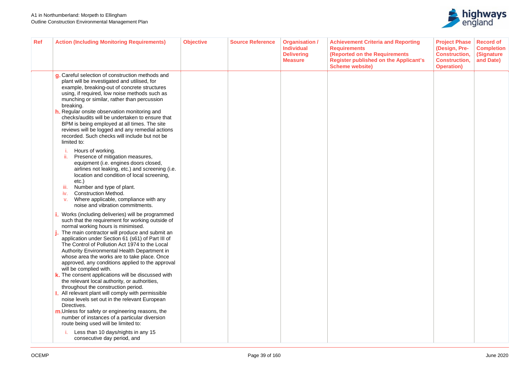

| <b>Ref</b> | <b>Action (Including Monitoring Requirements)</b>                                                                                                                                                                                                                                                                                                                                                                                                                                   | <b>Objective</b> | <b>Source Reference</b> | <b>Organisation /</b><br><b>Individual</b><br><b>Delivering</b><br><b>Measure</b> | <b>Achievement Criteria and Reporting</b><br><b>Requirements</b><br><b>(Reported on the Requirements</b><br><b>Register published on the Applicant's</b><br><b>Scheme website)</b> | <b>Project Phase</b><br>(Design, Pre-<br><b>Construction,</b><br><b>Construction,</b><br><b>Operation</b> ) | <b>Record of</b><br><b>Completion</b><br><b>(Signature</b><br>and Date) |
|------------|-------------------------------------------------------------------------------------------------------------------------------------------------------------------------------------------------------------------------------------------------------------------------------------------------------------------------------------------------------------------------------------------------------------------------------------------------------------------------------------|------------------|-------------------------|-----------------------------------------------------------------------------------|------------------------------------------------------------------------------------------------------------------------------------------------------------------------------------|-------------------------------------------------------------------------------------------------------------|-------------------------------------------------------------------------|
|            | g. Careful selection of construction methods and<br>plant will be investigated and utilised, for<br>example, breaking-out of concrete structures<br>using, if required, low noise methods such as<br>munching or similar, rather than percussion<br>breaking.<br>h. Regular onsite observation monitoring and<br>checks/audits will be undertaken to ensure that<br>BPM is being employed at all times. The site                                                                    |                  |                         |                                                                                   |                                                                                                                                                                                    |                                                                                                             |                                                                         |
|            | reviews will be logged and any remedial actions<br>recorded. Such checks will include but not be<br>limited to:                                                                                                                                                                                                                                                                                                                                                                     |                  |                         |                                                                                   |                                                                                                                                                                                    |                                                                                                             |                                                                         |
|            | Hours of working.<br>Presence of mitigation measures,<br>ii.<br>equipment (i.e. engines doors closed,<br>airlines not leaking, etc.) and screening (i.e.<br>location and condition of local screening,<br>$etc.$ )<br>Number and type of plant.<br>ш.<br><b>Construction Method.</b><br>IV.<br>Where applicable, compliance with any<br>V.<br>noise and vibration commitments.                                                                                                      |                  |                         |                                                                                   |                                                                                                                                                                                    |                                                                                                             |                                                                         |
|            | i. Works (including deliveries) will be programmed<br>such that the requirement for working outside of<br>normal working hours is minimised.<br>The main contractor will produce and submit an<br>application under Section 61 (s61) of Part III of<br>The Control of Pollution Act 1974 to the Local<br>Authority Environmental Health Department in<br>whose area the works are to take place. Once<br>approved, any conditions applied to the approval<br>will be complied with. |                  |                         |                                                                                   |                                                                                                                                                                                    |                                                                                                             |                                                                         |
|            | k. The consent applications will be discussed with<br>the relevant local authority, or authorities,<br>throughout the construction period.<br>All relevant plant will comply with permissible<br>noise levels set out in the relevant European                                                                                                                                                                                                                                      |                  |                         |                                                                                   |                                                                                                                                                                                    |                                                                                                             |                                                                         |
|            | Directives.<br>m. Unless for safety or engineering reasons, the<br>number of instances of a particular diversion<br>route being used will be limited to:                                                                                                                                                                                                                                                                                                                            |                  |                         |                                                                                   |                                                                                                                                                                                    |                                                                                                             |                                                                         |
|            | Less than 10 days/nights in any 15<br>consecutive day period, and                                                                                                                                                                                                                                                                                                                                                                                                                   |                  |                         |                                                                                   |                                                                                                                                                                                    |                                                                                                             |                                                                         |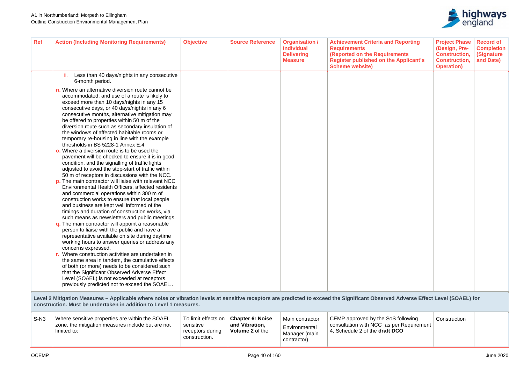

| <b>Ref</b> | <b>Action (Including Monitoring Requirements)</b>                                                                                                                                                                                                                                                                                                                                                                                                                                                                                                                                                                                                                                                                                                                                                                                                                                                                                                                                                                                                                                                                                                                                                                                                                                                                                                                                                                                                                                                                                                                                                                                                                                                                              | <b>Objective</b>    | <b>Source Reference</b> | <b>Organisation /</b><br><b>Individual</b><br><b>Delivering</b><br><b>Measure</b> | <b>Achievement Criteria and Reporting</b><br><b>Requirements</b><br><b>(Reported on the Requirements</b><br><b>Register published on the Applicant's</b><br><b>Scheme website)</b> | <b>Project Phase</b><br>(Design, Pre-<br><b>Construction,</b><br><b>Construction,</b><br><b>Operation</b> ) | <b>Record of</b><br><b>Completion</b><br><b>(Signature</b><br>and Date) |
|------------|--------------------------------------------------------------------------------------------------------------------------------------------------------------------------------------------------------------------------------------------------------------------------------------------------------------------------------------------------------------------------------------------------------------------------------------------------------------------------------------------------------------------------------------------------------------------------------------------------------------------------------------------------------------------------------------------------------------------------------------------------------------------------------------------------------------------------------------------------------------------------------------------------------------------------------------------------------------------------------------------------------------------------------------------------------------------------------------------------------------------------------------------------------------------------------------------------------------------------------------------------------------------------------------------------------------------------------------------------------------------------------------------------------------------------------------------------------------------------------------------------------------------------------------------------------------------------------------------------------------------------------------------------------------------------------------------------------------------------------|---------------------|-------------------------|-----------------------------------------------------------------------------------|------------------------------------------------------------------------------------------------------------------------------------------------------------------------------------|-------------------------------------------------------------------------------------------------------------|-------------------------------------------------------------------------|
|            | Less than 40 days/nights in any consecutive<br>6-month period.<br>n. Where an alternative diversion route cannot be<br>accommodated, and use of a route is likely to<br>exceed more than 10 days/nights in any 15<br>consecutive days, or 40 days/nights in any 6<br>consecutive months, alternative mitigation may<br>be offered to properties within 50 m of the<br>diversion route such as secondary insulation of<br>the windows of affected habitable rooms or<br>temporary re-housing in line with the example<br>thresholds in BS 5228-1 Annex E.4<br>o. Where a diversion route is to be used the<br>pavement will be checked to ensure it is in good<br>condition, and the signalling of traffic lights<br>adjusted to avoid the stop-start of traffic within<br>50 m of receptors in discussions with the NCC.<br>p. The main contractor will liaise with relevant NCC<br>Environmental Health Officers, affected residents<br>and commercial operations within 300 m of<br>construction works to ensure that local people<br>and business are kept well informed of the<br>timings and duration of construction works, via<br>such means as newsletters and public meetings.<br>q. The main contractor will appoint a reasonable<br>person to liaise with the public and have a<br>representative available on site during daytime<br>working hours to answer queries or address any<br>concerns expressed.<br>r. Where construction activities are undertaken in<br>the same area in tandem, the cumulative effects<br>of both (or more) needs to be considered such<br>that the Significant Observed Adverse Effect<br>Level (SOAEL) is not exceeded at receptors<br>previously predicted not to exceed the SOAEL |                     |                         |                                                                                   |                                                                                                                                                                                    |                                                                                                             |                                                                         |
|            | Level 2 Mitigation Measures – Applicable where noise or vibration levels at sensitive receptors are predicted to exceed the Significant Observed Adverse Effect Level (SOAEL) for<br>construction. Must be undertaken in addition to Level 1 measures.                                                                                                                                                                                                                                                                                                                                                                                                                                                                                                                                                                                                                                                                                                                                                                                                                                                                                                                                                                                                                                                                                                                                                                                                                                                                                                                                                                                                                                                                         |                     |                         |                                                                                   |                                                                                                                                                                                    |                                                                                                             |                                                                         |
| $S-N3$     | Where sensitive properties are within the SOAEL                                                                                                                                                                                                                                                                                                                                                                                                                                                                                                                                                                                                                                                                                                                                                                                                                                                                                                                                                                                                                                                                                                                                                                                                                                                                                                                                                                                                                                                                                                                                                                                                                                                                                | To limit effects on | <b>Chapter 6: Noise</b> | Main contractor                                                                   | CEMP approved by the SoS following                                                                                                                                                 | Construction                                                                                                |                                                                         |

| $S-N3$ | Where sensitive properties are within the SOAEL<br>zone, the mitigation measures include but are not<br>limited to: | To limit effects on<br>sensitive<br>receptors during<br>construction. | <b>Chapter 6: Noise</b><br>and Vibration,<br><b>Volume 2 of the</b> | Main contractor<br>Environmental<br>Manager (main<br>contractor) | CEMP approved by the SoS following<br>consultation with NCC as per Requirement<br>4. Schedule 2 of the <b>draft DCO</b> |
|--------|---------------------------------------------------------------------------------------------------------------------|-----------------------------------------------------------------------|---------------------------------------------------------------------|------------------------------------------------------------------|-------------------------------------------------------------------------------------------------------------------------|
|--------|---------------------------------------------------------------------------------------------------------------------|-----------------------------------------------------------------------|---------------------------------------------------------------------|------------------------------------------------------------------|-------------------------------------------------------------------------------------------------------------------------|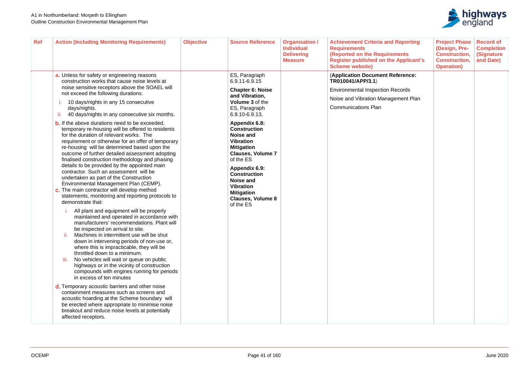

| <b>Ref</b> | <b>Action (Including Monitoring Requirements)</b>                                                                                                                                                                                                                                                                                                                                                                                                                                                                                                                                                                                                                                                                                                                                                                                                                                                                                                                                                                                                                                                                                                                                                                                                                                                                                                                                                                                                                                                                                                                                                                                                                                                                                                                                          | <b>Objective</b> | <b>Source Reference</b>                                                                                                                                                                                                                                                                                                                                                                                                              | <b>Organisation /</b><br><b>Individual</b><br><b>Delivering</b><br><b>Measure</b> | <b>Achievement Criteria and Reporting</b><br><b>Requirements</b><br><b>(Reported on the Requirements</b><br><b>Register published on the Applicant's</b><br><b>Scheme website)</b> | <b>Project Phase</b><br>(Design, Pre-<br><b>Construction.</b><br><b>Construction,</b><br><b>Operation</b> ) | <b>Record of</b><br><b>Completion</b><br><b>(Signature</b><br>and Date) |
|------------|--------------------------------------------------------------------------------------------------------------------------------------------------------------------------------------------------------------------------------------------------------------------------------------------------------------------------------------------------------------------------------------------------------------------------------------------------------------------------------------------------------------------------------------------------------------------------------------------------------------------------------------------------------------------------------------------------------------------------------------------------------------------------------------------------------------------------------------------------------------------------------------------------------------------------------------------------------------------------------------------------------------------------------------------------------------------------------------------------------------------------------------------------------------------------------------------------------------------------------------------------------------------------------------------------------------------------------------------------------------------------------------------------------------------------------------------------------------------------------------------------------------------------------------------------------------------------------------------------------------------------------------------------------------------------------------------------------------------------------------------------------------------------------------------|------------------|--------------------------------------------------------------------------------------------------------------------------------------------------------------------------------------------------------------------------------------------------------------------------------------------------------------------------------------------------------------------------------------------------------------------------------------|-----------------------------------------------------------------------------------|------------------------------------------------------------------------------------------------------------------------------------------------------------------------------------|-------------------------------------------------------------------------------------------------------------|-------------------------------------------------------------------------|
|            | a. Unless for safety or engineering reasons<br>construction works that cause noise levels at<br>noise sensitive receptors above the SOAEL will<br>not exceed the following durations:<br>10 days/nights in any 15 consecutive<br>days/nights.<br>ii.<br>40 days/nights in any consecutive six months.<br><b>b.</b> If the above durations need to be exceeded,<br>temporary re-housing will be offered to residents<br>for the duration of relevant works. The<br>requirement or otherwise for an offer of temporary<br>re-housing will be determined based upon the<br>outcome of further detailed assessment adopting<br>finalised construction methodology and phasing<br>details to be provided by the appointed main<br>contractor. Such an assessment will be<br>undertaken as part of the Construction<br>Environmental Management Plan (CEMP).<br>c. The main contractor will develop method<br>statements, monitoring and reporting protocols to<br>demonstrate that:<br>All plant and equipment will be properly<br>maintained and operated in accordance with<br>manufacturers' recommendations. Plant will<br>be inspected on arrival to site.<br>Machines in intermittent use will be shut<br>down in intervening periods of non-use or,<br>where this is impracticable, they will be<br>throttled down to a minimum.<br>No vehicles will wait or queue on public<br>iii.<br>highways or in the vicinity of construction<br>compounds with engines running for periods<br>in excess of ten minutes<br>d. Temporary acoustic barriers and other noise<br>containment measures such as screens and<br>acoustic hoarding at the Scheme boundary will<br>be erected where appropriate to minimise noise<br>breakout and reduce noise levels at potentially<br>affected receptors. |                  | ES, Paragraph<br>6.9.11-6.9.15<br><b>Chapter 6: Noise</b><br>and Vibration,<br>Volume 3 of the<br>ES, Paragraph<br>6.9.10-6.9.13,<br><b>Appendix 6.8:</b><br><b>Construction</b><br><b>Noise and</b><br><b>Vibration</b><br><b>Mitigation</b><br><b>Clauses, Volume 7</b><br>of the ES<br>Appendix 6.9:<br><b>Construction</b><br><b>Noise and</b><br><b>Vibration</b><br><b>Mitigation</b><br><b>Clauses, Volume 8</b><br>of the ES |                                                                                   | (Application Document Reference:<br>TR010041/APP/3.1)<br><b>Environmental Inspection Records</b><br>Noise and Vibration Management Plan<br><b>Communications Plan</b>              |                                                                                                             |                                                                         |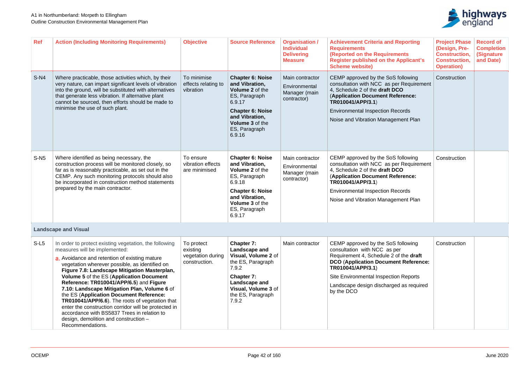

| <b>Ref</b> | <b>Action (Including Monitoring Requirements)</b>                                                                                                                                                                                                                                                                                                                                                                                                                                                                                                                                                                                                   | <b>Objective</b>                                             | <b>Source Reference</b>                                                                                                                                                            | <b>Organisation /</b><br><b>Individual</b><br><b>Delivering</b><br><b>Measure</b> | <b>Achievement Criteria and Reporting</b><br><b>Requirements</b><br><b>(Reported on the Requirements</b><br><b>Register published on the Applicant's</b><br><b>Scheme website)</b>                                                                                                 | <b>Project Phase</b><br>(Design, Pre-<br><b>Construction,</b><br><b>Construction,</b><br><b>Operation</b> ) | <b>Record of</b><br><b>Completion</b><br><b>(Signature</b><br>and Date) |
|------------|-----------------------------------------------------------------------------------------------------------------------------------------------------------------------------------------------------------------------------------------------------------------------------------------------------------------------------------------------------------------------------------------------------------------------------------------------------------------------------------------------------------------------------------------------------------------------------------------------------------------------------------------------------|--------------------------------------------------------------|------------------------------------------------------------------------------------------------------------------------------------------------------------------------------------|-----------------------------------------------------------------------------------|------------------------------------------------------------------------------------------------------------------------------------------------------------------------------------------------------------------------------------------------------------------------------------|-------------------------------------------------------------------------------------------------------------|-------------------------------------------------------------------------|
| $S-N4$     | Where practicable, those activities which, by their<br>very nature, can impart significant levels of vibration<br>into the ground, will be substituted with alternatives<br>that generate less vibration. If alternative plant<br>cannot be sourced, then efforts should be made to<br>minimise the use of such plant.                                                                                                                                                                                                                                                                                                                              | To minimise<br>effects relating to<br>vibration              | <b>Chapter 6: Noise</b><br>and Vibration,<br>Volume 2 of the<br>ES, Paragraph<br>6.9.17<br><b>Chapter 6: Noise</b><br>and Vibration,<br>Volume 3 of the<br>ES, Paragraph<br>6.9.16 | Main contractor<br>Environmental<br>Manager (main<br>contractor)                  | CEMP approved by the SoS following<br>consultation with NCC as per Requirement<br>4, Schedule 2 of the draft DCO<br>(Application Document Reference:<br>TR010041/APP/3.1)<br><b>Environmental Inspection Records</b><br>Noise and Vibration Management Plan                        | Construction                                                                                                |                                                                         |
| $S-N5$     | Where identified as being necessary, the<br>construction process will be monitored closely, so<br>far as is reasonably practicable, as set out in the<br>CEMP. Any such monitoring protocols should also<br>be incorporated in construction method statements<br>prepared by the main contractor.                                                                                                                                                                                                                                                                                                                                                   | To ensure<br>vibration effects<br>are minimised              | <b>Chapter 6: Noise</b><br>and Vibration,<br>Volume 2 of the<br>ES, Paragraph<br>6.9.18<br><b>Chapter 6: Noise</b><br>and Vibration,<br>Volume 3 of the<br>ES, Paragraph<br>6.9.17 | Main contractor<br>Environmental<br>Manager (main<br>contractor)                  | CEMP approved by the SoS following<br>consultation with NCC as per Requirement<br>4. Schedule 2 of the draft DCO<br>(Application Document Reference:<br>TR010041/APP/3.1)<br><b>Environmental Inspection Records</b><br>Noise and Vibration Management Plan                        | Construction                                                                                                |                                                                         |
|            | <b>Landscape and Visual</b>                                                                                                                                                                                                                                                                                                                                                                                                                                                                                                                                                                                                                         |                                                              |                                                                                                                                                                                    |                                                                                   |                                                                                                                                                                                                                                                                                    |                                                                                                             |                                                                         |
| $S-L5$     | In order to protect existing vegetation, the following<br>measures will be implemented:<br>a. Avoidance and retention of existing mature<br>vegetation wherever possible, as identified on<br>Figure 7.8: Landscape Mitigation Masterplan,<br>Volume 5 of the ES (Application Document<br>Reference: TR010041/APP/6.5) and Figure<br>7.10: Landscape Mitigation Plan, Volume 6 of<br>the ES (Application Document Reference:<br>TR010041/APP/6.6). The roots of vegetation that<br>enter the construction corridor will be protected in<br>accordance with BS5837 Trees in relation to<br>design, demolition and construction -<br>Recommendations. | To protect<br>existing<br>vegetation during<br>construction. | Chapter 7:<br>Landscape and<br>Visual, Volume 2 of<br>the ES, Paragraph<br>7.9.2<br>Chapter 7:<br>Landscape and<br>Visual, Volume 3 of<br>the ES, Paragraph<br>7.9.2               | Main contractor                                                                   | CEMP approved by the SoS following<br>consultation with NCC as per<br>Requirement 4, Schedule 2 of the draft<br><b>DCO (Application Document Reference:</b><br>TR010041/APP/3.1)<br>Site Environmental Inspection Reports<br>Landscape design discharged as required<br>by the DCO | Construction                                                                                                |                                                                         |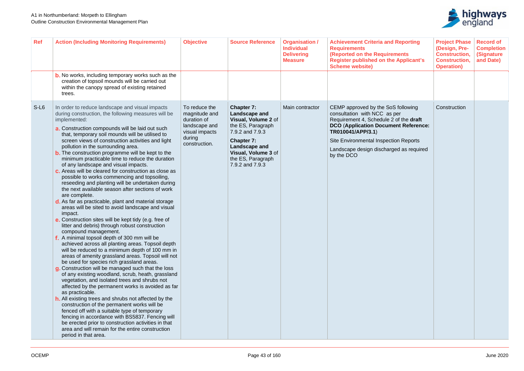

| <b>Ref</b> | <b>Action (Including Monitoring Requirements)</b>                                                                                                                                                                                                                                                                                                                                                                                                                                                                                                                                                                                                                                                                                                                                                                                                                                                                                                                                                                                                                                                                                                                                                                                                                                                                                                                                                                                                                                                                                                                                                                                                                                                                                                                                                                       | <b>Objective</b>                                                                                            | <b>Source Reference</b>                                                                                                                                                                                | <b>Organisation /</b><br><b>Individual</b><br><b>Delivering</b><br><b>Measure</b> | <b>Achievement Criteria and Reporting</b><br><b>Requirements</b><br>(Reported on the Requirements<br><b>Register published on the Applicant's</b><br><b>Scheme website)</b>                                                                                                               | <b>Project Phase</b><br>(Design, Pre-<br><b>Construction,</b><br><b>Construction,</b><br><b>Operation</b> ) | <b>Record of</b><br><b>Completion</b><br><b>(Signature</b><br>and Date) |
|------------|-------------------------------------------------------------------------------------------------------------------------------------------------------------------------------------------------------------------------------------------------------------------------------------------------------------------------------------------------------------------------------------------------------------------------------------------------------------------------------------------------------------------------------------------------------------------------------------------------------------------------------------------------------------------------------------------------------------------------------------------------------------------------------------------------------------------------------------------------------------------------------------------------------------------------------------------------------------------------------------------------------------------------------------------------------------------------------------------------------------------------------------------------------------------------------------------------------------------------------------------------------------------------------------------------------------------------------------------------------------------------------------------------------------------------------------------------------------------------------------------------------------------------------------------------------------------------------------------------------------------------------------------------------------------------------------------------------------------------------------------------------------------------------------------------------------------------|-------------------------------------------------------------------------------------------------------------|--------------------------------------------------------------------------------------------------------------------------------------------------------------------------------------------------------|-----------------------------------------------------------------------------------|-------------------------------------------------------------------------------------------------------------------------------------------------------------------------------------------------------------------------------------------------------------------------------------------|-------------------------------------------------------------------------------------------------------------|-------------------------------------------------------------------------|
|            | <b>b.</b> No works, including temporary works such as the<br>creation of topsoil mounds will be carried out<br>within the canopy spread of existing retained<br>trees.                                                                                                                                                                                                                                                                                                                                                                                                                                                                                                                                                                                                                                                                                                                                                                                                                                                                                                                                                                                                                                                                                                                                                                                                                                                                                                                                                                                                                                                                                                                                                                                                                                                  |                                                                                                             |                                                                                                                                                                                                        |                                                                                   |                                                                                                                                                                                                                                                                                           |                                                                                                             |                                                                         |
| $S-L6$     | In order to reduce landscape and visual impacts<br>during construction, the following measures will be<br>implemented:<br>a. Construction compounds will be laid out such<br>that, temporary soil mounds will be utilised to<br>screen views of construction activities and light<br>pollution in the surrounding area.<br><b>b.</b> The construction programme will be kept to the<br>minimum practicable time to reduce the duration<br>of any landscape and visual impacts.<br>c. Areas will be cleared for construction as close as<br>possible to works commencing and topsoiling,<br>reseeding and planting will be undertaken during<br>the next available season after sections of work<br>are complete.<br>d. As far as practicable, plant and material storage<br>areas will be sited to avoid landscape and visual<br>impact.<br>e. Construction sites will be kept tidy (e.g. free of<br>litter and debris) through robust construction<br>compound management.<br>f. A minimal topsoil depth of 300 mm will be<br>achieved across all planting areas. Topsoil depth<br>will be reduced to a minimum depth of 100 mm in<br>areas of amenity grassland areas. Topsoil will not<br>be used for species rich grassland areas.<br>g. Construction will be managed such that the loss<br>of any existing woodland, scrub, heath, grassland<br>vegetation, and isolated trees and shrubs not<br>affected by the permanent works is avoided as far<br>as practicable.<br>h. All existing trees and shrubs not affected by the<br>construction of the permanent works will be<br>fenced off with a suitable type of temporary<br>fencing in accordance with BS5837. Fencing will<br>be erected prior to construction activities in that<br>area and will remain for the entire construction<br>period in that area. | To reduce the<br>magnitude and<br>duration of<br>landscape and<br>visual impacts<br>during<br>construction. | <b>Chapter 7:</b><br>Landscape and<br>Visual, Volume 2 of<br>the ES, Paragraph<br>7.9.2 and 7.9.3<br><b>Chapter 7:</b><br>Landscape and<br>Visual, Volume 3 of<br>the ES, Paragraph<br>7.9.2 and 7.9.3 | Main contractor                                                                   | CEMP approved by the SoS following<br>consultation with NCC as per<br>Requirement 4, Schedule 2 of the draft<br><b>DCO (Application Document Reference:</b><br>TR010041/APP/3.1)<br><b>Site Environmental Inspection Reports</b><br>Landscape design discharged as required<br>by the DCO | Construction                                                                                                |                                                                         |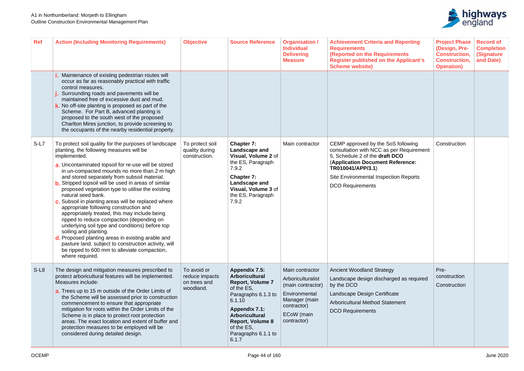

| <b>Ref</b> | <b>Action (Including Monitoring Requirements)</b>                                                                                                                                                                                                                                                                                                                                                                                                                                                                                                                                                                                                                                                                                                                                                                                                               | <b>Objective</b>                                           | <b>Source Reference</b>                                                                                                                                                                                                                           | <b>Organisation /</b><br><b>Individual</b><br><b>Delivering</b><br><b>Measure</b>                                                       | <b>Achievement Criteria and Reporting</b><br><b>Requirements</b><br><b>(Reported on the Requirements</b><br><b>Register published on the Applicant's</b><br><b>Scheme website)</b>                                                                   | <b>Project Phase</b><br>(Design, Pre-<br><b>Construction,</b><br><b>Construction,</b><br><b>Operation</b> ) | <b>Record of</b><br><b>Completion</b><br><b>(Signature</b><br>and Date) |
|------------|-----------------------------------------------------------------------------------------------------------------------------------------------------------------------------------------------------------------------------------------------------------------------------------------------------------------------------------------------------------------------------------------------------------------------------------------------------------------------------------------------------------------------------------------------------------------------------------------------------------------------------------------------------------------------------------------------------------------------------------------------------------------------------------------------------------------------------------------------------------------|------------------------------------------------------------|---------------------------------------------------------------------------------------------------------------------------------------------------------------------------------------------------------------------------------------------------|-----------------------------------------------------------------------------------------------------------------------------------------|------------------------------------------------------------------------------------------------------------------------------------------------------------------------------------------------------------------------------------------------------|-------------------------------------------------------------------------------------------------------------|-------------------------------------------------------------------------|
|            | Maintenance of existing pedestrian routes will<br>occur as far as reasonably practical with traffic<br>control measures.<br>Surrounding roads and pavements will be<br>maintained free of excessive dust and mud.<br>k. No off-site planting is proposed as part of the<br>Scheme. For Part B, advanced planting is<br>proposed to the south west of the proposed<br>Charlton Mires junction, to provide screening to<br>the occupants of the nearby residential property.                                                                                                                                                                                                                                                                                                                                                                                      |                                                            |                                                                                                                                                                                                                                                   |                                                                                                                                         |                                                                                                                                                                                                                                                      |                                                                                                             |                                                                         |
| $S-L7$     | To protect soil quality for the purposes of landscape<br>planting, the following measures will be<br>implemented.<br>a. Uncontaminated topsoil for re-use will be stored<br>in un-compacted mounds no more than 2 m high<br>and stored separately from subsoil material.<br>Stripped topsoil will be used in areas of similar<br>proposed vegetation type to utilise the existing<br>natural seed bank.<br>c. Subsoil in planting areas will be replaced where<br>appropriate following construction and<br>appropriately treated, this may include being<br>ripped to reduce compaction (depending on<br>underlying soil type and conditions) before top<br>soiling and planting.<br>Proposed planting areas in existing arable and<br>pasture land, subject to construction activity, will<br>be ripped to 600 mm to alleviate compaction,<br>where required. | To protect soil<br>quality during<br>construction.         | <b>Chapter 7:</b><br>Landscape and<br>Visual, Volume 2 of<br>the ES, Paragraph<br>7.9.2<br>Chapter 7:<br>Landscape and<br>Visual, Volume 3 of<br>the ES, Paragraph<br>7.9.2                                                                       | Main contractor                                                                                                                         | CEMP approved by the SoS following<br>consultation with NCC as per Requirement<br>5, Schedule 2 of the draft DCO<br>(Application Document Reference:<br>TR010041/APP/3.1)<br><b>Site Environmental Inspection Reports</b><br><b>DCO Requirements</b> | Construction                                                                                                |                                                                         |
| $S-L8$     | The design and mitigation measures prescribed to<br>protect arboricultural features will be implemented.<br>Measures include:<br>a. Trees up to 15 m outside of the Order Limits of<br>the Scheme will be assessed prior to construction<br>commencement to ensure that appropriate<br>mitigation for roots within the Order Limits of the<br>Scheme is in place to protect root protection<br>areas. The exact location and extent of buffer and<br>protection measures to be employed will be<br>considered during detailed design.                                                                                                                                                                                                                                                                                                                           | To avoid or<br>reduce impacts<br>on trees and<br>woodland. | <b>Appendix 7.5:</b><br><b>Arboricultural</b><br><b>Report, Volume 7</b><br>of the ES,<br>Paragraphs 6.1.3 to<br>6.1.10<br><b>Appendix 7.1:</b><br><b>Arboricultural</b><br><b>Report, Volume 8</b><br>of the ES,<br>Paragraphs 6.1.1 to<br>6.1.7 | Main contractor<br>Arboriculturalist<br>(main contractor)<br>Environmental<br>Manager (main<br>contractor)<br>ECoW (main<br>contractor) | <b>Ancient Woodland Strategy</b><br>Landscape design discharged as required<br>by the DCO<br>Landscape Design Certificate<br><b>Arboricultural Method Statement</b><br><b>DCO Requirements</b>                                                       | Pre-<br>construction<br>Construction                                                                        |                                                                         |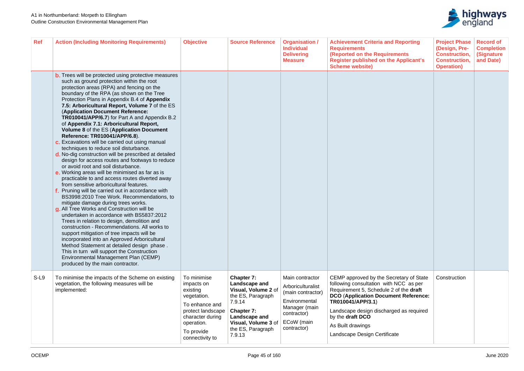

| <b>Ref</b> | <b>Action (Including Monitoring Requirements)</b>                                                                                                                                                                                                                                                                                                                                                                                                                                                                                                                                                                                                                                                                                                                                                                                                                                                                                                                                                                                                                                                                                                                                                                                                                                                                                                                                                                                                                                                                        | <b>Objective</b>                                                                                                                                               | <b>Source Reference</b>                                                                                                                                                              | <b>Organisation /</b><br><b>Individual</b><br><b>Delivering</b><br><b>Measure</b>                                                       | <b>Achievement Criteria and Reporting</b><br><b>Requirements</b><br><b>(Reported on the Requirements</b><br><b>Register published on the Applicant's</b><br><b>Scheme website)</b>                                                                                                                                  | <b>Project Phase</b><br>(Design, Pre-<br><b>Construction,</b><br><b>Construction,</b><br><b>Operation</b> ) | <b>Record of</b><br><b>Completion</b><br><b>(Signature</b><br>and Date) |
|------------|--------------------------------------------------------------------------------------------------------------------------------------------------------------------------------------------------------------------------------------------------------------------------------------------------------------------------------------------------------------------------------------------------------------------------------------------------------------------------------------------------------------------------------------------------------------------------------------------------------------------------------------------------------------------------------------------------------------------------------------------------------------------------------------------------------------------------------------------------------------------------------------------------------------------------------------------------------------------------------------------------------------------------------------------------------------------------------------------------------------------------------------------------------------------------------------------------------------------------------------------------------------------------------------------------------------------------------------------------------------------------------------------------------------------------------------------------------------------------------------------------------------------------|----------------------------------------------------------------------------------------------------------------------------------------------------------------|--------------------------------------------------------------------------------------------------------------------------------------------------------------------------------------|-----------------------------------------------------------------------------------------------------------------------------------------|---------------------------------------------------------------------------------------------------------------------------------------------------------------------------------------------------------------------------------------------------------------------------------------------------------------------|-------------------------------------------------------------------------------------------------------------|-------------------------------------------------------------------------|
|            | <b>b.</b> Trees will be protected using protective measures<br>such as ground protection within the root<br>protection areas (RPA) and fencing on the<br>boundary of the RPA (as shown on the Tree<br>Protection Plans in Appendix B.4 of Appendix<br>7.5: Arboricultural Report, Volume 7 of the ES<br>(Application Document Reference:<br>TR010041/APP/6.7) for Part A and Appendix B.2<br>of Appendix 7.1: Arboricultural Report,<br>Volume 8 of the ES (Application Document<br>Reference: TR010041/APP/6.8).<br>c. Excavations will be carried out using manual<br>techniques to reduce soil disturbance.<br>d. No-dig construction will be prescribed at detailed<br>design for access routes and footways to reduce<br>or avoid root and soil disturbance.<br>e. Working areas will be minimised as far as is<br>practicable to and access routes diverted away<br>from sensitive arboricultural features.<br>Pruning will be carried out in accordance with<br>BS3998:2010 Tree Work. Recommendations, to<br>mitigate damage during trees works.<br>g. All Tree Works and Construction will be<br>undertaken in accordance with BS5837:2012<br>Trees in relation to design, demolition and<br>construction - Recommendations. All works to<br>support mitigation of tree impacts will be<br>incorporated into an Approved Arboricultural<br>Method Statement at detailed design phase.<br>This in turn will support the Construction<br>Environmental Management Plan (CEMP)<br>produced by the main contractor. |                                                                                                                                                                |                                                                                                                                                                                      |                                                                                                                                         |                                                                                                                                                                                                                                                                                                                     |                                                                                                             |                                                                         |
| $S-L9$     | To minimise the impacts of the Scheme on existing<br>vegetation, the following measures will be<br>implemented:                                                                                                                                                                                                                                                                                                                                                                                                                                                                                                                                                                                                                                                                                                                                                                                                                                                                                                                                                                                                                                                                                                                                                                                                                                                                                                                                                                                                          | To minimise<br>impacts on<br>existing<br>vegetation.<br>To enhance and<br>protect landscape<br>character during<br>operation.<br>To provide<br>connectivity to | <b>Chapter 7:</b><br>Landscape and<br>Visual, Volume 2 of<br>the ES, Paragraph<br>7.9.14<br><b>Chapter 7:</b><br>Landscape and<br>Visual, Volume 3 of<br>the ES, Paragraph<br>7.9.13 | Main contractor<br>Arboriculturalist<br>(main contractor)<br>Environmental<br>Manager (main<br>contractor)<br>ECoW (main<br>contractor) | CEMP approved by the Secretary of State<br>following consultation with NCC as per<br>Requirement 5, Schedule 2 of the draft<br><b>DCO (Application Document Reference:</b><br>TR010041/APP/3.1)<br>Landscape design discharged as required<br>by the draft DCO<br>As Built drawings<br>Landscape Design Certificate | Construction                                                                                                |                                                                         |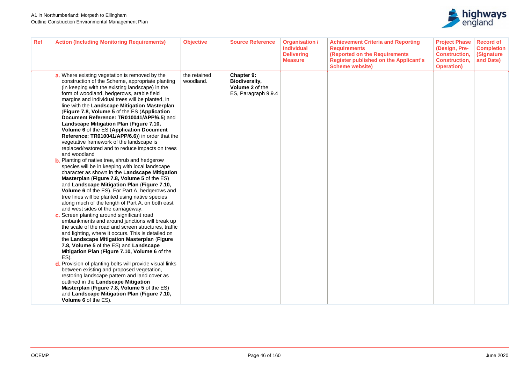

| <b>Ref</b> | <b>Action (Including Monitoring Requirements)</b>                                                                                                                                                                                                                                                                                                                                                                                                                                                                                                                                                                                                                                                                                                                                                                                                                                                                                                                                                                                                                                                                                                                                                                                                                                                                                                                                                                                                                                                                                                                                                                                                                                                                                                                                                                        | <b>Objective</b>          | <b>Source Reference</b>                                                             | <b>Organisation /</b><br><b>Individual</b><br><b>Delivering</b><br><b>Measure</b> | <b>Achievement Criteria and Reporting</b><br><b>Requirements</b><br><b>(Reported on the Requirements</b><br><b>Register published on the Applicant's</b><br><b>Scheme website)</b> | <b>Project Phase</b><br>(Design, Pre-<br><b>Construction,</b><br><b>Construction,</b><br><b>Operation</b> ) | <b>Record of</b><br><b>Completion</b><br><b>(Signature</b><br>and Date) |
|------------|--------------------------------------------------------------------------------------------------------------------------------------------------------------------------------------------------------------------------------------------------------------------------------------------------------------------------------------------------------------------------------------------------------------------------------------------------------------------------------------------------------------------------------------------------------------------------------------------------------------------------------------------------------------------------------------------------------------------------------------------------------------------------------------------------------------------------------------------------------------------------------------------------------------------------------------------------------------------------------------------------------------------------------------------------------------------------------------------------------------------------------------------------------------------------------------------------------------------------------------------------------------------------------------------------------------------------------------------------------------------------------------------------------------------------------------------------------------------------------------------------------------------------------------------------------------------------------------------------------------------------------------------------------------------------------------------------------------------------------------------------------------------------------------------------------------------------|---------------------------|-------------------------------------------------------------------------------------|-----------------------------------------------------------------------------------|------------------------------------------------------------------------------------------------------------------------------------------------------------------------------------|-------------------------------------------------------------------------------------------------------------|-------------------------------------------------------------------------|
|            | a. Where existing vegetation is removed by the<br>construction of the Scheme, appropriate planting<br>(in keeping with the existing landscape) in the<br>form of woodland, hedgerows, arable field<br>margins and individual trees will be planted, in<br>line with the Landscape Mitigation Masterplan<br>(Figure 7.8, Volume 5 of the ES (Application<br>Document Reference: TR010041/APP/6.5) and<br>Landscape Mitigation Plan (Figure 7.10,<br>Volume 6 of the ES (Application Document<br>Reference: TR010041/APP/6.6)) in order that the<br>vegetative framework of the landscape is<br>replaced/restored and to reduce impacts on trees<br>and woodland<br><b>b.</b> Planting of native tree, shrub and hedgerow<br>species will be in keeping with local landscape<br>character as shown in the Landscape Mitigation<br>Masterplan (Figure 7.8, Volume 5 of the ES)<br>and Landscape Mitigation Plan (Figure 7.10,<br><b>Volume 6 of the ES). For Part A, hedgerows and</b><br>tree lines will be planted using native species<br>along much of the length of Part A, on both east<br>and west sides of the carriageway.<br>c. Screen planting around significant road<br>embankments and around junctions will break up<br>the scale of the road and screen structures, traffic<br>and lighting, where it occurs. This is detailed on<br>the Landscape Mitigation Masterplan (Figure<br>7.8, Volume 5 of the ES) and Landscape<br>Mitigation Plan (Figure 7.10, Volume 6 of the<br>ES).<br>d. Provision of planting belts will provide visual links<br>between existing and proposed vegetation,<br>restoring landscape pattern and land cover as<br>outlined in the Landscape Mitigation<br>Masterplan (Figure 7.8, Volume 5 of the ES)<br>and Landscape Mitigation Plan (Figure 7.10,<br>Volume 6 of the ES). | the retained<br>woodland. | <b>Chapter 9:</b><br><b>Biodiversity,</b><br>Volume 2 of the<br>ES, Paragraph 9.9.4 |                                                                                   |                                                                                                                                                                                    |                                                                                                             |                                                                         |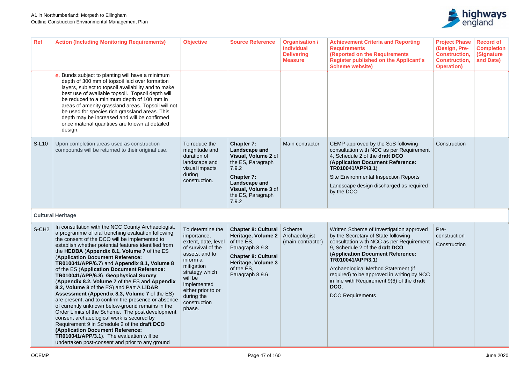

| <b>Ref</b>        | <b>Action (Including Monitoring Requirements)</b>                                                                                                                                                                                                                                                                                                                                                                                                                                                                                                                                                                                                                                                                                                                                                                                                                                                                                                                                                   | <b>Objective</b>                                                                                                                                                                                                                   | <b>Source Reference</b>                                                                                                                                                            | <b>Organisation /</b><br><b>Individual</b><br><b>Delivering</b><br><b>Measure</b> | <b>Achievement Criteria and Reporting</b><br><b>Requirements</b><br><b>(Reported on the Requirements</b><br><b>Register published on the Applicant's</b><br><b>Scheme website)</b>                                                                                                                                                                                                             | <b>Project Phase</b><br>(Design, Pre-<br><b>Construction,</b><br><b>Construction,</b><br><b>Operation</b> ) | <b>Record of</b><br><b>Completion</b><br>(Signature<br>and Date) |
|-------------------|-----------------------------------------------------------------------------------------------------------------------------------------------------------------------------------------------------------------------------------------------------------------------------------------------------------------------------------------------------------------------------------------------------------------------------------------------------------------------------------------------------------------------------------------------------------------------------------------------------------------------------------------------------------------------------------------------------------------------------------------------------------------------------------------------------------------------------------------------------------------------------------------------------------------------------------------------------------------------------------------------------|------------------------------------------------------------------------------------------------------------------------------------------------------------------------------------------------------------------------------------|------------------------------------------------------------------------------------------------------------------------------------------------------------------------------------|-----------------------------------------------------------------------------------|------------------------------------------------------------------------------------------------------------------------------------------------------------------------------------------------------------------------------------------------------------------------------------------------------------------------------------------------------------------------------------------------|-------------------------------------------------------------------------------------------------------------|------------------------------------------------------------------|
|                   | e. Bunds subject to planting will have a minimum<br>depth of 300 mm of topsoil laid over formation<br>layers, subject to topsoil availability and to make<br>best use of available topsoil. Topsoil depth will<br>be reduced to a minimum depth of 100 mm in<br>areas of amenity grassland areas. Topsoil will not<br>be used for species rich grassland areas. This<br>depth may be increased and will be confirmed<br>once material quantities are known at detailed<br>design.                                                                                                                                                                                                                                                                                                                                                                                                                                                                                                                   |                                                                                                                                                                                                                                    |                                                                                                                                                                                    |                                                                                   |                                                                                                                                                                                                                                                                                                                                                                                                |                                                                                                             |                                                                  |
| S-L <sub>10</sub> | Upon completion areas used as construction<br>compounds will be returned to their original use.                                                                                                                                                                                                                                                                                                                                                                                                                                                                                                                                                                                                                                                                                                                                                                                                                                                                                                     | To reduce the<br>magnitude and<br>duration of<br>landscape and<br>visual impacts<br>during<br>construction.                                                                                                                        | <b>Chapter 7:</b><br>Landscape and<br>Visual, Volume 2 of<br>the ES, Paragraph<br>7.9.2<br><b>Chapter 7:</b><br>Landscape and<br>Visual, Volume 3 of<br>the ES, Paragraph<br>7.9.2 | Main contractor                                                                   | CEMP approved by the SoS following<br>consultation with NCC as per Requirement<br>4. Schedule 2 of the draft DCO<br>(Application Document Reference:<br>TR010041/APP/3.1)<br><b>Site Environmental Inspection Reports</b><br>Landscape design discharged as required<br>by the DCO                                                                                                             | Construction                                                                                                |                                                                  |
|                   | <b>Cultural Heritage</b>                                                                                                                                                                                                                                                                                                                                                                                                                                                                                                                                                                                                                                                                                                                                                                                                                                                                                                                                                                            |                                                                                                                                                                                                                                    |                                                                                                                                                                                    |                                                                                   |                                                                                                                                                                                                                                                                                                                                                                                                |                                                                                                             |                                                                  |
| S-CH <sub>2</sub> | In consultation with the NCC County Archaeologist,<br>a programme of trial trenching evaluation following<br>the consent of the DCO will be implemented to<br>establish whether potential features identified from<br>the HEDBA (Appendix 8.1, Volume 7 of the ES<br>(Application Document Reference:<br>TR010041/APP/6.7) and Appendix 8.1, Volume 8<br>of the ES (Application Document Reference:<br>TR010041/APP/6.8), Geophysical Survey<br>(Appendix 8.2, Volume 7 of the ES and Appendix<br>8.2, Volume 8 of the ES) and Part A LiDAR<br>Assessment (Appendix 8.3, Volume 7 of the ES)<br>are present, and to confirm the presence or absence<br>of currently unknown below-ground remains in the<br>Order Limits of the Scheme. The post development<br>consent archaeological work is secured by<br>Requirement 9 in Schedule 2 of the draft DCO<br><b>(Application Document Reference:</b><br>TR010041/APP/3.1). The evaluation will be<br>undertaken post-consent and prior to any ground | To determine the<br>importance,<br>extent, date, level<br>of survival of the<br>assets, and to<br>inform a<br>mitigation<br>strategy which<br>will be<br>implemented<br>either prior to or<br>during the<br>construction<br>phase. | <b>Chapter 8: Cultural   Scheme</b><br>Heritage, Volume 2<br>of the ES,<br>Paragraph 8.9.3<br><b>Chapter 8: Cultural</b><br>Heritage, Volume 3<br>of the ES,<br>Paragraph 8.9.6    | Archaeologist<br>(main contractor)                                                | Written Scheme of Investigation approved<br>by the Secretary of State following<br>consultation with NCC as per Requirement<br>9, Schedule 2 of the draft DCO<br>(Application Document Reference:<br>TR010041/APP/3.1)<br>Archaeological Method Statement (if<br>required) to be approved in writing by NCC<br>in line with Requirement $9(6)$ of the draft<br>DCO.<br><b>DCO Requirements</b> | Pre-<br>construction<br>Construction                                                                        |                                                                  |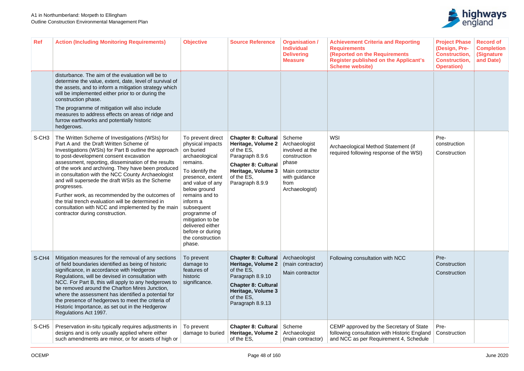

| <b>Ref</b>        | <b>Action (Including Monitoring Requirements)</b>                                                                                                                                                                                                                                                                                                                                                                                                                                                                                                                                                                                | <b>Objective</b>                                                                                                                                                                                                                                                                                                  | <b>Source Reference</b>                                                                                                                                                  | <b>Organisation /</b><br><b>Individual</b><br><b>Delivering</b><br><b>Measure</b>                                                 | <b>Achievement Criteria and Reporting</b><br><b>Requirements</b><br><b>(Reported on the Requirements</b><br><b>Register published on the Applicant's</b><br><b>Scheme website)</b> | <b>Project Phase</b><br>(Design, Pre-<br><b>Construction,</b><br><b>Construction,</b><br><b>Operation</b> ) | <b>Record of</b><br><b>Completion</b><br><b>(Signature</b><br>and Date) |
|-------------------|----------------------------------------------------------------------------------------------------------------------------------------------------------------------------------------------------------------------------------------------------------------------------------------------------------------------------------------------------------------------------------------------------------------------------------------------------------------------------------------------------------------------------------------------------------------------------------------------------------------------------------|-------------------------------------------------------------------------------------------------------------------------------------------------------------------------------------------------------------------------------------------------------------------------------------------------------------------|--------------------------------------------------------------------------------------------------------------------------------------------------------------------------|-----------------------------------------------------------------------------------------------------------------------------------|------------------------------------------------------------------------------------------------------------------------------------------------------------------------------------|-------------------------------------------------------------------------------------------------------------|-------------------------------------------------------------------------|
|                   | disturbance. The aim of the evaluation will be to<br>determine the value, extent, date, level of survival of<br>the assets, and to inform a mitigation strategy which<br>will be implemented either prior to or during the<br>construction phase.<br>The programme of mitigation will also include<br>measures to address effects on areas of ridge and<br>furrow earthworks and potentially historic<br>hedgerows.                                                                                                                                                                                                              |                                                                                                                                                                                                                                                                                                                   |                                                                                                                                                                          |                                                                                                                                   |                                                                                                                                                                                    |                                                                                                             |                                                                         |
| S-CH <sub>3</sub> | The Written Scheme of Investigations (WSIs) for<br>Part A and the Draft Written Scheme of<br>Investigations (WSIs) for Part B outline the approach<br>to post-development consent excavation<br>assessment, reporting, dissemination of the results<br>of the work and archiving. They have been produced<br>in consultation with the NCC County Archaeologist<br>and will supersede the draft WSIs as the Scheme<br>progresses.<br>Further work, as recommended by the outcomes of<br>the trial trench evaluation will be determined in<br>consultation with NCC and implemented by the main<br>contractor during construction. | To prevent direct<br>physical impacts<br>on buried<br>archaeological<br>remains.<br>To identify the<br>presence, extent<br>and value of any<br>below ground<br>remains and to<br>inform a<br>subsequent<br>programme of<br>mitigation to be<br>delivered either<br>before or during<br>the construction<br>phase. | <b>Chapter 8: Cultural</b><br>Heritage, Volume 2<br>of the ES,<br>Paragraph 8.9.6<br><b>Chapter 8: Cultural</b><br>Heritage, Volume 3<br>of the ES,<br>Paragraph 8.9.9   | Scheme<br>Archaeologist<br>involved at the<br>construction<br>phase<br>Main contractor<br>with guidance<br>from<br>Archaeologist) | <b>WSI</b><br>Archaeological Method Statement (if<br>required following response of the WSI)                                                                                       | Pre-<br>construction<br>Construction                                                                        |                                                                         |
| S-CH4             | Mitigation measures for the removal of any sections<br>of field boundaries identified as being of historic<br>significance, in accordance with Hedgerow<br>Regulations, will be devised in consultation with<br>NCC. For Part B, this will apply to any hedgerows to<br>be removed around the Charlton Mires Junction,<br>where the assessment has identified a potential for<br>the presence of hedgerows to meet the criteria of<br>Historic Importance, as set out in the Hedgerow<br>Regulations Act 1997.                                                                                                                   | To prevent<br>damage to<br>features of<br>historic<br>significance.                                                                                                                                                                                                                                               | <b>Chapter 8: Cultural</b><br>Heritage, Volume 2<br>of the ES,<br>Paragraph 8.9.10<br><b>Chapter 8: Cultural</b><br>Heritage, Volume 3<br>of the ES,<br>Paragraph 8.9.13 | Archaeologist<br>(main contractor)<br>Main contractor                                                                             | Following consultation with NCC                                                                                                                                                    | Pre-<br>Construction<br>Construction                                                                        |                                                                         |
| S-CH <sub>5</sub> | Preservation in-situ typically requires adjustments in<br>designs and is only usually applied where either<br>such amendments are minor, or for assets of high or                                                                                                                                                                                                                                                                                                                                                                                                                                                                | To prevent<br>damage to buried                                                                                                                                                                                                                                                                                    | <b>Chapter 8: Cultural</b><br>Heritage, Volume 2<br>of the ES,                                                                                                           | Scheme<br>Archaeologist<br>(main contractor)                                                                                      | CEMP approved by the Secretary of State<br>following consultation with Historic England<br>and NCC as per Requirement 4, Schedule                                                  | Pre-<br>Construction                                                                                        |                                                                         |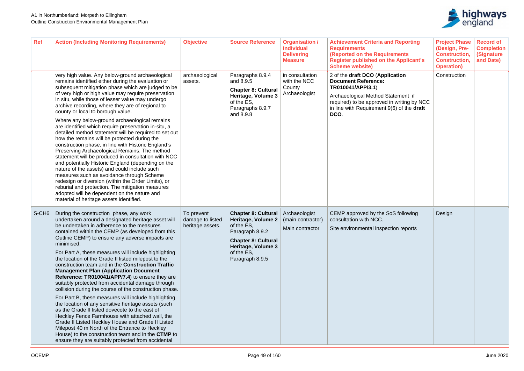

| <b>Ref</b>        | <b>Action (Including Monitoring Requirements)</b>                                                                                                                                                                                                                                                                                                                                                                                                                                                                                                                                                                                                                                                                                                                                                                                                                                                                                                                                                                                                                                                         | <b>Objective</b>                                   | <b>Source Reference</b>                                                                                                                                                | <b>Organisation /</b><br><b>Individual</b><br><b>Delivering</b><br><b>Measure</b> | <b>Achievement Criteria and Reporting</b><br><b>Requirements</b><br><b>(Reported on the Requirements</b><br><b>Register published on the Applicant's</b><br><b>Scheme website)</b>                                           | <b>Project Phase</b><br>(Design, Pre-<br><b>Construction,</b><br><b>Construction,</b><br><b>Operation</b> ) | <b>Record of</b><br><b>Completion</b><br><b>(Signature</b><br>and Date) |
|-------------------|-----------------------------------------------------------------------------------------------------------------------------------------------------------------------------------------------------------------------------------------------------------------------------------------------------------------------------------------------------------------------------------------------------------------------------------------------------------------------------------------------------------------------------------------------------------------------------------------------------------------------------------------------------------------------------------------------------------------------------------------------------------------------------------------------------------------------------------------------------------------------------------------------------------------------------------------------------------------------------------------------------------------------------------------------------------------------------------------------------------|----------------------------------------------------|------------------------------------------------------------------------------------------------------------------------------------------------------------------------|-----------------------------------------------------------------------------------|------------------------------------------------------------------------------------------------------------------------------------------------------------------------------------------------------------------------------|-------------------------------------------------------------------------------------------------------------|-------------------------------------------------------------------------|
|                   | very high value. Any below-ground archaeological<br>remains identified either during the evaluation or<br>subsequent mitigation phase which are judged to be<br>of very high or high value may require preservation<br>in situ, while those of lesser value may undergo<br>archive recording, where they are of regional to<br>county or local to borough value.<br>Where any below-ground archaeological remains<br>are identified which require preservation in-situ, a<br>detailed method statement will be required to set out<br>how the remains will be protected during the<br>construction phase, in line with Historic England's<br>Preserving Archaeological Remains. The method<br>statement will be produced in consultation with NCC<br>and potentially Historic England (depending on the<br>nature of the assets) and could include such<br>measures such as avoidance through Scheme<br>redesign or diversion (within the Order Limits), or<br>reburial and protection. The mitigation measures<br>adopted will be dependent on the nature and<br>material of heritage assets identified. | archaeological<br>assets.                          | Paragraphs 8.9.4<br>and 8.9.5<br><b>Chapter 8: Cultural</b><br>Heritage, Volume 3<br>of the ES,<br>Paragraphs 8.9.7<br>and 8.9.8                                       | in consultation<br>with the NCC<br>County<br>Archaeologist                        | 2 of the draft DCO (Application<br><b>Document Reference:</b><br>TR010041/APP/3.1)<br>Archaeological Method Statement if<br>required) to be approved in writing by NCC<br>in line with Requirement 9(6) of the draft<br>DCO. | Construction                                                                                                |                                                                         |
| S-CH <sub>6</sub> | During the construction phase, any work<br>undertaken around a designated heritage asset will<br>be undertaken in adherence to the measures<br>contained within the CEMP (as developed from this<br>Outline CEMP) to ensure any adverse impacts are<br>minimised.<br>For Part A, these measures will include highlighting<br>the location of the Grade II listed milepost to the<br>construction team and in the Construction Traffic<br><b>Management Plan (Application Document)</b><br>Reference: TR010041/APP/7.4) to ensure they are<br>suitably protected from accidental damage through<br>collision during the course of the construction phase.<br>For Part B, these measures will include highlighting<br>the location of any sensitive heritage assets (such<br>as the Grade II listed dovecote to the east of<br>Heckley Fence Farmhouse with attached wall, the<br>Grade II Listed Heckley House and Grade II Listed<br>Milepost 40 m North of the Entrance to Heckley<br>House) to the construction team and in the CTMP to<br>ensure they are suitably protected from accidental           | To prevent<br>damage to listed<br>heritage assets. | <b>Chapter 8: Cultural</b><br>Heritage, Volume 2<br>of the ES,<br>Paragraph 8.9.2<br><b>Chapter 8: Cultural</b><br>Heritage, Volume 3<br>of the ES,<br>Paragraph 8.9.5 | Archaeologist<br>(main contractor)<br>Main contractor                             | CEMP approved by the SoS following<br>consultation with NCC.<br>Site environmental inspection reports                                                                                                                        | Design                                                                                                      |                                                                         |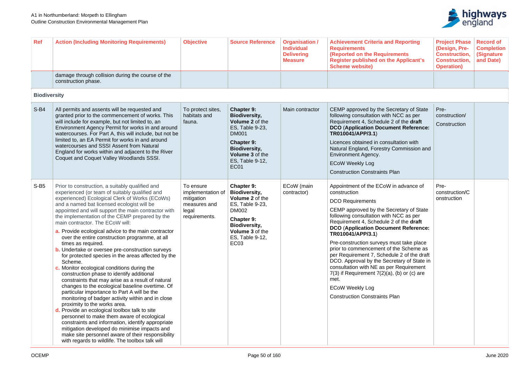

| <b>Ref</b>          | <b>Action (Including Monitoring Requirements)</b>                                                                                                                                                                                                                                                                                                                                                                                                                                                                                                                                                                                                                                                                                                                                                                                                                                                                                                                                                                                                                                                                                                                                                                                                            | <b>Objective</b>                                                                       | <b>Source Reference</b>                                                                                                                                                                                | <b>Organisation /</b><br><b>Individual</b><br><b>Delivering</b><br><b>Measure</b> | <b>Achievement Criteria and Reporting</b><br><b>Requirements</b><br><b>(Reported on the Requirements</b><br><b>Register published on the Applicant's</b><br><b>Scheme website)</b>                                                                                                                                                                                                                                                                                                                                                                                                                                                             | <b>Project Phase</b><br>(Design, Pre-<br><b>Construction,</b><br><b>Construction,</b><br><b>Operation</b> ) | <b>Record of</b><br><b>Completion</b><br>(Signature<br>and Date) |
|---------------------|--------------------------------------------------------------------------------------------------------------------------------------------------------------------------------------------------------------------------------------------------------------------------------------------------------------------------------------------------------------------------------------------------------------------------------------------------------------------------------------------------------------------------------------------------------------------------------------------------------------------------------------------------------------------------------------------------------------------------------------------------------------------------------------------------------------------------------------------------------------------------------------------------------------------------------------------------------------------------------------------------------------------------------------------------------------------------------------------------------------------------------------------------------------------------------------------------------------------------------------------------------------|----------------------------------------------------------------------------------------|--------------------------------------------------------------------------------------------------------------------------------------------------------------------------------------------------------|-----------------------------------------------------------------------------------|------------------------------------------------------------------------------------------------------------------------------------------------------------------------------------------------------------------------------------------------------------------------------------------------------------------------------------------------------------------------------------------------------------------------------------------------------------------------------------------------------------------------------------------------------------------------------------------------------------------------------------------------|-------------------------------------------------------------------------------------------------------------|------------------------------------------------------------------|
|                     | damage through collision during the course of the<br>construction phase.                                                                                                                                                                                                                                                                                                                                                                                                                                                                                                                                                                                                                                                                                                                                                                                                                                                                                                                                                                                                                                                                                                                                                                                     |                                                                                        |                                                                                                                                                                                                        |                                                                                   |                                                                                                                                                                                                                                                                                                                                                                                                                                                                                                                                                                                                                                                |                                                                                                             |                                                                  |
| <b>Biodiversity</b> |                                                                                                                                                                                                                                                                                                                                                                                                                                                                                                                                                                                                                                                                                                                                                                                                                                                                                                                                                                                                                                                                                                                                                                                                                                                              |                                                                                        |                                                                                                                                                                                                        |                                                                                   |                                                                                                                                                                                                                                                                                                                                                                                                                                                                                                                                                                                                                                                |                                                                                                             |                                                                  |
| $S-B4$              | All permits and assents will be requested and<br>granted prior to the commencement of works. This<br>will include for example, but not limited to, an<br>Environment Agency Permit for works in and around<br>watercourses. For Part A, this will include, but not be<br>limited to, an EA Permit for works in and around<br>watercourses and SSSI Assent from Natural<br>England for works within and adjacent to the River<br>Coquet and Coquet Valley Woodlands SSSI.                                                                                                                                                                                                                                                                                                                                                                                                                                                                                                                                                                                                                                                                                                                                                                                     | To protect sites,<br>habitats and<br>fauna.                                            | <b>Chapter 9:</b><br><b>Biodiversity,</b><br>Volume 2 of the<br>ES, Table 9-23,<br><b>DM001</b><br><b>Chapter 9:</b><br><b>Biodiversity,</b><br>Volume 3 of the<br>ES, Table 9-12,<br><b>EC01</b>      | Main contractor                                                                   | CEMP approved by the Secretary of State<br>following consultation with NCC as per<br>Requirement 4, Schedule 2 of the draft<br><b>DCO (Application Document Reference:</b><br>TR010041/APP/3.1)<br>Licences obtained in consultation with<br>Natural England, Forestry Commission and<br><b>Environment Agency.</b><br><b>ECoW Weekly Log</b><br><b>Construction Constraints Plan</b>                                                                                                                                                                                                                                                          | Pre-<br>construction/<br>Construction                                                                       |                                                                  |
| $S-B5$              | Prior to construction, a suitably qualified and<br>experienced (or team of suitably qualified and<br>experienced) Ecological Clerk of Works (ECoWs)<br>and a named bat licensed ecologist will be<br>appointed and will support the main contractor with<br>the implementation of the CEMP prepared by the<br>main contractor. The ECoW will:<br>a. Provide ecological advice to the main contractor<br>over the entire construction programme, at all<br>times as required.<br><b>b.</b> Undertake or oversee pre-construction surveys<br>for protected species in the areas affected by the<br>Scheme.<br>c. Monitor ecological conditions during the<br>construction phase to identify additional<br>constraints that may arise as a result of natural<br>changes to the ecological baseline overtime. Of<br>particular importance to Part A will be the<br>monitoring of badger activity within and in close<br>proximity to the works area.<br>d. Provide an ecological toolbox talk to site<br>personnel to make them aware of ecological<br>constraints and information, identify appropriate<br>mitigation developed do minimise impacts and<br>make site personnel aware of their responsibility<br>with regards to wildlife. The toolbox talk will | To ensure<br>implementation of<br>mitigation<br>measures and<br>legal<br>requirements. | <b>Chapter 9:</b><br><b>Biodiversity,</b><br>Volume 2 of the<br>ES, Table 9-23,<br><b>DM002</b><br><b>Chapter 9:</b><br><b>Biodiversity,</b><br>Volume 3 of the<br>ES, Table 9-12,<br>EC <sub>03</sub> | ECoW (main<br>contractor)                                                         | Appointment of the ECoW in advance of<br>construction<br><b>DCO Requirements</b><br>CEMP approved by the Secretary of State<br>following consultation with NCC as per<br>Requirement 4, Schedule 2 of the draft<br><b>DCO (Application Document Reference:</b><br>TR010041/APP/3.1)<br>Pre-construction surveys must take place<br>prior to commencement of the Scheme as<br>per Requirement 7, Schedule 2 of the draft<br>DCO. Approval by the Secretary of State in<br>consultation with NE as per Requirement<br>$7(3)$ if Requirement $7(2)(a)$ , (b) or (c) are<br>met.<br><b>ECoW Weekly Log</b><br><b>Construction Constraints Plan</b> | Pre-<br>construction/C<br>onstruction                                                                       |                                                                  |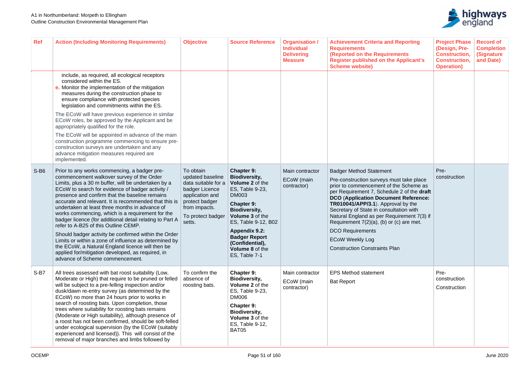

| <b>Ref</b> | <b>Action (Including Monitoring Requirements)</b>                                                                                                                                                                                                                                                                                                                                                                                                                                                                                                                                                                                                                                                                                                                                      | <b>Objective</b>                                                                                                                                            | <b>Source Reference</b>                                                                                                                                                                                                                                                                       | <b>Organisation /</b><br><b>Individual</b><br><b>Delivering</b><br><b>Measure</b> | <b>Achievement Criteria and Reporting</b><br><b>Requirements</b><br><b>(Reported on the Requirements</b><br><b>Register published on the Applicant's</b><br><b>Scheme website)</b>                                                                                                                                                                                                                                                                                                           | <b>Project Phase</b><br>(Design, Pre-<br><b>Construction,</b><br><b>Construction,</b><br><b>Operation</b> ) | <b>Record of</b><br><b>Completion</b><br><b>(Signature</b><br>and Date) |
|------------|----------------------------------------------------------------------------------------------------------------------------------------------------------------------------------------------------------------------------------------------------------------------------------------------------------------------------------------------------------------------------------------------------------------------------------------------------------------------------------------------------------------------------------------------------------------------------------------------------------------------------------------------------------------------------------------------------------------------------------------------------------------------------------------|-------------------------------------------------------------------------------------------------------------------------------------------------------------|-----------------------------------------------------------------------------------------------------------------------------------------------------------------------------------------------------------------------------------------------------------------------------------------------|-----------------------------------------------------------------------------------|----------------------------------------------------------------------------------------------------------------------------------------------------------------------------------------------------------------------------------------------------------------------------------------------------------------------------------------------------------------------------------------------------------------------------------------------------------------------------------------------|-------------------------------------------------------------------------------------------------------------|-------------------------------------------------------------------------|
|            | include, as required, all ecological receptors<br>considered within the ES.<br>e. Monitor the implementation of the mitigation<br>measures during the construction phase to<br>ensure compliance with protected species<br>legislation and commitments within the ES.<br>The ECoW will have previous experience in similar                                                                                                                                                                                                                                                                                                                                                                                                                                                             |                                                                                                                                                             |                                                                                                                                                                                                                                                                                               |                                                                                   |                                                                                                                                                                                                                                                                                                                                                                                                                                                                                              |                                                                                                             |                                                                         |
|            | ECoW roles, be approved by the Applicant and be<br>appropriately qualified for the role.                                                                                                                                                                                                                                                                                                                                                                                                                                                                                                                                                                                                                                                                                               |                                                                                                                                                             |                                                                                                                                                                                                                                                                                               |                                                                                   |                                                                                                                                                                                                                                                                                                                                                                                                                                                                                              |                                                                                                             |                                                                         |
|            | The ECoW will be appointed in advance of the main<br>construction programme commencing to ensure pre-<br>construction surveys are undertaken and any<br>advance mitigation measures required are<br>implemented.                                                                                                                                                                                                                                                                                                                                                                                                                                                                                                                                                                       |                                                                                                                                                             |                                                                                                                                                                                                                                                                                               |                                                                                   |                                                                                                                                                                                                                                                                                                                                                                                                                                                                                              |                                                                                                             |                                                                         |
| $S-B6$     | Prior to any works commencing, a badger pre-<br>commencement walkover survey of the Order<br>Limits, plus a 30 m buffer, will be undertaken by a<br>ECoW to search for evidence of badger activity /<br>presence and confirm that the baseline remains<br>accurate and relevant. It is recommended that this is<br>undertaken at least three months in advance of<br>works commencing, which is a requirement for the<br>badger licence (for additional detail relating to Part A<br>refer to A-B25 of this Outline CEMP.<br>Should badger activity be confirmed within the Order<br>Limits or within a zone of influence as determined by<br>the ECoW, a Natural England licence will then be<br>applied for/mitigation developed, as required, in<br>advance of Scheme commencement. | To obtain<br>updated baseline<br>data suitable for a<br>badger Licence<br>application and<br>protect badger<br>from impacts.<br>To protect badger<br>setts. | <b>Chapter 9:</b><br><b>Biodiversity,</b><br>Volume 2 of the<br>ES, Table 9-23,<br><b>DM003</b><br><b>Chapter 9:</b><br><b>Biodiversity,</b><br>Volume 3 of the<br>ES, Table 9-12, B02<br><b>Appendix 9.2:</b><br><b>Badger Report</b><br>(Confidential),<br>Volume 8 of the<br>ES, Table 7-1 | Main contractor<br>ECoW (main<br>contractor)                                      | <b>Badger Method Statement</b><br>Pre-construction surveys must take place<br>prior to commencement of the Scheme as<br>per Requirement 7, Schedule 2 of the draft<br><b>DCO (Application Document Reference:</b><br>TR010041/APP/3.1). Approval by the<br>Secretary of State in consultation with<br>Natural England as per Requirement 7(3) if<br>Requirement $7(2)(a)$ , (b) or (c) are met.<br><b>DCO Requirements</b><br><b>ECoW Weekly Log</b><br><b>Construction Constraints Plan</b> | Pre-<br>construction                                                                                        |                                                                         |
| $S-B7$     | All trees assessed with bat roost suitability (Low,<br>Moderate or High) that require to be pruned or felled<br>will be subject to a pre-felling inspection and/or<br>dusk/dawn re-entry survey (as determined by the<br>ECoW) no more than 24 hours prior to works in<br>search of roosting bats. Upon completion, those<br>trees where suitability for roosting bats remains<br>(Moderate or High suitability), although presence of<br>a roost has not been confirmed, should be soft-felled<br>under ecological supervision (by the ECoW (suitably<br>experienced and licensed)). This will consist of the<br>removal of major branches and limbs followed by                                                                                                                      | To confirm the<br>absence of<br>roosting bats.                                                                                                              | <b>Chapter 9:</b><br>Biodiversity,<br>Volume 2 of the<br>ES, Table 9-23,<br><b>DM006</b><br><b>Chapter 9:</b><br><b>Biodiversity,</b><br>Volume 3 of the<br>ES, Table 9-12,<br>BAT05                                                                                                          | Main contractor<br>ECoW (main<br>contractor)                                      | <b>EPS Method statement</b><br><b>Bat Report</b>                                                                                                                                                                                                                                                                                                                                                                                                                                             | Pre-<br>construction<br>Construction                                                                        |                                                                         |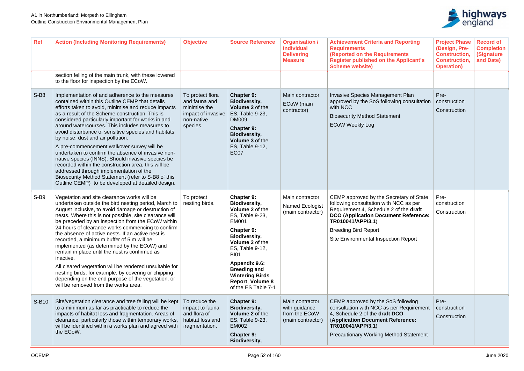

| <b>Ref</b>        | <b>Action (Including Monitoring Requirements)</b>                                                                                                                                                                                                                                                                                                                                                                                                                                                                                                                                                                                                                                                                                                                                       | <b>Objective</b>                                                                                  | <b>Source Reference</b>                                                                                                                                                                                                                                                                                                      | <b>Organisation /</b><br><b>Individual</b><br><b>Delivering</b><br><b>Measure</b> | <b>Achievement Criteria and Reporting</b><br><b>Requirements</b><br><b>(Reported on the Requirements)</b><br><b>Register published on the Applicant's</b><br><b>Scheme website)</b>                                                                                           | <b>Project Phase</b><br>(Design, Pre-<br><b>Construction,</b><br><b>Construction,</b><br><b>Operation</b> ) | <b>Record of</b><br><b>Completion</b><br><b>(Signature</b><br>and Date) |
|-------------------|-----------------------------------------------------------------------------------------------------------------------------------------------------------------------------------------------------------------------------------------------------------------------------------------------------------------------------------------------------------------------------------------------------------------------------------------------------------------------------------------------------------------------------------------------------------------------------------------------------------------------------------------------------------------------------------------------------------------------------------------------------------------------------------------|---------------------------------------------------------------------------------------------------|------------------------------------------------------------------------------------------------------------------------------------------------------------------------------------------------------------------------------------------------------------------------------------------------------------------------------|-----------------------------------------------------------------------------------|-------------------------------------------------------------------------------------------------------------------------------------------------------------------------------------------------------------------------------------------------------------------------------|-------------------------------------------------------------------------------------------------------------|-------------------------------------------------------------------------|
|                   | section felling of the main trunk, with these lowered<br>to the floor for inspection by the ECoW.                                                                                                                                                                                                                                                                                                                                                                                                                                                                                                                                                                                                                                                                                       |                                                                                                   |                                                                                                                                                                                                                                                                                                                              |                                                                                   |                                                                                                                                                                                                                                                                               |                                                                                                             |                                                                         |
| $S-B8$            | Implementation of and adherence to the measures<br>contained within this Outline CEMP that details<br>efforts taken to avoid, minimise and reduce impacts<br>as a result of the Scheme construction. This is<br>considered particularly important for works in and<br>around watercourses. This includes measures to<br>avoid disturbance of sensitive species and habitats<br>by noise, dust and air pollution.<br>A pre-commencement walkover survey will be<br>undertaken to confirm the absence of invasive non-<br>native species (INNS). Should invasive species be<br>recorded within the construction area, this will be<br>addressed through implementation of the<br>Biosecurity Method Statement (refer to S-B8 of this<br>Outline CEMP) to be developed at detailed design. | To protect flora<br>and fauna and<br>minimise the<br>impact of invasive<br>non-native<br>species. | <b>Chapter 9:</b><br><b>Biodiversity,</b><br>Volume 2 of the<br>ES, Table 9-23,<br><b>DM009</b><br><b>Chapter 9:</b><br><b>Biodiversity,</b><br>Volume 3 of the<br>ES, Table 9-12,<br>EC07                                                                                                                                   | Main contractor<br>ECoW (main<br>contractor)                                      | <b>Invasive Species Management Plan</b><br>approved by the SoS following consultation<br>with NCC<br><b>Biosecurity Method Statement</b><br><b>ECoW Weekly Log</b>                                                                                                            | Pre-<br>construction<br>Construction                                                                        |                                                                         |
| $S-B9$            | Vegetation and site clearance works will be<br>undertaken outside the bird nesting period, March to<br>August inclusive, to avoid damage or destruction of<br>nests. Where this is not possible, site clearance will<br>be preceded by an inspection from the ECoW within<br>24 hours of clearance works commencing to confirm<br>the absence of active nests. If an active nest is<br>recorded, a minimum buffer of 5 m will be<br>implemented (as determined by the ECoW) and<br>remain in place until the nest is confirmed as<br>inactive.<br>All cleared vegetation will be rendered unsuitable for<br>nesting birds, for example, by covering or chipping<br>depending on the end purpose of the vegetation, or<br>will be removed from the works area.                           | To protect<br>nesting birds.                                                                      | <b>Chapter 9:</b><br><b>Biodiversity,</b><br>Volume 2 of the<br>ES, Table 9-23,<br><b>EM001</b><br><b>Chapter 9:</b><br><b>Biodiversity,</b><br>Volume 3 of the<br>ES, Table 9-12,<br><b>BI01</b><br><b>Appendix 9.6:</b><br><b>Breeding and</b><br><b>Wintering Birds</b><br><b>Report, Volume 8</b><br>of the ES Table 7-1 | Main contractor<br>Named Ecologist<br>(main contractor)                           | CEMP approved by the Secretary of State<br>following consultation with NCC as per<br>Requirement 4, Schedule 2 of the draft<br><b>DCO (Application Document Reference:</b><br>TR010041/APP/3.1)<br><b>Breeding Bird Report</b><br><b>Site Environmental Inspection Report</b> | Pre-<br>construction<br>Construction                                                                        |                                                                         |
| S-B <sub>10</sub> | Site/vegetation clearance and tree felling will be kept<br>to a minimum as far as practicable to reduce the<br>impacts of habitat loss and fragmentation. Areas of<br>clearance, particularly those within temporary works,<br>will be identified within a works plan and agreed with<br>the ECoW.                                                                                                                                                                                                                                                                                                                                                                                                                                                                                      | To reduce the<br>impact to fauna<br>and flora of<br>habitat loss and<br>fragmentation.            | <b>Chapter 9:</b><br><b>Biodiversity,</b><br>Volume 2 of the<br>ES, Table 9-23,<br><b>EM002</b><br><b>Chapter 9:</b><br>Biodiversity,                                                                                                                                                                                        | Main contractor<br>with guidance<br>from the ECoW<br>(main contractor)            | CEMP approved by the SoS following<br>consultation with NCC as per Requirement<br>4. Schedule 2 of the draft DCO<br>(Application Document Reference:<br>TR010041/APP/3.1)<br><b>Precautionary Working Method Statement</b>                                                    | Pre-<br>construction<br>Construction                                                                        |                                                                         |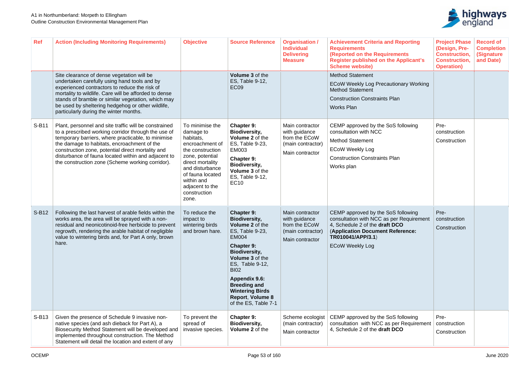

| <b>Ref</b> | <b>Action (Including Monitoring Requirements)</b>                                                                                                                                                                                                                                                                                                                                 | <b>Objective</b>                                                                                                                                                                                                         | <b>Source Reference</b>                                                                                                                                                                                                                                                                                                       | <b>Organisation /</b><br><b>Individual</b><br><b>Delivering</b><br><b>Measure</b>         | <b>Achievement Criteria and Reporting</b><br><b>Requirements</b><br><b>(Reported on the Requirements</b><br><b>Register published on the Applicant's</b><br><b>Scheme website)</b>                  | <b>Project Phase</b><br>(Design, Pre-<br><b>Construction,</b><br><b>Construction,</b><br><b>Operation</b> ) | <b>Record of</b><br><b>Completion</b><br><b>(Signature</b><br>and Date) |
|------------|-----------------------------------------------------------------------------------------------------------------------------------------------------------------------------------------------------------------------------------------------------------------------------------------------------------------------------------------------------------------------------------|--------------------------------------------------------------------------------------------------------------------------------------------------------------------------------------------------------------------------|-------------------------------------------------------------------------------------------------------------------------------------------------------------------------------------------------------------------------------------------------------------------------------------------------------------------------------|-------------------------------------------------------------------------------------------|-----------------------------------------------------------------------------------------------------------------------------------------------------------------------------------------------------|-------------------------------------------------------------------------------------------------------------|-------------------------------------------------------------------------|
|            | Site clearance of dense vegetation will be<br>undertaken carefully using hand tools and by<br>experienced contractors to reduce the risk of<br>mortality to wildlife. Care will be afforded to dense<br>stands of bramble or similar vegetation, which may<br>be used by sheltering hedgehog or other wildlife,<br>particularly during the winter months.                         |                                                                                                                                                                                                                          | Volume 3 of the<br>ES, Table 9-12,<br>EC <sub>09</sub>                                                                                                                                                                                                                                                                        |                                                                                           | <b>Method Statement</b><br><b>ECoW Weekly Log Precautionary Working</b><br><b>Method Statement</b><br><b>Construction Constraints Plan</b><br><b>Works Plan</b>                                     |                                                                                                             |                                                                         |
| S-B11      | Plant, personnel and site traffic will be constrained<br>to a prescribed working corridor through the use of<br>temporary barriers, where practicable, to minimise<br>the damage to habitats, encroachment of the<br>construction zone, potential direct mortality and<br>disturbance of fauna located within and adjacent to<br>the construction zone (Scheme working corridor). | To minimise the<br>damage to<br>habitats,<br>encroachment of<br>the construction<br>zone, potential<br>direct mortality<br>and disturbance<br>of fauna located<br>within and<br>adjacent to the<br>construction<br>zone. | <b>Chapter 9:</b><br><b>Biodiversity,</b><br>Volume 2 of the<br>ES, Table 9-23,<br><b>EM003</b><br><b>Chapter 9:</b><br><b>Biodiversity,</b><br>Volume 3 of the<br>ES, Table 9-12,<br><b>EC10</b>                                                                                                                             | Main contractor<br>with guidance<br>from the ECoW<br>(main contractor)<br>Main contractor | CEMP approved by the SoS following<br>consultation with NCC<br><b>Method Statement</b><br><b>ECoW Weekly Log</b><br><b>Construction Constraints Plan</b><br>Works plan                              | Pre-<br>construction<br>Construction                                                                        |                                                                         |
| S-B12      | Following the last harvest of arable fields within the<br>works area, the area will be sprayed with a non-<br>residual and neonicotinoid-free herbicide to prevent<br>regrowth, rendering the arable habitat of negligible<br>value to wintering birds and, for Part A only, brown<br>hare.                                                                                       | To reduce the<br>impact to<br>wintering birds<br>and brown hare.                                                                                                                                                         | <b>Chapter 9:</b><br><b>Biodiversity,</b><br>Volume 2 of the<br>ES, Table 9-23,<br><b>EM004</b><br><b>Chapter 9:</b><br><b>Biodiversity,</b><br>Volume 3 of the<br>ES, Table 9-12,<br><b>BI02</b><br><b>Appendix 9.6:</b><br><b>Breeding and</b><br><b>Wintering Birds</b><br><b>Report, Volume 8</b><br>of the ES, Table 7-1 | Main contractor<br>with guidance<br>from the ECoW<br>(main contractor)<br>Main contractor | CEMP approved by the SoS following<br>consultation with NCC as per Requirement<br>4. Schedule 2 of the draft DCO<br>(Application Document Reference:<br>TR010041/APP/3.1)<br><b>ECoW Weekly Log</b> | Pre-<br>construction<br>Construction                                                                        |                                                                         |
| S-B13      | Given the presence of Schedule 9 invasive non-<br>native species (and ash dieback for Part A), a<br>Biosecurity Method Statement will be developed and<br>implemented throughout construction. The Method<br>Statement will detail the location and extent of any                                                                                                                 | To prevent the<br>spread of<br>invasive species.                                                                                                                                                                         | <b>Chapter 9:</b><br><b>Biodiversity,</b><br>Volume 2 of the                                                                                                                                                                                                                                                                  | Scheme ecologist<br>(main contractor)<br>Main contractor                                  | CEMP approved by the SoS following<br>consultation with NCC as per Requirement<br>4. Schedule 2 of the draft DCO                                                                                    | Pre-<br>construction<br>Construction                                                                        |                                                                         |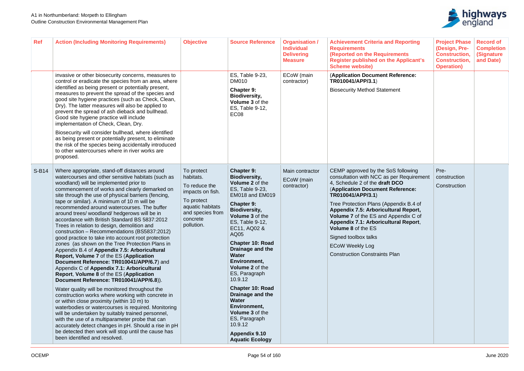

| <b>Ref</b> | <b>Action (Including Monitoring Requirements)</b>                                                                                                                                                                                                                                                                                                                                                                                                                                                                                                                                                                                                                                                                                                                                                                                                                                                                                                                                                                                                                                                                                                                                                                                                                                                                                                                                                                   | <b>Objective</b>                                                                                                                             | <b>Source Reference</b>                                                                                                                                                                                                                                                                                                                                                                                                                                                                                                            | <b>Organisation /</b><br><b>Individual</b><br><b>Delivering</b><br><b>Measure</b> | <b>Achievement Criteria and Reporting</b><br><b>Requirements</b><br><b>(Reported on the Requirements)</b><br><b>Register published on the Applicant's</b><br><b>Scheme website)</b>                                                                                                                                                                                                                                                                         | <b>Project Phase</b><br>(Design, Pre-<br><b>Construction,</b><br><b>Construction,</b><br><b>Operation</b> ) | <b>Record of</b><br><b>Completion</b><br><b>(Signature</b><br>and Date) |
|------------|---------------------------------------------------------------------------------------------------------------------------------------------------------------------------------------------------------------------------------------------------------------------------------------------------------------------------------------------------------------------------------------------------------------------------------------------------------------------------------------------------------------------------------------------------------------------------------------------------------------------------------------------------------------------------------------------------------------------------------------------------------------------------------------------------------------------------------------------------------------------------------------------------------------------------------------------------------------------------------------------------------------------------------------------------------------------------------------------------------------------------------------------------------------------------------------------------------------------------------------------------------------------------------------------------------------------------------------------------------------------------------------------------------------------|----------------------------------------------------------------------------------------------------------------------------------------------|------------------------------------------------------------------------------------------------------------------------------------------------------------------------------------------------------------------------------------------------------------------------------------------------------------------------------------------------------------------------------------------------------------------------------------------------------------------------------------------------------------------------------------|-----------------------------------------------------------------------------------|-------------------------------------------------------------------------------------------------------------------------------------------------------------------------------------------------------------------------------------------------------------------------------------------------------------------------------------------------------------------------------------------------------------------------------------------------------------|-------------------------------------------------------------------------------------------------------------|-------------------------------------------------------------------------|
|            | invasive or other biosecurity concerns, measures to<br>control or eradicate the species from an area, where<br>identified as being present or potentially present,<br>measures to prevent the spread of the species and<br>good site hygiene practices (such as Check, Clean,<br>Dry). The latter measures will also be applied to<br>prevent the spread of ash dieback and bullhead.<br>Good site hygiene practice will include<br>implementation of Check, Clean, Dry.<br>Biosecurity will consider bullhead, where identified<br>as being present or potentially present, to eliminate<br>the risk of the species being accidentally introduced<br>to other watercourses where in river works are<br>proposed.                                                                                                                                                                                                                                                                                                                                                                                                                                                                                                                                                                                                                                                                                                   |                                                                                                                                              | ES, Table 9-23,<br><b>DM010</b><br><b>Chapter 9:</b><br><b>Biodiversity,</b><br>Volume 3 of the<br>ES, Table 9-12,<br><b>EC08</b>                                                                                                                                                                                                                                                                                                                                                                                                  | ECoW (main<br>contractor)                                                         | (Application Document Reference:<br>TR010041/APP/3.1)<br><b>Biosecurity Method Statement</b>                                                                                                                                                                                                                                                                                                                                                                |                                                                                                             |                                                                         |
| S-B14      | Where appropriate, stand-off distances around<br>watercourses and other sensitive habitats (such as<br>woodland) will be implemented prior to<br>commencement of works and clearly demarked on<br>site through the use of physical barriers (fencing,<br>tape or similar). A minimum of 10 m will be<br>recommended around watercourses. The buffer<br>around trees/ woodland/ hedgerows will be in<br>accordance with British Standard BS 5837:2012<br>Trees in relation to design, demolition and<br>construction – Recommendations (BS5837:2012)<br>good practice to take into account root protection<br>zones (as shown on the Tree Protection Plans in<br>Appendix B.4 of Appendix 7.5: Arboricultural<br><b>Report, Volume 7 of the ES (Application</b><br>Document Reference: TR010041/APP/6.7) and<br>Appendix C of Appendix 7.1: Arboricultural<br>Report, Volume 8 of the ES (Application<br>Document Reference: TR010041/APP/6.8)).<br>Water quality will be monitored throughout the<br>construction works where working with concrete in<br>or within close proximity (within 10 m) to<br>waterbodies or watercourses is required. Monitoring<br>will be undertaken by suitably trained personnel,<br>with the use of a multiparameter probe that can<br>accurately detect changes in pH. Should a rise in pH<br>be detected then work will stop until the cause has<br>been identified and resolved. | To protect<br>habitats.<br>To reduce the<br>impacts on fish.<br>To protect<br>aquatic habitats<br>and species from<br>concrete<br>pollution. | <b>Chapter 9:</b><br><b>Biodiversity,</b><br>Volume 2 of the<br>ES, Table 9-23,<br>EM018 and EM019<br><b>Chapter 9:</b><br><b>Biodiversity,</b><br>Volume 3 of the<br>ES, Table 9-12,<br>EC11, AQ02 &<br>AQ05<br><b>Chapter 10: Road</b><br><b>Drainage and the</b><br><b>Water</b><br>Environment,<br>Volume 2 of the<br>ES, Paragraph<br>10.9.12<br><b>Chapter 10: Road</b><br>Drainage and the<br><b>Water</b><br>Environment,<br>Volume 3 of the<br>ES, Paragraph<br>10.9.12<br><b>Appendix 9.10</b><br><b>Aquatic Ecology</b> | Main contractor<br>ECoW (main<br>contractor)                                      | CEMP approved by the SoS following<br>consultation with NCC as per Requirement<br>4. Schedule 2 of the draft DCO<br>(Application Document Reference:<br>TR010041/APP/3.1)<br>Tree Protection Plans (Appendix B.4 of<br>Appendix 7.5: Arboricultural Report,<br>Volume 7 of the ES and Appendix C of<br>Appendix 7.1: Arboricultural Report,<br>Volume 8 of the ES<br>Signed toolbox talks<br><b>ECoW Weekly Log</b><br><b>Construction Constraints Plan</b> | Pre-<br>construction<br>Construction                                                                        |                                                                         |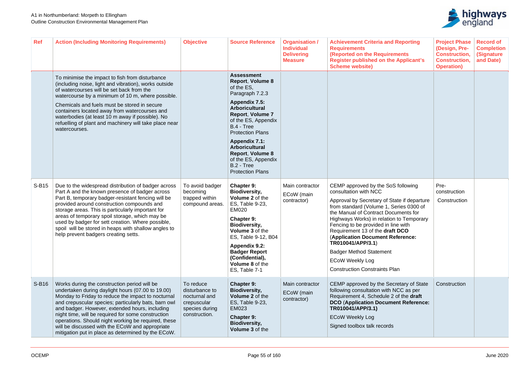

| <b>Ref</b> | <b>Action (Including Monitoring Requirements)</b>                                                                                                                                                                                                                                                                                                                                                                                                                                       | <b>Objective</b>                                                                               | <b>Source Reference</b>                                                                                                                                                                                                                                                                                                                                               | <b>Organisation /</b><br><b>Individual</b><br><b>Delivering</b><br><b>Measure</b> | <b>Achievement Criteria and Reporting</b><br><b>Requirements</b><br><b>(Reported on the Requirements)</b><br><b>Register published on the Applicant's</b><br><b>Scheme website)</b>                                                                                                                                                                                                                                                                                              | <b>Project Phase</b><br>(Design, Pre-<br><b>Construction,</b><br><b>Construction,</b><br><b>Operation</b> ) | <b>Record of</b><br><b>Completion</b><br><b>(Signature</b><br>and Date) |
|------------|-----------------------------------------------------------------------------------------------------------------------------------------------------------------------------------------------------------------------------------------------------------------------------------------------------------------------------------------------------------------------------------------------------------------------------------------------------------------------------------------|------------------------------------------------------------------------------------------------|-----------------------------------------------------------------------------------------------------------------------------------------------------------------------------------------------------------------------------------------------------------------------------------------------------------------------------------------------------------------------|-----------------------------------------------------------------------------------|----------------------------------------------------------------------------------------------------------------------------------------------------------------------------------------------------------------------------------------------------------------------------------------------------------------------------------------------------------------------------------------------------------------------------------------------------------------------------------|-------------------------------------------------------------------------------------------------------------|-------------------------------------------------------------------------|
|            | To minimise the impact to fish from disturbance<br>(including noise, light and vibration), works outside<br>of watercourses will be set back from the<br>watercourse by a minimum of 10 m, where possible.<br>Chemicals and fuels must be stored in secure<br>containers located away from watercourses and<br>waterbodies (at least 10 m away if possible). No<br>refuelling of plant and machinery will take place near<br>watercourses.                                              |                                                                                                | <b>Assessment</b><br><b>Report, Volume 8</b><br>of the ES,<br>Paragraph 7.2.3<br><b>Appendix 7.5:</b><br><b>Arboricultural</b><br><b>Report, Volume 7</b><br>of the ES, Appendix<br>B.4 - Tree<br><b>Protection Plans</b><br><b>Appendix 7.1:</b><br><b>Arboricultural</b><br><b>Report, Volume 8</b><br>of the ES, Appendix<br>B.2 - Tree<br><b>Protection Plans</b> |                                                                                   |                                                                                                                                                                                                                                                                                                                                                                                                                                                                                  |                                                                                                             |                                                                         |
| S-B15      | Due to the widespread distribution of badger across<br>Part A and the known presence of badger across<br>Part B, temporary badger-resistant fencing will be<br>provided around construction compounds and<br>storage areas. This is particularly important for<br>areas of temporary spoil storage, which may be<br>used by badger for sett creation. Where possible,<br>spoil will be stored in heaps with shallow angles to<br>help prevent badgers creating setts.                   | To avoid badger<br>becoming<br>trapped within<br>compound areas.                               | <b>Chapter 9:</b><br><b>Biodiversity,</b><br>Volume 2 of the<br>ES, Table 9-23,<br><b>EM020</b><br><b>Chapter 9:</b><br><b>Biodiversity,</b><br>Volume 3 of the<br>ES, Table 9-12, B04<br><b>Appendix 9.2:</b><br><b>Badger Report</b><br>(Confidential),<br>Volume 8 of the<br>ES, Table 7-1                                                                         | Main contractor<br>ECoW (main<br>contractor)                                      | CEMP approved by the SoS following<br>consultation with NCC<br>Approval by Secretary of State if departure<br>from standard (Volume 1, Series 0300 of<br>the Manual of Contract Documents for<br>Highways Works) in relation to Temporary<br>Fencing to be provided in line with<br>Requirement 13 of the draft DCO<br>(Application Document Reference:<br>TR010041/APP/3.1)<br><b>Badger Method Statement</b><br><b>ECoW Weekly Log</b><br><b>Construction Constraints Plan</b> | Pre-<br>construction<br>Construction                                                                        |                                                                         |
| S-B16      | Works during the construction period will be<br>undertaken during daylight hours (07.00 to 19.00)<br>Monday to Friday to reduce the impact to nocturnal<br>and crepuscular species; particularly bats, barn owl<br>and badger. However, extended hours, including<br>night time, will be required for some construction<br>operations. Should night working be required, these<br>will be discussed with the ECoW and appropriate<br>mitigation put in place as determined by the ECoW. | To reduce<br>disturbance to<br>nocturnal and<br>crepuscular<br>species during<br>construction. | <b>Chapter 9:</b><br><b>Biodiversity,</b><br>Volume 2 of the<br>ES, Table 9-23,<br><b>EM023</b><br><b>Chapter 9:</b><br><b>Biodiversity,</b><br>Volume 3 of the                                                                                                                                                                                                       | Main contractor<br>ECoW (main<br>contractor)                                      | CEMP approved by the Secretary of State<br>following consultation with NCC as per<br>Requirement 4, Schedule 2 of the draft<br><b>DCO (Application Document Reference:</b><br>TR010041/APP/3.1)<br><b>ECoW Weekly Log</b><br>Signed toolbox talk records                                                                                                                                                                                                                         | Construction                                                                                                |                                                                         |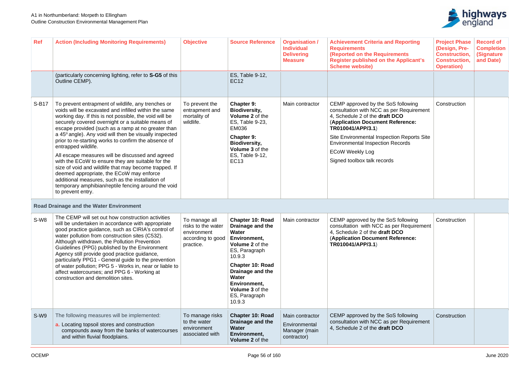

| <b>Ref</b> | <b>Action (Including Monitoring Requirements)</b>                                                                                                                                                                                                                                                                                                                                                                                                                                                                                                                                                                                                                                                                                                                      | <b>Objective</b>                                                                     | <b>Source Reference</b>                                                                                                                                                                                                                  | <b>Organisation /</b><br><b>Individual</b><br><b>Delivering</b><br><b>Measure</b> | <b>Achievement Criteria and Reporting</b><br><b>Requirements</b><br><b>(Reported on the Requirements)</b><br><b>Register published on the Applicant's</b><br><b>Scheme website)</b>                                                                                                                                         | <b>Project Phase</b><br>(Design, Pre-<br><b>Construction,</b><br><b>Construction,</b><br><b>Operation</b> ) | <b>Record of</b><br><b>Completion</b><br><b>(Signature</b><br>and Date) |
|------------|------------------------------------------------------------------------------------------------------------------------------------------------------------------------------------------------------------------------------------------------------------------------------------------------------------------------------------------------------------------------------------------------------------------------------------------------------------------------------------------------------------------------------------------------------------------------------------------------------------------------------------------------------------------------------------------------------------------------------------------------------------------------|--------------------------------------------------------------------------------------|------------------------------------------------------------------------------------------------------------------------------------------------------------------------------------------------------------------------------------------|-----------------------------------------------------------------------------------|-----------------------------------------------------------------------------------------------------------------------------------------------------------------------------------------------------------------------------------------------------------------------------------------------------------------------------|-------------------------------------------------------------------------------------------------------------|-------------------------------------------------------------------------|
|            | (particularly concerning lighting, refer to S-G5 of this<br>Outline CEMP).                                                                                                                                                                                                                                                                                                                                                                                                                                                                                                                                                                                                                                                                                             |                                                                                      | ES, Table 9-12,<br><b>EC12</b>                                                                                                                                                                                                           |                                                                                   |                                                                                                                                                                                                                                                                                                                             |                                                                                                             |                                                                         |
| S-B17      | To prevent entrapment of wildlife, any trenches or<br>voids will be excavated and infilled within the same<br>working day. If this is not possible, the void will be<br>securely covered overnight or a suitable means of<br>escape provided (such as a ramp at no greater than<br>a 45° angle). Any void will then be visually inspected<br>prior to re-starting works to confirm the absence of<br>entrapped wildlife.<br>All escape measures will be discussed and agreed<br>with the ECoW to ensure they are suitable for the<br>size of void and wildlife that may become trapped. If<br>deemed appropriate, the ECoW may enforce<br>additional measures, such as the installation of<br>temporary amphibian/reptile fencing around the void<br>to prevent entry. | To prevent the<br>entrapment and<br>mortality of<br>wildlife.                        | <b>Chapter 9:</b><br><b>Biodiversity,</b><br>Volume 2 of the<br><b>ES, Table 9-23,</b><br><b>EM036</b><br><b>Chapter 9:</b><br><b>Biodiversity,</b><br>Volume 3 of the<br>ES, Table 9-12,<br><b>EC13</b>                                 | Main contractor                                                                   | CEMP approved by the SoS following<br>consultation with NCC as per Requirement<br>4, Schedule 2 of the draft DCO<br>(Application Document Reference:<br>TR010041/APP/3.1)<br>Site Environmental Inspection Reports Site<br><b>Environmental Inspection Records</b><br><b>ECoW Weekly Log</b><br>Signed toolbox talk records | Construction                                                                                                |                                                                         |
|            | <b>Road Drainage and the Water Environment</b>                                                                                                                                                                                                                                                                                                                                                                                                                                                                                                                                                                                                                                                                                                                         |                                                                                      |                                                                                                                                                                                                                                          |                                                                                   |                                                                                                                                                                                                                                                                                                                             |                                                                                                             |                                                                         |
| $S-W8$     | The CEMP will set out how construction activities<br>will be undertaken in accordance with appropriate<br>good practice guidance, such as CIRIA's control of<br>water pollution from construction sites (C532).<br>Although withdrawn, the Pollution Prevention<br>Guidelines (PPG) published by the Environment<br>Agency still provide good practice guidance,<br>particularly PPG1 - General guide to the prevention<br>of water pollution; PPG 5 - Works in, near or liable to<br>affect watercourses; and PPG 6 - Working at<br>construction and demolition sites.                                                                                                                                                                                                | To manage all<br>risks to the water<br>environment<br>according to good<br>practice. | Chapter 10: Road<br>Drainage and the<br>Water<br>Environment,<br>Volume 2 of the<br>ES, Paragraph<br>10.9.3<br><b>Chapter 10: Road</b><br>Drainage and the<br><b>Water</b><br>Environment,<br>Volume 3 of the<br>ES, Paragraph<br>10.9.3 | Main contractor                                                                   | CEMP approved by the SoS following<br>consultation with NCC as per Requirement<br>4, Schedule 2 of the draft DCO<br>(Application Document Reference:<br>TR010041/APP/3.1)                                                                                                                                                   | Construction                                                                                                |                                                                         |
| S-W9       | The following measures will be implemented:<br>a. Locating topsoil stores and construction<br>compounds away from the banks of watercourses<br>and within fluvial floodplains.                                                                                                                                                                                                                                                                                                                                                                                                                                                                                                                                                                                         | To manage risks<br>to the water<br>environment<br>associated with                    | <b>Chapter 10: Road</b><br>Drainage and the<br>Water<br>Environment,<br><b>Volume 2 of the</b>                                                                                                                                           | Main contractor<br>Environmental<br>Manager (main<br>contractor)                  | CEMP approved by the SoS following<br>consultation with NCC as per Requirement<br>4, Schedule 2 of the draft DCO                                                                                                                                                                                                            | Construction                                                                                                |                                                                         |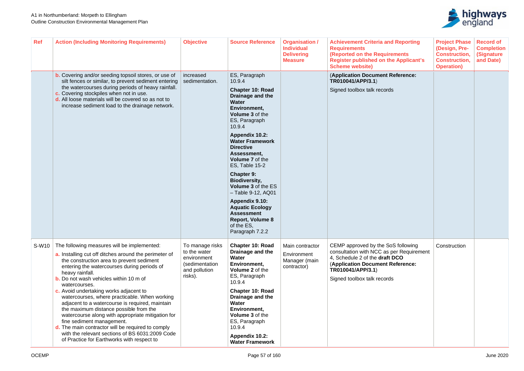

| <b>Ref</b>        | <b>Action (Including Monitoring Requirements)</b>                                                                                                                                                                                                                                                                                                                                                                                                                                                                                                                                                                                                                                                                     | <b>Objective</b>                                                                             | <b>Source Reference</b>                                                                                                                                                                                                                                                                                                                                                                                                                                                                                               | <b>Organisation /</b><br><b>Individual</b><br><b>Delivering</b><br><b>Measure</b> | <b>Achievement Criteria and Reporting</b><br><b>Requirements</b><br><b>(Reported on the Requirements</b><br><b>Register published on the Applicant's</b><br><b>Scheme website)</b>                       | <b>Project Phase</b><br>(Design, Pre-<br><b>Construction,</b><br><b>Construction,</b><br><b>Operation</b> ) | <b>Record of</b><br><b>Completion</b><br><b>(Signature</b><br>and Date) |
|-------------------|-----------------------------------------------------------------------------------------------------------------------------------------------------------------------------------------------------------------------------------------------------------------------------------------------------------------------------------------------------------------------------------------------------------------------------------------------------------------------------------------------------------------------------------------------------------------------------------------------------------------------------------------------------------------------------------------------------------------------|----------------------------------------------------------------------------------------------|-----------------------------------------------------------------------------------------------------------------------------------------------------------------------------------------------------------------------------------------------------------------------------------------------------------------------------------------------------------------------------------------------------------------------------------------------------------------------------------------------------------------------|-----------------------------------------------------------------------------------|----------------------------------------------------------------------------------------------------------------------------------------------------------------------------------------------------------|-------------------------------------------------------------------------------------------------------------|-------------------------------------------------------------------------|
|                   | <b>b.</b> Covering and/or seeding topsoil stores, or use of<br>silt fences or similar, to prevent sediment entering<br>the watercourses during periods of heavy rainfall.<br>c. Covering stockpiles when not in use.<br>d. All loose materials will be covered so as not to<br>increase sediment load to the drainage network.                                                                                                                                                                                                                                                                                                                                                                                        | increased<br>sedimentation.                                                                  | ES, Paragraph<br>10.9.4<br><b>Chapter 10: Road</b><br>Drainage and the<br><b>Water</b><br>Environment,<br>Volume 3 of the<br>ES, Paragraph<br>10.9.4<br><b>Appendix 10.2:</b><br><b>Water Framework</b><br><b>Directive</b><br>Assessment,<br><b>Volume 7</b> of the<br>ES, Table 15-2<br><b>Chapter 9:</b><br><b>Biodiversity,</b><br>Volume 3 of the ES<br>$-$ Table 9-12, AQ01<br><b>Appendix 9.10:</b><br><b>Aquatic Ecology</b><br><b>Assessment</b><br><b>Report, Volume 8</b><br>of the ES,<br>Paragraph 7.2.2 |                                                                                   | (Application Document Reference:<br>TR010041/APP/3.1)<br>Signed toolbox talk records                                                                                                                     |                                                                                                             |                                                                         |
| S-W <sub>10</sub> | The following measures will be implemented:<br>a. Installing cut off ditches around the perimeter of<br>the construction area to prevent sediment<br>entering the watercourses during periods of<br>heavy rainfall.<br><b>b.</b> Do not wash vehicles within 10 m of<br>watercourses.<br>c. Avoid undertaking works adjacent to<br>watercourses, where practicable. When working<br>adjacent to a watercourse is required, maintain<br>the maximum distance possible from the<br>watercourse along with appropriate mitigation for<br>fine sediment management.<br>d. The main contractor will be required to comply<br>with the relevant sections of BS 6031:2009 Code<br>of Practice for Earthworks with respect to | To manage risks<br>to the water<br>environment<br>(sedimentation<br>and pollution<br>risks). | <b>Chapter 10: Road</b><br>Drainage and the<br><b>Water</b><br>Environment,<br>Volume 2 of the<br>ES, Paragraph<br>10.9.4<br><b>Chapter 10: Road</b><br>Drainage and the<br><b>Water</b><br>Environment,<br>Volume 3 of the<br>ES, Paragraph<br>10.9.4<br>Appendix 10.2:<br><b>Water Framework</b>                                                                                                                                                                                                                    | Main contractor<br>Environment<br>Manager (main<br>contractor)                    | CEMP approved by the SoS following<br>consultation with NCC as per Requirement<br>4, Schedule 2 of the draft DCO<br>(Application Document Reference:<br>TR010041/APP/3.1)<br>Signed toolbox talk records | Construction                                                                                                |                                                                         |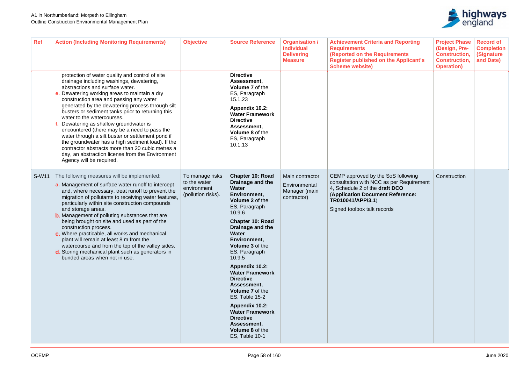

| <b>Ref</b> | <b>Action (Including Monitoring Requirements)</b>                                                                                                                                                                                                                                                                                                                                                                                                                                                                                                                                                                                                                                                       | <b>Objective</b>                                                     | <b>Source Reference</b>                                                                                                                                                                                                                                                                                                                                                                                                                                                                                      | <b>Organisation /</b><br><b>Individual</b><br><b>Delivering</b><br><b>Measure</b> | <b>Achievement Criteria and Reporting</b><br><b>Requirements</b><br><b>(Reported on the Requirements</b><br><b>Register published on the Applicant's</b><br><b>Scheme website)</b>                       | <b>Project Phase</b><br>(Design, Pre-<br><b>Construction,</b><br><b>Construction,</b><br><b>Operation</b> ) | <b>Record of</b><br><b>Completion</b><br><b>(Signature</b><br>and Date) |
|------------|---------------------------------------------------------------------------------------------------------------------------------------------------------------------------------------------------------------------------------------------------------------------------------------------------------------------------------------------------------------------------------------------------------------------------------------------------------------------------------------------------------------------------------------------------------------------------------------------------------------------------------------------------------------------------------------------------------|----------------------------------------------------------------------|--------------------------------------------------------------------------------------------------------------------------------------------------------------------------------------------------------------------------------------------------------------------------------------------------------------------------------------------------------------------------------------------------------------------------------------------------------------------------------------------------------------|-----------------------------------------------------------------------------------|----------------------------------------------------------------------------------------------------------------------------------------------------------------------------------------------------------|-------------------------------------------------------------------------------------------------------------|-------------------------------------------------------------------------|
|            | protection of water quality and control of site<br>drainage including washings, dewatering,<br>abstractions and surface water.<br>e. Dewatering working areas to maintain a dry<br>construction area and passing any water<br>generated by the dewatering process through silt<br>busters or sediment tanks prior to returning this<br>water to the watercourses.<br>Dewatering as shallow groundwater is<br>encountered (there may be a need to pass the<br>water through a silt buster or settlement pond if<br>the groundwater has a high sediment load). If the<br>contractor abstracts more than 20 cubic metres a<br>day, an abstraction license from the Environment<br>Agency will be required. |                                                                      | <b>Directive</b><br>Assessment.<br>Volume 7 of the<br>ES, Paragraph<br>15.1.23<br><b>Appendix 10.2:</b><br><b>Water Framework</b><br><b>Directive</b><br>Assessment,<br>Volume 8 of the<br>ES, Paragraph<br>10.1.13                                                                                                                                                                                                                                                                                          |                                                                                   |                                                                                                                                                                                                          |                                                                                                             |                                                                         |
| S-W11      | The following measures will be implemented:<br>a. Management of surface water runoff to intercept<br>and, where necessary, treat runoff to prevent the<br>migration of pollutants to receiving water features,<br>particularly within site construction compounds<br>and storage areas.<br><b>b.</b> Management of polluting substances that are<br>being brought on site and used as part of the<br>construction process.<br>c. Where practicable, all works and mechanical<br>plant will remain at least 8 m from the<br>watercourse and from the top of the valley sides.<br>d. Storing mechanical plant such as generators in<br>bunded areas when not in use.                                      | To manage risks<br>to the water<br>environment<br>(pollution risks). | <b>Chapter 10: Road</b><br>Drainage and the<br><b>Water</b><br>Environment,<br>Volume 2 of the<br>ES, Paragraph<br>10.9.6<br><b>Chapter 10: Road</b><br>Drainage and the<br>Water<br>Environment,<br>Volume 3 of the<br>ES, Paragraph<br>10.9.5<br><b>Appendix 10.2:</b><br><b>Water Framework</b><br><b>Directive</b><br>Assessment,<br>Volume 7 of the<br>ES, Table 15-2<br><b>Appendix 10.2:</b><br><b>Water Framework</b><br><b>Directive</b><br>Assessment,<br><b>Volume 8 of the</b><br>ES, Table 10-1 | Main contractor<br>Environmental<br>Manager (main<br>contractor)                  | CEMP approved by the SoS following<br>consultation with NCC as per Requirement<br>4. Schedule 2 of the draft DCO<br>(Application Document Reference:<br>TR010041/APP/3.1)<br>Signed toolbox talk records | Construction                                                                                                |                                                                         |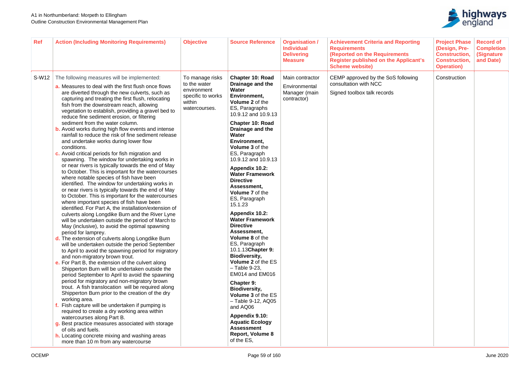

| <b>Ref</b> | <b>Action (Including Monitoring Requirements)</b>                                                                                                                                                                                                                                                                                                                                                                                                                                                                                                                                                                                                                                                                                                                                                                                                                                                                                                                                                                                                                                                                                                                                                                                                                                                                                                                                                                                                                                                                                                                                                                                                                                                                                                                                                                                                                                                                                                                                                                                                                                                                                          | <b>Objective</b>                                                                               | <b>Source Reference</b>                                                                                                                                                                                                                                                                                                                                                                                                                                                                                                                                                                                                                                                                                                                                                                                                                                                     | <b>Organisation /</b><br><b>Individual</b><br><b>Delivering</b><br><b>Measure</b> | <b>Achievement Criteria and Reporting</b><br><b>Requirements</b><br><b>(Reported on the Requirements)</b><br><b>Register published on the Applicant's</b><br><b>Scheme website)</b> | <b>Project Phase</b><br>(Design, Pre-<br><b>Construction,</b><br><b>Construction,</b><br><b>Operation</b> ) | <b>Record of</b><br><b>Completion</b><br><b>(Signature</b><br>and Date) |
|------------|--------------------------------------------------------------------------------------------------------------------------------------------------------------------------------------------------------------------------------------------------------------------------------------------------------------------------------------------------------------------------------------------------------------------------------------------------------------------------------------------------------------------------------------------------------------------------------------------------------------------------------------------------------------------------------------------------------------------------------------------------------------------------------------------------------------------------------------------------------------------------------------------------------------------------------------------------------------------------------------------------------------------------------------------------------------------------------------------------------------------------------------------------------------------------------------------------------------------------------------------------------------------------------------------------------------------------------------------------------------------------------------------------------------------------------------------------------------------------------------------------------------------------------------------------------------------------------------------------------------------------------------------------------------------------------------------------------------------------------------------------------------------------------------------------------------------------------------------------------------------------------------------------------------------------------------------------------------------------------------------------------------------------------------------------------------------------------------------------------------------------------------------|------------------------------------------------------------------------------------------------|-----------------------------------------------------------------------------------------------------------------------------------------------------------------------------------------------------------------------------------------------------------------------------------------------------------------------------------------------------------------------------------------------------------------------------------------------------------------------------------------------------------------------------------------------------------------------------------------------------------------------------------------------------------------------------------------------------------------------------------------------------------------------------------------------------------------------------------------------------------------------------|-----------------------------------------------------------------------------------|-------------------------------------------------------------------------------------------------------------------------------------------------------------------------------------|-------------------------------------------------------------------------------------------------------------|-------------------------------------------------------------------------|
| S-W12      | The following measures will be implemented:<br>a. Measures to deal with the first flush once flows<br>are diverted through the new culverts, such as<br>capturing and treating the first flush, relocating<br>fish from the downstream reach, allowing<br>vegetation to establish, providing a gravel bed to<br>reduce fine sediment erosion, or filtering<br>sediment from the water column.<br><b>b.</b> Avoid works during high flow events and intense<br>rainfall to reduce the risk of fine sediment release<br>and undertake works during lower flow<br>conditions.<br>c. Avoid critical periods for fish migration and<br>spawning. The window for undertaking works in<br>or near rivers is typically towards the end of May<br>to October. This is important for the watercourses<br>where notable species of fish have been<br>identified. The window for undertaking works in<br>or near rivers is typically towards the end of May<br>to October. This is important for the watercourses<br>where important species of fish have been<br>identified. For Part A, the installation/extension of<br>culverts along Longdike Burn and the River Lyne<br>will be undertaken outside the period of March to<br>May (inclusive), to avoid the optimal spawning<br>period for lamprey.<br>d. The extension of culverts along Longdike Burn<br>will be undertaken outside the period September<br>to April to avoid the spawning period for migratory<br>and non-migratory brown trout.<br>e. For Part B, the extension of the culvert along<br>Shipperton Burn will be undertaken outside the<br>period September to April to avoid the spawning<br>period for migratory and non-migratory brown<br>trout. A fish translocation will be required along<br>Shipperton Burn prior to the creation of the dry<br>working area.<br>Fish capture will be undertaken if pumping is<br>required to create a dry working area within<br>watercourses along Part B.<br>g. Best practice measures associated with storage<br>of oils and fuels.<br><b>h.</b> Locating concrete mixing and washing areas<br>more than 10 m from any watercourse | To manage risks<br>to the water<br>environment<br>specific to works<br>within<br>watercourses. | <b>Chapter 10: Road</b><br>Drainage and the<br>Water<br>Environment,<br>Volume 2 of the<br>ES, Paragraphs<br>10.9.12 and 10.9.13<br><b>Chapter 10: Road</b><br>Drainage and the<br><b>Water</b><br>Environment,<br>Volume 3 of the<br>ES, Paragraph<br>10.9.12 and 10.9.13<br><b>Appendix 10.2:</b><br><b>Water Framework</b><br><b>Directive</b><br>Assessment,<br>Volume 7 of the<br>ES, Paragraph<br>15.1.23<br><b>Appendix 10.2:</b><br><b>Water Framework</b><br><b>Directive</b><br>Assessment,<br>Volume 8 of the<br>ES, Paragraph<br>10.1.13 Chapter 9:<br><b>Biodiversity,</b><br>Volume 2 of the ES<br>$-$ Table 9-23,<br>EM014 and EM016<br><b>Chapter 9:</b><br><b>Biodiversity,</b><br><b>Volume 3 of the ES</b><br>$-$ Table 9-12, AQ05<br>and AQ06<br>Appendix 9.10:<br><b>Aquatic Ecology</b><br><b>Assessment</b><br><b>Report, Volume 8</b><br>of the ES, | Main contractor<br>Environmental<br>Manager (main<br>contractor)                  | CEMP approved by the SoS following<br>consultation with NCC<br>Signed toolbox talk records                                                                                          | Construction                                                                                                |                                                                         |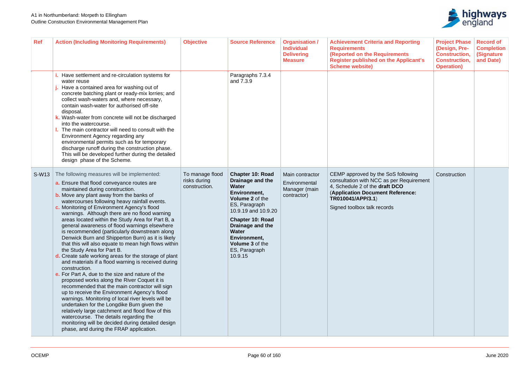

| <b>Ref</b> | <b>Action (Including Monitoring Requirements)</b>                                                                                                                                                                                                                                                                                                                                                                                                                                                                                                                                                                                                                                                                                                                                                                                                                                                                                                                                                                                                                                                                                                                                                                                                                           | <b>Objective</b>                                 | <b>Source Reference</b>                                                                                                                                                                                                                                              | <b>Organisation /</b><br><b>Individual</b><br><b>Delivering</b><br><b>Measure</b> | <b>Achievement Criteria and Reporting</b><br><b>Requirements</b><br><b>(Reported on the Requirements)</b><br><b>Register published on the Applicant's</b><br><b>Scheme website)</b>                      | <b>Project Phase</b><br>(Design, Pre-<br><b>Construction,</b><br><b>Construction,</b><br><b>Operation</b> ) | <b>Record of</b><br><b>Completion</b><br><b>(Signature</b><br>and Date) |
|------------|-----------------------------------------------------------------------------------------------------------------------------------------------------------------------------------------------------------------------------------------------------------------------------------------------------------------------------------------------------------------------------------------------------------------------------------------------------------------------------------------------------------------------------------------------------------------------------------------------------------------------------------------------------------------------------------------------------------------------------------------------------------------------------------------------------------------------------------------------------------------------------------------------------------------------------------------------------------------------------------------------------------------------------------------------------------------------------------------------------------------------------------------------------------------------------------------------------------------------------------------------------------------------------|--------------------------------------------------|----------------------------------------------------------------------------------------------------------------------------------------------------------------------------------------------------------------------------------------------------------------------|-----------------------------------------------------------------------------------|----------------------------------------------------------------------------------------------------------------------------------------------------------------------------------------------------------|-------------------------------------------------------------------------------------------------------------|-------------------------------------------------------------------------|
|            | i. Have settlement and re-circulation systems for<br>water reuse<br>Have a contained area for washing out of<br>concrete batching plant or ready-mix lorries; and<br>collect wash-waters and, where necessary,<br>contain wash-water for authorised off-site<br>disposal.<br>k. Wash-water from concrete will not be discharged<br>into the watercourse.<br>The main contractor will need to consult with the<br>Environment Agency regarding any<br>environmental permits such as for temporary<br>discharge runoff during the construction phase.<br>This will be developed further during the detailed<br>design phase of the Scheme.                                                                                                                                                                                                                                                                                                                                                                                                                                                                                                                                                                                                                                    |                                                  | Paragraphs 7.3.4<br>and 7.3.9                                                                                                                                                                                                                                        |                                                                                   |                                                                                                                                                                                                          |                                                                                                             |                                                                         |
| S-W13      | The following measures will be implemented:<br>a. Ensure that flood conveyance routes are<br>maintained during construction.<br><b>b.</b> Move any plant away from the banks of<br>watercourses following heavy rainfall events.<br>c. Monitoring of Environment Agency's flood<br>warnings. Although there are no flood warning<br>areas located within the Study Area for Part B, a<br>general awareness of flood warnings elsewhere<br>is recommended (particularly downstream along<br>Denwick Burn and Shipperton Burn) as it is likely<br>that this will also equate to mean high flows within<br>the Study Area for Part B.<br>d. Create safe working areas for the storage of plant<br>and materials if a flood warning is received during<br>construction.<br>e. For Part A, due to the size and nature of the<br>proposed works along the River Coquet it is<br>recommended that the main contractor will sign<br>up to receive the Environment Agency's flood<br>warnings. Monitoring of local river levels will be<br>undertaken for the Longdike Burn given the<br>relatively large catchment and flood flow of this<br>watercourse. The details regarding the<br>monitoring will be decided during detailed design<br>phase, and during the FRAP application. | To manage flood<br>risks during<br>construction. | <b>Chapter 10: Road</b><br>Drainage and the<br><b>Water</b><br>Environment,<br>Volume 2 of the<br>ES, Paragraph<br>10.9.19 and 10.9.20<br><b>Chapter 10: Road</b><br>Drainage and the<br><b>Water</b><br>Environment,<br>Volume 3 of the<br>ES, Paragraph<br>10.9.15 | Main contractor<br>Environmental<br>Manager (main<br>contractor)                  | CEMP approved by the SoS following<br>consultation with NCC as per Requirement<br>4, Schedule 2 of the draft DCO<br>(Application Document Reference:<br>TR010041/APP/3.1)<br>Signed toolbox talk records | Construction                                                                                                |                                                                         |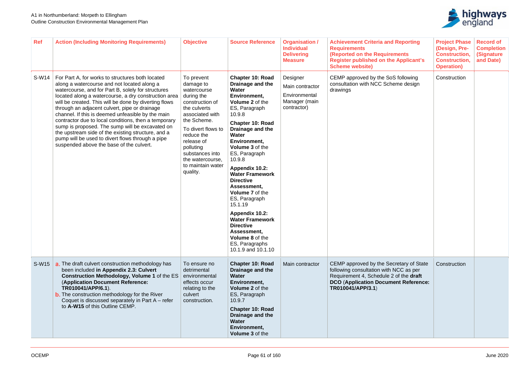

| <b>Ref</b> | <b>Action (Including Monitoring Requirements)</b>                                                                                                                                                                                                                                                                                                                                                                                                                                                                                                                                                                                             | <b>Objective</b>                                                                                                                                                                                                                                                 | <b>Source Reference</b>                                                                                                                                                                                                                                                                                                                                                                                                                                                                                                                             | <b>Organisation /</b><br><b>Individual</b><br><b>Delivering</b><br><b>Measure</b> | <b>Achievement Criteria and Reporting</b><br><b>Requirements</b><br><b>(Reported on the Requirements</b><br><b>Register published on the Applicant's</b><br><b>Scheme website)</b>              | <b>Project Phase</b><br>(Design, Pre-<br><b>Construction,</b><br><b>Construction,</b><br><b>Operation</b> ) | <b>Record of</b><br><b>Completion</b><br><b>(Signature</b><br>and Date) |
|------------|-----------------------------------------------------------------------------------------------------------------------------------------------------------------------------------------------------------------------------------------------------------------------------------------------------------------------------------------------------------------------------------------------------------------------------------------------------------------------------------------------------------------------------------------------------------------------------------------------------------------------------------------------|------------------------------------------------------------------------------------------------------------------------------------------------------------------------------------------------------------------------------------------------------------------|-----------------------------------------------------------------------------------------------------------------------------------------------------------------------------------------------------------------------------------------------------------------------------------------------------------------------------------------------------------------------------------------------------------------------------------------------------------------------------------------------------------------------------------------------------|-----------------------------------------------------------------------------------|-------------------------------------------------------------------------------------------------------------------------------------------------------------------------------------------------|-------------------------------------------------------------------------------------------------------------|-------------------------------------------------------------------------|
| S-W14      | For Part A, for works to structures both located<br>along a watercourse and not located along a<br>watercourse, and for Part B, solely for structures<br>located along a watercourse, a dry construction area<br>will be created. This will be done by diverting flows<br>through an adjacent culvert, pipe or drainage<br>channel. If this is deemed unfeasible by the main<br>contractor due to local conditions, then a temporary<br>sump is proposed. The sump will be excavated on<br>the upstream side of the existing structure, and a<br>pump will be used to divert flows through a pipe<br>suspended above the base of the culvert. | To prevent<br>damage to<br>watercourse<br>during the<br>construction of<br>the culverts<br>associated with<br>the Scheme.<br>To divert flows to<br>reduce the<br>release of<br>polluting<br>substances into<br>the watercourse,<br>to maintain water<br>quality. | <b>Chapter 10: Road</b><br>Drainage and the<br><b>Water</b><br>Environment,<br>Volume 2 of the<br>ES, Paragraph<br>10.9.8<br><b>Chapter 10: Road</b><br>Drainage and the<br><b>Water</b><br>Environment,<br>Volume 3 of the<br>ES, Paragraph<br>10.9.8<br><b>Appendix 10.2:</b><br><b>Water Framework</b><br><b>Directive</b><br>Assessment,<br><b>Volume 7</b> of the<br>ES, Paragraph<br>15.1.19<br><b>Appendix 10.2:</b><br><b>Water Framework</b><br><b>Directive</b><br>Assessment,<br>Volume 8 of the<br>ES, Paragraphs<br>10.1.9 and 10.1.10 | Designer<br>Main contractor<br>Environmental<br>Manager (main<br>contractor)      | CEMP approved by the SoS following<br>consultation with NCC Scheme design<br>drawings                                                                                                           | Construction                                                                                                |                                                                         |
| S-W15      | $\vert$ <b>a.</b> The draft culvert construction methodology has<br>been included in Appendix 2.3: Culvert<br>Construction Methodology, Volume 1 of the ES<br>(Application Document Reference:<br>TR010041/APP/6.1).<br><b>b.</b> The construction methodology for the River<br>Coquet is discussed separately in Part $A$ – refer<br>to A-W15 of this Outline CEMP.                                                                                                                                                                                                                                                                          | To ensure no<br>detrimental<br>environmental<br>effects occur<br>relating to the<br>culvert<br>construction.                                                                                                                                                     | <b>Chapter 10: Road</b><br>Drainage and the<br><b>Water</b><br>Environment,<br>Volume 2 of the<br>ES, Paragraph<br>10.9.7<br><b>Chapter 10: Road</b><br>Drainage and the<br><b>Water</b><br>Environment,<br>Volume 3 of the                                                                                                                                                                                                                                                                                                                         | Main contractor                                                                   | CEMP approved by the Secretary of State<br>following consultation with NCC as per<br>Requirement 4, Schedule 2 of the draft<br><b>DCO (Application Document Reference:</b><br>TR010041/APP/3.1) | Construction                                                                                                |                                                                         |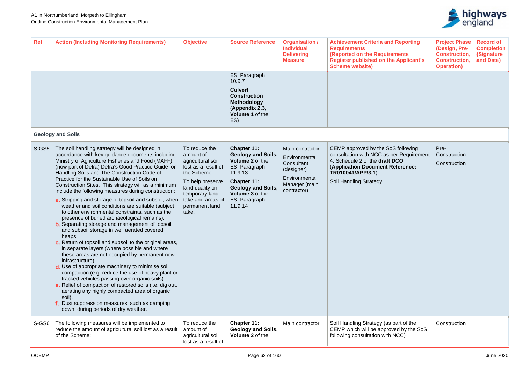

| <b>Ref</b> | <b>Action (Including Monitoring Requirements)</b>                                                                                                                                                                                                                                                                                                                                                                                                                                                                                                                                                                                                                                                                                                                                                                                                                                                                                                                                                                                                                                                                                                                                                                                                                                                                  | <b>Objective</b>                                                                                                                                                                               | <b>Source Reference</b>                                                                                                                                                                          | <b>Organisation /</b><br><b>Individual</b><br><b>Delivering</b><br><b>Measure</b>                             | <b>Achievement Criteria and Reporting</b><br><b>Requirements</b><br><b>(Reported on the Requirements</b><br><b>Register published on the Applicant's</b><br><b>Scheme website)</b>                         | <b>Project Phase</b><br>(Design, Pre-<br><b>Construction,</b><br><b>Construction,</b><br><b>Operation</b> ) | <b>Record of</b><br><b>Completion</b><br><b>(Signature</b><br>and Date) |
|------------|--------------------------------------------------------------------------------------------------------------------------------------------------------------------------------------------------------------------------------------------------------------------------------------------------------------------------------------------------------------------------------------------------------------------------------------------------------------------------------------------------------------------------------------------------------------------------------------------------------------------------------------------------------------------------------------------------------------------------------------------------------------------------------------------------------------------------------------------------------------------------------------------------------------------------------------------------------------------------------------------------------------------------------------------------------------------------------------------------------------------------------------------------------------------------------------------------------------------------------------------------------------------------------------------------------------------|------------------------------------------------------------------------------------------------------------------------------------------------------------------------------------------------|--------------------------------------------------------------------------------------------------------------------------------------------------------------------------------------------------|---------------------------------------------------------------------------------------------------------------|------------------------------------------------------------------------------------------------------------------------------------------------------------------------------------------------------------|-------------------------------------------------------------------------------------------------------------|-------------------------------------------------------------------------|
|            |                                                                                                                                                                                                                                                                                                                                                                                                                                                                                                                                                                                                                                                                                                                                                                                                                                                                                                                                                                                                                                                                                                                                                                                                                                                                                                                    |                                                                                                                                                                                                | ES, Paragraph<br>10.9.7<br><b>Culvert</b><br><b>Construction</b><br><b>Methodology</b><br>(Appendix 2.3,<br>Volume 1 of the<br>ES)                                                               |                                                                                                               |                                                                                                                                                                                                            |                                                                                                             |                                                                         |
|            | <b>Geology and Soils</b>                                                                                                                                                                                                                                                                                                                                                                                                                                                                                                                                                                                                                                                                                                                                                                                                                                                                                                                                                                                                                                                                                                                                                                                                                                                                                           |                                                                                                                                                                                                |                                                                                                                                                                                                  |                                                                                                               |                                                                                                                                                                                                            |                                                                                                             |                                                                         |
| S-GS5      | The soil handling strategy will be designed in<br>accordance with key guidance documents including<br>Ministry of Agriculture Fisheries and Food (MAFF)<br>(now part of Defra) Defra's Good Practice Guide for<br>Handling Soils and The Construction Code of<br>Practice for the Sustainable Use of Soils on<br>Construction Sites. This strategy will as a minimum<br>include the following measures during construction:<br>a. Stripping and storage of topsoil and subsoil, when<br>weather and soil conditions are suitable (subject<br>to other environmental constraints, such as the<br>presence of buried archaeological remains).<br><b>b.</b> Separating storage and management of topsoil<br>and subsoil storage in well aerated covered<br>heaps.<br>c. Return of topsoil and subsoil to the original areas,<br>in separate layers (where possible and where<br>these areas are not occupied by permanent new<br>infrastructure).<br>Use of appropriate machinery to minimise soil<br>compaction (e.g. reduce the use of heavy plant or<br>tracked vehicles passing over organic soils).<br>e. Relief of compaction of restored soils (i.e. dig out,<br>aerating any highly compacted area of organic<br>soil).<br>Dust suppression measures, such as damping<br>down, during periods of dry weather. | To reduce the<br>amount of<br>agricultural soil<br>lost as a result of<br>the Scheme.<br>To help preserve<br>land quality on<br>temporary land<br>take and areas of<br>permanent land<br>take. | <b>Chapter 11:</b><br><b>Geology and Soils,</b><br>Volume 2 of the<br>ES, Paragraph<br>11.9.13<br><b>Chapter 11:</b><br><b>Geology and Soils,</b><br>Volume 3 of the<br>ES, Paragraph<br>11.9.14 | Main contractor<br>Environmental<br>Consultant<br>(designer)<br>Environmental<br>Manager (main<br>contractor) | CEMP approved by the SoS following<br>consultation with NCC as per Requirement<br>4, Schedule 2 of the draft DCO<br>(Application Document Reference:<br>TR010041/APP/3.1)<br><b>Soil Handling Strategy</b> | Pre-<br>Construction<br>Construction                                                                        |                                                                         |
| S-GS6      | The following measures will be implemented to<br>reduce the amount of agricultural soil lost as a result<br>of the Scheme:                                                                                                                                                                                                                                                                                                                                                                                                                                                                                                                                                                                                                                                                                                                                                                                                                                                                                                                                                                                                                                                                                                                                                                                         | To reduce the<br>amount of<br>agricultural soil<br>lost as a result of                                                                                                                         | Chapter 11:<br><b>Geology and Soils,</b><br>Volume 2 of the                                                                                                                                      | Main contractor                                                                                               | Soil Handling Strategy (as part of the<br>CEMP which will be approved by the SoS<br>following consultation with NCC)                                                                                       | Construction                                                                                                |                                                                         |

|       | ,,,,,,<br>Dust suppression measures, such as damping<br>down, during periods of dry weather.                               |                                                                        |                                                                    |                 |                                                                                             |
|-------|----------------------------------------------------------------------------------------------------------------------------|------------------------------------------------------------------------|--------------------------------------------------------------------|-----------------|---------------------------------------------------------------------------------------------|
| S-GS6 | The following measures will be implemented to<br>reduce the amount of agricultural soil lost as a result<br>of the Scheme: | To reduce the<br>amount of<br>agricultural soil<br>lost as a result of | Chapter 11:<br><b>Geology and Soils,</b><br><b>Volume 2 of the</b> | Main contractor | Soil Handling Strategy (as p<br>CEMP which will be approve<br>following consultation with N |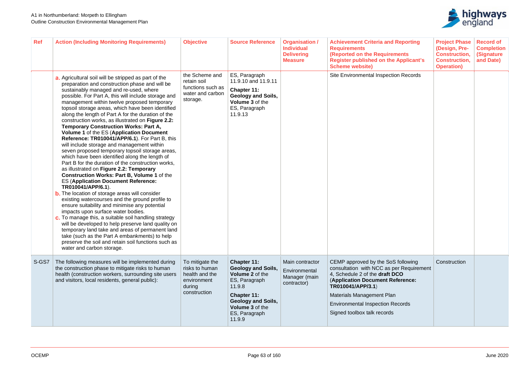

| <b>Ref</b> | <b>Action (Including Monitoring Requirements)</b>                                                                                                                                                                                                                                                                                                                                                                                                                                                                                                                                                                                                                                                                                                                                                                                                                                                                                                                                                                                                                                                                                                                                                                                                                                                                                                                                                                                                    | <b>Objective</b>                                                                             | <b>Source Reference</b>                                                                                                                                                                        | <b>Organisation /</b><br><b>Individual</b><br><b>Delivering</b><br><b>Measure</b> | <b>Achievement Criteria and Reporting</b><br><b>Requirements</b><br><b>(Reported on the Requirements)</b><br><b>Register published on the Applicant's</b><br><b>Scheme website)</b>                                                                                                     | <b>Project Phase</b><br>(Design, Pre-<br><b>Construction,</b><br><b>Construction.</b><br><b>Operation</b> ) | <b>Record of</b><br><b>Completion</b><br><b>(Signature</b><br>and Date) |
|------------|------------------------------------------------------------------------------------------------------------------------------------------------------------------------------------------------------------------------------------------------------------------------------------------------------------------------------------------------------------------------------------------------------------------------------------------------------------------------------------------------------------------------------------------------------------------------------------------------------------------------------------------------------------------------------------------------------------------------------------------------------------------------------------------------------------------------------------------------------------------------------------------------------------------------------------------------------------------------------------------------------------------------------------------------------------------------------------------------------------------------------------------------------------------------------------------------------------------------------------------------------------------------------------------------------------------------------------------------------------------------------------------------------------------------------------------------------|----------------------------------------------------------------------------------------------|------------------------------------------------------------------------------------------------------------------------------------------------------------------------------------------------|-----------------------------------------------------------------------------------|-----------------------------------------------------------------------------------------------------------------------------------------------------------------------------------------------------------------------------------------------------------------------------------------|-------------------------------------------------------------------------------------------------------------|-------------------------------------------------------------------------|
|            | a. Agricultural soil will be stripped as part of the<br>preparation and construction phase and will be<br>sustainably managed and re-used, where<br>possible. For Part A, this will include storage and<br>management within twelve proposed temporary<br>topsoil storage areas, which have been identified<br>along the length of Part A for the duration of the<br>construction works, as illustrated on Figure 2.2:<br><b>Temporary Construction Works: Part A,</b><br>Volume 1 of the ES (Application Document<br>Reference: TR010041/APP/6.1). For Part B, this<br>will include storage and management within<br>seven proposed temporary topsoil storage areas,<br>which have been identified along the length of<br>Part B for the duration of the construction works.<br>as illustrated on Figure 2.2: Temporary<br>Construction Works: Part B, Volume 1 of the<br><b>ES (Application Document Reference:</b><br>TR010041/APP/6.1).<br><b>b.</b> The location of storage areas will consider<br>existing watercourses and the ground profile to<br>ensure suitability and minimise any potential<br>impacts upon surface water bodies.<br>c. To manage this, a suitable soil handling strategy<br>will be developed to help preserve land quality on<br>temporary land take and areas of permanent land<br>take (such as the Part A embankments) to help<br>preserve the soil and retain soil functions such as<br>water and carbon storage. | the Scheme and<br>retain soil<br>functions such as<br>water and carbon<br>storage.           | ES, Paragraph<br>11.9.10 and 11.9.11<br>Chapter 11:<br><b>Geology and Soils,</b><br>Volume 3 of the<br>ES, Paragraph<br>11.9.13                                                                |                                                                                   | Site Environmental Inspection Records                                                                                                                                                                                                                                                   |                                                                                                             |                                                                         |
| S-GS7      | The following measures will be implemented during<br>the construction phase to mitigate risks to human<br>health (construction workers, surrounding site users<br>and visitors, local residents, general public):                                                                                                                                                                                                                                                                                                                                                                                                                                                                                                                                                                                                                                                                                                                                                                                                                                                                                                                                                                                                                                                                                                                                                                                                                                    | To mitigate the<br>risks to human<br>health and the<br>environment<br>during<br>construction | <b>Chapter 11:</b><br><b>Geology and Soils,</b><br>Volume 2 of the<br>ES, Paragraph<br>11.9.8<br><b>Chapter 11:</b><br><b>Geology and Soils,</b><br>Volume 3 of the<br>ES, Paragraph<br>11.9.9 | Main contractor<br>Environmental<br>Manager (main<br>contractor)                  | CEMP approved by the SoS following<br>consultation with NCC as per Requirement<br>4, Schedule 2 of the draft DCO<br>(Application Document Reference:<br>TR010041/APP/3.1)<br><b>Materials Management Plan</b><br><b>Environmental Inspection Records</b><br>Signed toolbox talk records | Construction                                                                                                |                                                                         |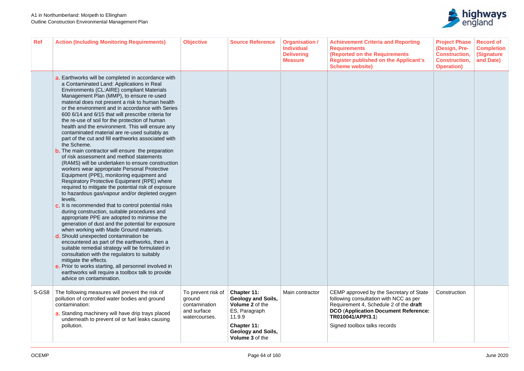

| <b>Ref</b> | <b>Action (Including Monitoring Requirements)</b>                                                                                                                                                                                                                                                                                                                                                                                                                                                                                                                                                                                                                                                                                                                                                                                                                                                                                                                                                                                                                                                                                                                                                                                                                                                                                                                                                                                                                                                                                                                                                                                        | <b>Objective</b>                                                              | <b>Source Reference</b>                                                                                                                               | <b>Organisation /</b><br><b>Individual</b><br><b>Delivering</b><br><b>Measure</b> | <b>Achievement Criteria and Reporting</b><br><b>Requirements</b><br><b>(Reported on the Requirements</b><br><b>Register published on the Applicant's</b><br><b>Scheme website)</b>                                              | <b>Project Phase</b><br>(Design, Pre-<br><b>Construction,</b><br><b>Construction,</b><br><b>Operation</b> ) | <b>Record of</b><br><b>Completion</b><br><b>(Signature</b><br>and Date) |
|------------|------------------------------------------------------------------------------------------------------------------------------------------------------------------------------------------------------------------------------------------------------------------------------------------------------------------------------------------------------------------------------------------------------------------------------------------------------------------------------------------------------------------------------------------------------------------------------------------------------------------------------------------------------------------------------------------------------------------------------------------------------------------------------------------------------------------------------------------------------------------------------------------------------------------------------------------------------------------------------------------------------------------------------------------------------------------------------------------------------------------------------------------------------------------------------------------------------------------------------------------------------------------------------------------------------------------------------------------------------------------------------------------------------------------------------------------------------------------------------------------------------------------------------------------------------------------------------------------------------------------------------------------|-------------------------------------------------------------------------------|-------------------------------------------------------------------------------------------------------------------------------------------------------|-----------------------------------------------------------------------------------|---------------------------------------------------------------------------------------------------------------------------------------------------------------------------------------------------------------------------------|-------------------------------------------------------------------------------------------------------------|-------------------------------------------------------------------------|
|            | a. Earthworks will be completed in accordance with<br>a Contaminated Land: Applications in Real<br>Environments (CL:AIRE) compliant Materials<br>Management Plan (MMP), to ensure re-used<br>material does not present a risk to human health<br>or the environment and in accordance with Series<br>600 6/14 and 6/15 that will prescribe criteria for<br>the re-use of soil for the protection of human<br>health and the environment. This will ensure any<br>contaminated material are re-used suitably as<br>part of the cut and fill earthworks associated with<br>the Scheme.<br><b>b.</b> The main contractor will ensure the preparation<br>of risk assessment and method statements<br>(RAMS) will be undertaken to ensure construction<br>workers wear appropriate Personal Protective<br>Equipment (PPE), monitoring equipment and<br>Respiratory Protective Equipment (RPE) where<br>required to mitigate the potential risk of exposure<br>to hazardous gas/vapour and/or depleted oxygen<br>levels.<br>c. It is recommended that to control potential risks<br>during construction, suitable procedures and<br>appropriate PPE are adopted to minimise the<br>generation of dust and the potential for exposure<br>when working with Made Ground materials.<br>Should unexpected contamination be<br>encountered as part of the earthworks, then a<br>suitable remedial strategy will be formulated in<br>consultation with the regulators to suitably<br>mitigate the effects.<br>e. Prior to works starting, all personnel involved in<br>earthworks will require a toolbox talk to provide<br>advice on contamination. |                                                                               |                                                                                                                                                       |                                                                                   |                                                                                                                                                                                                                                 |                                                                                                             |                                                                         |
| S-GS8      | The following measures will prevent the risk of<br>pollution of controlled water bodies and ground<br>contamination:<br>a. Standing machinery will have drip trays placed<br>underneath to prevent oil or fuel leaks causing<br>pollution.                                                                                                                                                                                                                                                                                                                                                                                                                                                                                                                                                                                                                                                                                                                                                                                                                                                                                                                                                                                                                                                                                                                                                                                                                                                                                                                                                                                               | To prevent risk of<br>ground<br>contamination<br>and surface<br>watercourses. | Chapter 11:<br><b>Geology and Soils,</b><br>Volume 2 of the<br>ES, Paragraph<br>11.9.9<br>Chapter 11:<br><b>Geology and Soils,</b><br>Volume 3 of the | Main contractor                                                                   | CEMP approved by the Secretary of State<br>following consultation with NCC as per<br>Requirement 4, Schedule 2 of the draft<br><b>DCO (Application Document Reference:</b><br>TR010041/APP/3.1)<br>Signed toolbox talks records | Construction                                                                                                |                                                                         |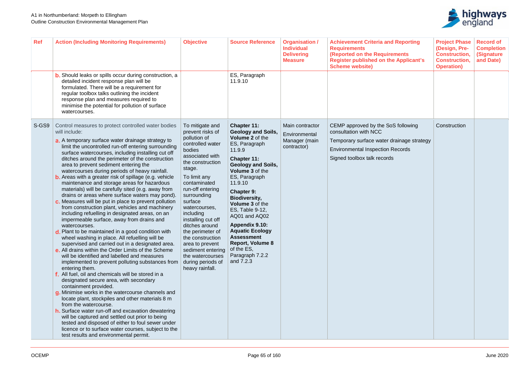

| <b>Ref</b> | <b>Action (Including Monitoring Requirements)</b>                                                                                                                                                                                                                                                                                                                                                                                                                                                                                                                                                                                                                                                                                                                                                                                                                                                                                                                                                                                                                                                                                                                                                                                                                                                                                                                                                                                                                                                                                                                                                                                                                                                               | <b>Objective</b>                                                                                                                                                                                                                                                                                                                                                                                                                   | <b>Source Reference</b>                                                                                                                                                                                                                                                                                                                                                                                                                              | <b>Organisation /</b><br><b>Individual</b><br><b>Delivering</b><br><b>Measure</b> | <b>Achievement Criteria and Reporting</b><br><b>Requirements</b><br><b>(Reported on the Requirements</b><br><b>Register published on the Applicant's</b><br><b>Scheme website)</b> | <b>Project Phase</b><br>(Design, Pre-<br><b>Construction,</b><br><b>Construction,</b><br><b>Operation</b> ) | <b>Record of</b><br><b>Completion</b><br><b>(Signature</b><br>and Date) |
|------------|-----------------------------------------------------------------------------------------------------------------------------------------------------------------------------------------------------------------------------------------------------------------------------------------------------------------------------------------------------------------------------------------------------------------------------------------------------------------------------------------------------------------------------------------------------------------------------------------------------------------------------------------------------------------------------------------------------------------------------------------------------------------------------------------------------------------------------------------------------------------------------------------------------------------------------------------------------------------------------------------------------------------------------------------------------------------------------------------------------------------------------------------------------------------------------------------------------------------------------------------------------------------------------------------------------------------------------------------------------------------------------------------------------------------------------------------------------------------------------------------------------------------------------------------------------------------------------------------------------------------------------------------------------------------------------------------------------------------|------------------------------------------------------------------------------------------------------------------------------------------------------------------------------------------------------------------------------------------------------------------------------------------------------------------------------------------------------------------------------------------------------------------------------------|------------------------------------------------------------------------------------------------------------------------------------------------------------------------------------------------------------------------------------------------------------------------------------------------------------------------------------------------------------------------------------------------------------------------------------------------------|-----------------------------------------------------------------------------------|------------------------------------------------------------------------------------------------------------------------------------------------------------------------------------|-------------------------------------------------------------------------------------------------------------|-------------------------------------------------------------------------|
|            | <b>b.</b> Should leaks or spills occur during construction, a<br>detailed incident response plan will be<br>formulated. There will be a requirement for<br>regular toolbox talks outlining the incident<br>response plan and measures required to<br>minimise the potential for pollution of surface<br>watercourses.                                                                                                                                                                                                                                                                                                                                                                                                                                                                                                                                                                                                                                                                                                                                                                                                                                                                                                                                                                                                                                                                                                                                                                                                                                                                                                                                                                                           |                                                                                                                                                                                                                                                                                                                                                                                                                                    | ES, Paragraph<br>11.9.10                                                                                                                                                                                                                                                                                                                                                                                                                             |                                                                                   |                                                                                                                                                                                    |                                                                                                             |                                                                         |
| S-GS9      | Control measures to protect controlled water bodies<br>will include:<br>a. A temporary surface water drainage strategy to<br>limit the uncontrolled run-off entering surrounding<br>surface watercourses, including installing cut off<br>ditches around the perimeter of the construction<br>area to prevent sediment entering the<br>watercourses during periods of heavy rainfall.<br><b>b.</b> Areas with a greater risk of spillage (e.g. vehicle<br>maintenance and storage areas for hazardous<br>materials) will be carefully sited (e.g. away from<br>drains or areas where surface waters may pond).<br>c. Measures will be put in place to prevent pollution<br>from construction plant, vehicles and machinery<br>including refuelling in designated areas, on an<br>impermeable surface, away from drains and<br>watercourses.<br>Plant to be maintained in a good condition with<br>wheel washing in place. All refuelling will be<br>supervised and carried out in a designated area.<br>e. All drains within the Order Limits of the Scheme<br>will be identified and labelled and measures<br>implemented to prevent polluting substances from<br>entering them.<br>All fuel, oil and chemicals will be stored in a<br>designated secure area, with secondary<br>containment provided.<br>g. Minimise works in the watercourse channels and<br>locate plant, stockpiles and other materials 8 m<br>from the watercourse.<br><b>h.</b> Surface water run-off and excavation dewatering<br>will be captured and settled out prior to being<br>tested and disposed of either to foul sewer under<br>licence or to surface water courses, subject to the<br>test results and environmental permit. | To mitigate and<br>prevent risks of<br>pollution of<br>controlled water<br>bodies<br>associated with<br>the construction<br>stage.<br>To limit any<br>contaminated<br>run-off entering<br>surrounding<br>surface<br>watercourses,<br>including<br>installing cut off<br>ditches around<br>the perimeter of<br>the construction<br>area to prevent<br>sediment entering<br>the watercourses<br>during periods of<br>heavy rainfall. | <b>Chapter 11:</b><br><b>Geology and Soils,</b><br>Volume 2 of the<br>ES, Paragraph<br>11.9.9<br>Chapter 11:<br><b>Geology and Soils,</b><br>Volume 3 of the<br>ES, Paragraph<br>11.9.10<br><b>Chapter 9:</b><br><b>Biodiversity,</b><br>Volume 3 of the<br><b>ES, Table 9-12,</b><br>AQ01 and AQ02<br><b>Appendix 9.10:</b><br><b>Aquatic Ecology</b><br><b>Assessment</b><br><b>Report, Volume 8</b><br>of the ES,<br>Paragraph 7.2.2<br>and 7.2.3 | Main contractor<br>Environmental<br>Manager (main<br>contractor)                  | CEMP approved by the SoS following<br>consultation with NCC<br>Temporary surface water drainage strategy<br><b>Environmental Inspection Records</b><br>Signed toolbox talk records | Construction                                                                                                |                                                                         |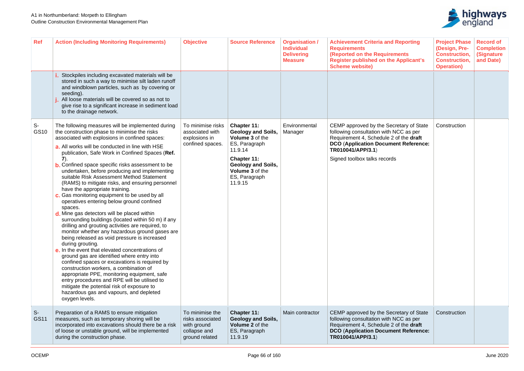

| <b>Ref</b>          | <b>Action (Including Monitoring Requirements)</b>                                                                                                                                                                                                                                                                                                                                                                                                                                                                                                                                                                                                                                                                                                                                                                                                                                                                                                                                                                                                                                                                                                                                                                                                                                                               | <b>Objective</b>                                                                     | <b>Source Reference</b>                                                                                                                                                                          | <b>Organisation /</b><br><b>Individual</b><br><b>Delivering</b><br><b>Measure</b> | <b>Achievement Criteria and Reporting</b><br><b>Requirements</b><br><b>(Reported on the Requirements</b><br><b>Register published on the Applicant's</b><br><b>Scheme website)</b>                                              | <b>Project Phase</b><br>(Design, Pre-<br><b>Construction,</b><br><b>Construction,</b><br><b>Operation</b> ) | <b>Record of</b><br><b>Completion</b><br><b>(Signature</b><br>and Date) |
|---------------------|-----------------------------------------------------------------------------------------------------------------------------------------------------------------------------------------------------------------------------------------------------------------------------------------------------------------------------------------------------------------------------------------------------------------------------------------------------------------------------------------------------------------------------------------------------------------------------------------------------------------------------------------------------------------------------------------------------------------------------------------------------------------------------------------------------------------------------------------------------------------------------------------------------------------------------------------------------------------------------------------------------------------------------------------------------------------------------------------------------------------------------------------------------------------------------------------------------------------------------------------------------------------------------------------------------------------|--------------------------------------------------------------------------------------|--------------------------------------------------------------------------------------------------------------------------------------------------------------------------------------------------|-----------------------------------------------------------------------------------|---------------------------------------------------------------------------------------------------------------------------------------------------------------------------------------------------------------------------------|-------------------------------------------------------------------------------------------------------------|-------------------------------------------------------------------------|
|                     | Stockpiles including excavated materials will be<br>stored in such a way to minimise silt laden runoff<br>and windblown particles, such as by covering or<br>seeding).<br>All loose materials will be covered so as not to<br>give rise to a significant increase in sediment load<br>to the drainage network.                                                                                                                                                                                                                                                                                                                                                                                                                                                                                                                                                                                                                                                                                                                                                                                                                                                                                                                                                                                                  |                                                                                      |                                                                                                                                                                                                  |                                                                                   |                                                                                                                                                                                                                                 |                                                                                                             |                                                                         |
| $S-$<br><b>GS10</b> | The following measures will be implemented during<br>the construction phase to minimise the risks<br>associated with explosions in confined spaces:<br>a. All works will be conducted in line with HSE<br>publication, Safe Work in Confined Spaces (Ref.<br>7).<br><b>b.</b> Confined space specific risks assessment to be<br>undertaken, before producing and implementing<br>suitable Risk Assessment Method Statement<br>(RAMS) to mitigate risks, and ensuring personnel<br>have the appropriate training.<br>c. Gas monitoring equipment to be used by all<br>operatives entering below ground confined<br>spaces.<br>d. Mine gas detectors will be placed within<br>surrounding buildings (located within 50 m) if any<br>drilling and grouting activities are required, to<br>monitor whether any hazardous ground gases are<br>being released as void pressure is increased<br>during grouting.<br>e. In the event that elevated concentrations of<br>ground gas are identified where entry into<br>confined spaces or excavations is required by<br>construction workers, a combination of<br>appropriate PPE, monitoring equipment, safe<br>entry procedures and RPE will be utilised to<br>mitigate the potential risk of exposure to<br>hazardous gas and vapours, and depleted<br>oxygen levels. | To minimise risks<br>associated with<br>explosions in<br>confined spaces.            | <b>Chapter 11:</b><br><b>Geology and Soils,</b><br>Volume 3 of the<br>ES, Paragraph<br>11.9.14<br><b>Chapter 11:</b><br><b>Geology and Soils,</b><br>Volume 3 of the<br>ES, Paragraph<br>11.9.15 | Environmental<br>Manager                                                          | CEMP approved by the Secretary of State<br>following consultation with NCC as per<br>Requirement 4, Schedule 2 of the draft<br><b>DCO (Application Document Reference:</b><br>TR010041/APP/3.1)<br>Signed toolbox talks records | Construction                                                                                                |                                                                         |
| $S-$<br><b>GS11</b> | Preparation of a RAMS to ensure mitigation<br>measures, such as temporary shoring will be<br>incorporated into excavations should there be a risk<br>of loose or unstable ground, will be implemented<br>during the construction phase.                                                                                                                                                                                                                                                                                                                                                                                                                                                                                                                                                                                                                                                                                                                                                                                                                                                                                                                                                                                                                                                                         | To minimise the<br>risks associated<br>with ground<br>collapse and<br>ground related | <b>Chapter 11:</b><br><b>Geology and Soils,</b><br>Volume 2 of the<br>ES, Paragraph<br>11.9.19                                                                                                   | Main contractor                                                                   | CEMP approved by the Secretary of State<br>following consultation with NCC as per<br>Requirement 4, Schedule 2 of the draft<br><b>DCO (Application Document Reference:</b><br>TR010041/APP/3.1)                                 | Construction                                                                                                |                                                                         |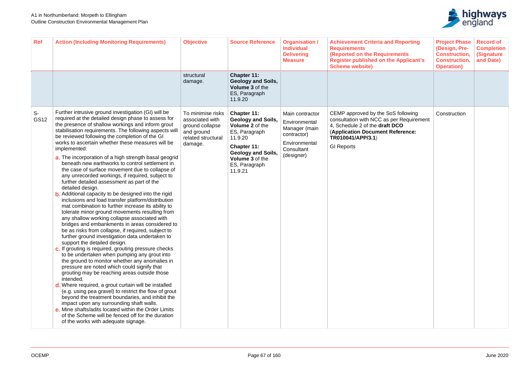

| <b>Ref</b>   | <b>Action (Including Monitoring Requirements)</b>                                                                                                                                                                                                                                                                                                                                                                                                                                                                                                                                                                                                                                                                                                                                                                                                                                                                                                                                                                                                                                                                                                                                                                                                                                                                                                                                                                                                                                                                                                                                                                                                                                                                                                        | <b>Objective</b>                                                                                       | <b>Source Reference</b>                                                                                                                                                            | <b>Organisation /</b><br><b>Individual</b><br><b>Delivering</b><br><b>Measure</b>                             | <b>Achievement Criteria and Reporting</b><br><b>Requirements</b><br><b>(Reported on the Requirements</b><br><b>Register published on the Applicant's</b><br><b>Scheme website)</b>             | <b>Project Phase</b><br>(Design, Pre-<br><b>Construction,</b><br><b>Construction,</b><br><b>Operation</b> ) | <b>Record of</b><br><b>Completion</b><br><b>(Signature</b><br>and Date) |
|--------------|----------------------------------------------------------------------------------------------------------------------------------------------------------------------------------------------------------------------------------------------------------------------------------------------------------------------------------------------------------------------------------------------------------------------------------------------------------------------------------------------------------------------------------------------------------------------------------------------------------------------------------------------------------------------------------------------------------------------------------------------------------------------------------------------------------------------------------------------------------------------------------------------------------------------------------------------------------------------------------------------------------------------------------------------------------------------------------------------------------------------------------------------------------------------------------------------------------------------------------------------------------------------------------------------------------------------------------------------------------------------------------------------------------------------------------------------------------------------------------------------------------------------------------------------------------------------------------------------------------------------------------------------------------------------------------------------------------------------------------------------------------|--------------------------------------------------------------------------------------------------------|------------------------------------------------------------------------------------------------------------------------------------------------------------------------------------|---------------------------------------------------------------------------------------------------------------|------------------------------------------------------------------------------------------------------------------------------------------------------------------------------------------------|-------------------------------------------------------------------------------------------------------------|-------------------------------------------------------------------------|
|              |                                                                                                                                                                                                                                                                                                                                                                                                                                                                                                                                                                                                                                                                                                                                                                                                                                                                                                                                                                                                                                                                                                                                                                                                                                                                                                                                                                                                                                                                                                                                                                                                                                                                                                                                                          | structural<br>damage.                                                                                  | Chapter 11:<br><b>Geology and Soils,</b><br>Volume 3 of the<br>ES, Paragraph<br>11.9.20                                                                                            |                                                                                                               |                                                                                                                                                                                                |                                                                                                             |                                                                         |
| $S-$<br>GS12 | Further intrusive ground investigation (GI) will be<br>required at the detailed design phase to assess for<br>the presence of shallow workings and inform grout<br>stabilisation requirements. The following aspects will<br>be reviewed following the completion of the GI<br>works to ascertain whether these measures will be<br>implemented:<br>a. The incorporation of a high strength basal geogrid<br>beneath new earthworks to control settlement in<br>the case of surface movement due to collapse of<br>any unrecorded workings, if required, subject to<br>further detailed assessment as part of the<br>detailed design.<br><b>b.</b> Additional capacity to be designed into the rigid<br>inclusions and load transfer platform/distribution<br>mat combination to further increase its ability to<br>tolerate minor ground movements resulting from<br>any shallow working collapse associated with<br>bridges and embankments in areas considered to<br>be as risks from collapse, if required, subject to<br>further ground investigation data undertaken to<br>support the detailed design.<br>c. If grouting is required, grouting pressure checks<br>to be undertaken when pumping any grout into<br>the ground to monitor whether any anomalies in<br>pressure are noted which could signify that<br>grouting may be reaching areas outside those<br>intended.<br>d. Where required, a grout curtain will be installed<br>(e.g. using pea gravel) to restrict the flow of grout<br>beyond the treatment boundaries, and inhibit the<br>impact upon any surrounding shaft walls.<br>e. Mine shafts/adits located within the Order Limits<br>of the Scheme will be fenced off for the duration<br>of the works with adequate signage. | To minimise risks<br>associated with<br>ground collapse<br>and ground<br>related structural<br>damage. | Chapter 11:<br><b>Geology and Soils,</b><br>Volume 2 of the<br>ES, Paragraph<br>11.9.20<br>Chapter 11:<br><b>Geology and Soils,</b><br>Volume 3 of the<br>ES, Paragraph<br>11.9.21 | Main contractor<br>Environmental<br>Manager (main<br>contractor)<br>Environmental<br>Consultant<br>(designer) | CEMP approved by the SoS following<br>consultation with NCC as per Requirement<br>4. Schedule 2 of the draft DCO<br>(Application Document Reference:<br>TR010041/APP/3.1)<br><b>GI Reports</b> | Construction                                                                                                |                                                                         |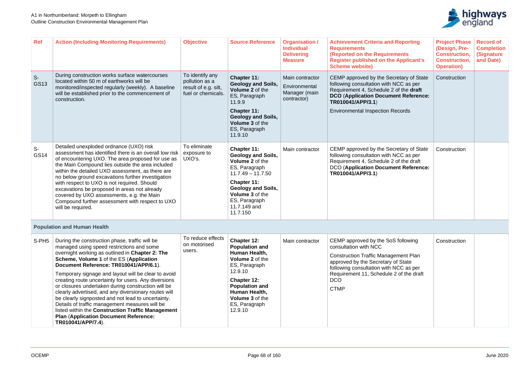

| <b>Ref</b>                         | <b>Action (Including Monitoring Requirements)</b>                                                                                                                                                                                                                                                                                                                                                                                                                                                                                                                                                                                                                                                   | <b>Objective</b>                                                                | <b>Source Reference</b>                                                                                                                                                                                                | <b>Organisation /</b><br><b>Individual</b><br><b>Delivering</b><br><b>Measure</b> | <b>Achievement Criteria and Reporting</b><br><b>Requirements</b><br><b>(Reported on the Requirements</b><br><b>Register published on the Applicant's</b><br><b>Scheme website)</b>                                                                          | <b>Project Phase</b><br>(Design, Pre-<br><b>Construction,</b><br><b>Construction,</b><br><b>Operation</b> ) | <b>Record of</b><br><b>Completion</b><br><b>(Signature</b><br>and Date) |  |  |  |  |
|------------------------------------|-----------------------------------------------------------------------------------------------------------------------------------------------------------------------------------------------------------------------------------------------------------------------------------------------------------------------------------------------------------------------------------------------------------------------------------------------------------------------------------------------------------------------------------------------------------------------------------------------------------------------------------------------------------------------------------------------------|---------------------------------------------------------------------------------|------------------------------------------------------------------------------------------------------------------------------------------------------------------------------------------------------------------------|-----------------------------------------------------------------------------------|-------------------------------------------------------------------------------------------------------------------------------------------------------------------------------------------------------------------------------------------------------------|-------------------------------------------------------------------------------------------------------------|-------------------------------------------------------------------------|--|--|--|--|
| $S-$<br>GS13                       | During construction works surface watercourses<br>located within 50 m of earthworks will be<br>monitored/inspected regularly (weekly). A baseline<br>will be established prior to the commencement of<br>construction.                                                                                                                                                                                                                                                                                                                                                                                                                                                                              | To identify any<br>pollution as a<br>result of e.g. silt,<br>fuel or chemicals. | <b>Chapter 11:</b><br><b>Geology and Soils,</b><br>Volume 2 of the<br>ES, Paragraph<br>11.9.9<br><b>Chapter 11:</b><br><b>Geology and Soils,</b><br>Volume 3 of the<br>ES, Paragraph<br>11.9.10                        | Main contractor<br>Environmental<br>Manager (main<br>contractor)                  | CEMP approved by the Secretary of State<br>following consultation with NCC as per<br>Requirement 4, Schedule 2 of the draft<br><b>DCO (Application Document Reference:</b><br>TR010041/APP/3.1)<br><b>Environmental Inspection Records</b>                  | Construction                                                                                                |                                                                         |  |  |  |  |
| $S-$<br><b>GS14</b>                | Detailed unexploded ordnance (UXO) risk<br>assessment has identified there is an overall low risk<br>of encountering UXO. The area proposed for use as<br>the Main Compound lies outside the area included<br>within the detailed UXO assessment, as there are<br>no below ground excavations further investigation<br>with respect to UXO is not required. Should<br>excavations be proposed in areas not already<br>covered by UXO assessments, e.g. the Main<br>Compound further assessment with respect to UXO<br>will be required.                                                                                                                                                             | To eliminate<br>exposure to<br>UXO's.                                           | <b>Chapter 11:</b><br><b>Geology and Soils,</b><br>Volume 2 of the<br>ES, Paragraph<br>$11.7.49 - 11.7.50$<br>Chapter 11:<br><b>Geology and Soils,</b><br>Volume 3 of the<br>ES, Paragraph<br>11.7.149 and<br>11.7.150 | Main contractor                                                                   | CEMP approved by the Secretary of State<br>following consultation with NCC as per<br>Requirement 4, Schedule 2 of the draft<br><b>DCO (Application Document Reference:</b><br>TR010041/APP/3.1)                                                             | Construction                                                                                                |                                                                         |  |  |  |  |
| <b>Population and Human Health</b> |                                                                                                                                                                                                                                                                                                                                                                                                                                                                                                                                                                                                                                                                                                     |                                                                                 |                                                                                                                                                                                                                        |                                                                                   |                                                                                                                                                                                                                                                             |                                                                                                             |                                                                         |  |  |  |  |
| S-PH <sub>5</sub>                  | During the construction phase, traffic will be<br>managed using speed restrictions and some<br>overnight working as outlined in Chapter 2: The<br>Scheme, Volume 1 of the ES (Application<br>Document Reference: TR010041/APP/6.1).<br>Temporary signage and layout will be clear to avoid<br>creating route uncertainty for users. Any diversions<br>or closures undertaken during construction will be<br>clearly advertised, and any diversionary routes will<br>be clearly signposted and not lead to uncertainty.<br>Details of traffic management measures will be<br>listed within the Construction Traffic Management<br><b>Plan (Application Document Reference:</b><br>TR010041/APP/7.4). | To reduce effects<br>on motorised<br>users.                                     | Chapter 12:<br><b>Population and</b><br>Human Health,<br>Volume 2 of the<br>ES, Paragraph<br>12.9.10<br><b>Chapter 12:</b><br><b>Population and</b><br>Human Health,<br>Volume 3 of the<br>ES, Paragraph<br>12.9.10    | Main contractor                                                                   | CEMP approved by the SoS following<br>consultation with NCC<br><b>Construction Traffic Management Plan</b><br>approved by the Secretary of State<br>following consultation with NCC as per<br>Requirement 11, Schedule 2 of the draft<br>DCO<br><b>CTMP</b> | Construction                                                                                                |                                                                         |  |  |  |  |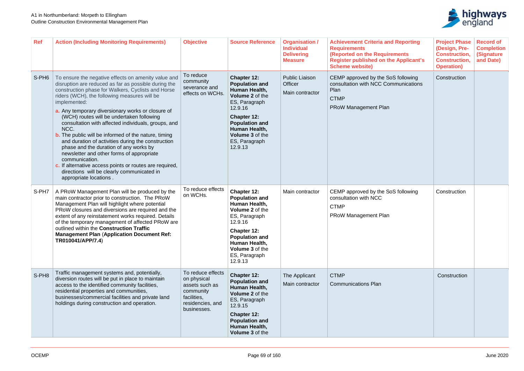

| <b>Ref</b>        | <b>Action (Including Monitoring Requirements)</b>                                                                                                                                                                                                                                                                                                                                                                                                                                                                                                                                                                                                                                                                                                                   | <b>Objective</b>                                                                                                  | <b>Source Reference</b>                                                                                                                                                                                                    | <b>Organisation /</b><br><b>Individual</b><br><b>Delivering</b><br><b>Measure</b> | <b>Achievement Criteria and Reporting</b><br><b>Requirements</b><br><b>(Reported on the Requirements</b><br><b>Register published on the Applicant's</b><br><b>Scheme website)</b> | <b>Project Phase</b><br>(Design, Pre-<br><b>Construction,</b><br><b>Construction,</b><br><b>Operation</b> ) | <b>Record of</b><br><b>Completion</b><br><b>(Signature</b><br>and Date) |
|-------------------|---------------------------------------------------------------------------------------------------------------------------------------------------------------------------------------------------------------------------------------------------------------------------------------------------------------------------------------------------------------------------------------------------------------------------------------------------------------------------------------------------------------------------------------------------------------------------------------------------------------------------------------------------------------------------------------------------------------------------------------------------------------------|-------------------------------------------------------------------------------------------------------------------|----------------------------------------------------------------------------------------------------------------------------------------------------------------------------------------------------------------------------|-----------------------------------------------------------------------------------|------------------------------------------------------------------------------------------------------------------------------------------------------------------------------------|-------------------------------------------------------------------------------------------------------------|-------------------------------------------------------------------------|
| S-PH <sub>6</sub> | To ensure the negative effects on amenity value and<br>disruption are reduced as far as possible during the<br>construction phase for Walkers, Cyclists and Horse<br>riders (WCH), the following measures will be<br>implemented:<br>a. Any temporary diversionary works or closure of<br>(WCH) routes will be undertaken following<br>consultation with affected individuals, groups, and<br>NCC.<br><b>b.</b> The public will be informed of the nature, timing<br>and duration of activities during the construction<br>phase and the duration of any works by<br>newsletter and other forms of appropriate<br>communication.<br>c. If alternative access points or routes are required,<br>directions will be clearly communicated in<br>appropriate locations. | To reduce<br>community<br>severance and<br>effects on WCHs.                                                       | <b>Chapter 12:</b><br><b>Population and</b><br>Human Health,<br>Volume 2 of the<br>ES, Paragraph<br>12.9.16<br><b>Chapter 12:</b><br><b>Population and</b><br>Human Health,<br>Volume 3 of the<br>ES, Paragraph<br>12.9.13 | <b>Public Liaison</b><br>Officer<br>Main contractor                               | CEMP approved by the SoS following<br>consultation with NCC Communications<br>Plan<br><b>CTMP</b><br><b>PRoW Management Plan</b>                                                   | Construction                                                                                                |                                                                         |
| S-PH7             | A PRoW Management Plan will be produced by the<br>main contractor prior to construction. The PRoW<br>Management Plan will highlight where potential<br>PRoW closures and diversions are required and the<br>extent of any reinstatement works required. Details<br>of the temporary management of affected PRoW are<br>outlined within the Construction Traffic<br><b>Management Plan (Application Document Ref:</b><br>TR010041/APP/7.4)                                                                                                                                                                                                                                                                                                                           | To reduce effects<br>on WCHs.                                                                                     | Chapter 12:<br><b>Population and</b><br>Human Health,<br>Volume 2 of the<br>ES, Paragraph<br>12.9.16<br><b>Chapter 12:</b><br><b>Population and</b><br>Human Health,<br>Volume 3 of the<br>ES, Paragraph<br>12.9.13        | Main contractor                                                                   | CEMP approved by the SoS following<br>consultation with NCC<br><b>CTMP</b><br><b>PRoW Management Plan</b>                                                                          | Construction                                                                                                |                                                                         |
| S-PH <sub>8</sub> | Traffic management systems and, potentially,<br>diversion routes will be put in place to maintain<br>access to the identified community facilities,<br>residential properties and communities,<br>businesses/commercial facilities and private land<br>holdings during construction and operation.                                                                                                                                                                                                                                                                                                                                                                                                                                                                  | To reduce effects<br>on physical<br>assets such as<br>community<br>facilities,<br>residencies, and<br>businesses. | <b>Chapter 12:</b><br><b>Population and</b><br>Human Health,<br>Volume 2 of the<br>ES, Paragraph<br>12.9.15<br><b>Chapter 12:</b><br><b>Population and</b><br>Human Health,<br>Volume 3 of the                             | The Applicant<br>Main contractor                                                  | <b>CTMP</b><br><b>Communications Plan</b>                                                                                                                                          | Construction                                                                                                |                                                                         |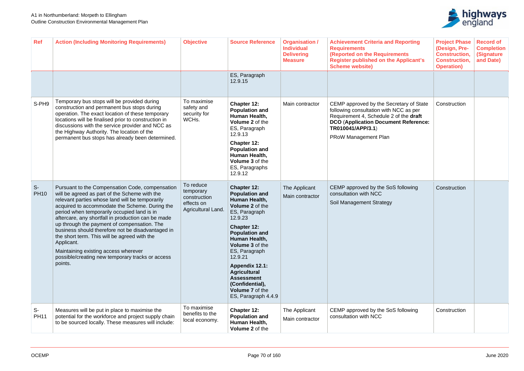

| <b>Ref</b>          | <b>Action (Including Monitoring Requirements)</b>                                                                                                                                                                                                                                                                                                                                                                                                                                                                                                                                   | <b>Objective</b>                                                           | <b>Source Reference</b>                                                                                                                                                                                                                                                                                                                                      | <b>Organisation /</b><br><b>Individual</b><br><b>Delivering</b><br><b>Measure</b> | <b>Achievement Criteria and Reporting</b><br><b>Requirements</b><br><b>(Reported on the Requirements</b><br><b>Register published on the Applicant's</b><br><b>Scheme website)</b>                                             | <b>Project Phase</b><br>(Design, Pre-<br><b>Construction,</b><br><b>Construction,</b><br><b>Operation</b> ) | <b>Record of</b><br><b>Completion</b><br><b>(Signature</b><br>and Date) |
|---------------------|-------------------------------------------------------------------------------------------------------------------------------------------------------------------------------------------------------------------------------------------------------------------------------------------------------------------------------------------------------------------------------------------------------------------------------------------------------------------------------------------------------------------------------------------------------------------------------------|----------------------------------------------------------------------------|--------------------------------------------------------------------------------------------------------------------------------------------------------------------------------------------------------------------------------------------------------------------------------------------------------------------------------------------------------------|-----------------------------------------------------------------------------------|--------------------------------------------------------------------------------------------------------------------------------------------------------------------------------------------------------------------------------|-------------------------------------------------------------------------------------------------------------|-------------------------------------------------------------------------|
|                     |                                                                                                                                                                                                                                                                                                                                                                                                                                                                                                                                                                                     |                                                                            | ES, Paragraph<br>12.9.15                                                                                                                                                                                                                                                                                                                                     |                                                                                   |                                                                                                                                                                                                                                |                                                                                                             |                                                                         |
| S-PH9               | Temporary bus stops will be provided during<br>construction and permanent bus stops during<br>operation. The exact location of these temporary<br>locations will be finalised prior to construction in<br>discussions with the service provider and NCC as<br>the Highway Authority. The location of the<br>permanent bus stops has already been determined.                                                                                                                                                                                                                        | To maximise<br>safety and<br>security for<br>WCHs.                         | Chapter 12:<br><b>Population and</b><br>Human Health,<br>Volume 2 of the<br>ES, Paragraph<br>12.9.13<br>Chapter 12:<br><b>Population and</b><br>Human Health,<br>Volume 3 of the<br>ES, Paragraphs<br>12.9.12                                                                                                                                                | Main contractor                                                                   | CEMP approved by the Secretary of State<br>following consultation with NCC as per<br>Requirement 4, Schedule 2 of the draft<br><b>DCO (Application Document Reference:</b><br>TR010041/APP/3.1)<br><b>PRoW Management Plan</b> | Construction                                                                                                |                                                                         |
| $S-$<br><b>PH10</b> | Pursuant to the Compensation Code, compensation<br>will be agreed as part of the Scheme with the<br>relevant parties whose land will be temporarily<br>acquired to accommodate the Scheme. During the<br>period when temporarily occupied land is in<br>aftercare, any shortfall in production can be made<br>up through the payment of compensation. The<br>business should therefore not be disadvantaged in<br>the short term. This will be agreed with the<br>Applicant.<br>Maintaining existing access wherever<br>possible/creating new temporary tracks or access<br>points. | To reduce<br>temporary<br>construction<br>effects on<br>Agricultural Land. | <b>Chapter 12:</b><br><b>Population and</b><br>Human Health,<br>Volume 2 of the<br>ES, Paragraph<br>12.9.23<br><b>Chapter 12:</b><br><b>Population and</b><br>Human Health,<br>Volume 3 of the<br>ES, Paragraph<br>12.9.21<br><b>Appendix 12.1:</b><br><b>Agricultural</b><br><b>Assessment</b><br>(Confidential),<br>Volume 7 of the<br>ES, Paragraph 4.4.9 | The Applicant<br>Main contractor                                                  | CEMP approved by the SoS following<br>consultation with NCC<br>Soil Management Strategy                                                                                                                                        | Construction                                                                                                |                                                                         |
| $S-$<br><b>PH11</b> | Measures will be put in place to maximise the<br>potential for the workforce and project supply chain<br>to be sourced locally. These measures will include:                                                                                                                                                                                                                                                                                                                                                                                                                        | To maximise<br>benefits to the<br>local economy.                           | Chapter 12:<br><b>Population and</b><br>Human Health,<br>Volume 2 of the                                                                                                                                                                                                                                                                                     | The Applicant<br>Main contractor                                                  | CEMP approved by the SoS following<br>consultation with NCC                                                                                                                                                                    | Construction                                                                                                |                                                                         |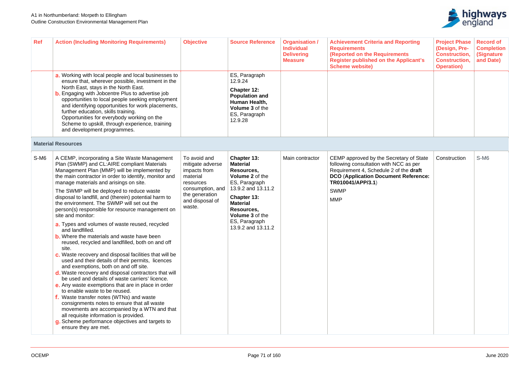

| <b>Ref</b> | <b>Action (Including Monitoring Requirements)</b>                                                                                                                                                                                                                                                                                                                                                                                                                                                                                                                                                                                                                                                                                                                                                                                                                                                                                                                                                                                                                                                                                                                                                                                                                                            | <b>Objective</b>                                                                                                                             | <b>Source Reference</b>                                                                                                                                                                                                 | <b>Organisation /</b><br><b>Individual</b><br><b>Delivering</b><br><b>Measure</b> | <b>Achievement Criteria and Reporting</b><br><b>Requirements</b><br><b>(Reported on the Requirements</b><br><b>Register published on the Applicant's</b><br><b>Scheme website)</b>                                           | <b>Project Phase</b><br>(Design, Pre-<br><b>Construction,</b><br><b>Construction,</b><br><b>Operation</b> ) | <b>Record of</b><br><b>Completion</b><br><b>(Signature</b><br>and Date) |
|------------|----------------------------------------------------------------------------------------------------------------------------------------------------------------------------------------------------------------------------------------------------------------------------------------------------------------------------------------------------------------------------------------------------------------------------------------------------------------------------------------------------------------------------------------------------------------------------------------------------------------------------------------------------------------------------------------------------------------------------------------------------------------------------------------------------------------------------------------------------------------------------------------------------------------------------------------------------------------------------------------------------------------------------------------------------------------------------------------------------------------------------------------------------------------------------------------------------------------------------------------------------------------------------------------------|----------------------------------------------------------------------------------------------------------------------------------------------|-------------------------------------------------------------------------------------------------------------------------------------------------------------------------------------------------------------------------|-----------------------------------------------------------------------------------|------------------------------------------------------------------------------------------------------------------------------------------------------------------------------------------------------------------------------|-------------------------------------------------------------------------------------------------------------|-------------------------------------------------------------------------|
|            | a. Working with local people and local businesses to<br>ensure that, wherever possible, investment in the<br>North East, stays in the North East.<br>Engaging with Jobcentre Plus to advertise job<br>opportunities to local people seeking employment<br>and identifying opportunities for work placements,<br>further education, skills training.<br>Opportunities for everybody working on the<br>Scheme to upskill, through experience, training<br>and development programmes.                                                                                                                                                                                                                                                                                                                                                                                                                                                                                                                                                                                                                                                                                                                                                                                                          |                                                                                                                                              | ES, Paragraph<br>12.9.24<br>Chapter 12:<br><b>Population and</b><br>Human Health,<br>Volume 3 of the<br>ES, Paragraph<br>12.9.28                                                                                        |                                                                                   |                                                                                                                                                                                                                              |                                                                                                             |                                                                         |
|            | <b>Material Resources</b>                                                                                                                                                                                                                                                                                                                                                                                                                                                                                                                                                                                                                                                                                                                                                                                                                                                                                                                                                                                                                                                                                                                                                                                                                                                                    |                                                                                                                                              |                                                                                                                                                                                                                         |                                                                                   |                                                                                                                                                                                                                              |                                                                                                             |                                                                         |
| $S-M6$     | A CEMP, incorporating a Site Waste Management<br>Plan (SWMP) and CL:AIRE compliant Materials<br>Management Plan (MMP) will be implemented by<br>the main contractor in order to identify, monitor and<br>manage materials and arisings on site.<br>The SWMP will be deployed to reduce waste<br>disposal to landfill, and (therein) potential harm to<br>the environment. The SWMP will set out the<br>person(s) responsible for resource management on<br>site and monitor:<br>a. Types and volumes of waste reused, recycled<br>and landfilled.<br><b>b.</b> Where the materials and waste have been<br>reused, recycled and landfilled, both on and off<br>site.<br>c. Waste recovery and disposal facilities that will be<br>used and their details of their permits, licences<br>and exemptions, both on and off site.<br>d. Waste recovery and disposal contractors that will<br>be used and details of waste carriers' licence.<br>e. Any waste exemptions that are in place in order<br>to enable waste to be reused.<br>f. Waste transfer notes (WTNs) and waste<br>consignments notes to ensure that all waste<br>movements are accompanied by a WTN and that<br>all requisite information is provided.<br>g. Scheme performance objectives and targets to<br>ensure they are met. | To avoid and<br>mitigate adverse<br>impacts from<br>material<br>resources<br>consumption, and<br>the generation<br>and disposal of<br>waste. | Chapter 13:<br><b>Material</b><br>Resources,<br>Volume 2 of the<br>ES, Paragraph<br>13.9.2 and 13.11.2<br><b>Chapter 13:</b><br><b>Material</b><br>Resources,<br>Volume 3 of the<br>ES, Paragraph<br>13.9.2 and 13.11.2 | Main contractor                                                                   | CEMP approved by the Secretary of State<br>following consultation with NCC as per<br>Requirement 4, Schedule 2 of the draft<br><b>DCO (Application Document Reference:</b><br>TR010041/APP/3.1)<br><b>SWMP</b><br><b>MMP</b> | Construction                                                                                                | $S-M6$                                                                  |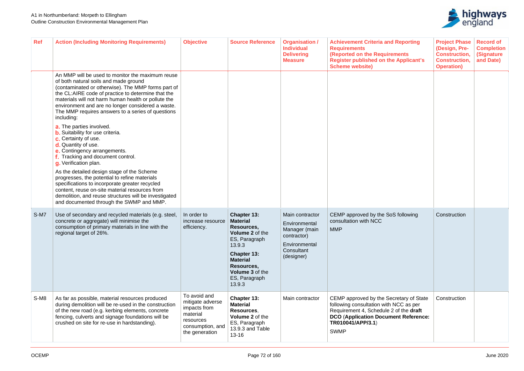

| <b>Ref</b> | <b>Action (Including Monitoring Requirements)</b>                                                                                                                                                                                                                                                                                                                                                                                                                                                                                                                                                                                                                                                                                                                                                                                                                                                                       | <b>Objective</b>                                                                                                | <b>Source Reference</b>                                                                                                                                                                                | <b>Organisation /</b><br><b>Individual</b><br><b>Delivering</b><br><b>Measure</b>                             | <b>Achievement Criteria and Reporting</b><br><b>Requirements</b><br><b>(Reported on the Requirements)</b><br><b>Register published on the Applicant's</b><br><b>Scheme website)</b>                            | <b>Project Phase</b><br>(Design, Pre-<br><b>Construction,</b><br><b>Construction,</b><br><b>Operation</b> ) | <b>Record of</b><br><b>Completion</b><br><b>(Signature</b><br>and Date) |
|------------|-------------------------------------------------------------------------------------------------------------------------------------------------------------------------------------------------------------------------------------------------------------------------------------------------------------------------------------------------------------------------------------------------------------------------------------------------------------------------------------------------------------------------------------------------------------------------------------------------------------------------------------------------------------------------------------------------------------------------------------------------------------------------------------------------------------------------------------------------------------------------------------------------------------------------|-----------------------------------------------------------------------------------------------------------------|--------------------------------------------------------------------------------------------------------------------------------------------------------------------------------------------------------|---------------------------------------------------------------------------------------------------------------|----------------------------------------------------------------------------------------------------------------------------------------------------------------------------------------------------------------|-------------------------------------------------------------------------------------------------------------|-------------------------------------------------------------------------|
|            | An MMP will be used to monitor the maximum reuse<br>of both natural soils and made ground<br>(contaminated or otherwise). The MMP forms part of<br>the CL:AIRE code of practice to determine that the<br>materials will not harm human health or pollute the<br>environment and are no longer considered a waste.<br>The MMP requires answers to a series of questions<br>including:<br>a. The parties involved.<br><b>b.</b> Suitability for use criteria.<br>c. Certainty of use.<br>d. Quantity of use.<br>e. Contingency arrangements.<br><b>f.</b> Tracking and document control.<br>g. Verification plan.<br>As the detailed design stage of the Scheme<br>progresses, the potential to refine materials<br>specifications to incorporate greater recycled<br>content, reuse on-site material resources from<br>demolition, and reuse structures will be investigated<br>and documented through the SWMP and MMP. |                                                                                                                 |                                                                                                                                                                                                        |                                                                                                               |                                                                                                                                                                                                                |                                                                                                             |                                                                         |
| $S-M7$     | Use of secondary and recycled materials (e.g. steel,<br>concrete or aggregate) will minimise the<br>consumption of primary materials in line with the<br>regional target of 26%.                                                                                                                                                                                                                                                                                                                                                                                                                                                                                                                                                                                                                                                                                                                                        | In order to<br>increase resource<br>efficiency.                                                                 | <b>Chapter 13:</b><br><b>Material</b><br>Resources,<br>Volume 2 of the<br>ES, Paragraph<br>13.9.3<br><b>Chapter 13:</b><br><b>Material</b><br>Resources,<br>Volume 3 of the<br>ES, Paragraph<br>13.9.3 | Main contractor<br>Environmental<br>Manager (main<br>contractor)<br>Environmental<br>Consultant<br>(designer) | CEMP approved by the SoS following<br>consultation with NCC<br><b>MMP</b>                                                                                                                                      | Construction                                                                                                |                                                                         |
| $S-M8$     | As far as possible, material resources produced<br>during demolition will be re-used in the construction<br>of the new road (e.g. kerbing elements, concrete<br>fencing, culverts and signage foundations will be<br>crushed on site for re-use in hardstanding).                                                                                                                                                                                                                                                                                                                                                                                                                                                                                                                                                                                                                                                       | To avoid and<br>mitigate adverse<br>impacts from<br>material<br>resources<br>consumption, and<br>the generation | Chapter 13:<br><b>Material</b><br>Resources,<br>Volume 2 of the<br>ES, Paragraph<br>13.9.3 and Table<br>$13 - 16$                                                                                      | Main contractor                                                                                               | CEMP approved by the Secretary of State<br>following consultation with NCC as per<br>Requirement 4, Schedule 2 of the draft<br><b>DCO (Application Document Reference:</b><br>TR010041/APP/3.1)<br><b>SWMP</b> | Construction                                                                                                |                                                                         |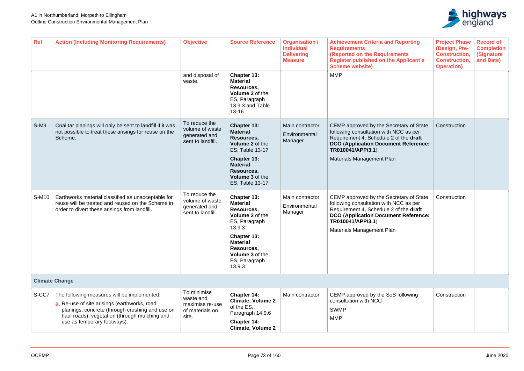

| <b>Ref</b> | <b>Action (Including Monitoring Requirements)</b>                                                                                                                                                                              | <b>Objective</b>                                                        | <b>Source Reference</b>                                                                                                                                                                         | <b>Organisation /</b><br><b>Individual</b><br><b>Delivering</b><br><b>Measure</b> | <b>Achievement Criteria and Reporting</b><br><b>Requirements</b><br><b>(Reported on the Requirements</b><br><b>Register published on the Applicant's</b><br><b>Scheme website)</b>                                                  | <b>Project Phase</b><br>(Design, Pre-<br><b>Construction,</b><br><b>Construction,</b><br><b>Operation</b> ) | <b>Record of</b><br><b>Completion</b><br><b>(Signature</b><br>and Date) |
|------------|--------------------------------------------------------------------------------------------------------------------------------------------------------------------------------------------------------------------------------|-------------------------------------------------------------------------|-------------------------------------------------------------------------------------------------------------------------------------------------------------------------------------------------|-----------------------------------------------------------------------------------|-------------------------------------------------------------------------------------------------------------------------------------------------------------------------------------------------------------------------------------|-------------------------------------------------------------------------------------------------------------|-------------------------------------------------------------------------|
|            |                                                                                                                                                                                                                                | and disposal of<br>waste.                                               | Chapter 13:<br><b>Material</b><br>Resources,<br>Volume 3 of the<br>ES, Paragraph<br>13.9.3 and Table<br>$13 - 16$                                                                               |                                                                                   | <b>MMP</b>                                                                                                                                                                                                                          |                                                                                                             |                                                                         |
| $S-M9$     | Coal tar planings will only be sent to landfill if it was<br>not possible to treat these arisings for reuse on the<br>Scheme.                                                                                                  | To reduce the<br>volume of waste<br>generated and<br>sent to landfill.  | Chapter 13:<br><b>Material</b><br>Resources,<br>Volume 2 of the<br><b>ES, Table 13-17</b><br><b>Chapter 13:</b><br><b>Material</b><br>Resources,<br>Volume 3 of the<br>ES, Table 13-17          | Main contractor<br>Environmental<br>Manager                                       | CEMP approved by the Secretary of State<br>following consultation with NCC as per<br>Requirement 4, Schedule 2 of the draft<br><b>DCO (Application Document Reference:</b><br>TR010041/APP/3.1)<br><b>Materials Management Plan</b> | Construction                                                                                                |                                                                         |
| S-M10      | Earthworks material classified as unacceptable for<br>reuse will be treated and reused on the Scheme in<br>order to divert these arisings from landfill.                                                                       | To reduce the<br>volume of waste<br>generated and<br>sent to landfill.  | Chapter 13:<br><b>Material</b><br>Resources,<br>Volume 2 of the<br>ES, Paragraph<br>13.9.3<br><b>Chapter 13:</b><br><b>Material</b><br>Resources,<br>Volume 3 of the<br>ES, Paragraph<br>13.9.3 | Main contractor<br>Environmental<br>Manager                                       | CEMP approved by the Secretary of State<br>following consultation with NCC as per<br>Requirement 4, Schedule 2 of the draft<br><b>DCO (Application Document Reference:</b><br>TR010041/APP/3.1)<br><b>Materials Management Plan</b> | Construction                                                                                                |                                                                         |
|            | <b>Climate Change</b>                                                                                                                                                                                                          |                                                                         |                                                                                                                                                                                                 |                                                                                   |                                                                                                                                                                                                                                     |                                                                                                             |                                                                         |
| S-CC7      | The following measures will be implemented:<br>a. Re-use of site arisings (earthworks, road<br>planings, concrete (through crushing and use on<br>haul roads), vegetation (through mulching and<br>use as temporary footways). | To minimise<br>waste and<br>maximise re-use<br>of materials on<br>site. | Chapter 14:<br><b>Climate, Volume 2</b><br>of the ES,<br>Paragraph 14.9.6<br>Chapter 14:<br><b>Climate, Volume 2</b>                                                                            | Main contractor                                                                   | CEMP approved by the SoS following<br>consultation with NCC<br><b>SWMP</b><br><b>MMP</b>                                                                                                                                            | Construction                                                                                                |                                                                         |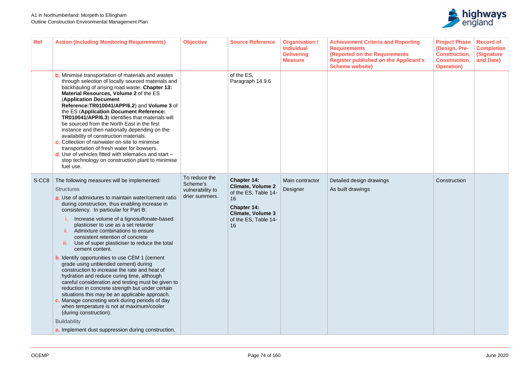

| <b>Ref</b>        | <b>Action (Including Monitoring Requirements)</b>                                                                                                                                                                                                                                                                                                                                                                                                                                                                                                                                                                                                                                                                                                                                                                                                                                                                                                                                                                              | <b>Objective</b>                                                | <b>Source Reference</b>                                                                                                                                      | <b>Organisation /</b><br><b>Individual</b><br><b>Delivering</b><br><b>Measure</b> | <b>Achievement Criteria and Reporting</b><br><b>Requirements</b><br><b>(Reported on the Requirements)</b><br><b>Register published on the Applicant's</b><br><b>Scheme website)</b> | <b>Project Phase</b><br>(Design, Pre-<br><b>Construction,</b><br><b>Construction,</b><br><b>Operation)</b> | <b>Record of</b><br><b>Completion</b><br><b>(Signature</b><br>and Date) |
|-------------------|--------------------------------------------------------------------------------------------------------------------------------------------------------------------------------------------------------------------------------------------------------------------------------------------------------------------------------------------------------------------------------------------------------------------------------------------------------------------------------------------------------------------------------------------------------------------------------------------------------------------------------------------------------------------------------------------------------------------------------------------------------------------------------------------------------------------------------------------------------------------------------------------------------------------------------------------------------------------------------------------------------------------------------|-----------------------------------------------------------------|--------------------------------------------------------------------------------------------------------------------------------------------------------------|-----------------------------------------------------------------------------------|-------------------------------------------------------------------------------------------------------------------------------------------------------------------------------------|------------------------------------------------------------------------------------------------------------|-------------------------------------------------------------------------|
|                   | <b>b.</b> Minimise transportation of materials and wastes<br>through selection of locally sourced materials and<br>backhauling of arising road waste. Chapter 13:<br>Material Resources, Volume 2 of the ES<br><b>(Application Document</b><br>Reference: TR010041/APP/6.2) and Volume 3 of<br>the ES (Application Document Reference:<br>TR010041/APP/6.3) identifies that materials will<br>be sourced from the North East in the first<br>instance and then nationally depending on the<br>availability of construction materials.<br>c. Collection of rainwater on-site to minimise<br>transportation of fresh water for bowsers.<br>$d.$ Use of vehicles fitted with telematics and start $-$<br>stop technology on construction plant to minimise<br>fuel use.                                                                                                                                                                                                                                                           |                                                                 | of the ES,<br>Paragraph 14.9.6                                                                                                                               |                                                                                   |                                                                                                                                                                                     |                                                                                                            |                                                                         |
| S-CC <sub>8</sub> | The following measures will be implemented:<br><b>Structures</b><br>a. Use of admixtures to maintain water/cement ratio<br>during construction, thus enabling increase in<br>consistency. In particular for Part B:<br>Increase volume of a lignosulfonate-based<br>plasticiser to use as a set retarder<br>Admixture combinations to ensure<br>consistent retention of concrete<br>Use of super plasticiser to reduce the total<br>iii.<br>cement content.<br><b>b.</b> Identify opportunities to use CEM 1 (cement<br>grade using unblended cement) during<br>construction to increase the rate and heat of<br>hydration and reduce curing time, although<br>careful consideration and testing must be given to<br>reduction in concrete strength but under certain<br>situations this may be an applicable approach.<br>c. Manage concreting work during periods of day<br>when temperature is not at maximum/cooler<br>(during construction).<br><b>Buildability</b><br>a. Implement dust suppression during construction. | To reduce the<br>Scheme's<br>vulnerability to<br>drier summers. | <b>Chapter 14:</b><br><b>Climate, Volume 2</b><br>of the ES, Table 14-<br>16<br><b>Chapter 14:</b><br><b>Climate, Volume 3</b><br>of the ES, Table 14-<br>16 | Main contractor<br>Designer                                                       | Detailed design drawings<br>As built drawings                                                                                                                                       | Construction                                                                                               |                                                                         |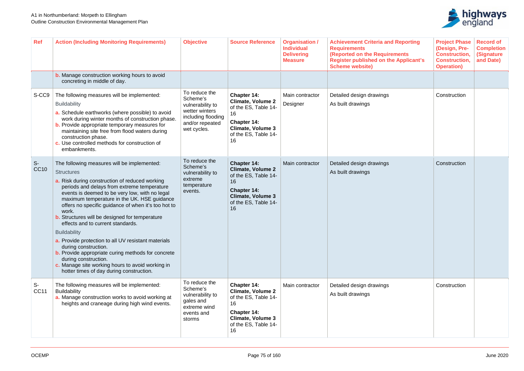

| <b>Ref</b>          | <b>Action (Including Monitoring Requirements)</b>                                                                                                                                                                                                                                                                                                                                                                                                                                                                                                                                                                                                                                                                           | <b>Objective</b>                                                                                                        | <b>Source Reference</b>                                                                                                                               | <b>Organisation /</b><br><b>Individual</b><br><b>Delivering</b><br><b>Measure</b> | <b>Achievement Criteria and Reporting</b><br><b>Requirements</b><br><b>(Reported on the Requirements</b><br><b>Register published on the Applicant's</b><br><b>Scheme website)</b> | <b>Project Phase</b><br>(Design, Pre-<br><b>Construction,</b><br><b>Construction,</b><br><b>Operation</b> ) | <b>Record of</b><br><b>Completion</b><br><b>(Signature</b><br>and Date) |
|---------------------|-----------------------------------------------------------------------------------------------------------------------------------------------------------------------------------------------------------------------------------------------------------------------------------------------------------------------------------------------------------------------------------------------------------------------------------------------------------------------------------------------------------------------------------------------------------------------------------------------------------------------------------------------------------------------------------------------------------------------------|-------------------------------------------------------------------------------------------------------------------------|-------------------------------------------------------------------------------------------------------------------------------------------------------|-----------------------------------------------------------------------------------|------------------------------------------------------------------------------------------------------------------------------------------------------------------------------------|-------------------------------------------------------------------------------------------------------------|-------------------------------------------------------------------------|
|                     | <b>b.</b> Manage construction working hours to avoid<br>concreting in middle of day.                                                                                                                                                                                                                                                                                                                                                                                                                                                                                                                                                                                                                                        |                                                                                                                         |                                                                                                                                                       |                                                                                   |                                                                                                                                                                                    |                                                                                                             |                                                                         |
| S-CC <sub>9</sub>   | The following measures will be implemented:<br><b>Buildability</b><br>a. Schedule earthworks (where possible) to avoid<br>work during winter months of construction phase.<br><b>b.</b> Provide appropriate temporary measures for<br>maintaining site free from flood waters during<br>construction phase.<br>c. Use controlled methods for construction of<br>embankments.                                                                                                                                                                                                                                                                                                                                                | To reduce the<br>Scheme's<br>vulnerability to<br>wetter winters<br>including flooding<br>and/or repeated<br>wet cycles. | <b>Chapter 14:</b><br><b>Climate, Volume 2</b><br>of the ES, Table 14-<br>16<br>Chapter 14:<br><b>Climate, Volume 3</b><br>of the ES, Table 14-<br>16 | Main contractor<br>Designer                                                       | Detailed design drawings<br>As built drawings                                                                                                                                      | Construction                                                                                                |                                                                         |
| $S-$<br><b>CC10</b> | The following measures will be implemented:<br><b>Structures</b><br>a. Risk during construction of reduced working<br>periods and delays from extreme temperature<br>events is deemed to be very low, with no legal<br>maximum temperature in the UK. HSE guidance<br>offers no specific guidance of when it's too hot to<br>work.<br><b>b.</b> Structures will be designed for temperature<br>effects and to current standards.<br><b>Buildability</b><br>a. Provide protection to all UV resistant materials<br>during construction.<br><b>b.</b> Provide appropriate curing methods for concrete<br>during construction.<br>c. Manage site working hours to avoid working in<br>hotter times of day during construction. | To reduce the<br>Scheme's<br>vulnerability to<br>extreme<br>temperature<br>events.                                      | <b>Chapter 14:</b><br><b>Climate, Volume 2</b><br>of the ES, Table 14-<br>16<br>Chapter 14:<br><b>Climate, Volume 3</b><br>of the ES, Table 14-<br>16 | Main contractor                                                                   | Detailed design drawings<br>As built drawings                                                                                                                                      | Construction                                                                                                |                                                                         |
| $S-$<br><b>CC11</b> | The following measures will be implemented:<br><b>Buildability</b><br>a. Manage construction works to avoid working at<br>heights and craneage during high wind events.                                                                                                                                                                                                                                                                                                                                                                                                                                                                                                                                                     | To reduce the<br>Scheme's<br>vulnerability to<br>gales and<br>extreme wind<br>events and<br>storms                      | Chapter 14:<br><b>Climate, Volume 2</b><br>of the ES, Table 14-<br>16<br><b>Chapter 14:</b><br><b>Climate, Volume 3</b><br>of the ES, Table 14-<br>16 | Main contractor                                                                   | Detailed design drawings<br>As built drawings                                                                                                                                      | Construction                                                                                                |                                                                         |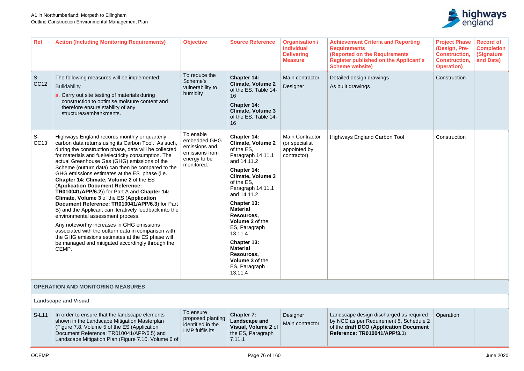

| <b>Ref</b>        | <b>Action (Including Monitoring Requirements)</b>                                                                                                                                                                                                                                                                                                                                                                                                                                                                                                                                                                                                                                                                                                                                                                                                                                                                                   | <b>Objective</b>                                                                           | <b>Source Reference</b>                                                                                                                                                                                                                                                                                                                                                                     | <b>Organisation /</b><br><b>Individual</b><br><b>Delivering</b><br><b>Measure</b> | <b>Achievement Criteria and Reporting</b><br><b>Requirements</b><br><b>(Reported on the Requirements</b><br><b>Register published on the Applicant's</b><br><b>Scheme website)</b> | <b>Project Phase</b><br>(Design, Pre-<br><b>Construction,</b><br><b>Construction,</b><br><b>Operation</b> ) | <b>Record of</b><br><b>Completion</b><br><b>(Signature</b><br>and Date) |
|-------------------|-------------------------------------------------------------------------------------------------------------------------------------------------------------------------------------------------------------------------------------------------------------------------------------------------------------------------------------------------------------------------------------------------------------------------------------------------------------------------------------------------------------------------------------------------------------------------------------------------------------------------------------------------------------------------------------------------------------------------------------------------------------------------------------------------------------------------------------------------------------------------------------------------------------------------------------|--------------------------------------------------------------------------------------------|---------------------------------------------------------------------------------------------------------------------------------------------------------------------------------------------------------------------------------------------------------------------------------------------------------------------------------------------------------------------------------------------|-----------------------------------------------------------------------------------|------------------------------------------------------------------------------------------------------------------------------------------------------------------------------------|-------------------------------------------------------------------------------------------------------------|-------------------------------------------------------------------------|
| $S-$<br>CC12      | The following measures will be implemented:<br><b>Buildability</b><br>a. Carry out site testing of materials during<br>construction to optimise moisture content and<br>therefore ensure stability of any<br>structures/embankments.                                                                                                                                                                                                                                                                                                                                                                                                                                                                                                                                                                                                                                                                                                | To reduce the<br>Scheme's<br>vulnerability to<br>humidity                                  | <b>Chapter 14:</b><br><b>Climate, Volume 2</b><br>of the ES, Table 14-<br>16<br>Chapter 14:<br><b>Climate, Volume 3</b><br>of the ES, Table 14-<br>16                                                                                                                                                                                                                                       | Main contractor<br>Designer                                                       | Detailed design drawings<br>As built drawings                                                                                                                                      | Construction                                                                                                |                                                                         |
| $S-$<br>CC13      | Highways England records monthly or quarterly<br>carbon data returns using its Carbon Tool. As such,<br>during the construction phase, data will be collected<br>for materials and fuel/electricity consumption. The<br>actual Greenhouse Gas (GHG) emissions of the<br>Scheme (outturn data) can then be compared to the<br>GHG emissions estimates at the ES phase (i.e.<br>Chapter 14: Climate, Volume 2 of the ES<br>(Application Document Reference:<br><b>TR010041/APP/6.2))</b> for Part A and Chapter 14:<br>Climate, Volume 3 of the ES (Application<br>Document Reference: TR010041/APP/6.3) for Part<br>B) and the Applicant can iteratively feedback into the<br>environmental assessment process.<br>Any noteworthy increases in GHG emissions<br>associated with the outturn data in comparison with<br>the GHG emissions estimates at the ES phase will<br>be managed and mitigated accordingly through the<br>CEMP. | To enable<br>embedded GHG<br>emissions and<br>emissions from<br>energy to be<br>monitored. | Chapter 14:<br><b>Climate, Volume 2</b><br>of the ES,<br>Paragraph 14.11.1<br>and 14.11.2<br>Chapter 14:<br><b>Climate, Volume 3</b><br>of the ES,<br>Paragraph 14.11.1<br>and 14.11.2<br>Chapter 13:<br><b>Material</b><br>Resources,<br>Volume 2 of the<br>ES, Paragraph<br>13.11.4<br><b>Chapter 13:</b><br><b>Material</b><br>Resources,<br>Volume 3 of the<br>ES, Paragraph<br>13.11.4 | <b>Main Contractor</b><br>(or specialist<br>appointed by<br>contractor)           | <b>Highways England Carbon Tool</b>                                                                                                                                                | Construction                                                                                                |                                                                         |
|                   | <b>OPERATION AND MONITORING MEASURES</b><br><b>Landscape and Visual</b>                                                                                                                                                                                                                                                                                                                                                                                                                                                                                                                                                                                                                                                                                                                                                                                                                                                             |                                                                                            |                                                                                                                                                                                                                                                                                                                                                                                             |                                                                                   |                                                                                                                                                                                    |                                                                                                             |                                                                         |
| S-L <sub>11</sub> | In order to ensure that the landscape elements<br>shown in the Landscape Mitigation Masterplan<br>(Figure 7.8, Volume 5 of the ES (Application<br>Document Reference: TR010041/APP/6.5) and<br>Landscape Mitigation Plan (Figure 7.10, Volume 6 of                                                                                                                                                                                                                                                                                                                                                                                                                                                                                                                                                                                                                                                                                  | To ensure<br>proposed planting<br>identified in the<br>LMP fulfils its                     | <b>Chapter 7:</b><br><b>Landscape and</b><br>Visual, Volume 2 of<br>the ES, Paragraph<br>7.11.1                                                                                                                                                                                                                                                                                             | Designer<br>Main contractor                                                       | Landscape design discharged as required<br>by NCC as per Requirement 5, Schedule 2<br>of the draft DCO (Application Document<br>Reference: TR010041/APP/3.1)                       | Operation                                                                                                   |                                                                         |

|                   | <b>Landscape and Visual</b>                                                                                                                                                                                                                         |                                                                        |                                                                                          |                                    |                                                                                                                       |  |  |  |  |  |  |
|-------------------|-----------------------------------------------------------------------------------------------------------------------------------------------------------------------------------------------------------------------------------------------------|------------------------------------------------------------------------|------------------------------------------------------------------------------------------|------------------------------------|-----------------------------------------------------------------------------------------------------------------------|--|--|--|--|--|--|
| S-L <sub>11</sub> | In order to ensure that the landscape elements<br>shown in the Landscape Mitigation Masterplan<br>(Figure 7.8, Volume 5 of the ES (Application)<br>Document Reference: TR010041/APP/6.5) and<br>Landscape Mitigation Plan (Figure 7.10, Volume 6 of | To ensure<br>proposed planting<br>identified in the<br>LMP fulfils its | <b>Chapter 7:</b><br>Landscape and<br>Visual, Volume 2 of<br>the ES, Paragraph<br>7.11.1 | <b>Designer</b><br>Main contractor | Landscape design discharged<br>by NCC as per Requirement<br>of the draft DCO (Application<br>Reference: TR010041/APP/ |  |  |  |  |  |  |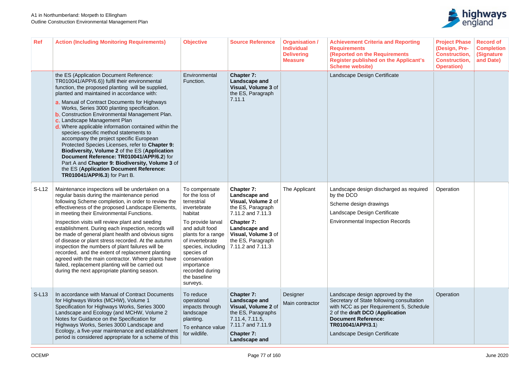

| <b>Ref</b>        | <b>Action (Including Monitoring Requirements)</b>                                                                                                                                                                                                                                                                                                                                                                                                                                                                                                                                                                                                                                                                                                                                                                            | <b>Objective</b>                                                                                                                                                                                                                                                                                      | <b>Source Reference</b>                                                                                                                                                               | <b>Organisation /</b><br><b>Individual</b><br><b>Delivering</b><br><b>Measure</b> | <b>Achievement Criteria and Reporting</b><br><b>Requirements</b><br><b>(Reported on the Requirements</b><br><b>Register published on the Applicant's</b><br><b>Scheme website)</b>                                                             | <b>Project Phase</b><br>(Design, Pre-<br><b>Construction,</b><br><b>Construction,</b><br><b>Operation</b> ) | <b>Record of</b><br><b>Completion</b><br><b>(Signature</b><br>and Date) |
|-------------------|------------------------------------------------------------------------------------------------------------------------------------------------------------------------------------------------------------------------------------------------------------------------------------------------------------------------------------------------------------------------------------------------------------------------------------------------------------------------------------------------------------------------------------------------------------------------------------------------------------------------------------------------------------------------------------------------------------------------------------------------------------------------------------------------------------------------------|-------------------------------------------------------------------------------------------------------------------------------------------------------------------------------------------------------------------------------------------------------------------------------------------------------|---------------------------------------------------------------------------------------------------------------------------------------------------------------------------------------|-----------------------------------------------------------------------------------|------------------------------------------------------------------------------------------------------------------------------------------------------------------------------------------------------------------------------------------------|-------------------------------------------------------------------------------------------------------------|-------------------------------------------------------------------------|
|                   | the ES (Application Document Reference:<br>TR010041/APP/6.6)) fulfil their environmental<br>function, the proposed planting will be supplied,<br>planted and maintained in accordance with:<br>a. Manual of Contract Documents for Highways<br>Works, Series 3000 planting specification.<br><b>b.</b> Construction Environmental Management Plan.<br>c. Landscape Management Plan<br>d. Where applicable information contained within the<br>species-specific method statements to<br>accompany the project specific European<br>Protected Species Licenses, refer to Chapter 9:<br><b>Biodiversity, Volume 2 of the ES (Application</b><br>Document Reference: TR010041/APP/6.2) for<br>Part A and Chapter 9: Biodiversity, Volume 3 of<br>the ES (Application Document Reference:<br><b>TR010041/APP/6.3)</b> for Part B. | Environmental<br>Function.                                                                                                                                                                                                                                                                            | <b>Chapter 7:</b><br>Landscape and<br>Visual, Volume 3 of<br>the ES, Paragraph<br>7.11.1                                                                                              |                                                                                   | Landscape Design Certificate                                                                                                                                                                                                                   |                                                                                                             |                                                                         |
| S-L12             | Maintenance inspections will be undertaken on a<br>regular basis during the maintenance period<br>following Scheme completion, in order to review the<br>effectiveness of the proposed Landscape Elements,<br>in meeting their Environmental Functions.<br>Inspection visits will review plant and seeding<br>establishment. During each inspection, records will<br>be made of general plant health and obvious signs<br>of disease or plant stress recorded. At the autumn<br>inspection the numbers of plant failures will be<br>recorded, and the extent of replacement planting<br>agreed with the main contractor. Where plants have<br>failed, replacement planting will be carried out<br>during the next appropriate planting season.                                                                               | To compensate<br>for the loss of<br>terrestrial<br>invertebrate<br>habitat<br>To provide larval<br>and adult food<br>plants for a range<br>of invertebrate<br>species, including $\vert$ 7.11.2 and 7.11.3<br>species of<br>conservation<br>importance<br>recorded during<br>the baseline<br>surveys. | <b>Chapter 7:</b><br>Landscape and<br>Visual, Volume 2 of<br>the ES, Paragraph<br>7.11.2 and 7.11.3<br><b>Chapter 7:</b><br>Landscape and<br>Visual, Volume 3 of<br>the ES, Paragraph | The Applicant                                                                     | Landscape design discharged as required<br>by the DCO<br>Scheme design drawings<br>Landscape Design Certificate<br><b>Environmental Inspection Records</b>                                                                                     | Operation                                                                                                   |                                                                         |
| S-L <sub>13</sub> | In accordance with Manual of Contract Documents<br>for Highways Works (MCHW), Volume 1<br>Specification for Highways Works, Series 3000<br>Landscape and Ecology (and MCHW, Volume 2<br>Notes for Guidance on the Specification for<br>Highways Works, Series 3000 Landscape and<br>Ecology, a five-year maintenance and establishment<br>period is considered appropriate for a scheme of this                                                                                                                                                                                                                                                                                                                                                                                                                              | To reduce<br>operational<br>impacts through<br>landscape<br>planting.<br>To enhance value<br>for wildlife.                                                                                                                                                                                            | <b>Chapter 7:</b><br>Landscape and<br>Visual, Volume 2 of<br>the ES, Paragraphs<br>7.11.4, 7.11.5,<br>7.11.7 and 7.11.9<br><b>Chapter 7:</b><br>Landscape and                         | Designer<br>Main contractor                                                       | Landscape design approved by the<br>Secretary of State following consultation<br>with NCC as per Requirement 5, Schedule<br>2 of the draft DCO (Application<br><b>Document Reference:</b><br>TR010041/APP/3.1)<br>Landscape Design Certificate | Operation                                                                                                   |                                                                         |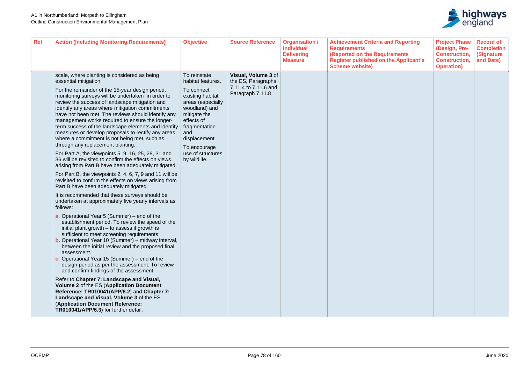

| <b>Ref</b> | <b>Action (Including Monitoring Requirements)</b>                                                                                                                                                                                                                                                                                                                                                                                                                                                                                                                                                                                                                                                                                                                                                                                                                                                                                                                                                                                                                                                                                                                                                                                                                                                                                                                                                                                                                                                                                                                                                                                                                                                                                                                                                         | <b>Objective</b>                                                                                                                                                                                                                      | <b>Source Reference</b>                                                               | <b>Organisation /</b><br><b>Individual</b><br><b>Delivering</b><br><b>Measure</b> | <b>Achievement Criteria and Reporting</b><br><b>Requirements</b><br>(Reported on the Requirements<br><b>Register published on the Applicant's</b><br><b>Scheme website)</b> | <b>Project Phase</b><br>(Design, Pre-<br><b>Construction,</b><br><b>Construction,</b><br><b>Operation</b> ) | <b>Record of</b><br><b>Completion</b><br><b>(Signature</b><br>and Date) |
|------------|-----------------------------------------------------------------------------------------------------------------------------------------------------------------------------------------------------------------------------------------------------------------------------------------------------------------------------------------------------------------------------------------------------------------------------------------------------------------------------------------------------------------------------------------------------------------------------------------------------------------------------------------------------------------------------------------------------------------------------------------------------------------------------------------------------------------------------------------------------------------------------------------------------------------------------------------------------------------------------------------------------------------------------------------------------------------------------------------------------------------------------------------------------------------------------------------------------------------------------------------------------------------------------------------------------------------------------------------------------------------------------------------------------------------------------------------------------------------------------------------------------------------------------------------------------------------------------------------------------------------------------------------------------------------------------------------------------------------------------------------------------------------------------------------------------------|---------------------------------------------------------------------------------------------------------------------------------------------------------------------------------------------------------------------------------------|---------------------------------------------------------------------------------------|-----------------------------------------------------------------------------------|-----------------------------------------------------------------------------------------------------------------------------------------------------------------------------|-------------------------------------------------------------------------------------------------------------|-------------------------------------------------------------------------|
|            | scale, where planting is considered as being<br>essential mitigation.<br>For the remainder of the 15-year design period,<br>monitoring surveys will be undertaken in order to<br>review the success of landscape mitigation and<br>identify any areas where mitigation commitments<br>have not been met. The reviews should identify any<br>management works required to ensure the longer-<br>term success of the landscape elements and identify<br>measures or develop proposals to rectify any areas<br>where a commitment is not being met, such as<br>through any replacement planting.<br>For Part A, the viewpoints 5, 9, 16, 25, 28, 31 and<br>36 will be revisited to confirm the effects on views<br>arising from Part B have been adequately mitigated.<br>For Part B, the viewpoints 2, 4, 6, 7, 9 and 11 will be<br>revisited to confirm the effects on views arising from<br>Part B have been adequately mitigated.<br>It is recommended that these surveys should be<br>undertaken at approximately five yearly intervals as<br>follows:<br>a. Operational Year 5 (Summer) – end of the<br>establishment period. To review the speed of the<br>initial plant growth - to assess if growth is<br>sufficient to meet screening requirements.<br><b>b.</b> Operational Year 10 (Summer) – midway interval,<br>between the initial review and the proposed final<br>assessment.<br>c. Operational Year 15 (Summer) – end of the<br>design period as per the assessment. To review<br>and confirm findings of the assessment.<br>Refer to Chapter 7: Landscape and Visual,<br>Volume 2 of the ES (Application Document<br>Reference: TR010041/APP/6.2) and Chapter 7:<br>Landscape and Visual, Volume 3 of the ES<br>(Application Document Reference:<br>TR010041/APP/6.3) for further detail. | To reinstate<br>habitat features.<br>To connect<br>existing habitat<br>areas (especially<br>woodland) and<br>mitigate the<br>effects of<br>fragmentation<br>and<br>displacement.<br>To encourage<br>use of structures<br>by wildlife. | Visual, Volume 3 of<br>the ES, Paragraphs<br>7.11.4 to 7.11.6 and<br>Paragraph 7.11.8 |                                                                                   |                                                                                                                                                                             |                                                                                                             |                                                                         |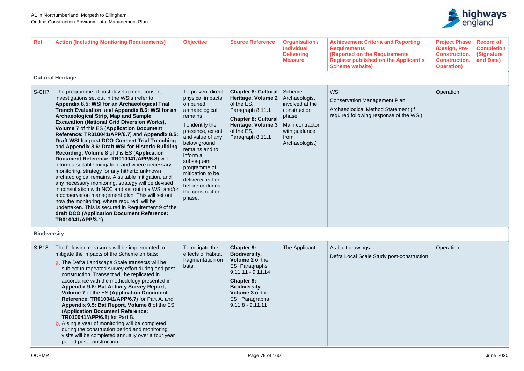

| <b>Ref</b>          | <b>Action (Including Monitoring Requirements)</b>                                                                                                                                                                                                                                                                                                                                                                                                                                                                                                                                                                                                                                                                                                                                                                                                                                                                                                                                                                                                                                                              | <b>Objective</b>                                                                                                                                                                                                                                                                                                  | <b>Source Reference</b>                                                                                                                                                                                       | <b>Organisation /</b><br><b>Individual</b><br><b>Delivering</b><br><b>Measure</b>                                                 | <b>Achievement Criteria and Reporting</b><br><b>Requirements</b><br><b>(Reported on the Requirements</b><br><b>Register published on the Applicant's</b><br><b>Scheme website)</b> | <b>Project Phase</b><br>(Design, Pre-<br><b>Construction,</b><br><b>Construction,</b><br><b>Operation</b> ) | <b>Record of</b><br><b>Completion</b><br><b>(Signature</b><br>and Date) |
|---------------------|----------------------------------------------------------------------------------------------------------------------------------------------------------------------------------------------------------------------------------------------------------------------------------------------------------------------------------------------------------------------------------------------------------------------------------------------------------------------------------------------------------------------------------------------------------------------------------------------------------------------------------------------------------------------------------------------------------------------------------------------------------------------------------------------------------------------------------------------------------------------------------------------------------------------------------------------------------------------------------------------------------------------------------------------------------------------------------------------------------------|-------------------------------------------------------------------------------------------------------------------------------------------------------------------------------------------------------------------------------------------------------------------------------------------------------------------|---------------------------------------------------------------------------------------------------------------------------------------------------------------------------------------------------------------|-----------------------------------------------------------------------------------------------------------------------------------|------------------------------------------------------------------------------------------------------------------------------------------------------------------------------------|-------------------------------------------------------------------------------------------------------------|-------------------------------------------------------------------------|
|                     | <b>Cultural Heritage</b>                                                                                                                                                                                                                                                                                                                                                                                                                                                                                                                                                                                                                                                                                                                                                                                                                                                                                                                                                                                                                                                                                       |                                                                                                                                                                                                                                                                                                                   |                                                                                                                                                                                                               |                                                                                                                                   |                                                                                                                                                                                    |                                                                                                             |                                                                         |
| S-CH <sub>7</sub>   | The programme of post development consent<br>investigations set out in the WSIs (refer to<br>Appendix 8.5: WSI for an Archaeological Trial<br>Trench Evaluation, and Appendix 8.6: WSI for an<br><b>Archaeological Strip, Map and Sample</b><br><b>Excavation (National Grid Diversion Works),</b><br>Volume 7 of this ES (Application Document<br>Reference: TR010041/APP/6.7) and Appendix 8.5:<br>Draft WSI for post DCO-Consent Trial Trenching<br>and Appendix 8.6: Draft WSI for Historic Building<br>Recording, Volume 8 of this ES (Application<br>Document Reference: TR010041/APP/6.8) will<br>inform a suitable mitigation, and where necessary<br>monitoring, strategy for any hitherto unknown<br>archaeological remains. A suitable mitigation, and<br>any necessary monitoring, strategy will be devised<br>in consultation with NCC and set out in a WSI and/or<br>a conservation management plan. This will set out<br>how the monitoring, where required, will be<br>undertaken. This is secured in Requirement 9 of the<br>draft DCO (Application Document Reference:<br>TR010041/APP/3.1). | To prevent direct<br>physical impacts<br>on buried<br>archaeological<br>remains.<br>To identify the<br>presence, extent<br>and value of any<br>below ground<br>remains and to<br>inform a<br>subsequent<br>programme of<br>mitigation to be<br>delivered either<br>before or during<br>the construction<br>phase. | <b>Chapter 8: Cultural</b><br>Heritage, Volume 2<br>of the ES,<br>Paragraph 8.11.1<br><b>Chapter 8: Cultural</b><br>Heritage, Volume 3<br>of the ES,<br>Paragraph 8.11.1                                      | Scheme<br>Archaeologist<br>involved at the<br>construction<br>phase<br>Main contractor<br>with guidance<br>from<br>Archaeologist) | <b>WSI</b><br><b>Conservation Management Plan</b><br>Archaeological Method Statement (if<br>required following response of the WSI)                                                | Operation                                                                                                   |                                                                         |
| <b>Biodiversity</b> |                                                                                                                                                                                                                                                                                                                                                                                                                                                                                                                                                                                                                                                                                                                                                                                                                                                                                                                                                                                                                                                                                                                |                                                                                                                                                                                                                                                                                                                   |                                                                                                                                                                                                               |                                                                                                                                   |                                                                                                                                                                                    |                                                                                                             |                                                                         |
| S-B18               | The following measures will be implemented to<br>mitigate the impacts of the Scheme on bats:<br>a. The Defra Landscape Scale transects will be<br>subject to repeated survey effort during and post-<br>construction. Transect will be replicated in<br>accordance with the methodology presented in<br>Appendix 9.8: Bat Activity Survey Report,<br>Volume 7 of the ES (Application Document<br>Reference: TR010041/APP/6.7) for Part A, and<br>Appendix 9.5: Bat Report, Volume 8 of the ES<br>(Application Document Reference:<br>TR010041/APP/6.8) for Part B.<br><b>b.</b> A single year of monitoring will be completed<br>during the construction period and monitoring<br>visits will be completed annually over a four year<br>period post-construction.                                                                                                                                                                                                                                                                                                                                              | To mitigate the<br>effects of habitat<br>fragmentation on<br>bats.                                                                                                                                                                                                                                                | <b>Chapter 9:</b><br><b>Biodiversity,</b><br>Volume 2 of the<br>ES, Paragraphs<br>$9.11.11 - 9.11.14$<br><b>Chapter 9:</b><br><b>Biodiversity,</b><br>Volume 3 of the<br>ES, Paragraphs<br>$9.11.8 - 9.11.11$ | The Applicant                                                                                                                     | As built drawings<br>Defra Local Scale Study post-construction                                                                                                                     | Operation                                                                                                   |                                                                         |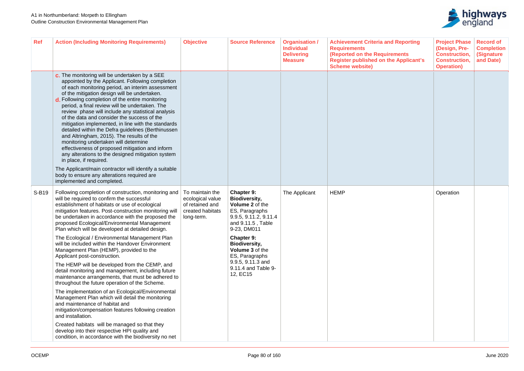

| <b>Ref</b> | <b>Action (Including Monitoring Requirements)</b>                                                                                                                                                                                                                                                                                                                                                                                                                                                                                                                                                                                                                                                                                                                                                                                                                                          | <b>Objective</b>                                                                         | <b>Source Reference</b>                                                                                                                                                                                                                                                               | <b>Organisation /</b><br><b>Individual</b><br><b>Delivering</b><br><b>Measure</b> | <b>Achievement Criteria and Reporting</b><br><b>Requirements</b><br><b>(Reported on the Requirements)</b><br><b>Register published on the Applicant's</b><br><b>Scheme website)</b> | <b>Project Phase</b><br>(Design, Pre-<br><b>Construction,</b><br><b>Construction,</b><br><b>Operation</b> ) | <b>Record of</b><br><b>Completion</b><br><b>(Signature</b><br>and Date) |
|------------|--------------------------------------------------------------------------------------------------------------------------------------------------------------------------------------------------------------------------------------------------------------------------------------------------------------------------------------------------------------------------------------------------------------------------------------------------------------------------------------------------------------------------------------------------------------------------------------------------------------------------------------------------------------------------------------------------------------------------------------------------------------------------------------------------------------------------------------------------------------------------------------------|------------------------------------------------------------------------------------------|---------------------------------------------------------------------------------------------------------------------------------------------------------------------------------------------------------------------------------------------------------------------------------------|-----------------------------------------------------------------------------------|-------------------------------------------------------------------------------------------------------------------------------------------------------------------------------------|-------------------------------------------------------------------------------------------------------------|-------------------------------------------------------------------------|
|            | c. The monitoring will be undertaken by a SEE<br>appointed by the Applicant. Following completion<br>of each monitoring period, an interim assessment<br>of the mitigation design will be undertaken.<br>d. Following completion of the entire monitoring<br>period, a final review will be undertaken. The<br>review phase will include any statistical analysis<br>of the data and consider the success of the<br>mitigation implemented, in line with the standards<br>detailed within the Defra guidelines (Berthinussen<br>and Altringham, 2015). The results of the<br>monitoring undertaken will determine<br>effectiveness of proposed mitigation and inform<br>any alterations to the designed mitigation system<br>in place, if required.<br>The Applicant/main contractor will identify a suitable<br>body to ensure any alterations required are<br>implemented and completed. |                                                                                          |                                                                                                                                                                                                                                                                                       |                                                                                   |                                                                                                                                                                                     |                                                                                                             |                                                                         |
| S-B19      | Following completion of construction, monitoring and<br>will be required to confirm the successful<br>establishment of habitats or use of ecological<br>mitigation features. Post-construction monitoring will<br>be undertaken in accordance with the proposed the<br>proposed Ecological/Environmental Management<br>Plan which will be developed at detailed design.<br>The Ecological / Environmental Management Plan<br>will be included within the Handover Environment<br>Management Plan (HEMP), provided to the<br>Applicant post-construction.<br>The HEMP will be developed from the CEMP, and<br>detail monitoring and management, including future<br>maintenance arrangements, that must be adhered to<br>throughout the future operation of the Scheme.                                                                                                                     | To maintain the<br>ecological value<br>of retained and<br>created habitats<br>long-term. | <b>Chapter 9:</b><br><b>Biodiversity,</b><br>Volume 2 of the<br>ES, Paragraphs<br>9.9.5, 9.11.2, 9.11.4<br>and 9.11.5, Table<br>9-23, DM011<br><b>Chapter 9:</b><br><b>Biodiversity,</b><br>Volume 3 of the<br>ES, Paragraphs<br>9.9.5, 9.11.3 and<br>9.11.4 and Table 9-<br>12, EC15 | The Applicant                                                                     | <b>HEMP</b>                                                                                                                                                                         | Operation                                                                                                   |                                                                         |
|            | The implementation of an Ecological/Environmental<br>Management Plan which will detail the monitoring<br>and maintenance of habitat and<br>mitigation/compensation features following creation<br>and installation.<br>Created habitats will be managed so that they<br>develop into their respective HPI quality and<br>condition, in accordance with the biodiversity no net                                                                                                                                                                                                                                                                                                                                                                                                                                                                                                             |                                                                                          |                                                                                                                                                                                                                                                                                       |                                                                                   |                                                                                                                                                                                     |                                                                                                             |                                                                         |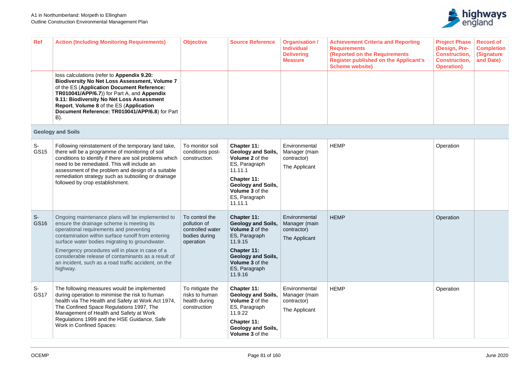

| <b>Ref</b> | <b>Action (Including Monitoring Requirements)</b>                                                                                                                                                                                                                                                                                                      | <b>Objective</b> | <b>Source Reference</b> | <b>Organisation /</b><br><b>Individual</b><br><b>Delivering</b><br><b>Measure</b> | <b>Achievement Criteria and Reporting</b><br><b>Requirements</b><br><b>(Reported on the Requirements)</b><br><b>Register published on the Applicant's</b><br><b>Scheme website)</b> | <b>Project Phase</b><br>(Design, Pre-<br><b>Construction,</b><br><b>Construction,</b><br><b>Operation</b> ) | <b>Record of</b><br><b>Completion</b><br><b>(Signature</b><br>and Date) |
|------------|--------------------------------------------------------------------------------------------------------------------------------------------------------------------------------------------------------------------------------------------------------------------------------------------------------------------------------------------------------|------------------|-------------------------|-----------------------------------------------------------------------------------|-------------------------------------------------------------------------------------------------------------------------------------------------------------------------------------|-------------------------------------------------------------------------------------------------------------|-------------------------------------------------------------------------|
|            | loss calculations (refer to Appendix 9.20:<br><b>Biodiversity No Net Loss Assessment, Volume 7</b><br>of the ES (Application Document Reference:<br><b>TR010041/APP/6.7)</b> for Part A, and Appendix<br>9.11: Biodiversity No Net Loss Assessment<br>Report, Volume 8 of the ES (Application<br>Document Reference: TR010041/APP/6.8) for Part<br>B). |                  |                         |                                                                                   |                                                                                                                                                                                     |                                                                                                             |                                                                         |

**Geology and Soils**

| $S-$<br>GS15        | Following reinstatement of the temporary land take,<br>there will be a programme of monitoring of soil<br>conditions to identify if there are soil problems which<br>need to be remediated. This will include an<br>assessment of the problem and design of a suitable<br>remediation strategy such as subsoiling or drainage<br>followed by crop establishment.                                                              | To monitor soil<br>conditions post-<br>construction.                             | Chapter 11:<br><b>Geology and Soils,</b><br>Volume 2 of the<br>ES, Paragraph<br>11.11.1<br>Chapter 11:<br><b>Geology and Soils,</b><br>Volume 3 of the<br>ES, Paragraph<br>11.11.1               | Environmental<br>Manager (main<br>contractor)<br>The Applicant | <b>HEMP</b> | Operation |
|---------------------|-------------------------------------------------------------------------------------------------------------------------------------------------------------------------------------------------------------------------------------------------------------------------------------------------------------------------------------------------------------------------------------------------------------------------------|----------------------------------------------------------------------------------|--------------------------------------------------------------------------------------------------------------------------------------------------------------------------------------------------|----------------------------------------------------------------|-------------|-----------|
| $S-$<br><b>GS16</b> | Ongoing maintenance plans will be implemented to<br>ensure the drainage scheme is meeting its<br>operational requirements and preventing<br>contamination within surface runoff from entering<br>surface water bodies migrating to groundwater.<br>Emergency procedures will in place in case of a<br>considerable release of contaminants as a result of<br>an incident, such as a road traffic accident, on the<br>highway. | To control the<br>pollution of<br>controlled water<br>bodies during<br>operation | <b>Chapter 11:</b><br><b>Geology and Soils,</b><br>Volume 2 of the<br>ES, Paragraph<br>11.9.15<br><b>Chapter 11:</b><br><b>Geology and Soils,</b><br>Volume 3 of the<br>ES, Paragraph<br>11.9.16 | Environmental<br>Manager (main<br>contractor)<br>The Applicant | <b>HEMP</b> | Operation |
| $S-$<br><b>GS17</b> | The following measures would be implemented<br>during operation to minimise the risk to human<br>health via The Health and Safety at Work Act 1974,<br>The Confined Space Regulations 1997, The<br>Management of Health and Safety at Work<br>Regulations 1999 and the HSE Guidance, Safe<br><b>Work in Confined Spaces:</b>                                                                                                  | To mitigate the<br>risks to human<br>health during<br>construction               | Chapter 11:<br><b>Geology and Soils,</b><br>Volume 2 of the<br>ES, Paragraph<br>11.9.22<br>Chapter 11:<br><b>Geology and Soils,</b><br>Volume 3 of the                                           | Environmental<br>Manager (main<br>contractor)<br>The Applicant | <b>HEMP</b> | Operation |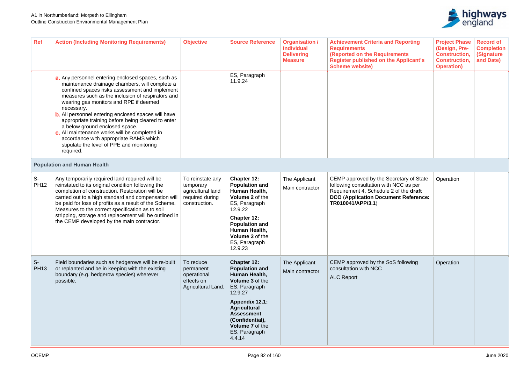

| <b>Ref</b>          | <b>Action (Including Monitoring Requirements)</b>                                                                                                                                                                                                                                                                                                                                                                                                                                                                                                                       | <b>Objective</b>                                                                       | <b>Source Reference</b>                                                                                                                                                                                                                           | <b>Organisation /</b><br><b>Individual</b><br><b>Delivering</b><br><b>Measure</b> | <b>Achievement Criteria and Reporting</b><br><b>Requirements</b><br><b>(Reported on the Requirements</b><br><b>Register published on the Applicant's</b><br><b>Scheme website)</b>              | <b>Project Phase</b><br>(Design, Pre-<br><b>Construction,</b><br><b>Construction,</b><br><b>Operation</b> ) | <b>Record of</b><br><b>Completion</b><br><b>(Signature</b><br>and Date) |
|---------------------|-------------------------------------------------------------------------------------------------------------------------------------------------------------------------------------------------------------------------------------------------------------------------------------------------------------------------------------------------------------------------------------------------------------------------------------------------------------------------------------------------------------------------------------------------------------------------|----------------------------------------------------------------------------------------|---------------------------------------------------------------------------------------------------------------------------------------------------------------------------------------------------------------------------------------------------|-----------------------------------------------------------------------------------|-------------------------------------------------------------------------------------------------------------------------------------------------------------------------------------------------|-------------------------------------------------------------------------------------------------------------|-------------------------------------------------------------------------|
|                     | a. Any personnel entering enclosed spaces, such as<br>maintenance drainage chambers, will complete a<br>confined spaces risks assessment and implement<br>measures such as the inclusion of respirators and<br>wearing gas monitors and RPE if deemed<br>necessary.<br>b. All personnel entering enclosed spaces will have<br>appropriate training before being cleared to enter<br>a below ground enclosed space.<br>c. All maintenance works will be completed in<br>accordance with appropriate RAMS which<br>stipulate the level of PPE and monitoring<br>required. |                                                                                        | ES, Paragraph<br>11.9.24                                                                                                                                                                                                                          |                                                                                   |                                                                                                                                                                                                 |                                                                                                             |                                                                         |
|                     | <b>Population and Human Health</b>                                                                                                                                                                                                                                                                                                                                                                                                                                                                                                                                      |                                                                                        |                                                                                                                                                                                                                                                   |                                                                                   |                                                                                                                                                                                                 |                                                                                                             |                                                                         |
| $S-$<br><b>PH12</b> | Any temporarily required land required will be<br>reinstated to its original condition following the<br>completion of construction. Restoration will be<br>carried out to a high standard and compensation will<br>be paid for loss of profits as a result of the Scheme.<br>Measures to the correct specification as to soil<br>stripping, storage and replacement will be outlined in<br>the CEMP developed by the main contractor.                                                                                                                                   | To reinstate any<br>temporary<br>agricultural land<br>required during<br>construction. | Chapter 12:<br><b>Population and</b><br>Human Health,<br>Volume 2 of the<br>ES, Paragraph<br>12.9.22<br>Chapter 12:<br><b>Population and</b><br>Human Health,<br>Volume 3 of the<br>ES, Paragraph<br>12.9.23                                      | The Applicant<br>Main contractor                                                  | CEMP approved by the Secretary of State<br>following consultation with NCC as per<br>Requirement 4, Schedule 2 of the draft<br><b>DCO (Application Document Reference:</b><br>TR010041/APP/3.1) | Operation                                                                                                   |                                                                         |
| $S-$<br><b>PH13</b> | Field boundaries such as hedgerows will be re-built<br>or replanted and be in keeping with the existing<br>boundary (e.g. hedgerow species) wherever<br>possible.                                                                                                                                                                                                                                                                                                                                                                                                       | To reduce<br>permanent<br>operational<br>effects on<br>Agricultural Land.              | <b>Chapter 12:</b><br><b>Population and</b><br>Human Health,<br>Volume 3 of the<br>ES, Paragraph<br>12.9.27<br><b>Appendix 12.1:</b><br><b>Agricultural</b><br><b>Assessment</b><br>(Confidential),<br>Volume 7 of the<br>ES, Paragraph<br>4.4.14 | The Applicant<br>Main contractor                                                  | CEMP approved by the SoS following<br>consultation with NCC<br><b>ALC Report</b>                                                                                                                | Operation                                                                                                   |                                                                         |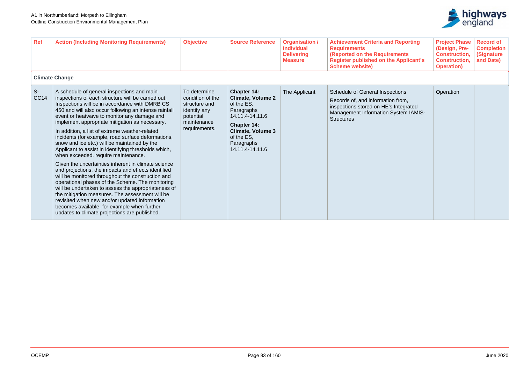

| <b>Ref</b>          | <b>Action (Including Monitoring Requirements)</b>                                                                                                                                                                                                                                                                                                                                                                                                                                                                                                                                                                                                                                                                                                                                                                                                                                                                                                                                                                                                     | <b>Objective</b>                                                                                               | <b>Source Reference</b>                                                                                                                                                                        | <b>Organisation /</b><br><b>Individual</b><br><b>Delivering</b><br><b>Measure</b> | <b>Achievement Criteria and Reporting</b><br><b>Requirements</b><br><b>(Reported on the Requirements</b><br><b>Register published on the Applicant's</b><br><b>Scheme website)</b> | <b>Project Phase</b><br>(Design, Pre-<br><b>Construction,</b><br><b>Construction,</b><br><b>Operation</b> ) | <b>Record of</b><br><b>Completion</b><br><b>(Signature</b><br>and Date) |
|---------------------|-------------------------------------------------------------------------------------------------------------------------------------------------------------------------------------------------------------------------------------------------------------------------------------------------------------------------------------------------------------------------------------------------------------------------------------------------------------------------------------------------------------------------------------------------------------------------------------------------------------------------------------------------------------------------------------------------------------------------------------------------------------------------------------------------------------------------------------------------------------------------------------------------------------------------------------------------------------------------------------------------------------------------------------------------------|----------------------------------------------------------------------------------------------------------------|------------------------------------------------------------------------------------------------------------------------------------------------------------------------------------------------|-----------------------------------------------------------------------------------|------------------------------------------------------------------------------------------------------------------------------------------------------------------------------------|-------------------------------------------------------------------------------------------------------------|-------------------------------------------------------------------------|
|                     | <b>Climate Change</b>                                                                                                                                                                                                                                                                                                                                                                                                                                                                                                                                                                                                                                                                                                                                                                                                                                                                                                                                                                                                                                 |                                                                                                                |                                                                                                                                                                                                |                                                                                   |                                                                                                                                                                                    |                                                                                                             |                                                                         |
| $S-$<br><b>CC14</b> | A schedule of general inspections and main<br>inspections of each structure will be carried out.<br>Inspections will be in accordance with DMRB CS<br>450 and will also occur following an intense rainfall<br>event or heatwave to monitor any damage and<br>implement appropriate mitigation as necessary.<br>In addition, a list of extreme weather-related<br>incidents (for example, road surface deformations,<br>snow and ice etc.) will be maintained by the<br>Applicant to assist in identifying thresholds which,<br>when exceeded, require maintenance.<br>Given the uncertainties inherent in climate science<br>and projections, the impacts and effects identified<br>will be monitored throughout the construction and<br>operational phases of the Scheme. The monitoring<br>will be undertaken to assess the appropriateness of<br>the mitigation measures. The assessment will be<br>revisited when new and/or updated information<br>becomes available, for example when further<br>updates to climate projections are published. | To determine<br>condition of the<br>structure and<br>identify any<br>potential<br>maintenance<br>requirements. | <b>Chapter 14:</b><br><b>Climate, Volume 2</b><br>of the ES,<br>Paragraphs<br>14.11.4-14.11.6<br><b>Chapter 14:</b><br><b>Climate, Volume 3</b><br>of the ES,<br>Paragraphs<br>14.11.4-14.11.6 | The Applicant                                                                     | <b>Schedule of General Inspections</b><br>Records of, and information from,<br>inspections stored on HE's Integrated<br>Management Information System IAMIS-<br><b>Structures</b>  | Operation                                                                                                   |                                                                         |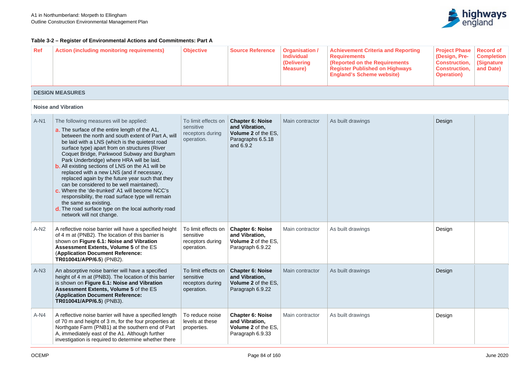

## **Reporting**

ments ghways

| Table 3-2 – Register of Environmental Actions and Commitments: Part A |
|-----------------------------------------------------------------------|
|-----------------------------------------------------------------------|

| <b>Ref</b> | <b>Action (including monitoring requirements)</b> | <b>Objective</b> | <b>Source Reference</b> | <b>Organisation /</b><br><b>Individual</b><br>(Delivering<br><b>Measure)</b> | <b>Achievement Criteria and R</b><br><b>Requirements</b><br><b>(Reported on the Requirement</b><br><b>Register Published on High</b><br><b>England's Scheme website)</b> |
|------------|---------------------------------------------------|------------------|-------------------------|------------------------------------------------------------------------------|--------------------------------------------------------------------------------------------------------------------------------------------------------------------------|
|            | <b>DESIGN MEASURES</b>                            |                  |                         |                                                                              |                                                                                                                                                                          |

**Project Phase (Design, Pre-Construction, Construction, Operation)**

**Record of Completion (Signature and Date)**

| Design |  |
|--------|--|
| Design |  |
| Design |  |
| Design |  |

|        | <b>Noise and Vibration</b>                                                                                                                                                                                                                                                                                                                                                                                                                                                                                                                                                                                                                                                                                                                                                   |                                                                    |                                                                                                    |                 |                   |        |
|--------|------------------------------------------------------------------------------------------------------------------------------------------------------------------------------------------------------------------------------------------------------------------------------------------------------------------------------------------------------------------------------------------------------------------------------------------------------------------------------------------------------------------------------------------------------------------------------------------------------------------------------------------------------------------------------------------------------------------------------------------------------------------------------|--------------------------------------------------------------------|----------------------------------------------------------------------------------------------------|-----------------|-------------------|--------|
| $A-N1$ | The following measures will be applied:<br>a. The surface of the entire length of the A1,<br>between the north and south extent of Part A, will<br>be laid with a LNS (which is the quietest road<br>surface type) apart from on structures (River<br>Coquet Bridge, Parkwood Subway and Burgham<br>Park Underbridge) where HRA will be laid.<br><b>b.</b> All existing sections of LNS on the A1 will be<br>replaced with a new LNS (and if necessary,<br>replaced again by the future year such that they<br>can be considered to be well maintained).<br>c. Where the 'de-trunked' A1 will become NCC's<br>responsibility, the road surface type will remain<br>the same as existing.<br>d. The road surface type on the local authority road<br>network will not change. | To limit effects on<br>sensitive<br>receptors during<br>operation. | <b>Chapter 6: Noise</b><br>and Vibration,<br>Volume 2 of the ES.<br>Paragraphs 6.5.18<br>and 6.9.2 | Main contractor | As built drawings | Design |
| $A-N2$ | A reflective noise barrier will have a specified height<br>of 4 m at (PNB2). The location of this barrier is<br>shown on Figure 6.1: Noise and Vibration<br>Assessment Extents, Volume 5 of the ES<br>(Application Document Reference:<br>TR010041/APP/6.5) (PNB2).                                                                                                                                                                                                                                                                                                                                                                                                                                                                                                          | To limit effects on<br>sensitive<br>receptors during<br>operation. | <b>Chapter 6: Noise</b><br>and Vibration,<br>Volume 2 of the ES.<br>Paragraph 6.9.22               | Main contractor | As built drawings | Design |
| $A-N3$ | An absorptive noise barrier will have a specified<br>height of 4 m at (PNB3). The location of this barrier<br>is shown on Figure 6.1: Noise and Vibration<br>Assessment Extents, Volume 5 of the ES<br>(Application Document Reference:<br>TR010041/APP/6.5) (PNB3).                                                                                                                                                                                                                                                                                                                                                                                                                                                                                                         | To limit effects on<br>sensitive<br>receptors during<br>operation. | <b>Chapter 6: Noise</b><br>and Vibration,<br>Volume 2 of the ES.<br>Paragraph 6.9.22               | Main contractor | As built drawings | Design |
|        |                                                                                                                                                                                                                                                                                                                                                                                                                                                                                                                                                                                                                                                                                                                                                                              |                                                                    |                                                                                                    |                 |                   |        |

| $A-N4$ | A reflective noise barrier will have a specified length<br>of 70 m and height of 3 m, for the four properties at<br>Northgate Farm (PNB1) at the southern end of Part<br>A, immediately east of the A1. Although further<br>investigation is required to determine whether there | To reduce noise<br>levels at these<br>properties. | <b>Chapter 6: Noise</b><br>and Vibration,<br>Volume 2 of the ES,<br>Paragraph 6.9.33 | Main contractor | As built drawings | Design |
|--------|----------------------------------------------------------------------------------------------------------------------------------------------------------------------------------------------------------------------------------------------------------------------------------|---------------------------------------------------|--------------------------------------------------------------------------------------|-----------------|-------------------|--------|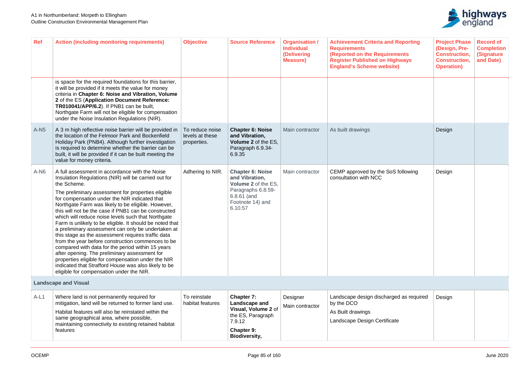

| <b>Ref</b> | <b>Action (including monitoring requirements)</b>                                                                                                                                                                                                                                                                                                                                                                                                                                                                                                                                                                                                                                                                                                                                                                                                                                             | <b>Objective</b>                                  | <b>Source Reference</b>                                                                                                               | <b>Organisation /</b><br><b>Individual</b><br>(Delivering<br><b>Measure)</b> | <b>Achievement Criteria and Reporting</b><br><b>Requirements</b><br><b>(Reported on the Requirements</b><br><b>Register Published on Highways</b><br><b>England's Scheme website)</b> | <b>Project Phase</b><br>(Design, Pre-<br><b>Construction,</b><br><b>Construction,</b><br><b>Operation</b> ) | <b>Record of</b><br><b>Completion</b><br>(Signature<br>and Date) |
|------------|-----------------------------------------------------------------------------------------------------------------------------------------------------------------------------------------------------------------------------------------------------------------------------------------------------------------------------------------------------------------------------------------------------------------------------------------------------------------------------------------------------------------------------------------------------------------------------------------------------------------------------------------------------------------------------------------------------------------------------------------------------------------------------------------------------------------------------------------------------------------------------------------------|---------------------------------------------------|---------------------------------------------------------------------------------------------------------------------------------------|------------------------------------------------------------------------------|---------------------------------------------------------------------------------------------------------------------------------------------------------------------------------------|-------------------------------------------------------------------------------------------------------------|------------------------------------------------------------------|
|            | is space for the required foundations for this barrier,<br>it will be provided if it meets the value for money<br>criteria in Chapter 6: Noise and Vibration, Volume<br>2 of the ES (Application Document Reference:<br>TR010041/APP/6.2). If PNB1 can be built,<br>Northgate Farm will not be eligible for compensation<br>under the Noise Insulation Regulations (NIR).                                                                                                                                                                                                                                                                                                                                                                                                                                                                                                                     |                                                   |                                                                                                                                       |                                                                              |                                                                                                                                                                                       |                                                                                                             |                                                                  |
| $A-N5$     | A 3 m high reflective noise barrier will be provided in<br>the location of the Felmoor Park and Bockenfield<br>Holiday Park (PNB4). Although further investigation<br>is required to determine whether the barrier can be<br>built, it will be provided if it can be built meeting the<br>value for money criteria.                                                                                                                                                                                                                                                                                                                                                                                                                                                                                                                                                                           | To reduce noise<br>levels at these<br>properties. | <b>Chapter 6: Noise</b><br>and Vibration,<br>Volume 2 of the ES.<br>Paragraph 6.9.34-<br>6.9.35                                       | Main contractor                                                              | As built drawings                                                                                                                                                                     | Design                                                                                                      |                                                                  |
| $A-N6$     | A full assessment in accordance with the Noise<br>Insulation Regulations (NIR) will be carried out for<br>the Scheme.<br>The preliminary assessment for properties eligible<br>for compensation under the NIR indicated that<br>Northgate Farm was likely to be eligible. However,<br>this will not be the case if PNB1 can be constructed<br>which will reduce noise levels such that Northgate<br>Farm is unlikely to be eligible. It should be noted that<br>a preliminary assessment can only be undertaken at<br>this stage as the assessment requires traffic data<br>from the year before construction commences to be<br>compared with data for the period within 15 years<br>after opening. The preliminary assessment for<br>properties eligible for compensation under the NIR<br>indicated that Strafford House was also likely to be<br>eligible for compensation under the NIR. | Adhering to NIR.                                  | <b>Chapter 6: Noise</b><br>and Vibration,<br>Volume 2 of the ES,<br>Paragraphs 6.8.59-<br>6.8.61 (and<br>Footnote 14) and<br>6.10.57  | Main contractor                                                              | CEMP approved by the SoS following<br>consultation with NCC                                                                                                                           | Design                                                                                                      |                                                                  |
|            | <b>Landscape and Visual</b>                                                                                                                                                                                                                                                                                                                                                                                                                                                                                                                                                                                                                                                                                                                                                                                                                                                                   |                                                   |                                                                                                                                       |                                                                              |                                                                                                                                                                                       |                                                                                                             |                                                                  |
| $A-L1$     | Where land is not permanently required for<br>mitigation, land will be returned to former land use.<br>Habitat features will also be reinstated within the<br>same geographical area, where possible,<br>maintaining connectivity to existing retained habitat<br>features                                                                                                                                                                                                                                                                                                                                                                                                                                                                                                                                                                                                                    | To reinstate<br>habitat features                  | <b>Chapter 7:</b><br>Landscape and<br>Visual, Volume 2 of<br>the ES, Paragraph<br>7.9.12<br><b>Chapter 9:</b><br><b>Biodiversity,</b> | Designer<br>Main contractor                                                  | Landscape design discharged as required<br>by the DCO<br>As Built drawings<br>Landscape Design Certificate                                                                            | Design                                                                                                      |                                                                  |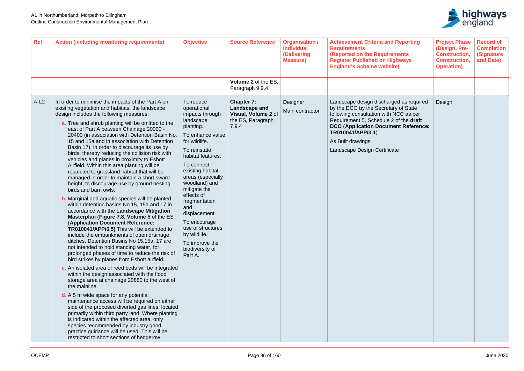

| <b>Ref</b> | <b>Action (including monitoring requirements)</b>                                                                                                                                                                                                                                                                                                                                                                                                                                                                                                                                                                                                                                                                                                                                                                                                                                                                                                                                                                                                                                                                                                                                                                                                                                                                                                                                                                                                                                                                                                                                                                                                                                                                                                                                                                   | <b>Objective</b>                                                                                                                                                                                                                                                                                                                                                                                    | <b>Source Reference</b><br>Volume 2 of the ES.<br>Paragraph 9.9.4                       | <b>Organisation /</b><br><b>Individual</b><br>(Delivering<br><b>Measure)</b> | <b>Achievement Criteria and Reporting</b><br><b>Requirements</b><br><b>(Reported on the Requirements)</b><br><b>Register Published on Highways</b><br><b>England's Scheme website)</b>                                                                                                       | <b>Project Phase</b><br>(Design, Pre-<br><b>Construction,</b><br><b>Construction,</b><br><b>Operation</b> ) | <b>Record of</b><br><b>Completion</b><br>(Signature<br>and Date) |
|------------|---------------------------------------------------------------------------------------------------------------------------------------------------------------------------------------------------------------------------------------------------------------------------------------------------------------------------------------------------------------------------------------------------------------------------------------------------------------------------------------------------------------------------------------------------------------------------------------------------------------------------------------------------------------------------------------------------------------------------------------------------------------------------------------------------------------------------------------------------------------------------------------------------------------------------------------------------------------------------------------------------------------------------------------------------------------------------------------------------------------------------------------------------------------------------------------------------------------------------------------------------------------------------------------------------------------------------------------------------------------------------------------------------------------------------------------------------------------------------------------------------------------------------------------------------------------------------------------------------------------------------------------------------------------------------------------------------------------------------------------------------------------------------------------------------------------------|-----------------------------------------------------------------------------------------------------------------------------------------------------------------------------------------------------------------------------------------------------------------------------------------------------------------------------------------------------------------------------------------------------|-----------------------------------------------------------------------------------------|------------------------------------------------------------------------------|----------------------------------------------------------------------------------------------------------------------------------------------------------------------------------------------------------------------------------------------------------------------------------------------|-------------------------------------------------------------------------------------------------------------|------------------------------------------------------------------|
| $A-L2$     | In order to minimise the impacts of the Part A on<br>existing vegetation and habitats, the landscape<br>design includes the following measures:<br>a. Tree and shrub planting will be omitted to the<br>east of Part A between Chainage 20000 -<br>20400 (in association with Detention Basin No.<br>15 and 15a and in association with Detention<br>Basin 17), in order to discourage its use by<br>birds, thereby reducing the collision risk with<br>vehicles and planes in proximity to Eshott<br>Airfield. Within this area planting will be<br>restricted to grassland habitat that will be<br>managed in order to maintain a short sward<br>height, to discourage use by ground nesting<br>birds and barn owls.<br><b>b.</b> Marginal and aquatic species will be planted<br>within detention basins No 15, 15a and 17 in<br>accordance with the Landscape Mitigation<br>Masterplan (Figure 7.8, Volume 5 of the ES<br>(Application Document Reference:<br>TR010041/APP/6.5) This will be extended to<br>include the embankments of open drainage<br>ditches. Detention Basins No 15,15a, 17 are<br>not intended to hold standing water, for<br>prolonged phases of time to reduce the risk of<br>bird strikes by planes from Eshott airfield.<br>c. An isolated area of reed beds will be integrated<br>within the design associated with the flood<br>storage area at chainage 20880 to the west of<br>the mainline.<br>d. A 5 m wide space for any potential<br>maintenance access will be required on either<br>side of the proposed diverted gas lines, located<br>primarily within third party land. Where planting<br>is indicated within the affected area, only<br>species recommended by industry good<br>practice guidance will be used. This will be<br>restricted to short sections of hedgerow | To reduce<br>operational<br>impacts through<br>landscape<br>planting.<br>To enhance value<br>for wildlife.<br>To reinstate<br>habitat features.<br>To connect<br>existing habitat<br>areas (especially<br>woodland) and<br>mitigate the<br>effects of<br>fragmentation<br>and<br>displacement.<br>To encourage<br>use of structures<br>by wildlife.<br>To improve the<br>biodiversity of<br>Part A. | <b>Chapter 7:</b><br>Landscape and<br>Visual, Volume 2 of<br>the ES, Paragraph<br>7.9.4 | Designer<br>Main contractor                                                  | Landscape design discharged as required<br>by the DCO by the Secretary of State<br>following consultation with NCC as per<br>Requirement 5, Schedule 2 of the draft<br><b>DCO (Application Document Reference:</b><br>TR010041/APP/3.1)<br>As Built drawings<br>Landscape Design Certificate | Design                                                                                                      |                                                                  |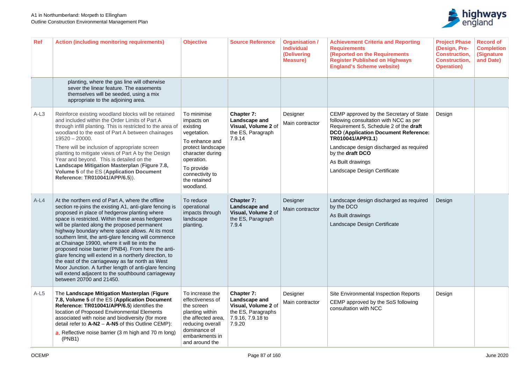

| <b>Ref</b> | <b>Action (including monitoring requirements)</b>                                                                                                                                                                                                                                                                                                                                                                                                                                                                                                                                                                                                                                                                                            | <b>Objective</b>                                                                                                                                                                            | <b>Source Reference</b>                                                                                 | <b>Organisation /</b><br><b>Individual</b><br>(Delivering<br><b>Measure)</b> | <b>Achievement Criteria and Reporting</b><br><b>Requirements</b><br><b>(Reported on the Requirements</b><br><b>Register Published on Highways</b><br><b>England's Scheme website)</b>                                                                                                                               | <b>Project Phase</b><br>(Design, Pre-<br><b>Construction,</b><br><b>Construction,</b><br><b>Operation</b> ) | <b>Record of</b><br><b>Completion</b><br><b>(Signature</b><br>and Date) |
|------------|----------------------------------------------------------------------------------------------------------------------------------------------------------------------------------------------------------------------------------------------------------------------------------------------------------------------------------------------------------------------------------------------------------------------------------------------------------------------------------------------------------------------------------------------------------------------------------------------------------------------------------------------------------------------------------------------------------------------------------------------|---------------------------------------------------------------------------------------------------------------------------------------------------------------------------------------------|---------------------------------------------------------------------------------------------------------|------------------------------------------------------------------------------|---------------------------------------------------------------------------------------------------------------------------------------------------------------------------------------------------------------------------------------------------------------------------------------------------------------------|-------------------------------------------------------------------------------------------------------------|-------------------------------------------------------------------------|
|            | planting, where the gas line will otherwise<br>sever the linear feature. The easements<br>themselves will be seeded, using a mix<br>appropriate to the adjoining area.                                                                                                                                                                                                                                                                                                                                                                                                                                                                                                                                                                       |                                                                                                                                                                                             |                                                                                                         |                                                                              |                                                                                                                                                                                                                                                                                                                     |                                                                                                             |                                                                         |
| $A-L3$     | Reinforce existing woodland blocks will be retained<br>and included within the Order Limits of Part A<br>through infill planting. This is restricted to the area of<br>woodland to the east of Part A between chainages<br>$19520 - 20000.$<br>There will be inclusion of appropriate screen<br>planting to mitigate views of Part A by the Design<br>Year and beyond. This is detailed on the<br>Landscape Mitigation Masterplan (Figure 7.8,<br>Volume 5 of the ES (Application Document<br>Reference: TR010041/APP/6.5)).                                                                                                                                                                                                                 | To minimise<br>impacts on<br>existing<br>vegetation.<br>To enhance and<br>protect landscape<br>character during<br>operation.<br>To provide<br>connectivity to<br>the retained<br>woodland. | Chapter 7:<br>Landscape and<br>Visual, Volume 2 of<br>the ES, Paragraph<br>7.9.14                       | Designer<br>Main contractor                                                  | CEMP approved by the Secretary of State<br>following consultation with NCC as per<br>Requirement 5, Schedule 2 of the draft<br><b>DCO (Application Document Reference:</b><br>TR010041/APP/3.1)<br>Landscape design discharged as required<br>by the draft DCO<br>As Built drawings<br>Landscape Design Certificate | Design                                                                                                      |                                                                         |
| $A-L4$     | At the northern end of Part A, where the offline<br>section re-joins the existing A1, anti-glare fencing is<br>proposed in place of hedgerow planting where<br>space is restricted. Within these areas hedgerows<br>will be planted along the proposed permanent<br>highway boundary where space allows. At its most<br>southern limit, the anti-glare fencing will commence<br>at Chainage 19900, where it will tie into the<br>proposed noise barrier (PNB4). From here the anti-<br>glare fencing will extend in a northerly direction, to<br>the east of the carriageway as far north as West<br>Moor Junction. A further length of anti-glare fencing<br>will extend adjacent to the southbound carriageway<br>between 20700 and 21450. | To reduce<br>operational<br>impacts through<br>landscape<br>planting.                                                                                                                       | <b>Chapter 7:</b><br>Landscape and<br>Visual, Volume 2 of<br>the ES, Paragraph<br>7.9.4                 | Designer<br>Main contractor                                                  | Landscape design discharged as required<br>by the DCO<br>As Built drawings<br>Landscape Design Certificate                                                                                                                                                                                                          | Design                                                                                                      |                                                                         |
| $A-L5$     | The Landscape Mitigation Masterplan (Figure<br>7.8, Volume 5 of the ES (Application Document<br>Reference: TR010041/APP/6.5) identifies the<br>location of Proposed Environmental Elements<br>associated with noise and biodiversity (for more<br>detail refer to $A-N2 - A-N5$ of this Outline CEMP):<br>a. Reflective noise barrier (3 m high and 70 m long)<br>(PNB1)                                                                                                                                                                                                                                                                                                                                                                     | To increase the<br>effectiveness of<br>the screen<br>planting within<br>the affected area,<br>reducing overall<br>dominance of<br>embankments in<br>and around the                          | Chapter 7:<br>Landscape and<br>Visual, Volume 2 of<br>the ES, Paragraphs<br>7.9.16, 7.9.18 to<br>7.9.20 | Designer<br>Main contractor                                                  | <b>Site Environmental Inspection Reports</b><br>CEMP approved by the SoS following<br>consultation with NCC                                                                                                                                                                                                         | Design                                                                                                      |                                                                         |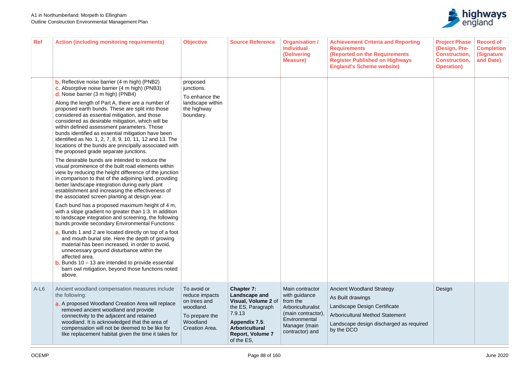

| <b>Ref</b> | <b>Action (including monitoring requirements)</b>                                                                                                                                                                                                                                                                                                                                                                                                                                                                                                                                                                                                                                                                                                                                                                                                                                                                                                                                                                                                                                                                                                                                                                                                                                                                                                                                                                                                                                                                                                                                                             | <b>Objective</b>                                                                                           | <b>Source Reference</b>                                                                                                                                                            | <b>Organisation /</b><br><b>Individual</b><br>(Delivering<br><b>Measure)</b>                                                                 | <b>Achievement Criteria and Reporting</b><br><b>Requirements</b><br><b>(Reported on the Requirements</b><br><b>Register Published on Highways</b><br><b>England's Scheme website)</b>    | <b>Project Phase</b><br>(Design, Pre-<br><b>Construction,</b><br><b>Construction,</b><br><b>Operation</b> ) | <b>Record of</b><br><b>Completion</b><br>(Signature<br>and Date) |
|------------|---------------------------------------------------------------------------------------------------------------------------------------------------------------------------------------------------------------------------------------------------------------------------------------------------------------------------------------------------------------------------------------------------------------------------------------------------------------------------------------------------------------------------------------------------------------------------------------------------------------------------------------------------------------------------------------------------------------------------------------------------------------------------------------------------------------------------------------------------------------------------------------------------------------------------------------------------------------------------------------------------------------------------------------------------------------------------------------------------------------------------------------------------------------------------------------------------------------------------------------------------------------------------------------------------------------------------------------------------------------------------------------------------------------------------------------------------------------------------------------------------------------------------------------------------------------------------------------------------------------|------------------------------------------------------------------------------------------------------------|------------------------------------------------------------------------------------------------------------------------------------------------------------------------------------|----------------------------------------------------------------------------------------------------------------------------------------------|------------------------------------------------------------------------------------------------------------------------------------------------------------------------------------------|-------------------------------------------------------------------------------------------------------------|------------------------------------------------------------------|
|            | <b>b.</b> Reflective noise barrier (4 m high) (PNB2)<br>c. Absorptive noise barrier (4 m high) (PNB3)<br>d. Noise barrier (3 m high) (PNB4)<br>Along the length of Part A, there are a number of<br>proposed earth bunds. These are split into those<br>considered as essential mitigation, and those<br>considered as desirable mitigation, which will be<br>within defined assessment parameters. Those<br>bunds identified as essential mitigation have been<br>identified as No. 1, 2, 7, 8, 9, 10, 11, 12 and 13. The<br>locations of the bunds are principally associated with<br>the proposed grade separate junctions.<br>The desirable bunds are intended to reduce the<br>visual prominence of the built road elements within<br>view by reducing the height difference of the junction<br>in comparison to that of the adjoining land, providing<br>better landscape integration during early plant<br>establishment and increasing the effectiveness of<br>the associated screen planting at design year.<br>Each bund has a proposed maximum height of 4 m,<br>with a slope gradient no greater than 1:3. In addition<br>to landscape integration and screening, the following<br>bunds provide secondary Environmental Functions:<br>a. Bunds 1 and 2 are located directly on top of a foot<br>and mouth burial site. Here the depth of growing<br>material has been increased, in order to avoid,<br>unnecessary ground disturbance within the<br>affected area.<br><b>b.</b> Bunds $10 - 13$ are intended to provide essential<br>barn owl mitigation, beyond those functions noted<br>above. | proposed<br>junctions.<br>To enhance the<br>landscape within<br>the highway<br>boundary.                   |                                                                                                                                                                                    |                                                                                                                                              |                                                                                                                                                                                          |                                                                                                             |                                                                  |
| $A-L6$     | Ancient woodland compensation measures include<br>the following:<br>a. A proposed Woodland Creation Area will replace<br>removed ancient woodland and provide<br>connectivity to the adjacent and retained<br>woodland. It is acknowledged that the area of<br>compensation will not be deemed to be like for<br>like replacement habitat given the time it takes for                                                                                                                                                                                                                                                                                                                                                                                                                                                                                                                                                                                                                                                                                                                                                                                                                                                                                                                                                                                                                                                                                                                                                                                                                                         | To avoid or<br>reduce impacts<br>on trees and<br>woodland.<br>To prepare the<br>Woodland<br>Creation Area. | <b>Chapter 7:</b><br>Landscape and<br>Visual, Volume 2 of<br>the ES, Paragraph<br>7.9.13<br><b>Appendix 7.5:</b><br><b>Arboricultural</b><br><b>Report, Volume 7</b><br>of the ES, | Main contractor<br>with guidance<br>from the<br>Arboriculturalist<br>(main contractor),<br>Environmental<br>Manager (main<br>contractor) and | <b>Ancient Woodland Strategy</b><br>As Built drawings<br>Landscape Design Certificate<br><b>Arboricultural Method Statement</b><br>Landscape design discharged as required<br>by the DCO | Design                                                                                                      |                                                                  |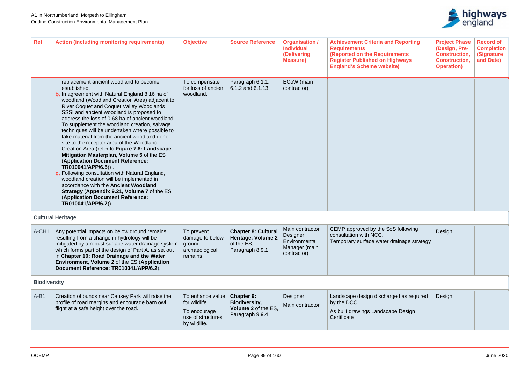

| <b>Ref</b>          | <b>Action (including monitoring requirements)</b>                                                                                                                                                                                                                                                                                                                                                                                                                                                                                                                                                                                                                                                                                                                                                                                                                                                                               | <b>Objective</b>                                                                       | <b>Source Reference</b>                                                             | <b>Organisation /</b><br><b>Individual</b><br>(Delivering<br><b>Measure)</b> | <b>Achievement Criteria and Reporting</b><br><b>Requirements</b><br><b>(Reported on the Requirements)</b><br><b>Register Published on Highways</b><br><b>England's Scheme website)</b> | <b>Project Phase</b><br>(Design, Pre-<br><b>Construction,</b><br><b>Construction,</b><br><b>Operation</b> ) | <b>Record of</b><br><b>Completion</b><br><b>(Signature</b><br>and Date) |
|---------------------|---------------------------------------------------------------------------------------------------------------------------------------------------------------------------------------------------------------------------------------------------------------------------------------------------------------------------------------------------------------------------------------------------------------------------------------------------------------------------------------------------------------------------------------------------------------------------------------------------------------------------------------------------------------------------------------------------------------------------------------------------------------------------------------------------------------------------------------------------------------------------------------------------------------------------------|----------------------------------------------------------------------------------------|-------------------------------------------------------------------------------------|------------------------------------------------------------------------------|----------------------------------------------------------------------------------------------------------------------------------------------------------------------------------------|-------------------------------------------------------------------------------------------------------------|-------------------------------------------------------------------------|
|                     | replacement ancient woodland to become<br>established.<br><b>b.</b> In agreement with Natural England 8.16 ha of<br>woodland (Woodland Creation Area) adjacent to<br><b>River Coquet and Coquet Valley Woodlands</b><br>SSSI and ancient woodland is proposed to<br>address the loss of 0.68 ha of ancient woodland.<br>To supplement the woodland creation, salvage<br>techniques will be undertaken where possible to<br>take material from the ancient woodland donor<br>site to the receptor area of the Woodland<br>Creation Area (refer to Figure 7.8: Landscape<br>Mitigation Masterplan, Volume 5 of the ES<br>(Application Document Reference:<br>TR010041/APP/6.5)).<br>c. Following consultation with Natural England,<br>woodland creation will be implemented in<br>accordance with the Ancient Woodland<br>Strategy (Appendix 9.21, Volume 7 of the ES<br>(Application Document Reference:<br>TR010041/APP/6.7)). | To compensate<br>for loss of ancient<br>woodland.                                      | Paragraph 6.1.1,<br>6.1.2 and 6.1.13                                                | ECoW (main<br>contractor)                                                    |                                                                                                                                                                                        |                                                                                                             |                                                                         |
|                     | <b>Cultural Heritage</b>                                                                                                                                                                                                                                                                                                                                                                                                                                                                                                                                                                                                                                                                                                                                                                                                                                                                                                        |                                                                                        |                                                                                     |                                                                              |                                                                                                                                                                                        |                                                                                                             |                                                                         |
| A-CH1               | Any potential impacts on below ground remains<br>resulting from a change in hydrology will be<br>mitigated by a robust surface water drainage system<br>which forms part of the design of Part A, as set out<br>in Chapter 10: Road Drainage and the Water<br><b>Environment, Volume 2 of the ES (Application)</b><br>Document Reference: TR010041/APP/6.2).                                                                                                                                                                                                                                                                                                                                                                                                                                                                                                                                                                    | To prevent<br>damage to below<br>ground<br>archaeological<br>remains                   | <b>Chapter 8: Cultural</b><br>Heritage, Volume 2<br>of the ES,<br>Paragraph 8.9.1   | Main contractor<br>Designer<br>Environmental<br>Manager (main<br>contractor) | CEMP approved by the SoS following<br>consultation with NCC.<br>Temporary surface water drainage strategy                                                                              | Design                                                                                                      |                                                                         |
| <b>Biodiversity</b> |                                                                                                                                                                                                                                                                                                                                                                                                                                                                                                                                                                                                                                                                                                                                                                                                                                                                                                                                 |                                                                                        |                                                                                     |                                                                              |                                                                                                                                                                                        |                                                                                                             |                                                                         |
| $A-B1$              | Creation of bunds near Causey Park will raise the<br>profile of road margins and encourage barn owl<br>flight at a safe height over the road.                                                                                                                                                                                                                                                                                                                                                                                                                                                                                                                                                                                                                                                                                                                                                                                   | To enhance value<br>for wildlife.<br>To encourage<br>use of structures<br>by wildlife. | <b>Chapter 9:</b><br><b>Biodiversity,</b><br>Volume 2 of the ES,<br>Paragraph 9.9.4 | Designer<br>Main contractor                                                  | Landscape design discharged as required<br>by the DCO<br>As built drawings Landscape Design<br>Certificate                                                                             | Design                                                                                                      |                                                                         |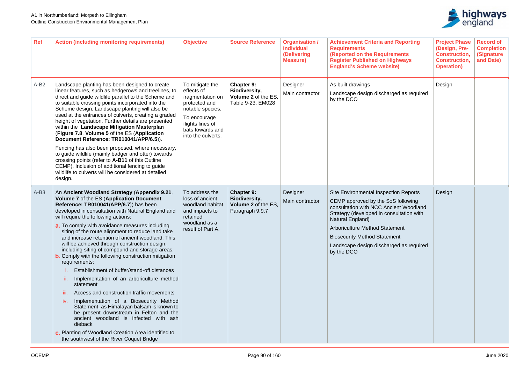

| <b>Ref</b> | <b>Action (including monitoring requirements)</b>                                                                                                                                                                                                                                                                                                                                                                                                                                                                                                                                                                                                                                                                                                                                                                                                                                                                                                                                                                                            | <b>Objective</b>                                                                                                                                                     | <b>Source Reference</b>                                                               | <b>Organisation /</b><br><b>Individual</b><br>(Delivering<br><b>Measure)</b> | <b>Achievement Criteria and Reporting</b><br><b>Requirements</b><br><b>(Reported on the Requirements)</b><br><b>Register Published on Highways</b><br><b>England's Scheme website)</b>                                                                                                                                                | <b>Project Phase</b><br>(Design, Pre-<br><b>Construction,</b><br><b>Construction,</b><br><b>Operation</b> ) | <b>Record of</b><br><b>Completion</b><br><b>(Signature</b><br>and Date) |
|------------|----------------------------------------------------------------------------------------------------------------------------------------------------------------------------------------------------------------------------------------------------------------------------------------------------------------------------------------------------------------------------------------------------------------------------------------------------------------------------------------------------------------------------------------------------------------------------------------------------------------------------------------------------------------------------------------------------------------------------------------------------------------------------------------------------------------------------------------------------------------------------------------------------------------------------------------------------------------------------------------------------------------------------------------------|----------------------------------------------------------------------------------------------------------------------------------------------------------------------|---------------------------------------------------------------------------------------|------------------------------------------------------------------------------|---------------------------------------------------------------------------------------------------------------------------------------------------------------------------------------------------------------------------------------------------------------------------------------------------------------------------------------|-------------------------------------------------------------------------------------------------------------|-------------------------------------------------------------------------|
| $A-B2$     | Landscape planting has been designed to create<br>linear features, such as hedgerows and treelines, to<br>direct and guide wildlife parallel to the Scheme and<br>to suitable crossing points incorporated into the<br>Scheme design. Landscape planting will also be<br>used at the entrances of culverts, creating a graded<br>height of vegetation. Further details are presented<br>within the Landscape Mitigation Masterplan<br>(Figure 7.8, Volume 5 of the ES (Application<br>Document Reference: TR010041/APP/6.5)).<br>Fencing has also been proposed, where necessary,<br>to guide wildlife (mainly badger and otter) towards<br>crossing points (refer to A-B11 of this Outline<br>CEMP). Inclusion of additional fencing to guide<br>wildlife to culverts will be considered at detailed<br>design.                                                                                                                                                                                                                             | To mitigate the<br>effects of<br>fragmentation on<br>protected and<br>notable species.<br>To encourage<br>flights lines of<br>bats towards and<br>into the culverts. | <b>Chapter 9:</b><br><b>Biodiversity,</b><br>Volume 2 of the ES,<br>Table 9-23, EM028 | Designer<br>Main contractor                                                  | As built drawings<br>Landscape design discharged as required<br>by the DCO                                                                                                                                                                                                                                                            | Design                                                                                                      |                                                                         |
| $A-B3$     | An Ancient Woodland Strategy (Appendix 9.21,<br>Volume 7 of the ES (Application Document<br>Reference: TR010041/APP/6.7) has been<br>developed in consultation with Natural England and<br>will require the following actions:<br>a. To comply with avoidance measures including<br>siting of the route alignment to reduce land take<br>and increase retention of ancient woodland. This<br>will be achieved through construction design,<br>including siting of compound and storage areas.<br><b>b.</b> Comply with the following construction mitigation<br>requirements:<br>Establishment of buffer/stand-off distances<br>Implementation of an arboriculture method<br>statement<br>Access and construction traffic movements<br>III.<br>Implementation of a Biosecurity Method<br>IV.<br>Statement, as Himalayan balsam is known to<br>be present downstream in Felton and the<br>ancient woodland is infected with ash<br>dieback<br>c. Planting of Woodland Creation Area identified to<br>the southwest of the River Coquet Bridge | To address the<br>loss of ancient<br>woodland habitat<br>and impacts to<br>retained<br>woodland as a<br>result of Part A.                                            | <b>Chapter 9:</b><br><b>Biodiversity,</b><br>Volume 2 of the ES.<br>Paragraph 9.9.7   | Designer<br>Main contractor                                                  | <b>Site Environmental Inspection Reports</b><br>CEMP approved by the SoS following<br>consultation with NCC Ancient Woodland<br>Strategy (developed in consultation with<br>Natural England)<br><b>Arboriculture Method Statement</b><br><b>Biosecurity Method Statement</b><br>Landscape design discharged as required<br>by the DCO | Design                                                                                                      |                                                                         |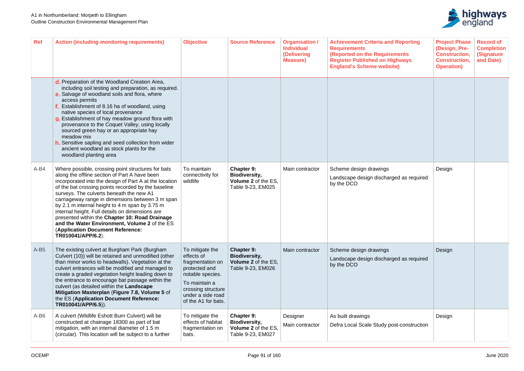

| <b>Ref</b> | <b>Action (including monitoring requirements)</b>                                                                                                                                                                                                                                                                                                                                                                                                                                                                                                                                      | <b>Objective</b>                                                                                                                                                          | <b>Source Reference</b>                                                               | <b>Organisation /</b><br><b>Individual</b><br>(Delivering<br><b>Measure)</b> | <b>Achievement Criteria and Reporting</b><br><b>Requirements</b><br><b>(Reported on the Requirements)</b><br><b>Register Published on Highways</b><br><b>England's Scheme website)</b> | <b>Project Phase</b><br>(Design, Pre-<br><b>Construction,</b><br><b>Construction,</b><br><b>Operation</b> ) | <b>Record of</b><br><b>Completion</b><br><b>(Signature</b><br>and Date) |
|------------|----------------------------------------------------------------------------------------------------------------------------------------------------------------------------------------------------------------------------------------------------------------------------------------------------------------------------------------------------------------------------------------------------------------------------------------------------------------------------------------------------------------------------------------------------------------------------------------|---------------------------------------------------------------------------------------------------------------------------------------------------------------------------|---------------------------------------------------------------------------------------|------------------------------------------------------------------------------|----------------------------------------------------------------------------------------------------------------------------------------------------------------------------------------|-------------------------------------------------------------------------------------------------------------|-------------------------------------------------------------------------|
|            | d. Preparation of the Woodland Creation Area,<br>including soil testing and preparation, as required.<br>e. Salvage of woodland soils and flora, where<br>access permits<br>Establishment of 8.16 ha of woodland, using<br>native species of local provenance<br>. Establishment of hay meadow ground flora with<br>provenance to the Coquet Valley, using locally<br>sourced green hay or an appropriate hay<br>meadow mix<br>Sensitive sapling and seed collection from wider<br>ancient woodland as stock plants for the<br>woodland planting area                                  |                                                                                                                                                                           |                                                                                       |                                                                              |                                                                                                                                                                                        |                                                                                                             |                                                                         |
| $A-B4$     | Where possible, crossing point structures for bats<br>along the offline section of Part A have been<br>incorporated into the design of Part A at the location<br>of the bat crossing points recorded by the baseline<br>surveys. The culverts beneath the new A1<br>carriageway range in dimensions between 3 m span<br>by 2.1 m internal height to 4 m span by 3.75 m<br>internal height. Full details on dimensions are<br>presented within the Chapter 10: Road Drainage<br>and the Water Environment, Volume 2 of the ES<br>(Application Document Reference:<br>TR010041/APP/6.2). | To maintain<br>connectivity for<br>wildlife                                                                                                                               | <b>Chapter 9:</b><br><b>Biodiversity,</b><br>Volume 2 of the ES,<br>Table 9-23, EM025 | Main contractor                                                              | Scheme design drawings<br>Landscape design discharged as required<br>by the DCO                                                                                                        | Design                                                                                                      |                                                                         |
| $A-B5$     | The existing culvert at Burgham Park (Burgham<br>Culvert (10)) will be retained and unmodified (other<br>than minor works to headwalls). Vegetation at the<br>culvert entrances will be modified and managed to<br>create a graded vegetation height leading down to<br>the entrance to encourage bat passage within the<br>culvert (as detailed within the Landscape<br>Mitigation Masterplan (Figure 7.8, Volume 5 of<br>the ES (Application Document Reference:<br>TR010041/APP/6.5)).                                                                                              | To mitigate the<br>effects of<br>fragmentation on<br>protected and<br>notable species.<br>To maintain a<br>crossing structure<br>under a side road<br>of the A1 for bats. | <b>Chapter 9:</b><br><b>Biodiversity,</b><br>Volume 2 of the ES,<br>Table 9-23, EM026 | Main contractor                                                              | Scheme design drawings<br>Landscape design discharged as required<br>by the DCO                                                                                                        | Design                                                                                                      |                                                                         |
| $A-B6$     | A culvert (Wildlife Eshott Burn Culvert) will be<br>constructed at chainage 18300 as part of bat<br>mitigation, with an internal diameter of 1.5 m<br>(circular). This location will be subject to a further                                                                                                                                                                                                                                                                                                                                                                           | To mitigate the<br>effects of habitat<br>fragmentation on<br>bats.                                                                                                        | <b>Chapter 9:</b><br><b>Biodiversity,</b><br>Volume 2 of the ES,<br>Table 9-23, EM027 | Designer<br>Main contractor                                                  | As built drawings<br>Defra Local Scale Study post-construction                                                                                                                         | Design                                                                                                      |                                                                         |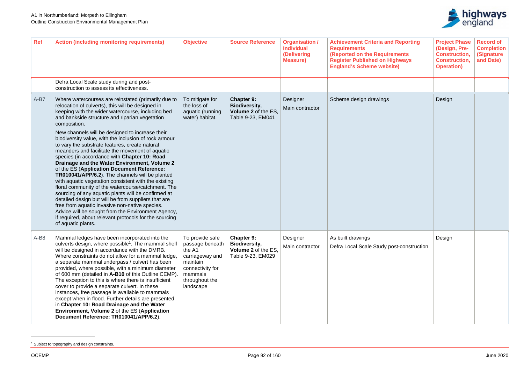| <b>Ref</b> | <b>Action (including monitoring requirements)</b>                                                                                                                                                                                                                                                                                                                                                                                                                                                                                                                                                                                                                                                                                                                                                                                                                                                                                                                                                                                                                     | <b>Objective</b>                                                                                                                          | <b>Source Reference</b>                                                               | <b>Organisation /</b><br><b>Individual</b><br>(Delivering<br><b>Measure)</b> | <b>Achievement Criteria and Reporting</b><br><b>Requirements</b><br><b>(Reported on the Requirements</b><br><b>Register Published on Highways</b><br><b>England's Scheme website)</b> | <b>Project Phase</b><br>(Design, Pre-<br><b>Construction,</b><br><b>Construction,</b><br><b>Operation</b> ) | <b>Record of</b><br><b>Completion</b><br><b>(Signature</b><br>and Date) |
|------------|-----------------------------------------------------------------------------------------------------------------------------------------------------------------------------------------------------------------------------------------------------------------------------------------------------------------------------------------------------------------------------------------------------------------------------------------------------------------------------------------------------------------------------------------------------------------------------------------------------------------------------------------------------------------------------------------------------------------------------------------------------------------------------------------------------------------------------------------------------------------------------------------------------------------------------------------------------------------------------------------------------------------------------------------------------------------------|-------------------------------------------------------------------------------------------------------------------------------------------|---------------------------------------------------------------------------------------|------------------------------------------------------------------------------|---------------------------------------------------------------------------------------------------------------------------------------------------------------------------------------|-------------------------------------------------------------------------------------------------------------|-------------------------------------------------------------------------|
|            | Defra Local Scale study during and post-<br>construction to assess its effectiveness.                                                                                                                                                                                                                                                                                                                                                                                                                                                                                                                                                                                                                                                                                                                                                                                                                                                                                                                                                                                 |                                                                                                                                           |                                                                                       |                                                                              |                                                                                                                                                                                       |                                                                                                             |                                                                         |
| $A-B7$     | Where watercourses are reinstated (primarily due to<br>relocation of culverts), this will be designed in<br>keeping with the wider watercourse, including bed<br>and bankside structure and riparian vegetation<br>composition.<br>New channels will be designed to increase their<br>biodiversity value, with the inclusion of rock armour<br>to vary the substrate features, create natural<br>meanders and facilitate the movement of aquatic<br>species (in accordance with Chapter 10: Road<br>Drainage and the Water Environment, Volume 2<br>of the ES (Application Document Reference:<br>TR010041/APP/6.2). The channels will be planted<br>with aquatic vegetation consistent with the existing<br>floral community of the watercourse/catchment. The<br>sourcing of any aquatic plants will be confirmed at<br>detailed design but will be from suppliers that are<br>free from aquatic invasive non-native species.<br>Advice will be sought from the Environment Agency,<br>if required, about relevant protocols for the sourcing<br>of aquatic plants. | To mitigate for<br>the loss of<br>aquatic (running<br>water) habitat.                                                                     | <b>Chapter 9:</b><br><b>Biodiversity,</b><br>Volume 2 of the ES,<br>Table 9-23, EM041 | Designer<br>Main contractor                                                  | Scheme design drawings                                                                                                                                                                | Design                                                                                                      |                                                                         |
| $A-B8$     | Mammal ledges have been incorporated into the<br>culverts design, where possible <sup>1</sup> . The mammal shelf<br>will be designed in accordance with the DMRB.<br>Where constraints do not allow for a mammal ledge,<br>a separate mammal underpass / culvert has been<br>provided, where possible, with a minimum diameter<br>of 600 mm (detailed in A-B10 of this Outline CEMP).<br>The exception to this is where there is insufficient<br>cover to provide a separate culvert. In these<br>instances, free passage is available to mammals<br>except when in flood. Further details are presented<br>in Chapter 10: Road Drainage and the Water<br>Environment, Volume 2 of the ES (Application<br>Document Reference: TR010041/APP/6.2).                                                                                                                                                                                                                                                                                                                      | To provide safe<br>passage beneath<br>the A1<br>carriageway and<br>maintain<br>connectivity for<br>mammals<br>throughout the<br>landscape | <b>Chapter 9:</b><br><b>Biodiversity,</b><br>Volume 2 of the ES,<br>Table 9-23, EM029 | Designer<br>Main contractor                                                  | As built drawings<br>Defra Local Scale Study post-construction                                                                                                                        | Design                                                                                                      |                                                                         |

<sup>&</sup>lt;sup>1</sup> Subject to topography and design constraints.

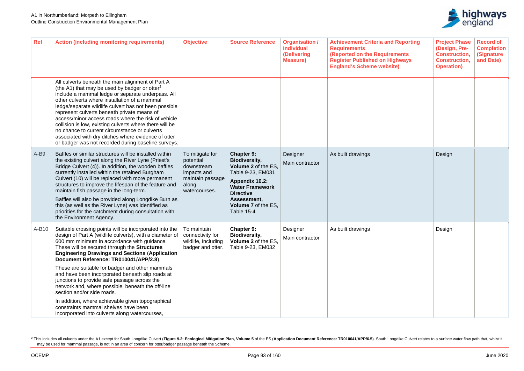

| <b>Ref</b> | <b>Action (including monitoring requirements)</b>                                                                                                                                                                                                                                                                                                                                                                                                                                                                                                                                                             | <b>Objective</b>                                                                                        | <b>Source Reference</b>                                                                                                                                                                                                        | <b>Organisation /</b><br><b>Individual</b><br>(Delivering<br><b>Measure)</b> | <b>Achievement Criteria and Reporting</b><br><b>Requirements</b><br><b>(Reported on the Requirements</b><br><b>Register Published on Highways</b><br><b>England's Scheme website)</b> | <b>Project Phase</b><br>(Design, Pre-<br><b>Construction,</b><br><b>Construction,</b><br><b>Operation</b> ) | <b>Record of</b><br><b>Completion</b><br>(Signature<br>and Date) |
|------------|---------------------------------------------------------------------------------------------------------------------------------------------------------------------------------------------------------------------------------------------------------------------------------------------------------------------------------------------------------------------------------------------------------------------------------------------------------------------------------------------------------------------------------------------------------------------------------------------------------------|---------------------------------------------------------------------------------------------------------|--------------------------------------------------------------------------------------------------------------------------------------------------------------------------------------------------------------------------------|------------------------------------------------------------------------------|---------------------------------------------------------------------------------------------------------------------------------------------------------------------------------------|-------------------------------------------------------------------------------------------------------------|------------------------------------------------------------------|
|            | All culverts beneath the main alignment of Part A<br>(the A1) that may be used by badger or otter <sup>2</sup><br>include a mammal ledge or separate underpass. All<br>other culverts where installation of a mammal<br>ledge/separate wildlife culvert has not been possible<br>represent culverts beneath private means of<br>access/minor access roads where the risk of vehicle<br>collision is low, existing culverts where there will be<br>no chance to current circumstance or culverts<br>associated with dry ditches where evidence of otter<br>or badger was not recorded during baseline surveys. |                                                                                                         |                                                                                                                                                                                                                                |                                                                              |                                                                                                                                                                                       |                                                                                                             |                                                                  |
| $A-B9$     | Baffles or similar structures will be installed within<br>the existing culvert along the River Lyne (Priest's<br>Bridge Culvert (4)). In addition, the wooden baffles<br>currently installed within the retained Burgham<br>Culvert (10) will be replaced with more permanent<br>structures to improve the lifespan of the feature and<br>maintain fish passage in the long-term.<br>Baffles will also be provided along Longdike Burn as<br>this (as well as the River Lyne) was identified as<br>priorities for the catchment during consultation with<br>the Environment Agency.                           | To mitigate for<br>potential<br>downstream<br>impacts and<br>maintain passage<br>along<br>watercourses. | <b>Chapter 9:</b><br><b>Biodiversity,</b><br>Volume 2 of the ES.<br>Table 9-23, EM031<br><b>Appendix 10.2:</b><br><b>Water Framework</b><br><b>Directive</b><br>Assessment,<br><b>Volume 7 of the ES.</b><br><b>Table 15-4</b> | Designer<br>Main contractor                                                  | As built drawings                                                                                                                                                                     | Design                                                                                                      |                                                                  |
| A-B10      | Suitable crossing points will be incorporated into the<br>design of Part A (wildlife culverts), with a diameter of<br>600 mm minimum in accordance with guidance.<br>These will be secured through the Structures<br><b>Engineering Drawings and Sections (Application</b><br>Document Reference: TR010041/APP/2.8).<br>These are suitable for badger and other mammals                                                                                                                                                                                                                                       | To maintain<br>connectivity for<br>wildlife, including<br>badger and otter.                             | <b>Chapter 9:</b><br><b>Biodiversity,</b><br>Volume 2 of the ES,<br>Table 9-23, EM032                                                                                                                                          | Designer<br>Main contractor                                                  | As built drawings                                                                                                                                                                     | Design                                                                                                      |                                                                  |
|            | and have been incorporated beneath slip roads at<br>junctions to provide safe passage across the<br>network and, where possible, beneath the off-line<br>section and/or side roads.<br>In addition, where achievable given topographical<br>constraints mammal shelves have been<br>incorporated into culverts along watercourses,                                                                                                                                                                                                                                                                            |                                                                                                         |                                                                                                                                                                                                                                |                                                                              |                                                                                                                                                                                       |                                                                                                             |                                                                  |

<sup>&</sup>lt;sup>2</sup> This includes all culverts under the A1 except for South Longdike Culvert (Figure 9.2: Ecological Mitigation Plan, Volume 5 of the ES (Application Document Reference: TR010041/APP/6.5). South Longdike Culvert relates t may be used for mammal passage, is not in an area of concern for otter/badger passage beneath the Scheme.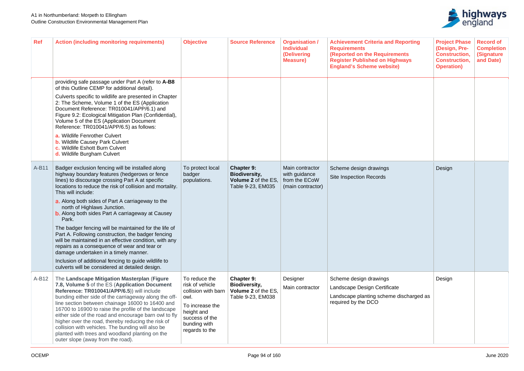

| <b>Ref</b> | <b>Action (including monitoring requirements)</b>                                                                                                                                                                                                                                                                                                                                                                                                                                                                                                                                                                                                                                                                                                                           | <b>Objective</b>                                                                                                                                     | <b>Source Reference</b>                                                                      | <b>Organisation /</b><br><b>Individual</b><br>(Delivering<br><b>Measure)</b> | <b>Achievement Criteria and Reporting</b><br><b>Requirements</b><br><b>(Reported on the Requirements</b><br><b>Register Published on Highways</b><br><b>England's Scheme website)</b> | <b>Project Phase</b><br>(Design, Pre-<br><b>Construction,</b><br><b>Construction,</b><br><b>Operation</b> ) | <b>Record of</b><br><b>Completion</b><br><b>(Signature</b><br>and Date) |
|------------|-----------------------------------------------------------------------------------------------------------------------------------------------------------------------------------------------------------------------------------------------------------------------------------------------------------------------------------------------------------------------------------------------------------------------------------------------------------------------------------------------------------------------------------------------------------------------------------------------------------------------------------------------------------------------------------------------------------------------------------------------------------------------------|------------------------------------------------------------------------------------------------------------------------------------------------------|----------------------------------------------------------------------------------------------|------------------------------------------------------------------------------|---------------------------------------------------------------------------------------------------------------------------------------------------------------------------------------|-------------------------------------------------------------------------------------------------------------|-------------------------------------------------------------------------|
|            | providing safe passage under Part A (refer to A-B8<br>of this Outline CEMP for additional detail).<br>Culverts specific to wildlife are presented in Chapter<br>2: The Scheme, Volume 1 of the ES (Application<br>Document Reference: TR010041/APP/6.1) and<br>Figure 9.2: Ecological Mitigation Plan (Confidential),<br>Volume 5 of the ES (Application Document<br>Reference: TR010041/APP/6.5) as follows:<br>a. Wildlife Fenrother Culvert<br><b>b.</b> Wildlife Causey Park Culvert<br>c. Wildlife Eshott Burn Culvert<br>d. Wildlife Burgham Culvert                                                                                                                                                                                                                  |                                                                                                                                                      |                                                                                              |                                                                              |                                                                                                                                                                                       |                                                                                                             |                                                                         |
| A-B11      | Badger exclusion fencing will be installed along<br>highway boundary features (hedgerows or fence<br>lines) to discourage crossing Part A at specific<br>locations to reduce the risk of collision and mortality.<br>This will include:<br>a. Along both sides of Part A carriageway to the<br>north of Highlaws Junction.<br><b>b.</b> Along both sides Part A carriageway at Causey<br>Park.<br>The badger fencing will be maintained for the life of<br>Part A. Following construction, the badger fencing<br>will be maintained in an effective condition, with any<br>repairs as a consequence of wear and tear or<br>damage undertaken in a timely manner.<br>Inclusion of additional fencing to guide wildlife to<br>culverts will be considered at detailed design. | To protect local<br>badger<br>populations.                                                                                                           | <b>Chapter 9:</b><br><b>Biodiversity,</b><br><b>Volume 2 of the ES,</b><br>Table 9-23, EM035 | Main contractor<br>with guidance<br>from the ECoW<br>(main contractor)       | Scheme design drawings<br><b>Site Inspection Records</b>                                                                                                                              | Design                                                                                                      |                                                                         |
| $A-B12$    | The Landscape Mitigation Masterplan (Figure<br>7.8, Volume 5 of the ES (Application Document<br>Reference: TR010041/APP/6.5)) will include<br>bunding either side of the carriageway along the off-<br>line section between chainage 16000 to 16400 and<br>16700 to 16900 to raise the profile of the landscape<br>either side of the road and encourage barn owl to fly<br>higher over the road, thereby reducing the risk of<br>collision with vehicles. The bunding will also be<br>planted with trees and woodland planting on the<br>outer slope (away from the road).                                                                                                                                                                                                 | To reduce the<br>risk of vehicle<br>collision with barn<br>owl.<br>To increase the<br>height and<br>success of the<br>bunding with<br>regards to the | <b>Chapter 9:</b><br><b>Biodiversity,</b><br>Volume 2 of the ES,<br>Table 9-23, EM038        | Designer<br>Main contractor                                                  | Scheme design drawings<br>Landscape Design Certificate<br>Landscape planting scheme discharged as<br>required by the DCO                                                              | Design                                                                                                      |                                                                         |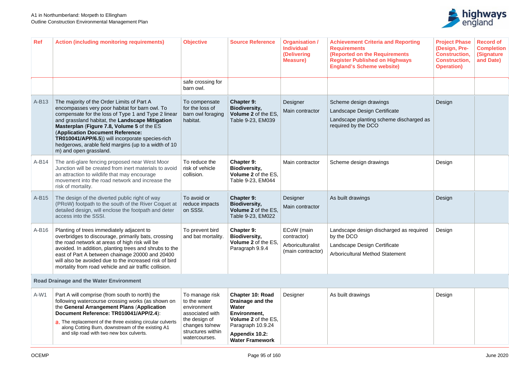

| <b>Ref</b> | <b>Action (including monitoring requirements)</b>                                                                                                                                                                                                                                                                                                                                                                              | <b>Objective</b>                                                                                                                          | <b>Source Reference</b>                                                                                                                                             | <b>Organisation /</b><br><b>Individual</b><br>(Delivering<br><b>Measure)</b> | <b>Achievement Criteria and Reporting</b><br><b>Requirements</b><br><b>(Reported on the Requirements</b><br><b>Register Published on Highways</b><br><b>England's Scheme website)</b> | <b>Project Phase</b><br>(Design, Pre-<br><b>Construction,</b><br><b>Construction,</b><br><b>Operation</b> ) | <b>Record of</b><br><b>Completion</b><br><b>(Signature</b><br>and Date) |
|------------|--------------------------------------------------------------------------------------------------------------------------------------------------------------------------------------------------------------------------------------------------------------------------------------------------------------------------------------------------------------------------------------------------------------------------------|-------------------------------------------------------------------------------------------------------------------------------------------|---------------------------------------------------------------------------------------------------------------------------------------------------------------------|------------------------------------------------------------------------------|---------------------------------------------------------------------------------------------------------------------------------------------------------------------------------------|-------------------------------------------------------------------------------------------------------------|-------------------------------------------------------------------------|
|            |                                                                                                                                                                                                                                                                                                                                                                                                                                | safe crossing for<br>barn owl.                                                                                                            |                                                                                                                                                                     |                                                                              |                                                                                                                                                                                       |                                                                                                             |                                                                         |
| A-B13      | The majority of the Order Limits of Part A<br>encompasses very poor habitat for barn owl. To<br>compensate for the loss of Type 1 and Type 2 linear<br>and grassland habitat, the Landscape Mitigation<br>Masterplan (Figure 7.8, Volume 5 of the ES<br>(Application Document Reference:<br>TR010041/APP/6.5)) will incorporate species-rich<br>hedgerows, arable field margins (up to a width of 10<br>m) and open grassland. | To compensate<br>for the loss of<br>barn owl foraging<br>habitat.                                                                         | <b>Chapter 9:</b><br><b>Biodiversity,</b><br>Volume 2 of the ES,<br>Table 9-23, EM039                                                                               | Designer<br>Main contractor                                                  | Scheme design drawings<br>Landscape Design Certificate<br>Landscape planting scheme discharged as<br>required by the DCO                                                              | Design                                                                                                      |                                                                         |
| A-B14      | The anti-glare fencing proposed near West Moor<br>Junction will be created from inert materials to avoid<br>an attraction to wildlife that may encourage<br>movement into the road network and increase the<br>risk of mortality.                                                                                                                                                                                              | To reduce the<br>risk of vehicle<br>collision.                                                                                            | <b>Chapter 9:</b><br><b>Biodiversity,</b><br>Volume 2 of the ES.<br>Table 9-23, EM044                                                                               | Main contractor                                                              | Scheme design drawings                                                                                                                                                                | Design                                                                                                      |                                                                         |
| A-B15      | The design of the diverted public right of way<br>(PRoW) footpath to the south of the River Coquet at<br>detailed design, will enclose the footpath and deter<br>access into the SSSI.                                                                                                                                                                                                                                         | To avoid or<br>reduce impacts<br>on SSSI.                                                                                                 | <b>Chapter 9:</b><br><b>Biodiversity,</b><br>Volume 2 of the ES,<br>Table 9-23, EM022                                                                               | Designer<br>Main contractor                                                  | As built drawings                                                                                                                                                                     | Design                                                                                                      |                                                                         |
| A-B16      | Planting of trees immediately adjacent to<br>overbridges to discourage, primarily bats, crossing<br>the road network at areas of high risk will be<br>avoided. In addition, planting trees and shrubs to the<br>east of Part A between chainage 20000 and 20400<br>will also be avoided due to the increased risk of bird<br>mortality from road vehicle and air traffic collision.                                            | To prevent bird<br>and bat mortality.                                                                                                     | <b>Chapter 9:</b><br><b>Biodiversity,</b><br>Volume 2 of the ES,<br>Paragraph 9.9.4                                                                                 | ECoW (main<br>contractor)<br>Arboriculturalist<br>(main contractor)          | Landscape design discharged as required<br>by the DCO<br>Landscape Design Certificate<br><b>Arboricultural Method Statement</b>                                                       | Design                                                                                                      |                                                                         |
|            | <b>Road Drainage and the Water Environment</b>                                                                                                                                                                                                                                                                                                                                                                                 |                                                                                                                                           |                                                                                                                                                                     |                                                                              |                                                                                                                                                                                       |                                                                                                             |                                                                         |
| A-W1       | Part A will comprise (from south to north) the<br>following watercourse crossing works (as shown on<br>the General Arrangement Plans (Application<br>Document Reference: TR010041/APP/2.4):<br>a. The replacement of the three existing circular culverts<br>along Cotting Burn, downstream of the existing A1<br>and slip road with two new box culverts.                                                                     | To manage risk<br>to the water<br>environment<br>associated with<br>the design of<br>changes to/new<br>structures within<br>watercourses. | <b>Chapter 10: Road</b><br>Drainage and the<br>Water<br>Environment,<br>Volume 2 of the ES,<br>Paragraph 10.9.24<br><b>Appendix 10.2:</b><br><b>Water Framework</b> | Designer                                                                     | As built drawings                                                                                                                                                                     | Design                                                                                                      |                                                                         |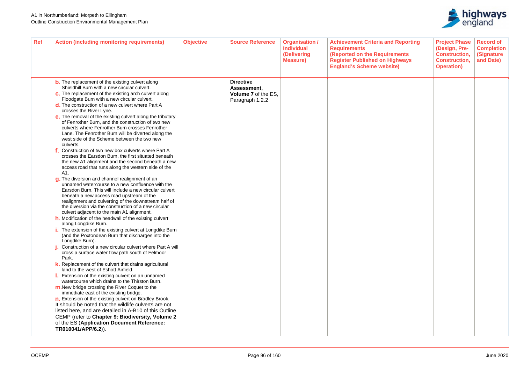

| <b>Ref</b> | <b>Action (including monitoring requirements)</b>                                                                                                                                                                                                                                                                                                                                                                                                                                                                                                                                                                                                                                                                                                                                                                                                                                                                                                                                                                                                                                                                                                                                                                                                                                                                                                                                                                                                                                                                                                                                                                                                                                                                                                                                                                                                                                                                                                                                                                                                                                                                                                                    | <b>Objective</b> | <b>Source Reference</b>                                                   | <b>Organisation /</b><br><b>Individual</b><br>(Delivering<br><b>Measure)</b> | <b>Achievement Criteria and Reporting</b><br><b>Requirements</b><br><b>(Reported on the Requirements)</b><br><b>Register Published on Highways</b><br><b>England's Scheme website)</b> | <b>Project Phase</b><br>(Design, Pre-<br><b>Construction,</b><br><b>Construction,</b><br><b>Operation</b> ) | <b>Record of</b><br><b>Completion</b><br>(Signature<br>and Date) |
|------------|----------------------------------------------------------------------------------------------------------------------------------------------------------------------------------------------------------------------------------------------------------------------------------------------------------------------------------------------------------------------------------------------------------------------------------------------------------------------------------------------------------------------------------------------------------------------------------------------------------------------------------------------------------------------------------------------------------------------------------------------------------------------------------------------------------------------------------------------------------------------------------------------------------------------------------------------------------------------------------------------------------------------------------------------------------------------------------------------------------------------------------------------------------------------------------------------------------------------------------------------------------------------------------------------------------------------------------------------------------------------------------------------------------------------------------------------------------------------------------------------------------------------------------------------------------------------------------------------------------------------------------------------------------------------------------------------------------------------------------------------------------------------------------------------------------------------------------------------------------------------------------------------------------------------------------------------------------------------------------------------------------------------------------------------------------------------------------------------------------------------------------------------------------------------|------------------|---------------------------------------------------------------------------|------------------------------------------------------------------------------|----------------------------------------------------------------------------------------------------------------------------------------------------------------------------------------|-------------------------------------------------------------------------------------------------------------|------------------------------------------------------------------|
|            | <b>b.</b> The replacement of the existing culvert along<br>Shieldhill Burn with a new circular culvert.<br>c. The replacement of the existing arch culvert along<br>Floodgate Burn with a new circular culvert.<br>d. The construction of a new culvert where Part A<br>crosses the River Lyne.<br>e. The removal of the existing culvert along the tributary<br>of Fenrother Burn, and the construction of two new<br>culverts where Fenrother Burn crosses Fenrother<br>Lane. The Fenrother Burn will be diverted along the<br>west side of the Scheme between the two new<br>culverts.<br>Construction of two new box culverts where Part A<br>crosses the Earsdon Burn, the first situated beneath<br>the new A1 alignment and the second beneath a new<br>access road that runs along the western side of the<br>A1.<br>g. The diversion and channel realignment of an<br>unnamed watercourse to a new confluence with the<br>Earsdon Burn. This will include a new circular culvert<br>beneath a new access road upstream of the<br>realignment and culverting of the downstream half of<br>the diversion via the construction of a new circular<br>culvert adjacent to the main A1 alignment.<br>h. Modification of the headwall of the existing culvert<br>along Longdike Burn.<br>i. The extension of the existing culvert at Longdike Burn<br>(and the Poxtondean Burn that discharges into the<br>Longdike Burn).<br>Construction of a new circular culvert where Part A will<br>cross a surface water flow path south of Felmoor<br>Park.<br><b>k.</b> Replacement of the culvert that drains agricultural<br>land to the west of Eshott Airfield.<br>Extension of the existing culvert on an unnamed<br>watercourse which drains to the Thirston Burn.<br>m.New bridge crossing the River Coquet to the<br>immediate east of the existing bridge.<br>n. Extension of the existing culvert on Bradley Brook.<br>It should be noted that the wildlife culverts are not<br>listed here, and are detailed in A-B10 of this Outline<br>CEMP (refer to Chapter 9: Biodiversity, Volume 2<br>of the ES (Application Document Reference:<br>TR010041/APP/6.2)). |                  | <b>Directive</b><br>Assessment,<br>Volume 7 of the ES.<br>Paragraph 1.2.2 |                                                                              |                                                                                                                                                                                        |                                                                                                             |                                                                  |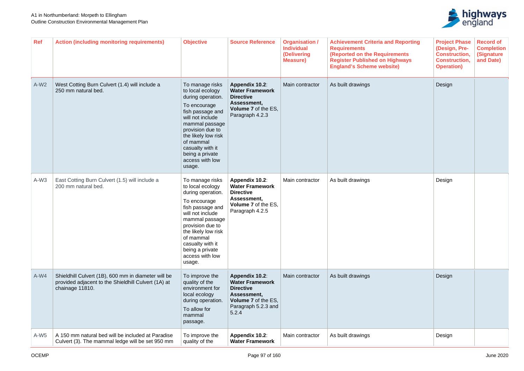

| <b>Ref</b> | <b>Action (including monitoring requirements)</b>                                                                             | <b>Objective</b>                                                                                                                                                                                                                                               | <b>Source Reference</b>                                                                                                                   | <b>Organisation /</b><br><b>Individual</b><br>(Delivering<br><b>Measure)</b> | <b>Achievement Criteria and Reporting</b><br><b>Requirements</b><br><b>(Reported on the Requirements</b><br><b>Register Published on Highways</b><br><b>England's Scheme website)</b> | <b>Project Phase</b><br>(Design, Pre-<br><b>Construction,</b><br><b>Construction,</b><br><b>Operation</b> ) | <b>Record of</b><br><b>Completion</b><br><b>(Signature</b><br>and Date) |
|------------|-------------------------------------------------------------------------------------------------------------------------------|----------------------------------------------------------------------------------------------------------------------------------------------------------------------------------------------------------------------------------------------------------------|-------------------------------------------------------------------------------------------------------------------------------------------|------------------------------------------------------------------------------|---------------------------------------------------------------------------------------------------------------------------------------------------------------------------------------|-------------------------------------------------------------------------------------------------------------|-------------------------------------------------------------------------|
| $A-W2$     | West Cotting Burn Culvert (1.4) will include a<br>250 mm natural bed.                                                         | To manage risks<br>to local ecology<br>during operation.<br>To encourage<br>fish passage and<br>will not include<br>mammal passage<br>provision due to<br>the likely low risk<br>of mammal<br>casualty with it<br>being a private<br>access with low<br>usage. | Appendix 10.2:<br><b>Water Framework</b><br><b>Directive</b><br>Assessment,<br><b>Volume 7</b> of the ES,<br>Paragraph 4.2.3              | Main contractor                                                              | As built drawings                                                                                                                                                                     | Design                                                                                                      |                                                                         |
| $A-W3$     | East Cotting Burn Culvert (1.5) will include a<br>200 mm natural bed.                                                         | To manage risks<br>to local ecology<br>during operation.<br>To encourage<br>fish passage and<br>will not include<br>mammal passage<br>provision due to<br>the likely low risk<br>of mammal<br>casualty with it<br>being a private<br>access with low<br>usage. | <b>Appendix 10.2:</b><br><b>Water Framework</b><br><b>Directive</b><br>Assessment,<br>Volume 7 of the ES,<br>Paragraph 4.2.5              | Main contractor                                                              | As built drawings                                                                                                                                                                     | Design                                                                                                      |                                                                         |
| $A-W4$     | Shieldhill Culvert (1B), 600 mm in diameter will be<br>provided adjacent to the Shieldhill Culvert (1A) at<br>chainage 11810. | To improve the<br>quality of the<br>environment for<br>local ecology<br>during operation.<br>To allow for<br>mammal<br>passage.                                                                                                                                | <b>Appendix 10.2:</b><br><b>Water Framework</b><br><b>Directive</b><br>Assessment,<br>Volume 7 of the ES,<br>Paragraph 5.2.3 and<br>5.2.4 | Main contractor                                                              | As built drawings                                                                                                                                                                     | Design                                                                                                      |                                                                         |
| $A-W5$     | A 150 mm natural bed will be included at Paradise<br>Culvert (3). The mammal ledge will be set 950 mm                         | To improve the<br>quality of the                                                                                                                                                                                                                               | <b>Appendix 10.2:</b><br><b>Water Framework</b>                                                                                           | Main contractor                                                              | As built drawings                                                                                                                                                                     | Design                                                                                                      |                                                                         |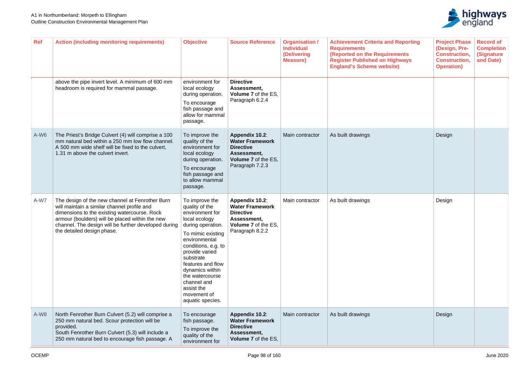

| <b>Ref</b> | <b>Action (including monitoring requirements)</b>                                                                                                                                                                                                                                       | <b>Objective</b>                                                                                                                                                                                                                                                                                                 | <b>Source Reference</b>                                                                                                             | <b>Organisation /</b><br><b>Individual</b><br>(Delivering<br><b>Measure)</b> | <b>Achievement Criteria and Reporting</b><br><b>Requirements</b><br><b>(Reported on the Requirements)</b><br><b>Register Published on Highways</b><br><b>England's Scheme website)</b> | <b>Project Phase</b><br>(Design, Pre-<br><b>Construction,</b><br><b>Construction,</b><br><b>Operation</b> ) | <b>Record of</b><br><b>Completion</b><br>(Signature<br>and Date) |
|------------|-----------------------------------------------------------------------------------------------------------------------------------------------------------------------------------------------------------------------------------------------------------------------------------------|------------------------------------------------------------------------------------------------------------------------------------------------------------------------------------------------------------------------------------------------------------------------------------------------------------------|-------------------------------------------------------------------------------------------------------------------------------------|------------------------------------------------------------------------------|----------------------------------------------------------------------------------------------------------------------------------------------------------------------------------------|-------------------------------------------------------------------------------------------------------------|------------------------------------------------------------------|
|            | above the pipe invert level. A minimum of 600 mm<br>headroom is required for mammal passage.                                                                                                                                                                                            | environment for<br>local ecology<br>during operation.<br>To encourage<br>fish passage and<br>allow for mammal<br>passage.                                                                                                                                                                                        | <b>Directive</b><br>Assessment,<br>Volume 7 of the ES,<br>Paragraph 6.2.4                                                           |                                                                              |                                                                                                                                                                                        |                                                                                                             |                                                                  |
| A-W6       | The Priest's Bridge Culvert (4) will comprise a 100<br>mm natural bed within a 250 mm low flow channel.<br>A 500 mm wide shelf will be fixed to the culvert,<br>1.31 m above the culvert invert.                                                                                        | To improve the<br>quality of the<br>environment for<br>local ecology<br>during operation.<br>To encourage<br>fish passage and<br>to allow mammal<br>passage.                                                                                                                                                     | <b>Appendix 10.2:</b><br><b>Water Framework</b><br><b>Directive</b><br>Assessment,<br><b>Volume 7</b> of the ES,<br>Paragraph 7.2.3 | Main contractor                                                              | As built drawings                                                                                                                                                                      | Design                                                                                                      |                                                                  |
| A-W7       | The design of the new channel at Fenrother Burn<br>will maintain a similar channel profile and<br>dimensions to the existing watercourse. Rock<br>armour (boulders) will be placed within the new<br>channel. The design will be further developed during<br>the detailed design phase. | To improve the<br>quality of the<br>environment for<br>local ecology<br>during operation.<br>To mimic existing<br>environmental<br>conditions, e.g. to<br>provide varied<br>substrate<br>features and flow<br>dynamics within<br>the watercourse<br>channel and<br>assist the<br>movement of<br>aquatic species. | Appendix 10.2:<br><b>Water Framework</b><br><b>Directive</b><br>Assessment,<br><b>Volume 7 of the ES,</b><br>Paragraph 8.2.2        | Main contractor                                                              | As built drawings                                                                                                                                                                      | Design                                                                                                      |                                                                  |
| A-W8       | North Fenrother Burn Culvert (5.2) will comprise a<br>250 mm natural bed. Scour protection will be<br>provided.<br>South Fenrother Burn Culvert (5.3) will include a<br>250 mm natural bed to encourage fish passage. A                                                                 | To encourage<br>fish passage.<br>To improve the<br>quality of the<br>environment for                                                                                                                                                                                                                             | <b>Appendix 10.2:</b><br><b>Water Framework</b><br><b>Directive</b><br>Assessment,<br>Volume 7 of the ES,                           | Main contractor                                                              | As built drawings                                                                                                                                                                      | Design                                                                                                      |                                                                  |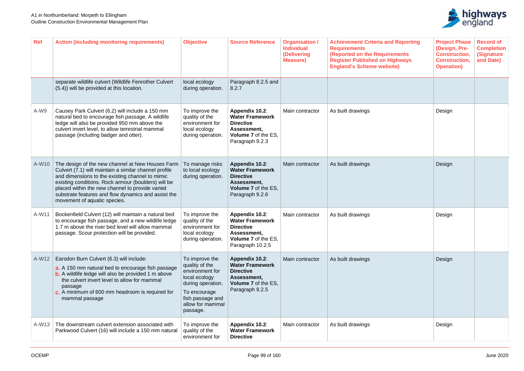

| <b>Ref</b> | <b>Action (including monitoring requirements)</b>                                                                                                                                                                                                                                                                                                             | <b>Objective</b>                                                                                                                                              | <b>Source Reference</b>                                                                                                             | <b>Organisation /</b><br><b>Individual</b><br>(Delivering<br><b>Measure)</b> | <b>Achievement Criteria and Reporting</b><br><b>Requirements</b><br><b>(Reported on the Requirements</b><br><b>Register Published on Highways</b><br><b>England's Scheme website)</b> | <b>Project Phase</b><br>(Design, Pre-<br><b>Construction,</b><br><b>Construction,</b><br><b>Operation</b> ) | <b>Record of</b><br><b>Completion</b><br>(Signature<br>and Date) |
|------------|---------------------------------------------------------------------------------------------------------------------------------------------------------------------------------------------------------------------------------------------------------------------------------------------------------------------------------------------------------------|---------------------------------------------------------------------------------------------------------------------------------------------------------------|-------------------------------------------------------------------------------------------------------------------------------------|------------------------------------------------------------------------------|---------------------------------------------------------------------------------------------------------------------------------------------------------------------------------------|-------------------------------------------------------------------------------------------------------------|------------------------------------------------------------------|
|            | separate wildlife culvert (Wildlife Fenrother Culvert<br>(5.4)) will be provided at this location.                                                                                                                                                                                                                                                            | local ecology<br>during operation.                                                                                                                            | Paragraph 8.2.5 and<br>8.2.7                                                                                                        |                                                                              |                                                                                                                                                                                       |                                                                                                             |                                                                  |
| A-W9       | Causey Park Culvert (6.2) will include a 150 mm<br>natural bed to encourage fish passage. A wildlife<br>ledge will also be provided 950 mm above the<br>culvert invert level, to allow terrestrial mammal<br>passage (including badger and otter).                                                                                                            | To improve the<br>quality of the<br>environment for<br>local ecology<br>during operation.                                                                     | <b>Appendix 10.2:</b><br><b>Water Framework</b><br><b>Directive</b><br>Assessment,<br><b>Volume 7 of the ES.</b><br>Paragraph 9.2.3 | Main contractor                                                              | As built drawings                                                                                                                                                                     | Design                                                                                                      |                                                                  |
| A-W10      | The design of the new channel at New Houses Farm<br>Culvert (7.1) will maintain a similar channel profile<br>and dimensions to the existing channel to mimic<br>existing conditions. Rock armour (boulders) will be<br>placed within the new channel to provide varied<br>substrate features and flow dynamics and assist the<br>movement of aquatic species. | To manage risks<br>to local ecology<br>during operation.                                                                                                      | <b>Appendix 10.2:</b><br><b>Water Framework</b><br><b>Directive</b><br>Assessment,<br><b>Volume 7 of the ES.</b><br>Paragraph 9.2.6 | Main contractor                                                              | As built drawings                                                                                                                                                                     | Design                                                                                                      |                                                                  |
| A-W11      | Bockenfield Culvert (12) will maintain a natural bed<br>to encourage fish passage, and a new wildlife ledge<br>1.7 m above the river bed level will allow mammal<br>passage. Scour protection will be provided.                                                                                                                                               | To improve the<br>quality of the<br>environment for<br>local ecology<br>during operation.                                                                     | <b>Appendix 10.2:</b><br><b>Water Framework</b><br><b>Directive</b><br>Assessment,<br>Volume 7 of the ES.<br>Paragraph 10.2.5       | Main contractor                                                              | As built drawings                                                                                                                                                                     | Design                                                                                                      |                                                                  |
| A-W12      | Earsdon Burn Culvert (6.3) will include:<br>a. A 150 mm natural bed to encourage fish passage<br><b>b.</b> A wildlife ledge will also be provided 1 m above<br>the culvert invert level to allow for mammal<br>passage<br>c. A minimum of 600 mm headroom is required for<br>mammal passage                                                                   | To improve the<br>quality of the<br>environment for<br>local ecology<br>during operation.<br>To encourage<br>fish passage and<br>allow for mammal<br>passage. | <b>Appendix 10.2:</b><br><b>Water Framework</b><br><b>Directive</b><br>Assessment,<br>Volume 7 of the ES.<br>Paragraph 9.2.5        | Main contractor                                                              | As built drawings                                                                                                                                                                     | Design                                                                                                      |                                                                  |
| A-W13      | The downstream culvert extension associated with<br>Parkwood Culvert (16) will include a 150 mm natural                                                                                                                                                                                                                                                       | To improve the<br>quality of the<br>environment for                                                                                                           | <b>Appendix 10.2:</b><br><b>Water Framework</b><br><b>Directive</b>                                                                 | Main contractor                                                              | As built drawings                                                                                                                                                                     | Design                                                                                                      |                                                                  |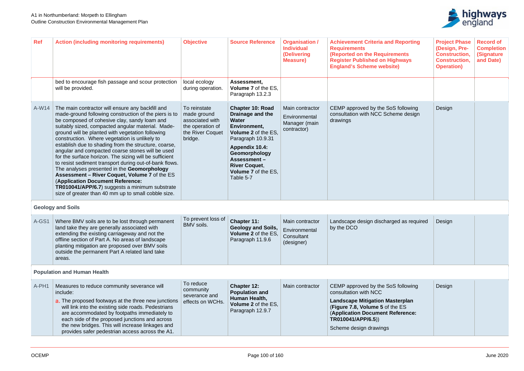

| <b>Ref</b> | <b>Action (including monitoring requirements)</b>                                                                                                                                                                                                                                                                                                                                                                                                                                                                                                                                                                                                                                                                                                                                                | <b>Objective</b>                                                                                  | <b>Source Reference</b>                                                                                                                                                                                                                             | <b>Organisation /</b><br><b>Individual</b><br>(Delivering<br><b>Measure)</b> | <b>Achievement Criteria and Reporting</b><br><b>Requirements</b><br><b>(Reported on the Requirements</b><br><b>Register Published on Highways</b><br><b>England's Scheme website)</b>                                        | <b>Project Phase</b><br>(Design, Pre-<br><b>Construction,</b><br><b>Construction,</b><br><b>Operation</b> ) | <b>Record of</b><br><b>Completion</b><br><b>(Signature</b><br>and Date) |
|------------|--------------------------------------------------------------------------------------------------------------------------------------------------------------------------------------------------------------------------------------------------------------------------------------------------------------------------------------------------------------------------------------------------------------------------------------------------------------------------------------------------------------------------------------------------------------------------------------------------------------------------------------------------------------------------------------------------------------------------------------------------------------------------------------------------|---------------------------------------------------------------------------------------------------|-----------------------------------------------------------------------------------------------------------------------------------------------------------------------------------------------------------------------------------------------------|------------------------------------------------------------------------------|------------------------------------------------------------------------------------------------------------------------------------------------------------------------------------------------------------------------------|-------------------------------------------------------------------------------------------------------------|-------------------------------------------------------------------------|
|            | bed to encourage fish passage and scour protection<br>will be provided.                                                                                                                                                                                                                                                                                                                                                                                                                                                                                                                                                                                                                                                                                                                          | local ecology<br>during operation.                                                                | Assessment.<br>Volume 7 of the ES,<br>Paragraph 13.2.3                                                                                                                                                                                              |                                                                              |                                                                                                                                                                                                                              |                                                                                                             |                                                                         |
| A-W14      | The main contractor will ensure any backfill and<br>made-ground following construction of the piers is to<br>be composed of cohesive clay, sandy loam and<br>suitably sized, compacted angular material. Made-<br>ground will be planted with vegetation following<br>construction. Where vegetation is unlikely to<br>establish due to shading from the structure, coarse,<br>angular and compacted coarse stones will be used<br>for the surface horizon. The sizing will be sufficient<br>to resist sediment transport during out-of-bank flows.<br>The analyses presented in the Geomorphology<br>Assessment – River Coquet, Volume 7 of the ES<br>(Application Document Reference:<br>TR010041/APP/6.7) suggests a minimum substrate<br>size of greater than 40 mm up to small cobble size. | To reinstate<br>made ground<br>associated with<br>the operation of<br>the River Coquet<br>bridge. | <b>Chapter 10: Road</b><br>Drainage and the<br><b>Water</b><br>Environment,<br>Volume 2 of the ES.<br>Paragraph 10.9.31<br><b>Appendix 10.4:</b><br>Geomorphology<br>Assessment-<br><b>River Coquet,</b><br><b>Volume 7 of the ES.</b><br>Table 5-7 | Main contractor<br>Environmental<br>Manager (main<br>contractor)             | CEMP approved by the SoS following<br>consultation with NCC Scheme design<br>drawings                                                                                                                                        | Design                                                                                                      |                                                                         |
|            | <b>Geology and Soils</b>                                                                                                                                                                                                                                                                                                                                                                                                                                                                                                                                                                                                                                                                                                                                                                         |                                                                                                   |                                                                                                                                                                                                                                                     |                                                                              |                                                                                                                                                                                                                              |                                                                                                             |                                                                         |
| A-GS1      | Where BMV soils are to be lost through permanent<br>land take they are generally associated with<br>extending the existing carriageway and not the<br>offline section of Part A. No areas of landscape<br>planting mitigation are proposed over BMV soils<br>outside the permanent Part A related land take<br>areas.                                                                                                                                                                                                                                                                                                                                                                                                                                                                            | To prevent loss of<br>BMV soils.                                                                  | Chapter 11:<br><b>Geology and Soils,</b><br>Volume 2 of the ES,<br>Paragraph 11.9.6                                                                                                                                                                 | Main contractor<br>Environmental<br>Consultant<br>(designer)                 | Landscape design discharged as required<br>by the DCO                                                                                                                                                                        | Design                                                                                                      |                                                                         |
|            | <b>Population and Human Health</b>                                                                                                                                                                                                                                                                                                                                                                                                                                                                                                                                                                                                                                                                                                                                                               |                                                                                                   |                                                                                                                                                                                                                                                     |                                                                              |                                                                                                                                                                                                                              |                                                                                                             |                                                                         |
| A-PH1      | Measures to reduce community severance will<br>include:<br>a. The proposed footways at the three new junctions<br>will link into the existing side roads. Pedestrians<br>are accommodated by footpaths immediately to<br>each side of the proposed junctions and across<br>the new bridges. This will increase linkages and<br>provides safer pedestrian access across the A1.                                                                                                                                                                                                                                                                                                                                                                                                                   | To reduce<br>community<br>severance and<br>effects on WCHs.                                       | <b>Chapter 12:</b><br><b>Population and</b><br>Human Health,<br>Volume 2 of the ES,<br>Paragraph 12.9.7                                                                                                                                             | Main contractor                                                              | CEMP approved by the SoS following<br>consultation with NCC<br><b>Landscape Mitigation Masterplan</b><br>(Figure 7.8, Volume 5 of the ES<br>(Application Document Reference:<br>TR010041/APP/6.5))<br>Scheme design drawings | Design                                                                                                      |                                                                         |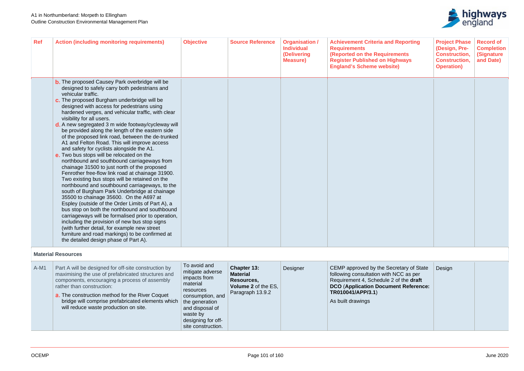

| <b>Ref</b> | <b>Action (including monitoring requirements)</b>                                                                                                                                                                                                                                                                                                                                                                                                                                                                                                                                                                                                                                                                                                                                                                                                                                                                                                                                                                                                                                                                                                                                                                                                                                                                                   | <b>Objective</b>                                                                              | <b>Source Reference</b>                                                                 | <b>Organisation /</b><br><b>Individual</b><br>(Delivering<br><b>Measure)</b> | <b>Achievement Criteria and Reporting</b><br><b>Requirements</b><br><b>(Reported on the Requirements</b><br><b>Register Published on Highways</b><br><b>England's Scheme website)</b>           | <b>Project Phase</b><br>(Design, Pre-<br><b>Construction,</b><br><b>Construction,</b><br><b>Operation</b> ) | <b>Record of</b><br><b>Completion</b><br><b>(Signature</b><br>and Date) |
|------------|-------------------------------------------------------------------------------------------------------------------------------------------------------------------------------------------------------------------------------------------------------------------------------------------------------------------------------------------------------------------------------------------------------------------------------------------------------------------------------------------------------------------------------------------------------------------------------------------------------------------------------------------------------------------------------------------------------------------------------------------------------------------------------------------------------------------------------------------------------------------------------------------------------------------------------------------------------------------------------------------------------------------------------------------------------------------------------------------------------------------------------------------------------------------------------------------------------------------------------------------------------------------------------------------------------------------------------------|-----------------------------------------------------------------------------------------------|-----------------------------------------------------------------------------------------|------------------------------------------------------------------------------|-------------------------------------------------------------------------------------------------------------------------------------------------------------------------------------------------|-------------------------------------------------------------------------------------------------------------|-------------------------------------------------------------------------|
|            | <b>b.</b> The proposed Causey Park overbridge will be<br>designed to safely carry both pedestrians and<br>vehicular traffic.<br>c. The proposed Burgham underbridge will be<br>designed with access for pedestrians using<br>hardened verges, and vehicular traffic, with clear<br>visibility for all users.<br>d. A new segregated 3 m wide footway/cycleway will<br>be provided along the length of the eastern side<br>of the proposed link road, between the de-trunked<br>A1 and Felton Road. This will improve access<br>and safety for cyclists alongside the A1.<br>e. Two bus stops will be relocated on the<br>northbound and southbound carriageways from<br>chainage 31500 to just north of the proposed<br>Fenrother free-flow link road at chainage 31900.<br>Two existing bus stops will be retained on the<br>northbound and southbound carriageways, to the<br>south of Burgham Park Underbridge at chainage<br>35500 to chainage 35600. On the A697 at<br>Espley (outside of the Order Limits of Part A), a<br>bus stop on both the northbound and southbound<br>carriageways will be formalised prior to operation,<br>including the provision of new bus stop signs<br>(with further detail, for example new street<br>furniture and road markings) to be confirmed at<br>the detailed design phase of Part A). |                                                                                               |                                                                                         |                                                                              |                                                                                                                                                                                                 |                                                                                                             |                                                                         |
|            | <b>Material Resources</b>                                                                                                                                                                                                                                                                                                                                                                                                                                                                                                                                                                                                                                                                                                                                                                                                                                                                                                                                                                                                                                                                                                                                                                                                                                                                                                           |                                                                                               |                                                                                         |                                                                              |                                                                                                                                                                                                 |                                                                                                             |                                                                         |
| $A-M1$     | Part A will be designed for off-site construction by<br>maximising the use of prefabricated structures and<br>components, encouraging a process of assembly<br>rather than construction:<br>a. The construction method for the River Coquet                                                                                                                                                                                                                                                                                                                                                                                                                                                                                                                                                                                                                                                                                                                                                                                                                                                                                                                                                                                                                                                                                         | To avoid and<br>mitigate adverse<br>impacts from<br>material<br>resources<br>consumption, and | Chapter 13:<br><b>Material</b><br>Resources,<br>Volume 2 of the ES.<br>Paragraph 13.9.2 | Designer                                                                     | CEMP approved by the Secretary of State<br>following consultation with NCC as per<br>Requirement 4, Schedule 2 of the draft<br><b>DCO (Application Document Reference:</b><br>TR010041/APP/3.1) | Design                                                                                                      |                                                                         |

| $A-M1$ | Part A will be designed for off-site construction by<br>maximising the use of prefabricated structures and<br>components, encouraging a process of assembly<br>rather than construction:<br>a. The construction method for the River Coquet<br>bridge will comprise prefabricated elements which<br>will reduce waste production on site. | To avoid and<br>mitigate adverse<br>impacts from<br>material<br>resources<br>consumption, and<br>the generation<br>and disposal of<br>waste by<br>designing for off-<br>site construction. | <b>Chapter 13:</b><br><b>Material</b><br>Resources,<br><b>Volume 2 of the ES,</b><br>Paragraph 13.9.2 | Designer | CEMP approved by the Sec<br>following consultation with N<br>Requirement 4, Schedule 2<br><b>DCO (Application Docume</b><br>TR010041/APP/3.1)<br>As built drawings |
|--------|-------------------------------------------------------------------------------------------------------------------------------------------------------------------------------------------------------------------------------------------------------------------------------------------------------------------------------------------|--------------------------------------------------------------------------------------------------------------------------------------------------------------------------------------------|-------------------------------------------------------------------------------------------------------|----------|--------------------------------------------------------------------------------------------------------------------------------------------------------------------|
|--------|-------------------------------------------------------------------------------------------------------------------------------------------------------------------------------------------------------------------------------------------------------------------------------------------------------------------------------------------|--------------------------------------------------------------------------------------------------------------------------------------------------------------------------------------------|-------------------------------------------------------------------------------------------------------|----------|--------------------------------------------------------------------------------------------------------------------------------------------------------------------|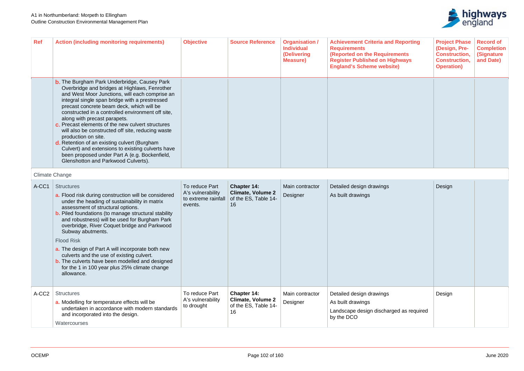

| <b>Ref</b>            | <b>Action (including monitoring requirements)</b>                                                                                                                                                                                                                                                                                                                                                                                                                                                                                                                                                                                                                        | <b>Objective</b>                                                      | <b>Source Reference</b>                                                      | <b>Organisation /</b><br><b>Individual</b><br>(Delivering<br><b>Measure)</b> | <b>Achievement Criteria and Reporting</b><br><b>Requirements</b><br><b>(Reported on the Requirements</b><br><b>Register Published on Highways</b><br><b>England's Scheme website)</b> | <b>Project Phase</b><br>(Design, Pre-<br><b>Construction,</b><br><b>Construction,</b><br><b>Operation</b> ) | <b>Record of</b><br><b>Completion</b><br>(Signature<br>and Date) |
|-----------------------|--------------------------------------------------------------------------------------------------------------------------------------------------------------------------------------------------------------------------------------------------------------------------------------------------------------------------------------------------------------------------------------------------------------------------------------------------------------------------------------------------------------------------------------------------------------------------------------------------------------------------------------------------------------------------|-----------------------------------------------------------------------|------------------------------------------------------------------------------|------------------------------------------------------------------------------|---------------------------------------------------------------------------------------------------------------------------------------------------------------------------------------|-------------------------------------------------------------------------------------------------------------|------------------------------------------------------------------|
|                       | <b>b.</b> The Burgham Park Underbridge, Causey Park<br>Overbridge and bridges at Highlaws, Fenrother<br>and West Moor Junctions, will each comprise an<br>integral single span bridge with a prestressed<br>precast concrete beam deck, which will be<br>constructed in a controlled environment off site,<br>along with precast parapets.<br>c. Precast elements of the new culvert structures<br>will also be constructed off site, reducing waste<br>production on site.<br>d. Retention of an existing culvert (Burgham<br>Culvert) and extensions to existing culverts have<br>been proposed under Part A (e.g. Bockenfield,<br>Glenshotton and Parkwood Culverts). |                                                                       |                                                                              |                                                                              |                                                                                                                                                                                       |                                                                                                             |                                                                  |
| <b>Climate Change</b> |                                                                                                                                                                                                                                                                                                                                                                                                                                                                                                                                                                                                                                                                          |                                                                       |                                                                              |                                                                              |                                                                                                                                                                                       |                                                                                                             |                                                                  |
| A-CC1                 | <b>Structures</b><br>a. Flood risk during construction will be considered<br>under the heading of sustainability in matrix<br>assessment of structural options.<br><b>b.</b> Piled foundations (to manage structural stability<br>and robustness) will be used for Burgham Park<br>overbridge, River Coquet bridge and Parkwood<br>Subway abutments.<br><b>Flood Risk</b><br>a. The design of Part A will incorporate both new<br>culverts and the use of existing culvert.<br><b>b.</b> The culverts have been modelled and designed<br>for the 1 in 100 year plus 25% climate change<br>allowance.                                                                     | To reduce Part<br>A's vulnerability<br>to extreme rainfall<br>events. | <b>Chapter 14:</b><br><b>Climate, Volume 2</b><br>of the ES, Table 14-<br>16 | Main contractor<br>Designer                                                  | Detailed design drawings<br>As built drawings                                                                                                                                         | Design                                                                                                      |                                                                  |
| A-CC <sub>2</sub>     | <b>Structures</b><br>a. Modelling for temperature effects will be<br>undertaken in accordance with modern standards<br>and incorporated into the design.<br>Watercourses                                                                                                                                                                                                                                                                                                                                                                                                                                                                                                 | To reduce Part<br>A's vulnerability<br>to drought                     | Chapter 14:<br><b>Climate, Volume 2</b><br>of the ES, Table 14-<br>16        | Main contractor<br>Designer                                                  | Detailed design drawings<br>As built drawings<br>Landscape design discharged as required<br>by the DCO                                                                                | Design                                                                                                      |                                                                  |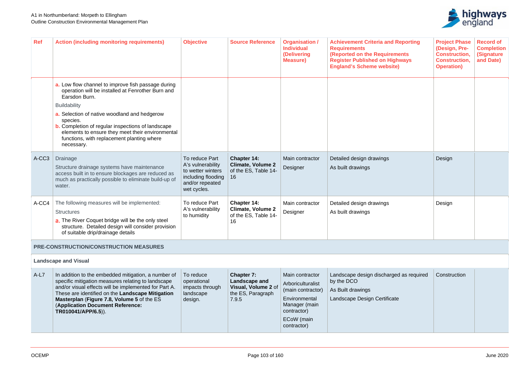

| <b>Ref</b>        | <b>Action (including monitoring requirements)</b>                                                                                                                                                                                                                                                                                                                                       | <b>Objective</b>                                                                                                 | <b>Source Reference</b>                                                                 | <b>Organisation /</b><br><b>Individual</b><br>(Delivering<br><b>Measure)</b>                | <b>Achievement Criteria and Reporting</b><br><b>Requirements</b><br>(Reported on the Requirements<br><b>Register Published on Highways</b><br><b>England's Scheme website)</b> | <b>Project Phase</b><br>(Design, Pre-<br><b>Construction,</b><br><b>Construction,</b><br><b>Operation</b> ) | <b>Record of</b><br><b>Completion</b><br><b>(Signature</b><br>and Date) |
|-------------------|-----------------------------------------------------------------------------------------------------------------------------------------------------------------------------------------------------------------------------------------------------------------------------------------------------------------------------------------------------------------------------------------|------------------------------------------------------------------------------------------------------------------|-----------------------------------------------------------------------------------------|---------------------------------------------------------------------------------------------|--------------------------------------------------------------------------------------------------------------------------------------------------------------------------------|-------------------------------------------------------------------------------------------------------------|-------------------------------------------------------------------------|
|                   | a. Low flow channel to improve fish passage during<br>operation will be installed at Fenrother Burn and<br>Earsdon Burn.<br><b>Buildability</b><br>a. Selection of native woodland and hedgerow<br>species.<br><b>b.</b> Completion of regular inspections of landscape<br>elements to ensure they meet their environmental<br>functions, with replacement planting where<br>necessary. |                                                                                                                  |                                                                                         |                                                                                             |                                                                                                                                                                                |                                                                                                             |                                                                         |
| A-CC <sub>3</sub> | <b>Drainage</b><br>Structure drainage systems have maintenance<br>access built in to ensure blockages are reduced as<br>much as practically possible to eliminate build-up of<br>water.                                                                                                                                                                                                 | To reduce Part<br>A's vulnerability<br>to wetter winters<br>including flooding<br>and/or repeated<br>wet cycles. | <b>Chapter 14:</b><br><b>Climate, Volume 2</b><br>of the ES, Table 14-<br>16            | Main contractor<br>Designer                                                                 | Detailed design drawings<br>As built drawings                                                                                                                                  | Design                                                                                                      |                                                                         |
| A-CC4             | The following measures will be implemented:<br><b>Structures</b><br>a. The River Coquet bridge will be the only steel<br>structure. Detailed design will consider provision<br>of suitable drip/drainage details                                                                                                                                                                        | To reduce Part<br>A's vulnerability<br>to humidity                                                               | <b>Chapter 14:</b><br><b>Climate, Volume 2</b><br>of the ES, Table 14-<br>16            | Main contractor<br>Designer                                                                 | Detailed design drawings<br>As built drawings                                                                                                                                  | Design                                                                                                      |                                                                         |
|                   | <b>PRE-CONSTRUCTION/CONSTRUCTION MEASURES</b>                                                                                                                                                                                                                                                                                                                                           |                                                                                                                  |                                                                                         |                                                                                             |                                                                                                                                                                                |                                                                                                             |                                                                         |
|                   | <b>Landscape and Visual</b>                                                                                                                                                                                                                                                                                                                                                             |                                                                                                                  |                                                                                         |                                                                                             |                                                                                                                                                                                |                                                                                                             |                                                                         |
| $A-L7$            | In addition to the embedded mitigation, a number of<br>specific mitigation measures relating to landscape<br>and/or visual effects will be implemented for Part A.<br>These are identified on the Landscape Mitigation<br>Masterplan (Figure 7.8, Volume 5 of the ES<br>(Application Document Reference:                                                                                | To reduce<br>operational<br>impacts through<br>landscape<br>design.                                              | <b>Chapter 7:</b><br>Landscape and<br>Visual, Volume 2 of<br>the ES, Paragraph<br>7.9.5 | Main contractor<br>Arboriculturalist<br>(main contractor)<br>Environmental<br>Manager (main | Landscape design discharged as required<br>by the DCO<br>As Built drawings<br>Landscape Design Certificate                                                                     | Construction                                                                                                |                                                                         |

| $A-L7$ | In addition to the embedded mitigation, a number of<br>specific mitigation measures relating to landscape<br>and/or visual effects will be implemented for Part A.<br>These are identified on the Landscape Mitigation<br>Masterplan (Figure 7.8, Volume 5 of the ES<br>(Application Document Reference:<br>TR010041/APP/6.5)). | To reduce<br>operational<br>impacts through<br>landscape<br>design. | <b>Chapter 7:</b><br>Landscape and<br>Visual, Volume 2 of<br>the ES, Paragraph<br>7.9.5 | Main contractor<br>Arboriculturalist<br>(main contractor)<br>Environmental<br>Manager (main<br>contractor)<br>ECoW (main<br>contractor) | Landscape design discharge<br>by the DCO<br>As Built drawings<br>Landscape Design Certificat |
|--------|---------------------------------------------------------------------------------------------------------------------------------------------------------------------------------------------------------------------------------------------------------------------------------------------------------------------------------|---------------------------------------------------------------------|-----------------------------------------------------------------------------------------|-----------------------------------------------------------------------------------------------------------------------------------------|----------------------------------------------------------------------------------------------|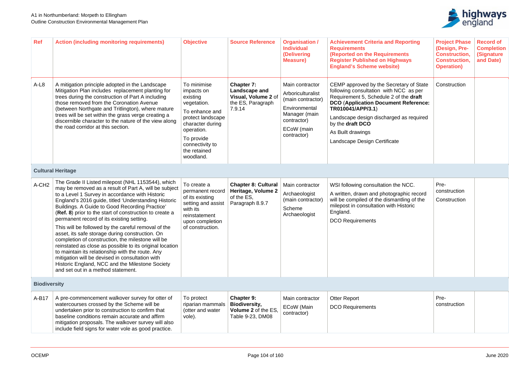

| <b>Ref</b>          | <b>Action (including monitoring requirements)</b>                                                                                                                                                                                                                                                                                                                                                                                                                                                                                                                                                                                                                                                                                                                                                          | <b>Objective</b>                                                                                                                                                                            | <b>Source Reference</b>                                                                  | <b>Organisation /</b><br><b>Individual</b><br>(Delivering<br><b>Measure)</b>                                                            | <b>Achievement Criteria and Reporting</b><br><b>Requirements</b><br><b>(Reported on the Requirements)</b><br><b>Register Published on Highways</b><br><b>England's Scheme website)</b>                                                                                                                              | <b>Project Phase</b><br>(Design, Pre-<br><b>Construction,</b><br><b>Construction,</b><br><b>Operation</b> ) | <b>Record of</b><br><b>Completion</b><br><b>(Signature</b><br>and Date) |
|---------------------|------------------------------------------------------------------------------------------------------------------------------------------------------------------------------------------------------------------------------------------------------------------------------------------------------------------------------------------------------------------------------------------------------------------------------------------------------------------------------------------------------------------------------------------------------------------------------------------------------------------------------------------------------------------------------------------------------------------------------------------------------------------------------------------------------------|---------------------------------------------------------------------------------------------------------------------------------------------------------------------------------------------|------------------------------------------------------------------------------------------|-----------------------------------------------------------------------------------------------------------------------------------------|---------------------------------------------------------------------------------------------------------------------------------------------------------------------------------------------------------------------------------------------------------------------------------------------------------------------|-------------------------------------------------------------------------------------------------------------|-------------------------------------------------------------------------|
| $A-L8$              | A mitigation principle adopted in the Landscape<br>Mitigation Plan includes replacement planting for<br>trees during the construction of Part A including<br>those removed from the Coronation Avenue<br>(between Northgate and Tritlington), where mature<br>trees will be set within the grass verge creating a<br>discernible character to the nature of the view along<br>the road corridor at this section.                                                                                                                                                                                                                                                                                                                                                                                           | To minimise<br>impacts on<br>existing<br>vegetation.<br>To enhance and<br>protect landscape<br>character during<br>operation.<br>To provide<br>connectivity to<br>the retained<br>woodland. | Chapter 7:<br><b>Landscape and</b><br>Visual, Volume 2 of<br>the ES, Paragraph<br>7.9.14 | Main contractor<br>Arboriculturalist<br>(main contractor)<br>Environmental<br>Manager (main<br>contractor)<br>ECoW (main<br>contractor) | CEMP approved by the Secretary of State<br>following consultation with NCC as per<br>Requirement 5, Schedule 2 of the draft<br><b>DCO (Application Document Reference:</b><br>TR010041/APP/3.1)<br>Landscape design discharged as required<br>by the draft DCO<br>As Built drawings<br>Landscape Design Certificate | Construction                                                                                                |                                                                         |
|                     | <b>Cultural Heritage</b>                                                                                                                                                                                                                                                                                                                                                                                                                                                                                                                                                                                                                                                                                                                                                                                   |                                                                                                                                                                                             |                                                                                          |                                                                                                                                         |                                                                                                                                                                                                                                                                                                                     |                                                                                                             |                                                                         |
| A-CH <sub>2</sub>   | The Grade II Listed milepost (NHL 1153544), which<br>may be removed as a result of Part A, will be subject<br>to a Level 1 Survey in accordance with Historic<br>England's 2016 guide, titled 'Understanding Historic<br>Buildings. A Guide to Good Recording Practice'<br>(Ref. 8) prior to the start of construction to create a<br>permanent record of its existing setting.<br>This will be followed by the careful removal of the<br>asset, its safe storage during construction. On<br>completion of construction, the milestone will be<br>reinstated as close as possible to its original location<br>to maintain its relationship with the route. Any<br>mitigation will be devised in consultation with<br>Historic England, NCC and the Milestone Society<br>and set out in a method statement. | To create a<br>permanent record<br>of its existing<br>setting and assist<br>with its<br>reinstatement<br>upon completion<br>of construction.                                                | <b>Chapter 8: Cultural</b><br>Heritage, Volume 2<br>of the ES,<br>Paragraph 8.9.7        | Main contractor<br>Archaeologist<br>(main contractor)<br>Scheme<br>Archaeologist                                                        | WSI following consultation the NCC.<br>A written, drawn and photographic record<br>will be compiled of the dismantling of the<br>milepost in consultation with Historic<br>England.<br><b>DCO Requirements</b>                                                                                                      | Pre-<br>construction<br>Construction                                                                        |                                                                         |
| <b>Biodiversity</b> |                                                                                                                                                                                                                                                                                                                                                                                                                                                                                                                                                                                                                                                                                                                                                                                                            |                                                                                                                                                                                             |                                                                                          |                                                                                                                                         |                                                                                                                                                                                                                                                                                                                     |                                                                                                             |                                                                         |
| A-B17               | A pre-commencement walkover survey for otter of<br>watercourses crossed by the Scheme will be<br>undertaken prior to construction to confirm that<br>baseline conditions remain accurate and affirm<br>mitigation proposals. The walkover survey will also<br>include field signs for water vole as good practice.                                                                                                                                                                                                                                                                                                                                                                                                                                                                                         | To protect<br>riparian mammals<br>(otter and water<br>vole).                                                                                                                                | <b>Chapter 9:</b><br><b>Biodiversity,</b><br>Volume 2 of the ES,<br>Table 9-23, DM08     | Main contractor<br>ECoW (Main<br>contractor)                                                                                            | <b>Otter Report</b><br><b>DCO Requirements</b>                                                                                                                                                                                                                                                                      | Pre-<br>construction                                                                                        |                                                                         |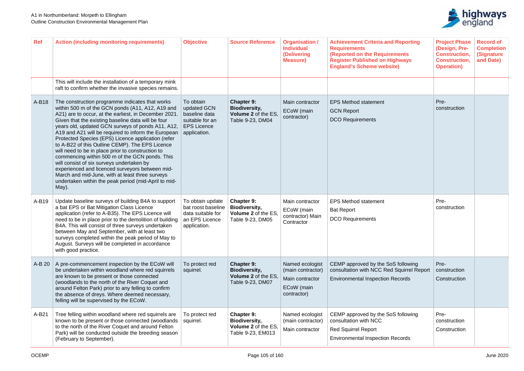

| <b>Ref</b> | <b>Action (including monitoring requirements)</b>                                                                                                                                                                                                                                                                                                                                                                                                                                                                                                                                                                                                                                                                                                                  | <b>Objective</b>                                                                                   | <b>Source Reference</b>                                                               | <b>Organisation /</b><br><b>Individual</b><br>(Delivering<br><b>Measure)</b>         | <b>Achievement Criteria and Reporting</b><br><b>Requirements</b><br><b>(Reported on the Requirements</b><br><b>Register Published on Highways</b><br><b>England's Scheme website)</b> | <b>Project Phase</b><br>(Design, Pre-<br><b>Construction,</b><br><b>Construction,</b><br><b>Operation</b> ) | <b>Record of</b><br><b>Completion</b><br><b>(Signature</b><br>and Date) |
|------------|--------------------------------------------------------------------------------------------------------------------------------------------------------------------------------------------------------------------------------------------------------------------------------------------------------------------------------------------------------------------------------------------------------------------------------------------------------------------------------------------------------------------------------------------------------------------------------------------------------------------------------------------------------------------------------------------------------------------------------------------------------------------|----------------------------------------------------------------------------------------------------|---------------------------------------------------------------------------------------|--------------------------------------------------------------------------------------|---------------------------------------------------------------------------------------------------------------------------------------------------------------------------------------|-------------------------------------------------------------------------------------------------------------|-------------------------------------------------------------------------|
|            | This will include the installation of a temporary mink<br>raft to confirm whether the invasive species remains.                                                                                                                                                                                                                                                                                                                                                                                                                                                                                                                                                                                                                                                    |                                                                                                    |                                                                                       |                                                                                      |                                                                                                                                                                                       |                                                                                                             |                                                                         |
| A-B18      | The construction programme indicates that works<br>within 500 m of the GCN ponds (A11, A12, A19 and<br>A21) are to occur, at the earliest, in December 2021.<br>Given that the existing baseline data will be four<br>years old, updated GCN surveys of ponds A11, A12,<br>A19 and A21 will be required to inform the European<br>Protected Species (EPS) Licence application (refer<br>to A-B22 of this Outline CEMP). The EPS Licence<br>will need to be in place prior to construction to<br>commencing within 500 m of the GCN ponds. This<br>will consist of six surveys undertaken by<br>experienced and licenced surveyors between mid-<br>March and mid-June, with at least three surveys<br>undertaken within the peak period (mid-April to mid-<br>May). | To obtain<br>updated GCN<br>baseline data<br>suitable for an<br><b>EPS Licence</b><br>application. | <b>Chapter 9:</b><br><b>Biodiversity,</b><br>Volume 2 of the ES,<br>Table 9-23, DM04  | Main contractor<br>ECoW (main<br>contractor)                                         | <b>EPS Method statement</b><br><b>GCN Report</b><br><b>DCO Requirements</b>                                                                                                           | Pre-<br>construction                                                                                        |                                                                         |
| A-B19      | Update baseline surveys of building B4A to support<br>a bat EPS or Bat Mitigation Class Licence<br>application (refer to A-B35). The EPS Licence will<br>need to be in place prior to the demolition of building<br>B4A. This will consist of three surveys undertaken<br>between May and September, with at least two<br>surveys completed within the peak period of May to<br>August. Surveys will be completed in accordance<br>with good practice.                                                                                                                                                                                                                                                                                                             | To obtain update<br>bat roost baseline<br>data suitable for<br>an EPS Licence<br>application.      | <b>Chapter 9:</b><br><b>Biodiversity,</b><br>Volume 2 of the ES,<br>Table 9-23, DM05  | Main contractor<br>ECoW (main<br>contractor) Main<br>Contractor                      | <b>EPS Method statement</b><br><b>Bat Report</b><br><b>DCO Requirements</b>                                                                                                           | Pre-<br>construction                                                                                        |                                                                         |
| A-B 20     | A pre-commencement inspection by the ECoW will<br>be undertaken within woodland where red squirrels<br>are known to be present or those connected<br>(woodlands to the north of the River Coquet and<br>around Felton Park) prior to any felling to confirm<br>the absence of dreys. Where deemed necessary,<br>felling will be supervised by the ECoW.                                                                                                                                                                                                                                                                                                                                                                                                            | To protect red<br>squirrel.                                                                        | <b>Chapter 9:</b><br><b>Biodiversity,</b><br>Volume 2 of the ES,<br>Table 9-23, DM07  | Named ecologist<br>(main contractor)<br>Main contractor<br>ECoW (main<br>contractor) | CEMP approved by the SoS following<br>consultation with NCC Red Squirrel Report<br><b>Environmental Inspection Records</b>                                                            | Pre-<br>construction<br>Construction                                                                        |                                                                         |
| A-B21      | Tree felling within woodland where red squirrels are<br>known to be present or those connected (woodlands<br>to the north of the River Coquet and around Felton<br>Park) will be conducted outside the breeding season<br>(February to September).                                                                                                                                                                                                                                                                                                                                                                                                                                                                                                                 | To protect red<br>squirrel.                                                                        | <b>Chapter 9:</b><br><b>Biodiversity,</b><br>Volume 2 of the ES,<br>Table 9-23, EM013 | Named ecologist<br>(main contractor)<br>Main contractor                              | CEMP approved by the SoS following<br>consultation with NCC<br><b>Red Squirrel Report</b><br><b>Environmental Inspection Records</b>                                                  | Pre-<br>construction<br>Construction                                                                        |                                                                         |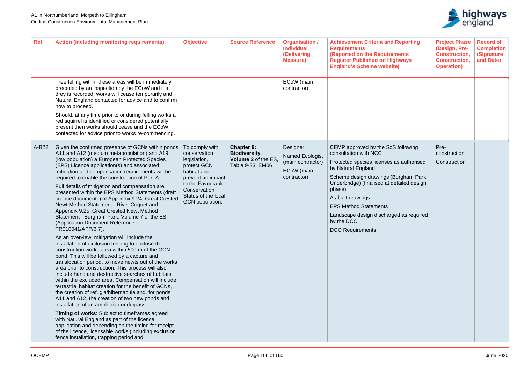

| <b>Ref</b> | <b>Action (including monitoring requirements)</b>                                                                                                                                                                                                                                                                                                                                                                                                                                                                                                                                                                                                                                                                                                                                                                                                                                                                                                                                                                                                                                                                                                                                                                                                                                                                                                                                                                                                                                                                                                                             | <b>Objective</b>                                                                                                                                                                 | <b>Source Reference</b>                                                              | <b>Organisation /</b><br><b>Individual</b><br>(Delivering<br><b>Measure)</b>         | <b>Achievement Criteria and Reporting</b><br><b>Requirements</b><br><b>(Reported on the Requirements)</b><br><b>Register Published on Highways</b><br><b>England's Scheme website)</b>                                                                                                                                                                                 | <b>Project Phase</b><br>(Design, Pre-<br><b>Construction,</b><br><b>Construction,</b><br><b>Operation</b> ) | <b>Record of</b><br><b>Completion</b><br><b>(Signature</b><br>and Date) |
|------------|-------------------------------------------------------------------------------------------------------------------------------------------------------------------------------------------------------------------------------------------------------------------------------------------------------------------------------------------------------------------------------------------------------------------------------------------------------------------------------------------------------------------------------------------------------------------------------------------------------------------------------------------------------------------------------------------------------------------------------------------------------------------------------------------------------------------------------------------------------------------------------------------------------------------------------------------------------------------------------------------------------------------------------------------------------------------------------------------------------------------------------------------------------------------------------------------------------------------------------------------------------------------------------------------------------------------------------------------------------------------------------------------------------------------------------------------------------------------------------------------------------------------------------------------------------------------------------|----------------------------------------------------------------------------------------------------------------------------------------------------------------------------------|--------------------------------------------------------------------------------------|--------------------------------------------------------------------------------------|------------------------------------------------------------------------------------------------------------------------------------------------------------------------------------------------------------------------------------------------------------------------------------------------------------------------------------------------------------------------|-------------------------------------------------------------------------------------------------------------|-------------------------------------------------------------------------|
|            | Tree felling within these areas will be immediately<br>preceded by an inspection by the ECoW and if a<br>drey is recorded, works will cease temporarily and<br>Natural England contacted for advice and to confirm<br>how to proceed.<br>Should, at any time prior to or during felling works a<br>red squirrel is identified or considered potentially<br>present then works should cease and the ECoW<br>contacted for advice prior to works re-commencing.                                                                                                                                                                                                                                                                                                                                                                                                                                                                                                                                                                                                                                                                                                                                                                                                                                                                                                                                                                                                                                                                                                                 |                                                                                                                                                                                  |                                                                                      | ECoW (main<br>contractor)                                                            |                                                                                                                                                                                                                                                                                                                                                                        |                                                                                                             |                                                                         |
| A-B22      | Given the confirmed presence of GCNs within ponds<br>A11 and A12 (medium metapopulation) and A19<br>(low population) a European Protected Species<br>(EPS) Licence application(s) and associated<br>mitigation and compensation requirements will be<br>required to enable the construction of Part A.<br>Full details of mitigation and compensation are<br>presented within the EPS Method Statements (draft<br>licence documents) of Appendix 9.24: Great Crested<br>Newt Method Statement - River Coquet and<br>Appendix 9.25: Great Crested Newt Method<br>Statement - Burgham Park, Volume 7 of the ES<br>(Application Document Reference:<br>TR010041/APP/6.7).<br>As an overview, mitigation will include the<br>installation of exclusion fencing to enclose the<br>construction works area within 500 m of the GCN<br>pond. This will be followed by a capture and<br>translocation period, to move newts out of the works<br>area prior to construction. This process will also<br>include hand and destructive searches of habitats<br>within the excluded area. Compensation will include<br>terrestrial habitat creation for the benefit of GCNs,<br>the creation of refugia/hibernacula and, for ponds<br>A11 and A12, the creation of two new ponds and<br>installation of an amphibian underpass.<br>Timing of works: Subject to timeframes agreed<br>with Natural England as part of the licence<br>application and depending on the timing for receipt<br>of the licence, licensable works (including exclusion<br>fence installation, trapping period and | To comply with<br>conservation<br>legislation,<br>protect GCN<br>habitat and<br>prevent an impact<br>to the Favourable<br>Conservation<br>Status of the local<br>GCN population. | <b>Chapter 9:</b><br><b>Biodiversity,</b><br>Volume 2 of the ES,<br>Table 9-23, EM06 | Designer<br><b>Named Ecologist</b><br>(main contractor)<br>ECoW (main<br>contractor) | CEMP approved by the SoS following<br>consultation with NCC<br>Protected species licenses as authorised<br>by Natural England<br>Scheme design drawings (Burgham Park<br>Underbridge) (finalised at detailed design<br>phase)<br>As built drawings<br><b>EPS Method Statements</b><br>Landscape design discharged as required<br>by the DCO<br><b>DCO</b> Requirements | Pre-<br>construction<br>Construction                                                                        |                                                                         |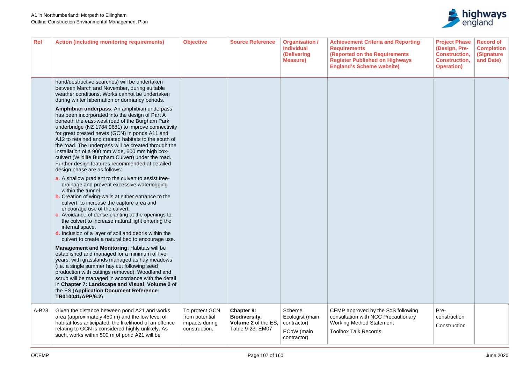

| <b>Ref</b> | <b>Action (including monitoring requirements)</b>                                                                                                                                                                                                                                                                                                                                                                                                                                                                                                                                                                                                                                                                                                                                                                                                                                                                                                                                                                                                                                                                                                                                                                                                                                                                                                                                                                                                                                                                                                                                                                                                                                                                           | <b>Objective</b>                                                    | <b>Source Reference</b>                                                              | <b>Organisation /</b><br><b>Individual</b><br>(Delivering<br><b>Measure)</b> | <b>Achievement Criteria and Reporting</b><br><b>Requirements</b><br><b>(Reported on the Requirements</b><br><b>Register Published on Highways</b><br><b>England's Scheme website)</b> | <b>Project Phase</b><br>(Design, Pre-<br><b>Construction,</b><br><b>Construction.</b><br><b>Operation</b> ) | <b>Record of</b><br><b>Completion</b><br><b>(Signature</b><br>and Date) |
|------------|-----------------------------------------------------------------------------------------------------------------------------------------------------------------------------------------------------------------------------------------------------------------------------------------------------------------------------------------------------------------------------------------------------------------------------------------------------------------------------------------------------------------------------------------------------------------------------------------------------------------------------------------------------------------------------------------------------------------------------------------------------------------------------------------------------------------------------------------------------------------------------------------------------------------------------------------------------------------------------------------------------------------------------------------------------------------------------------------------------------------------------------------------------------------------------------------------------------------------------------------------------------------------------------------------------------------------------------------------------------------------------------------------------------------------------------------------------------------------------------------------------------------------------------------------------------------------------------------------------------------------------------------------------------------------------------------------------------------------------|---------------------------------------------------------------------|--------------------------------------------------------------------------------------|------------------------------------------------------------------------------|---------------------------------------------------------------------------------------------------------------------------------------------------------------------------------------|-------------------------------------------------------------------------------------------------------------|-------------------------------------------------------------------------|
|            | hand/destructive searches) will be undertaken<br>between March and November, during suitable<br>weather conditions. Works cannot be undertaken<br>during winter hibernation or dormancy periods.<br>Amphibian underpass: An amphibian underpass<br>has been incorporated into the design of Part A<br>beneath the east-west road of the Burgham Park<br>underbridge (NZ 1784 9681) to improve connectivity<br>for great crested newts (GCN) in ponds A11 and<br>A12 to retained and created habitats to the south of<br>the road. The underpass will be created through the<br>installation of a 900 mm wide, 600 mm high box-<br>culvert (Wildlife Burgham Culvert) under the road.<br>Further design features recommended at detailed<br>design phase are as follows:<br>a. A shallow gradient to the culvert to assist free-<br>drainage and prevent excessive waterlogging<br>within the tunnel.<br><b>b.</b> Creation of wing-walls at either entrance to the<br>culvert, to increase the capture area and<br>encourage use of the culvert.<br>c. Avoidance of dense planting at the openings to<br>the culvert to increase natural light entering the<br>internal space.<br>d. Inclusion of a layer of soil and debris within the<br>culvert to create a natural bed to encourage use.<br>Management and Monitoring: Habitats will be<br>established and managed for a minimum of five<br>years, with grasslands managed as hay meadows<br>(i.e. a single summer hay cut following seed<br>production with cuttings removed). Woodland and<br>scrub will be managed in accordance with the detail<br>in Chapter 7: Landscape and Visual, Volume 2 of<br>the ES (Application Document Reference:<br>TR010041/APP/6.2). |                                                                     |                                                                                      |                                                                              |                                                                                                                                                                                       |                                                                                                             |                                                                         |
| $A-B23$    | Given the distance between pond A21 and works<br>area (approximately 450 m) and the low level of<br>habitat loss anticipated, the likelihood of an offence<br>relating to GCN is considered highly unlikely. As<br>such, works within 500 m of pond A21 will be                                                                                                                                                                                                                                                                                                                                                                                                                                                                                                                                                                                                                                                                                                                                                                                                                                                                                                                                                                                                                                                                                                                                                                                                                                                                                                                                                                                                                                                             | To protect GCN<br>from potential<br>impacts during<br>construction. | <b>Chapter 9:</b><br><b>Biodiversity,</b><br>Volume 2 of the ES,<br>Table 9-23, EM07 | Scheme<br>Ecologist (main<br>contractor)<br>ECoW (main<br>contractor)        | CEMP approved by the SoS following<br>consultation with NCC Precautionary<br><b>Working Method Statement</b><br><b>Toolbox Talk Records</b>                                           | Pre-<br>construction<br>Construction                                                                        |                                                                         |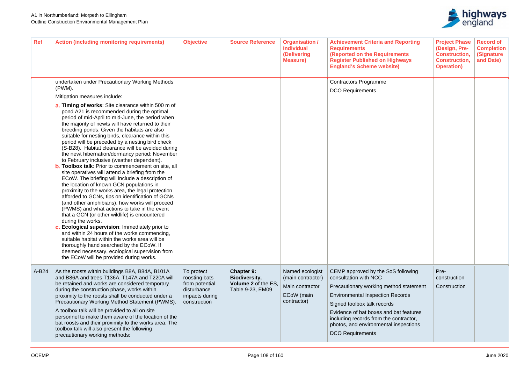

| <b>Ref</b> | <b>Action (including monitoring requirements)</b>                                                                                                                                                                                                                                                                                                                                                                                                                                                                                                                                                                                                                                                                                                                                                                                                                                                                                                                                                                                                                                                                                                                                                                                                                                                                                                                                                             | <b>Objective</b>                                                                               | <b>Source Reference</b>                                                                     | <b>Organisation /</b><br><b>Individual</b><br>(Delivering<br><b>Measure)</b>         | <b>Achievement Criteria and Reporting</b><br><b>Requirements</b><br><b>(Reported on the Requirements)</b><br><b>Register Published on Highways</b><br><b>England's Scheme website)</b>                                                                                                                                                  | <b>Project Phase</b><br>(Design, Pre-<br><b>Construction,</b><br><b>Construction,</b><br><b>Operation</b> ) | <b>Record of</b><br><b>Completion</b><br><b>(Signature</b><br>and Date) |
|------------|---------------------------------------------------------------------------------------------------------------------------------------------------------------------------------------------------------------------------------------------------------------------------------------------------------------------------------------------------------------------------------------------------------------------------------------------------------------------------------------------------------------------------------------------------------------------------------------------------------------------------------------------------------------------------------------------------------------------------------------------------------------------------------------------------------------------------------------------------------------------------------------------------------------------------------------------------------------------------------------------------------------------------------------------------------------------------------------------------------------------------------------------------------------------------------------------------------------------------------------------------------------------------------------------------------------------------------------------------------------------------------------------------------------|------------------------------------------------------------------------------------------------|---------------------------------------------------------------------------------------------|--------------------------------------------------------------------------------------|-----------------------------------------------------------------------------------------------------------------------------------------------------------------------------------------------------------------------------------------------------------------------------------------------------------------------------------------|-------------------------------------------------------------------------------------------------------------|-------------------------------------------------------------------------|
|            | undertaken under Precautionary Working Methods<br>(PWM).<br>Mitigation measures include:<br>a. Timing of works: Site clearance within 500 m of<br>pond A21 is recommended during the optimal<br>period of mid-April to mid-June, the period when<br>the majority of newts will have returned to their<br>breeding ponds. Given the habitats are also<br>suitable for nesting birds, clearance within this<br>period will be preceded by a nesting bird check<br>(S-B28). Habitat clearance will be avoided during<br>the newt hibernation/dormancy period; November<br>to February inclusive (weather dependent).<br><b>b. Toolbox talk:</b> Prior to commencement on site, all<br>site operatives will attend a briefing from the<br>ECoW. The briefing will include a description of<br>the location of known GCN populations in<br>proximity to the works area, the legal protection<br>afforded to GCNs, tips on identification of GCNs<br>(and other amphibians), how works will proceed<br>(PWMS) and what actions to take in the event<br>that a GCN (or other wildlife) is encountered<br>during the works.<br>Ecological supervision: Immediately prior to<br>and within 24 hours of the works commencing,<br>suitable habitat within the works area will be<br>thoroughly hand searched by the ECoW. If<br>deemed necessary, ecological supervision from<br>the ECoW will be provided during works. |                                                                                                |                                                                                             |                                                                                      | <b>Contractors Programme</b><br><b>DCO Requirements</b>                                                                                                                                                                                                                                                                                 |                                                                                                             |                                                                         |
| $A-B24$    | As the roosts within buildings B8A, B84A, B101A<br>and B86A and trees T136A, T147A and T220A will<br>be retained and works are considered temporary<br>during the construction phase, works within<br>proximity to the roosts shall be conducted under a<br>Precautionary Working Method Statement (PWMS).<br>A toolbox talk will be provided to all on site<br>personnel to make them aware of the location of the<br>bat roosts and their proximity to the works area. The<br>toolbox talk will also present the following<br>precautionary working methods:                                                                                                                                                                                                                                                                                                                                                                                                                                                                                                                                                                                                                                                                                                                                                                                                                                                | To protect<br>roosting bats<br>from potential<br>disturbance<br>impacts during<br>construction | <b>Chapter 9:</b><br><b>Biodiversity,</b><br><b>Volume 2 of the ES,</b><br>Table 9-23, EM09 | Named ecologist<br>(main contractor)<br>Main contractor<br>ECoW (main<br>contractor) | CEMP approved by the SoS following<br>consultation with NCC<br>Precautionary working method statement<br><b>Environmental Inspection Records</b><br>Signed toolbox talk records<br>Evidence of bat boxes and bat features<br>including records from the contractor,<br>photos, and environmental inspections<br><b>DCO Requirements</b> | Pre-<br>construction<br>Construction                                                                        |                                                                         |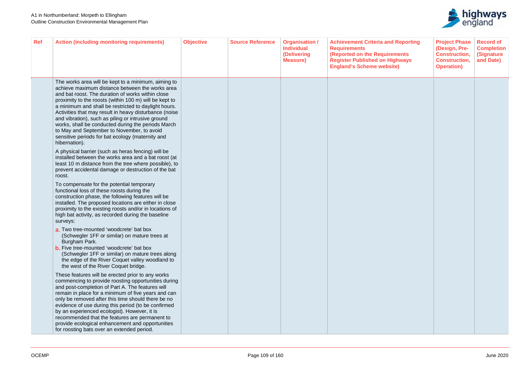

| <b>Ref</b> | <b>Action (including monitoring requirements)</b>                                                                                                                                                                                                                                                                                                                                                                                                                                                                                                                      | <b>Objective</b> | <b>Source Reference</b> | <b>Organisation /</b><br><b>Individual</b><br><b>(Delivering</b><br><b>Measure)</b> | <b>Achievement Criteria and Reporting</b><br><b>Requirements</b><br><b>(Reported on the Requirements)</b><br><b>Register Published on Highways</b><br><b>England's Scheme website)</b> | <b>Project Phase</b><br>(Design, Pre-<br><b>Construction,</b><br><b>Construction,</b><br><b>Operation</b> ) | <b>Record of</b><br><b>Completion</b><br><b>(Signature</b><br>and Date) |
|------------|------------------------------------------------------------------------------------------------------------------------------------------------------------------------------------------------------------------------------------------------------------------------------------------------------------------------------------------------------------------------------------------------------------------------------------------------------------------------------------------------------------------------------------------------------------------------|------------------|-------------------------|-------------------------------------------------------------------------------------|----------------------------------------------------------------------------------------------------------------------------------------------------------------------------------------|-------------------------------------------------------------------------------------------------------------|-------------------------------------------------------------------------|
|            | The works area will be kept to a minimum, aiming to<br>achieve maximum distance between the works area<br>and bat roost. The duration of works within close<br>proximity to the roosts (within 100 m) will be kept to<br>a minimum and shall be restricted to daylight hours.<br>Activities that may result in heavy disturbance (noise<br>and vibration), such as piling or intrusive ground<br>works, shall be conducted during the periods March<br>to May and September to November, to avoid<br>sensitive periods for bat ecology (maternity and<br>hibernation). |                  |                         |                                                                                     |                                                                                                                                                                                        |                                                                                                             |                                                                         |
|            | A physical barrier (such as heras fencing) will be<br>installed between the works area and a bat roost (at<br>least 10 m distance from the tree where possible), to<br>prevent accidental damage or destruction of the bat<br>roost.                                                                                                                                                                                                                                                                                                                                   |                  |                         |                                                                                     |                                                                                                                                                                                        |                                                                                                             |                                                                         |
|            | To compensate for the potential temporary<br>functional loss of these roosts during the<br>construction phase, the following features will be<br>installed. The proposed locations are either in close<br>proximity to the existing roosts and/or in locations of<br>high bat activity, as recorded during the baseline<br>surveys:                                                                                                                                                                                                                                    |                  |                         |                                                                                     |                                                                                                                                                                                        |                                                                                                             |                                                                         |
|            | a. Two tree-mounted 'woodcrete' bat box<br>(Schwegler 1FF or similar) on mature trees at<br>Burgham Park.<br><b>b.</b> Five tree-mounted 'woodcrete' bat box<br>(Schwegler 1FF or similar) on mature trees along<br>the edge of the River Coquet valley woodland to<br>the west of the River Coquet bridge.                                                                                                                                                                                                                                                            |                  |                         |                                                                                     |                                                                                                                                                                                        |                                                                                                             |                                                                         |
|            | These features will be erected prior to any works<br>commencing to provide roosting opportunities during<br>and post-completion of Part A. The features will<br>remain in place for a minimum of five years and can<br>only be removed after this time should there be no<br>evidence of use during this period (to be confirmed<br>by an experienced ecologist). However, it is<br>recommended that the features are permanent to<br>provide ecological enhancement and opportunities<br>for roosting bats over an extended period.                                   |                  |                         |                                                                                     |                                                                                                                                                                                        |                                                                                                             |                                                                         |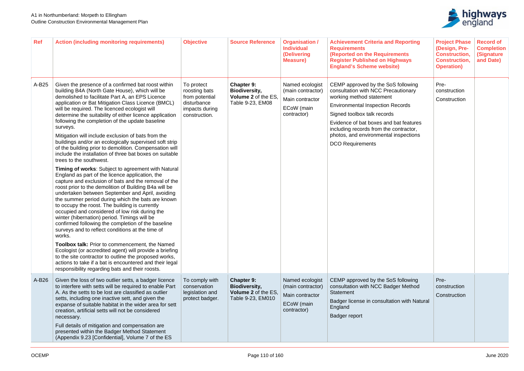

| <b>Ref</b> | <b>Action (including monitoring requirements)</b>                                                                                                                                                                                                                                                                                                                                                                                                                                                                                                                                                                                                                                                                                                                                                                                                                                                                                                                                                                                                                                                                                                                                                                                                                                                                                                                                                                                                                                                                                                       | <b>Objective</b>                                                                                | <b>Source Reference</b>                                                               | <b>Organisation /</b><br><b>Individual</b><br>(Delivering<br><b>Measure)</b>         | <b>Achievement Criteria and Reporting</b><br><b>Requirements</b><br><b>(Reported on the Requirements</b><br><b>Register Published on Highways</b><br><b>England's Scheme website)</b>                                                                                                                                                   | <b>Project Phase</b><br>(Design, Pre-<br><b>Construction,</b><br><b>Construction,</b><br><b>Operation</b> ) | <b>Record of</b><br><b>Completion</b><br><b>(Signature</b><br>and Date) |
|------------|---------------------------------------------------------------------------------------------------------------------------------------------------------------------------------------------------------------------------------------------------------------------------------------------------------------------------------------------------------------------------------------------------------------------------------------------------------------------------------------------------------------------------------------------------------------------------------------------------------------------------------------------------------------------------------------------------------------------------------------------------------------------------------------------------------------------------------------------------------------------------------------------------------------------------------------------------------------------------------------------------------------------------------------------------------------------------------------------------------------------------------------------------------------------------------------------------------------------------------------------------------------------------------------------------------------------------------------------------------------------------------------------------------------------------------------------------------------------------------------------------------------------------------------------------------|-------------------------------------------------------------------------------------------------|---------------------------------------------------------------------------------------|--------------------------------------------------------------------------------------|-----------------------------------------------------------------------------------------------------------------------------------------------------------------------------------------------------------------------------------------------------------------------------------------------------------------------------------------|-------------------------------------------------------------------------------------------------------------|-------------------------------------------------------------------------|
| A-B25      | Given the presence of a confirmed bat roost within<br>building B4A (North Gate House), which will be<br>demolished to facilitate Part A, an EPS Licence<br>application or Bat Mitigation Class Licence (BMCL)<br>will be required. The licenced ecologist will<br>determine the suitability of either licence application<br>following the completion of the update baseline<br>surveys.<br>Mitigation will include exclusion of bats from the<br>buildings and/or an ecologically supervised soft strip<br>of the building prior to demolition. Compensation will<br>include the installation of three bat boxes on suitable<br>trees to the southwest.<br>Timing of works: Subject to agreement with Natural<br>England as part of the licence application, the<br>capture and exclusion of bats and the removal of the<br>roost prior to the demolition of Building B4a will be<br>undertaken between September and April, avoiding<br>the summer period during which the bats are known<br>to occupy the roost. The building is currently<br>occupied and considered of low risk during the<br>winter (hibernation) period. Timings will be<br>confirmed following the completion of the baseline<br>surveys and to reflect conditions at the time of<br>works.<br>Toolbox talk: Prior to commencement, the Named<br>Ecologist (or accredited agent) will provide a briefing<br>to the site contractor to outline the proposed works,<br>actions to take if a bat is encountered and their legal<br>responsibility regarding bats and their roosts. | To protect<br>roosting bats<br>from potential<br>disturbance<br>impacts during<br>construction. | <b>Chapter 9:</b><br><b>Biodiversity,</b><br>Volume 2 of the ES,<br>Table 9-23, EM08  | Named ecologist<br>(main contractor)<br>Main contractor<br>ECoW (main<br>contractor) | CEMP approved by the SoS following<br>consultation with NCC Precautionary<br>working method statement<br><b>Environmental Inspection Records</b><br>Signed toolbox talk records<br>Evidence of bat boxes and bat features<br>including records from the contractor,<br>photos, and environmental inspections<br><b>DCO Requirements</b> | Pre-<br>construction<br>Construction                                                                        |                                                                         |
| A-B26      | Given the loss of two outlier setts, a badger licence<br>to interfere with setts will be required to enable Part<br>A. As the setts to be lost are classified as outlier<br>setts, including one inactive sett, and given the<br>expanse of suitable habitat in the wider area for sett<br>creation, artificial setts will not be considered<br>necessary.<br>Full details of mitigation and compensation are<br>presented within the Badger Method Statement<br>(Appendix 9.23 [Confidential], Volume 7 of the ES                                                                                                                                                                                                                                                                                                                                                                                                                                                                                                                                                                                                                                                                                                                                                                                                                                                                                                                                                                                                                                      | To comply with<br>conservation<br>legislation and<br>protect badger.                            | <b>Chapter 9:</b><br><b>Biodiversity,</b><br>Volume 2 of the ES,<br>Table 9-23, EM010 | Named ecologist<br>(main contractor)<br>Main contractor<br>ECoW (main<br>contractor) | CEMP approved by the SoS following<br>consultation with NCC Badger Method<br><b>Statement</b><br>Badger license in consultation with Natural<br>England<br>Badger report                                                                                                                                                                | Pre-<br>construction<br>Construction                                                                        |                                                                         |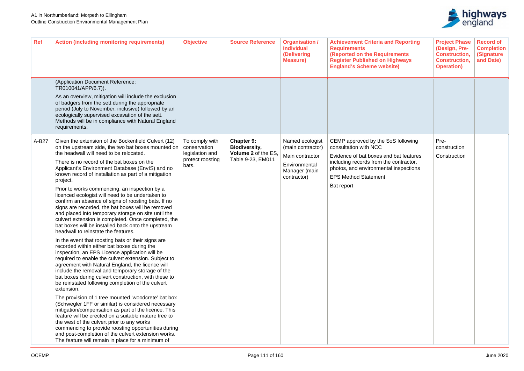

| <b>Ref</b> | <b>Action (including monitoring requirements)</b>                                                                                                                                                                                                                                                                                                                                                                                                                                                                                                                                                                                                                                                                                                                                                                                                                                                                                                                                                                                                                                                                                                                                                                                                                                                                                                                                                                                                                                                                                                                                                                                                     | <b>Objective</b>                                                               | <b>Source Reference</b>                                                               | <b>Organisation /</b><br><b>Individual</b><br>(Delivering<br><b>Measure)</b>                             | <b>Achievement Criteria and Reporting</b><br><b>Requirements</b><br><b>(Reported on the Requirements</b><br><b>Register Published on Highways</b><br><b>England's Scheme website)</b>                                                 | <b>Project Phase</b><br>(Design, Pre-<br><b>Construction,</b><br><b>Construction,</b><br><b>Operation</b> ) | <b>Record of</b><br><b>Completion</b><br><b>(Signature</b><br>and Date) |
|------------|-------------------------------------------------------------------------------------------------------------------------------------------------------------------------------------------------------------------------------------------------------------------------------------------------------------------------------------------------------------------------------------------------------------------------------------------------------------------------------------------------------------------------------------------------------------------------------------------------------------------------------------------------------------------------------------------------------------------------------------------------------------------------------------------------------------------------------------------------------------------------------------------------------------------------------------------------------------------------------------------------------------------------------------------------------------------------------------------------------------------------------------------------------------------------------------------------------------------------------------------------------------------------------------------------------------------------------------------------------------------------------------------------------------------------------------------------------------------------------------------------------------------------------------------------------------------------------------------------------------------------------------------------------|--------------------------------------------------------------------------------|---------------------------------------------------------------------------------------|----------------------------------------------------------------------------------------------------------|---------------------------------------------------------------------------------------------------------------------------------------------------------------------------------------------------------------------------------------|-------------------------------------------------------------------------------------------------------------|-------------------------------------------------------------------------|
|            | (Application Document Reference:<br>TR010041/APP/6.7)).<br>As an overview, mitigation will include the exclusion<br>of badgers from the sett during the appropriate<br>period (July to November, inclusive) followed by an<br>ecologically supervised excavation of the sett.<br>Methods will be in compliance with Natural England<br>requirements.                                                                                                                                                                                                                                                                                                                                                                                                                                                                                                                                                                                                                                                                                                                                                                                                                                                                                                                                                                                                                                                                                                                                                                                                                                                                                                  |                                                                                |                                                                                       |                                                                                                          |                                                                                                                                                                                                                                       |                                                                                                             |                                                                         |
| $A-B27$    | Given the extension of the Bockenfield Culvert (12)<br>on the upstream side, the two bat boxes mounted on<br>the headwall will need to be relocated.<br>There is no record of the bat boxes on the<br>Applicant's Environment Database (EnvIS) and no<br>known record of installation as part of a mitigation<br>project.<br>Prior to works commencing, an inspection by a<br>licenced ecologist will need to be undertaken to<br>confirm an absence of signs of roosting bats. If no<br>signs are recorded, the bat boxes will be removed<br>and placed into temporary storage on site until the<br>culvert extension is completed. Once completed, the<br>bat boxes will be installed back onto the upstream<br>headwall to reinstate the features.<br>In the event that roosting bats or their signs are<br>recorded within either bat boxes during the<br>inspection, an EPS Licence application will be<br>required to enable the culvert extension. Subject to<br>agreement with Natural England, the licence will<br>include the removal and temporary storage of the<br>bat boxes during culvert construction, with these to<br>be reinstated following completion of the culvert<br>extension.<br>The provision of 1 tree mounted 'woodcrete' bat box<br>(Schwegler 1FF or similar) is considered necessary<br>mitigation/compensation as part of the licence. This<br>feature will be erected on a suitable mature tree to<br>the west of the culvert prior to any works<br>commencing to provide roosting opportunities during<br>and post-completion of the culvert extension works.<br>The feature will remain in place for a minimum of | To comply with<br>conservation<br>legislation and<br>protect roosting<br>bats. | <b>Chapter 9:</b><br><b>Biodiversity,</b><br>Volume 2 of the ES,<br>Table 9-23, EM011 | Named ecologist<br>(main contractor)<br>Main contractor<br>Environmental<br>Manager (main<br>contractor) | CEMP approved by the SoS following<br>consultation with NCC<br>Evidence of bat boxes and bat features<br>including records from the contractor,<br>photos, and environmental inspections<br><b>EPS Method Statement</b><br>Bat report | Pre-<br>construction<br>Construction                                                                        |                                                                         |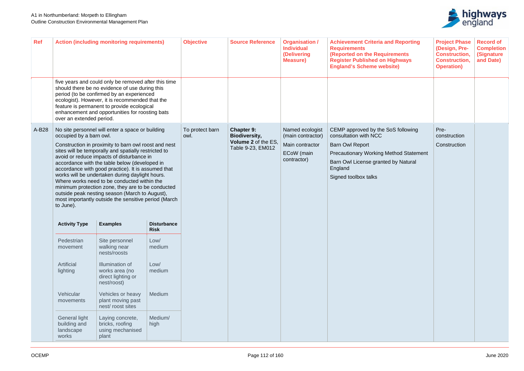

| <b>Ref</b> |                                                                                                                                                                                                                                                                                                                                     | <b>Action (including monitoring requirements)</b>                                                                                                                                                                                                                                                                                                                                                                                                                                                                                                                                                        |                                   | <b>Objective</b>        | <b>Source Reference</b>                                                               | <b>Organisation /</b><br><b>Individual</b><br>(Delivering<br><b>Measure)</b>         | <b>Achievement Criteria and Reporting</b><br><b>Requirements</b><br><b>(Reported on the Requirements</b><br><b>Register Published on Highways</b><br><b>England's Scheme website)</b>                            | <b>Project Phase</b><br>(Design, Pre-<br><b>Construction,</b><br><b>Construction.</b><br><b>Operation</b> ) | <b>Record of</b><br><b>Completion</b><br><b>(Signature</b><br>and Date) |
|------------|-------------------------------------------------------------------------------------------------------------------------------------------------------------------------------------------------------------------------------------------------------------------------------------------------------------------------------------|----------------------------------------------------------------------------------------------------------------------------------------------------------------------------------------------------------------------------------------------------------------------------------------------------------------------------------------------------------------------------------------------------------------------------------------------------------------------------------------------------------------------------------------------------------------------------------------------------------|-----------------------------------|-------------------------|---------------------------------------------------------------------------------------|--------------------------------------------------------------------------------------|------------------------------------------------------------------------------------------------------------------------------------------------------------------------------------------------------------------|-------------------------------------------------------------------------------------------------------------|-------------------------------------------------------------------------|
|            | five years and could only be removed after this time<br>should there be no evidence of use during this<br>period (to be confirmed by an experienced<br>ecologist). However, it is recommended that the<br>feature is permanent to provide ecological<br>enhancement and opportunities for roosting bats<br>over an extended period. |                                                                                                                                                                                                                                                                                                                                                                                                                                                                                                                                                                                                          |                                   |                         |                                                                                       |                                                                                      |                                                                                                                                                                                                                  |                                                                                                             |                                                                         |
| A-B28      | occupied by a barn owl.<br>to June).<br><b>Activity Type</b>                                                                                                                                                                                                                                                                        | No site personnel will enter a space or building<br>Construction in proximity to barn owl roost and nest<br>sites will be temporally and spatially restricted to<br>avoid or reduce impacts of disturbance in<br>accordance with the table below (developed in<br>accordance with good practice). It is assumed that<br>works will be undertaken during daylight hours.<br>Where works need to be conducted within the<br>minimum protection zone, they are to be conducted<br>outside peak nesting season (March to August),<br>most importantly outside the sensitive period (March<br><b>Examples</b> | <b>Disturbance</b><br><b>Risk</b> | To protect barn<br>owl. | <b>Chapter 9:</b><br><b>Biodiversity,</b><br>Volume 2 of the ES,<br>Table 9-23, EM012 | Named ecologist<br>(main contractor)<br>Main contractor<br>ECoW (main<br>contractor) | CEMP approved by the SoS following<br>consultation with NCC<br><b>Barn Owl Report</b><br><b>Precautionary Working Method Statement</b><br>Barn Owl License granted by Natural<br>England<br>Signed toolbox talks | Pre-<br>construction<br>Construction                                                                        |                                                                         |
|            | Pedestrian<br>movement<br>Artificial<br>lighting                                                                                                                                                                                                                                                                                    | Site personnel<br>walking near<br>nests/roosts<br>Illumination of<br>works area (no<br>direct lighting or                                                                                                                                                                                                                                                                                                                                                                                                                                                                                                | Low/<br>medium<br>Low/<br>medium  |                         |                                                                                       |                                                                                      |                                                                                                                                                                                                                  |                                                                                                             |                                                                         |
|            | Vehicular<br>movements                                                                                                                                                                                                                                                                                                              | nest/roost)<br>Vehicles or heavy<br>Medium<br>plant moving past<br>nest/roost sites<br>Medium/<br>Laying concrete,<br>bricks, roofing<br>high<br>using mechanised<br>plant                                                                                                                                                                                                                                                                                                                                                                                                                               |                                   |                         |                                                                                       |                                                                                      |                                                                                                                                                                                                                  |                                                                                                             |                                                                         |
|            | <b>General light</b><br>building and<br>landscape<br>works                                                                                                                                                                                                                                                                          |                                                                                                                                                                                                                                                                                                                                                                                                                                                                                                                                                                                                          |                                   |                         |                                                                                       |                                                                                      |                                                                                                                                                                                                                  |                                                                                                             |                                                                         |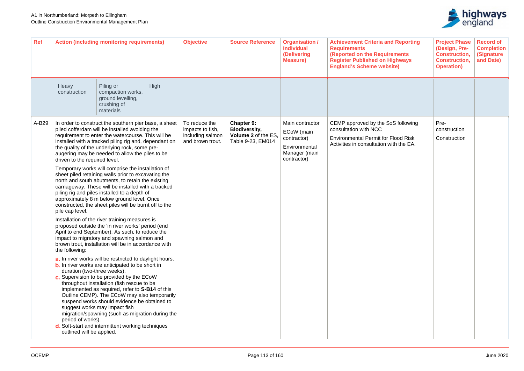

| <b>Ref</b> | <b>Action (including monitoring requirements)</b>                                                                                                                                                                                                                                                                                                                                                                                                                                                                                                                                                                                                                                                                                                                                                                                                                                                                                                                                                                                                                                                                                                                                                                                                                                                                                                                                                                                                                                                                                                                                                                                               |      | <b>Objective</b>                                                          | <b>Source Reference</b>                                                               | <b>Organisation /</b><br><b>Individual</b><br>(Delivering<br><b>Measure)</b>                  | <b>Achievement Criteria and Reporting</b><br><b>Requirements</b><br><b>(Reported on the Requirements)</b><br><b>Register Published on Highways</b><br><b>England's Scheme website)</b> | <b>Project Phase</b><br>(Design, Pre-<br><b>Construction,</b><br><b>Construction,</b><br><b>Operation</b> ) | <b>Record of</b><br><b>Completion</b><br><b>(Signature</b><br>and Date) |
|------------|-------------------------------------------------------------------------------------------------------------------------------------------------------------------------------------------------------------------------------------------------------------------------------------------------------------------------------------------------------------------------------------------------------------------------------------------------------------------------------------------------------------------------------------------------------------------------------------------------------------------------------------------------------------------------------------------------------------------------------------------------------------------------------------------------------------------------------------------------------------------------------------------------------------------------------------------------------------------------------------------------------------------------------------------------------------------------------------------------------------------------------------------------------------------------------------------------------------------------------------------------------------------------------------------------------------------------------------------------------------------------------------------------------------------------------------------------------------------------------------------------------------------------------------------------------------------------------------------------------------------------------------------------|------|---------------------------------------------------------------------------|---------------------------------------------------------------------------------------|-----------------------------------------------------------------------------------------------|----------------------------------------------------------------------------------------------------------------------------------------------------------------------------------------|-------------------------------------------------------------------------------------------------------------|-------------------------------------------------------------------------|
|            | Heavy<br>Piling or<br>construction<br>compaction works,<br>ground levelling,<br>crushing of<br>materials                                                                                                                                                                                                                                                                                                                                                                                                                                                                                                                                                                                                                                                                                                                                                                                                                                                                                                                                                                                                                                                                                                                                                                                                                                                                                                                                                                                                                                                                                                                                        | High |                                                                           |                                                                                       |                                                                                               |                                                                                                                                                                                        |                                                                                                             |                                                                         |
| A-B29      | In order to construct the southern pier base, a sheet<br>piled cofferdam will be installed avoiding the<br>requirement to enter the watercourse. This will be<br>installed with a tracked piling rig and, dependant on<br>the quality of the underlying rock, some pre-<br>augering may be needed to allow the piles to be<br>driven to the required level.<br>Temporary works will comprise the installation of<br>sheet piled retaining walls prior to excavating the<br>north and south abutments, to retain the existing<br>carriageway. These will be installed with a tracked<br>piling rig and piles installed to a depth of<br>approximately 8 m below ground level. Once<br>constructed, the sheet piles will be burnt off to the<br>pile cap level.<br>Installation of the river training measures is<br>proposed outside the 'in river works' period (end<br>April to end September). As such, to reduce the<br>impact to migratory and spawning salmon and<br>brown trout, installation will be in accordance with<br>the following:<br>a. In river works will be restricted to daylight hours.<br><b>b.</b> In river works are anticipated to be short in<br>duration (two-three weeks).<br>c. Supervision to be provided by the ECoW<br>throughout installation (fish rescue to be<br>implemented as required, refer to S-B14 of this<br>Outline CEMP). The ECoW may also temporarily<br>suspend works should evidence be obtained to<br>suggest works may impact fish<br>migration/spawning (such as migration during the<br>period of works).<br>d. Soft-start and intermittent working techniques<br>outlined will be applied. |      | To reduce the<br>impacts to fish,<br>including salmon<br>and brown trout. | <b>Chapter 9:</b><br><b>Biodiversity,</b><br>Volume 2 of the ES,<br>Table 9-23, EM014 | Main contractor<br>ECoW (main<br>contractor)<br>Environmental<br>Manager (main<br>contractor) | CEMP approved by the SoS following<br>consultation with NCC<br><b>Environmental Permit for Flood Risk</b><br>Activities in consultation with the EA.                                   | Pre-<br>construction<br>Construction                                                                        |                                                                         |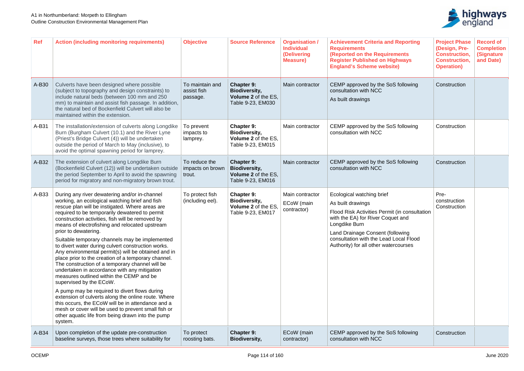

| <b>Ref</b> | <b>Action (including monitoring requirements)</b>                                                                                                                                                                                                                                                                                                                                                                                                                                                                                                                                                                                                                                                                                                                                                                                                                                                                                                                                                                      | <b>Objective</b>                            | <b>Source Reference</b>                                                               | <b>Organisation /</b><br><b>Individual</b><br><b>(Delivering</b><br><b>Measure)</b> | <b>Achievement Criteria and Reporting</b><br><b>Requirements</b><br><b>(Reported on the Requirements)</b><br><b>Register Published on Highways</b><br><b>England's Scheme website)</b>                                                                                       | <b>Project Phase</b><br>(Design, Pre-<br><b>Construction,</b><br><b>Construction,</b><br><b>Operation</b> ) | <b>Record of</b><br><b>Completion</b><br><b>(Signature</b><br>and Date) |
|------------|------------------------------------------------------------------------------------------------------------------------------------------------------------------------------------------------------------------------------------------------------------------------------------------------------------------------------------------------------------------------------------------------------------------------------------------------------------------------------------------------------------------------------------------------------------------------------------------------------------------------------------------------------------------------------------------------------------------------------------------------------------------------------------------------------------------------------------------------------------------------------------------------------------------------------------------------------------------------------------------------------------------------|---------------------------------------------|---------------------------------------------------------------------------------------|-------------------------------------------------------------------------------------|------------------------------------------------------------------------------------------------------------------------------------------------------------------------------------------------------------------------------------------------------------------------------|-------------------------------------------------------------------------------------------------------------|-------------------------------------------------------------------------|
| A-B30      | Culverts have been designed where possible<br>(subject to topography and design constraints) to<br>include natural beds (between 100 mm and 250<br>mm) to maintain and assist fish passage. In addition,<br>the natural bed of Bockenfield Culvert will also be<br>maintained within the extension.                                                                                                                                                                                                                                                                                                                                                                                                                                                                                                                                                                                                                                                                                                                    | To maintain and<br>assist fish<br>passage.  | <b>Chapter 9:</b><br><b>Biodiversity,</b><br>Volume 2 of the ES.<br>Table 9-23, EM030 | Main contractor                                                                     | CEMP approved by the SoS following<br>consultation with NCC<br>As built drawings                                                                                                                                                                                             | Construction                                                                                                |                                                                         |
| A-B31      | The installation/extension of culverts along Longdike<br>Burn (Burgham Culvert (10.1) and the River Lyne<br>(Priest's Bridge Culvert (4)) will be undertaken<br>outside the period of March to May (inclusive), to<br>avoid the optimal spawning period for lamprey.                                                                                                                                                                                                                                                                                                                                                                                                                                                                                                                                                                                                                                                                                                                                                   | To prevent<br>impacts to<br>lamprey.        | <b>Chapter 9:</b><br><b>Biodiversity,</b><br>Volume 2 of the ES,<br>Table 9-23, EM015 | Main contractor                                                                     | CEMP approved by the SoS following<br>consultation with NCC                                                                                                                                                                                                                  | Construction                                                                                                |                                                                         |
| A-B32      | The extension of culvert along Longdike Burn<br>(Bockenfield Culvert (12)) will be undertaken outside<br>the period September to April to avoid the spawning<br>period for migratory and non-migratory brown trout.                                                                                                                                                                                                                                                                                                                                                                                                                                                                                                                                                                                                                                                                                                                                                                                                    | To reduce the<br>impacts on brown<br>trout. | <b>Chapter 9:</b><br><b>Biodiversity,</b><br>Volume 2 of the ES,<br>Table 9-23, EM016 | Main contractor                                                                     | CEMP approved by the SoS following<br>consultation with NCC                                                                                                                                                                                                                  | Construction                                                                                                |                                                                         |
| A-B33      | During any river dewatering and/or in-channel<br>working, an ecological watching brief and fish<br>rescue plan will be instigated. Where areas are<br>required to be temporarily dewatered to permit<br>construction activities, fish will be removed by<br>means of electrofishing and relocated upstream<br>prior to dewatering.<br>Suitable temporary channels may be implemented<br>to divert water during culvert construction works.<br>Any environmental permit(s) will be obtained and in<br>place prior to the creation of a temporary channel.<br>The construction of a temporary channel will be<br>undertaken in accordance with any mitigation<br>measures outlined within the CEMP and be<br>supervised by the ECoW.<br>A pump may be required to divert flows during<br>extension of culverts along the online route. Where<br>this occurs, the ECoW will be in attendance and a<br>mesh or cover will be used to prevent small fish or<br>other aquatic life from being drawn into the pump<br>system. | To protect fish<br>(including eel).         | <b>Chapter 9:</b><br><b>Biodiversity,</b><br>Volume 2 of the ES,<br>Table 9-23, EM017 | Main contractor<br>ECoW (main<br>contractor)                                        | Ecological watching brief<br>As built drawings<br>Flood Risk Activities Permit (in consultation<br>with the EA) for River Coquet and<br>Longdike Burn<br>Land Drainage Consent (following<br>consultation with the Lead Local Flood<br>Authority) for all other watercourses | Pre-<br>construction<br>Construction                                                                        |                                                                         |
| $A-B34$    | Upon completion of the update pre-construction<br>baseline surveys, those trees where suitability for                                                                                                                                                                                                                                                                                                                                                                                                                                                                                                                                                                                                                                                                                                                                                                                                                                                                                                                  | To protect<br>roosting bats.                | <b>Chapter 9:</b><br><b>Biodiversity,</b>                                             | ECoW (main<br>contractor)                                                           | CEMP approved by the SoS following<br>consultation with NCC                                                                                                                                                                                                                  | Construction                                                                                                |                                                                         |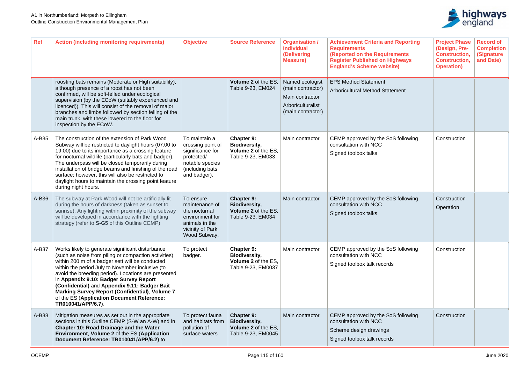

| <b>Ref</b> | <b>Action (including monitoring requirements)</b>                                                                                                                                                                                                                                                                                                                                                                                                                                              | <b>Objective</b>                                                                                                            | <b>Source Reference</b>                                                                | <b>Organisation /</b><br><b>Individual</b><br>(Delivering<br><b>Measure)</b>                      | <b>Achievement Criteria and Reporting</b><br><b>Requirements</b><br>(Reported on the Requirements<br><b>Register Published on Highways</b><br><b>England's Scheme website)</b> | <b>Project Phase</b><br>(Design, Pre-<br><b>Construction.</b><br><b>Construction,</b><br><b>Operation</b> ) | <b>Record of</b><br><b>Completion</b><br><b>(Signature</b><br>and Date) |
|------------|------------------------------------------------------------------------------------------------------------------------------------------------------------------------------------------------------------------------------------------------------------------------------------------------------------------------------------------------------------------------------------------------------------------------------------------------------------------------------------------------|-----------------------------------------------------------------------------------------------------------------------------|----------------------------------------------------------------------------------------|---------------------------------------------------------------------------------------------------|--------------------------------------------------------------------------------------------------------------------------------------------------------------------------------|-------------------------------------------------------------------------------------------------------------|-------------------------------------------------------------------------|
|            | roosting bats remains (Moderate or High suitability),<br>although presence of a roost has not been<br>confirmed, will be soft-felled under ecological<br>supervision (by the ECoW (suitably experienced and<br>licenced)). This will consist of the removal of major<br>branches and limbs followed by section felling of the<br>main trunk, with these lowered to the floor for<br>inspection by the ECoW.                                                                                    |                                                                                                                             | Volume 2 of the ES,<br>Table 9-23, EM024                                               | Named ecologist<br>(main contractor)<br>Main contractor<br>Arboriculturalist<br>(main contractor) | <b>EPS Method Statement</b><br><b>Arboricultural Method Statement</b>                                                                                                          |                                                                                                             |                                                                         |
| A-B35      | The construction of the extension of Park Wood<br>Subway will be restricted to daylight hours (07.00 to<br>19.00) due to its importance as a crossing feature<br>for nocturnal wildlife (particularly bats and badger).<br>The underpass will be closed temporarily during<br>installation of bridge beams and finishing of the road<br>surface; however, this will also be restricted to<br>daylight hours to maintain the crossing point feature<br>during night hours.                      | To maintain a<br>crossing point of<br>significance for<br>protected/<br>notable species<br>(including bats)<br>and badger). | <b>Chapter 9:</b><br><b>Biodiversity,</b><br>Volume 2 of the ES,<br>Table 9-23, EM033  | Main contractor                                                                                   | CEMP approved by the SoS following<br>consultation with NCC<br>Signed toolbox talks                                                                                            | Construction                                                                                                |                                                                         |
| A-B36      | The subway at Park Wood will not be artificially lit<br>during the hours of darkness (taken as sunset to<br>sunrise). Any lighting within proximity of the subway<br>will be developed in accordance with the lighting<br>strategy (refer to S-G5 of this Outline CEMP)                                                                                                                                                                                                                        | To ensure<br>maintenance of<br>the nocturnal<br>environment for<br>animals in the<br>vicinity of Park<br>Wood Subway.       | <b>Chapter 9:</b><br><b>Biodiversity,</b><br>Volume 2 of the ES,<br>Table 9-23, EM034  | Main contractor                                                                                   | CEMP approved by the SoS following<br>consultation with NCC<br>Signed toolbox talks                                                                                            | Construction<br>Operation                                                                                   |                                                                         |
| A-B37      | Works likely to generate significant disturbance<br>(such as noise from piling or compaction activities)<br>within 200 m of a badger sett will be conducted<br>within the period July to November inclusive (to<br>avoid the breeding period). Locations are presented<br>in Appendix 9.10: Badger Survey Report<br>(Confidential) and Appendix 9.11: Badger Bait<br><b>Marking Survey Report (Confidential), Volume 7</b><br>of the ES (Application Document Reference:<br>TR010041/APP/6.7). | To protect<br>badger.                                                                                                       | <b>Chapter 9:</b><br><b>Biodiversity,</b><br>Volume 2 of the ES,<br>Table 9-23, EM0037 | Main contractor                                                                                   | CEMP approved by the SoS following<br>consultation with NCC<br>Signed toolbox talk records                                                                                     | Construction                                                                                                |                                                                         |
| A-B38      | Mitigation measures as set out in the appropriate<br>sections in this Outline CEMP (S-W an A-W) and in<br><b>Chapter 10: Road Drainage and the Water</b><br>Environment, Volume 2 of the ES (Application<br>Document Reference: TR010041/APP/6.2) to                                                                                                                                                                                                                                           | To protect fauna<br>and habitats from<br>pollution of<br>surface waters                                                     | <b>Chapter 9:</b><br><b>Biodiversity,</b><br>Volume 2 of the ES,<br>Table 9-23, EM0045 | Main contractor                                                                                   | CEMP approved by the SoS following<br>consultation with NCC<br>Scheme design drawings<br>Signed toolbox talk records                                                           | Construction                                                                                                |                                                                         |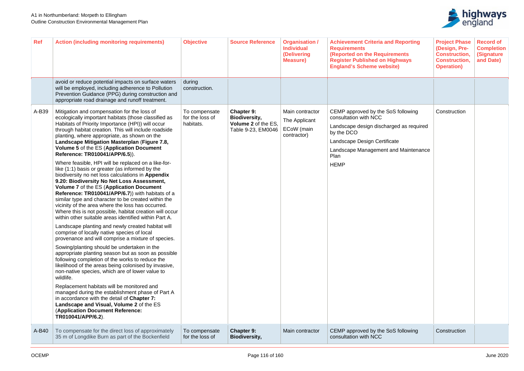

| <b>Ref</b> | <b>Action (including monitoring requirements)</b>                                                                                                                                                                                                                                                                                                                                                                                                                                                                                                                                                                                                                                                                                                                                                                                                                                                                                                                                                                                                                                                                                                                                                                                                                                                                                                                                                                                                                                                                                                                                                                                             | <b>Objective</b>                              | <b>Source Reference</b>                                                                | <b>Organisation /</b><br><b>Individual</b><br><b>(Delivering</b><br><b>Measure)</b> | <b>Achievement Criteria and Reporting</b><br><b>Requirements</b><br><b>(Reported on the Requirements</b><br><b>Register Published on Highways</b><br><b>England's Scheme website)</b>                               | <b>Project Phase</b><br>(Design, Pre-<br><b>Construction,</b><br><b>Construction,</b><br><b>Operation</b> ) | <b>Record of</b><br><b>Completion</b><br><b>(Signature</b><br>and Date) |
|------------|-----------------------------------------------------------------------------------------------------------------------------------------------------------------------------------------------------------------------------------------------------------------------------------------------------------------------------------------------------------------------------------------------------------------------------------------------------------------------------------------------------------------------------------------------------------------------------------------------------------------------------------------------------------------------------------------------------------------------------------------------------------------------------------------------------------------------------------------------------------------------------------------------------------------------------------------------------------------------------------------------------------------------------------------------------------------------------------------------------------------------------------------------------------------------------------------------------------------------------------------------------------------------------------------------------------------------------------------------------------------------------------------------------------------------------------------------------------------------------------------------------------------------------------------------------------------------------------------------------------------------------------------------|-----------------------------------------------|----------------------------------------------------------------------------------------|-------------------------------------------------------------------------------------|---------------------------------------------------------------------------------------------------------------------------------------------------------------------------------------------------------------------|-------------------------------------------------------------------------------------------------------------|-------------------------------------------------------------------------|
|            | avoid or reduce potential impacts on surface waters<br>will be employed, including adherence to Pollution<br>Prevention Guidance (PPG) during construction and<br>appropriate road drainage and runoff treatment.                                                                                                                                                                                                                                                                                                                                                                                                                                                                                                                                                                                                                                                                                                                                                                                                                                                                                                                                                                                                                                                                                                                                                                                                                                                                                                                                                                                                                             | during<br>construction.                       |                                                                                        |                                                                                     |                                                                                                                                                                                                                     |                                                                                                             |                                                                         |
| A-B39      | Mitigation and compensation for the loss of<br>ecologically important habitats (those classified as<br>Habitats of Priority Importance (HPI)) will occur<br>through habitat creation. This will include roadside<br>planting, where appropriate, as shown on the<br>Landscape Mitigation Masterplan (Figure 7.8,<br>Volume 5 of the ES (Application Document<br>Reference: TR010041/APP/6.5)).<br>Where feasible, HPI will be replaced on a like-for-<br>like (1:1) basis or greater (as informed by the<br>biodiversity no net loss calculations in Appendix<br>9.20: Biodiversity No Net Loss Assessment,<br>Volume 7 of the ES (Application Document<br>Reference: TR010041/APP/6.7)) with habitats of a<br>similar type and character to be created within the<br>vicinity of the area where the loss has occurred.<br>Where this is not possible, habitat creation will occur<br>within other suitable areas identified within Part A.<br>Landscape planting and newly created habitat will<br>comprise of locally native species of local<br>provenance and will comprise a mixture of species.<br>Sowing/planting should be undertaken in the<br>appropriate planting season but as soon as possible<br>following completion of the works to reduce the<br>likelihood of the areas being colonised by invasive,<br>non-native species, which are of lower value to<br>wildlife.<br>Replacement habitats will be monitored and<br>managed during the establishment phase of Part A<br>in accordance with the detail of Chapter 7:<br>Landscape and Visual, Volume 2 of the ES<br>(Application Document Reference:<br>TR010041/APP/6.2). | To compensate<br>for the loss of<br>habitats. | <b>Chapter 9:</b><br><b>Biodiversity,</b><br>Volume 2 of the ES,<br>Table 9-23, EM0046 | Main contractor<br>The Applicant<br>ECoW (main<br>contractor)                       | CEMP approved by the SoS following<br>consultation with NCC<br>Landscape design discharged as required<br>by the DCO<br>Landscape Design Certificate<br>Landscape Management and Maintenance<br>Plan<br><b>HEMP</b> | Construction                                                                                                |                                                                         |
| A-B40      | To compensate for the direct loss of approximately<br>35 m of Longdike Burn as part of the Bockenfield                                                                                                                                                                                                                                                                                                                                                                                                                                                                                                                                                                                                                                                                                                                                                                                                                                                                                                                                                                                                                                                                                                                                                                                                                                                                                                                                                                                                                                                                                                                                        | To compensate<br>for the loss of              | <b>Chapter 9:</b><br><b>Biodiversity,</b>                                              | Main contractor                                                                     | CEMP approved by the SoS following<br>consultation with NCC                                                                                                                                                         | Construction                                                                                                |                                                                         |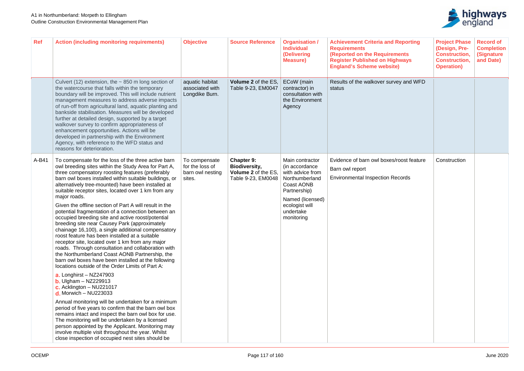

| <b>Ref</b> | <b>Action (including monitoring requirements)</b>                                                                                                                                                                                                                                                                                                                                                                                                                                                                                                                                                                                                                                                                                                                                                                                                                                                                                                                                                                                                                                                                                                                                                                                                                                                                                                                                                                                                                           | <b>Objective</b>                                               | <b>Source Reference</b>                                                                | <b>Organisation /</b><br><b>Individual</b><br>(Delivering<br><b>Measure)</b>                                                                                                   | <b>Achievement Criteria and Reporting</b><br><b>Requirements</b><br><b>(Reported on the Requirements</b><br><b>Register Published on Highways</b><br><b>England's Scheme website)</b> | <b>Project Phase</b><br>(Design, Pre-<br><b>Construction,</b><br><b>Construction,</b><br><b>Operation</b> ) | <b>Record of</b><br><b>Completion</b><br><b>(Signature</b><br>and Date) |
|------------|-----------------------------------------------------------------------------------------------------------------------------------------------------------------------------------------------------------------------------------------------------------------------------------------------------------------------------------------------------------------------------------------------------------------------------------------------------------------------------------------------------------------------------------------------------------------------------------------------------------------------------------------------------------------------------------------------------------------------------------------------------------------------------------------------------------------------------------------------------------------------------------------------------------------------------------------------------------------------------------------------------------------------------------------------------------------------------------------------------------------------------------------------------------------------------------------------------------------------------------------------------------------------------------------------------------------------------------------------------------------------------------------------------------------------------------------------------------------------------|----------------------------------------------------------------|----------------------------------------------------------------------------------------|--------------------------------------------------------------------------------------------------------------------------------------------------------------------------------|---------------------------------------------------------------------------------------------------------------------------------------------------------------------------------------|-------------------------------------------------------------------------------------------------------------|-------------------------------------------------------------------------|
|            | Culvert (12) extension, the $\sim$ 850 m long section of<br>the watercourse that falls within the temporary<br>boundary will be improved. This will include nutrient<br>management measures to address adverse impacts<br>of run-off from agricultural land, aquatic planting and<br>bankside stabilisation. Measures will be developed<br>further at detailed design, supported by a target<br>walkover survey to confirm appropriateness of<br>enhancement opportunities. Actions will be<br>developed in partnership with the Environment<br>Agency, with reference to the WFD status and<br>reasons for deterioration.                                                                                                                                                                                                                                                                                                                                                                                                                                                                                                                                                                                                                                                                                                                                                                                                                                                  | aquatic habitat<br>associated with<br>Longdike Burn.           | Volume 2 of the ES,<br>Table 9-23, EM0047                                              | ECoW (main<br>contractor) in<br>consultation with<br>the Environment<br>Agency                                                                                                 | Results of the walkover survey and WFD<br>status                                                                                                                                      |                                                                                                             |                                                                         |
| A-B41      | To compensate for the loss of the three active barn<br>owl breeding sites within the Study Area for Part A,<br>three compensatory roosting features (preferably<br>barn owl boxes installed within suitable buildings, or<br>alternatively tree-mounted) have been installed at<br>suitable receptor sites, located over 1 km from any<br>major roads.<br>Given the offline section of Part A will result in the<br>potential fragmentation of a connection between an<br>occupied breeding site and active roost/potential<br>breeding site near Causey Park (approximately<br>chainage 16,100), a single additional compensatory<br>roost feature has been installed at a suitable<br>receptor site, located over 1 km from any major<br>roads. Through consultation and collaboration with<br>the Northumberland Coast AONB Partnership, the<br>barn owl boxes have been installed at the following<br>locations outside of the Order Limits of Part A:<br>$a.$ Longhirst - NZ247903<br><b>b.</b> Ulgham $-$ NZ229913<br>c. Acklington $-$ NU221017<br>$d.$ Morwich - NU223033<br>Annual monitoring will be undertaken for a minimum<br>period of five years to confirm that the barn owl box<br>remains intact and inspect the barn owl box for use.<br>The monitoring will be undertaken by a licensed<br>person appointed by the Applicant. Monitoring may<br>involve multiple visit throughout the year. Whilst<br>close inspection of occupied nest sites should be | To compensate<br>for the loss of<br>barn owl nesting<br>sites. | <b>Chapter 9:</b><br><b>Biodiversity,</b><br>Volume 2 of the ES,<br>Table 9-23, EM0048 | Main contractor<br>(in accordance)<br>with advice from<br>Northumberland<br><b>Coast AONB</b><br>Partnership)<br>Named (licensed)<br>ecologist will<br>undertake<br>monitoring | Evidence of barn owl boxes/roost feature<br>Barn owl report<br><b>Environmental Inspection Records</b>                                                                                | Construction                                                                                                |                                                                         |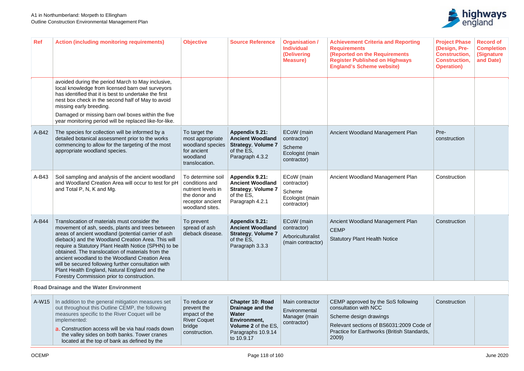

| <b>Ref</b> | <b>Action (including monitoring requirements)</b>                                                                                                                                                                                                                                                                                                                                                                                                                                                                                  | <b>Objective</b>                                                                                                  | <b>Source Reference</b>                                                                                                                | <b>Organisation /</b><br><b>Individual</b><br>(Delivering<br><b>Measure)</b> | <b>Achievement Criteria and Reporting</b><br><b>Requirements</b><br><b>(Reported on the Requirements</b><br><b>Register Published on Highways</b><br><b>England's Scheme website)</b>     | <b>Project Phase</b><br>(Design, Pre-<br><b>Construction,</b><br><b>Construction,</b><br><b>Operation</b> ) | <b>Record of</b><br><b>Completion</b><br>(Signature<br>and Date) |
|------------|------------------------------------------------------------------------------------------------------------------------------------------------------------------------------------------------------------------------------------------------------------------------------------------------------------------------------------------------------------------------------------------------------------------------------------------------------------------------------------------------------------------------------------|-------------------------------------------------------------------------------------------------------------------|----------------------------------------------------------------------------------------------------------------------------------------|------------------------------------------------------------------------------|-------------------------------------------------------------------------------------------------------------------------------------------------------------------------------------------|-------------------------------------------------------------------------------------------------------------|------------------------------------------------------------------|
|            | avoided during the period March to May inclusive,<br>local knowledge from licensed barn owl surveyors<br>has identified that it is best to undertake the first<br>nest box check in the second half of May to avoid<br>missing early breeding.<br>Damaged or missing barn owl boxes within the five<br>year monitoring period will be replaced like-for-like.                                                                                                                                                                      |                                                                                                                   |                                                                                                                                        |                                                                              |                                                                                                                                                                                           |                                                                                                             |                                                                  |
| A-B42      | The species for collection will be informed by a<br>detailed botanical assessment prior to the works<br>commencing to allow for the targeting of the most<br>appropriate woodland species.                                                                                                                                                                                                                                                                                                                                         | To target the<br>most appropriate<br>woodland species<br>for ancient<br>woodland<br>translocation.                | Appendix 9.21:<br><b>Ancient Woodland</b><br><b>Strategy, Volume 7</b><br>of the ES,<br>Paragraph 4.3.2                                | ECoW (main<br>contractor)<br><b>Scheme</b><br>Ecologist (main<br>contractor) | Ancient Woodland Management Plan                                                                                                                                                          | Pre-<br>construction                                                                                        |                                                                  |
| A-B43      | Soil sampling and analysis of the ancient woodland<br>and Woodland Creation Area will occur to test for pH<br>and Total P, N, K and Mg.                                                                                                                                                                                                                                                                                                                                                                                            | To determine soil<br>conditions and<br>nutrient levels in<br>the donor and<br>receptor ancient<br>woodland sites. | Appendix 9.21:<br><b>Ancient Woodland</b><br><b>Strategy, Volume 7</b><br>of the ES,<br>Paragraph 4.2.1                                | ECoW (main<br>contractor)<br>Scheme<br>Ecologist (main<br>contractor)        | Ancient Woodland Management Plan                                                                                                                                                          | Construction                                                                                                |                                                                  |
| A-B44      | Translocation of materials must consider the<br>movement of ash, seeds, plants and trees between<br>areas of ancient woodland (potential carrier of ash<br>dieback) and the Woodland Creation Area. This will<br>require a Statutory Plant Health Notice (SPHN) to be<br>obtained. The translocation of materials from the<br>ancient woodland to the Woodland Creation Area<br>will be secured following further consultation with<br>Plant Health England, Natural England and the<br>Forestry Commission prior to construction. | To prevent<br>spread of ash<br>dieback disease.                                                                   | <b>Appendix 9.21:</b><br><b>Ancient Woodland</b><br><b>Strategy, Volume 7</b><br>of the ES,<br>Paragraph 3.3.3                         | ECoW (main<br>contractor)<br>Arboriculturalist<br>(main contractor)          | Ancient Woodland Management Plan<br><b>CEMP</b><br><b>Statutory Plant Health Notice</b>                                                                                                   | Construction                                                                                                |                                                                  |
|            | <b>Road Drainage and the Water Environment</b>                                                                                                                                                                                                                                                                                                                                                                                                                                                                                     |                                                                                                                   |                                                                                                                                        |                                                                              |                                                                                                                                                                                           |                                                                                                             |                                                                  |
| A-W15      | In addition to the general mitigation measures set<br>out throughout this Outline CEMP, the following<br>measures specific to the River Coquet will be<br>implemented:<br>a. Construction access will be via haul roads down<br>the valley sides on both banks. Tower cranes<br>located at the top of bank as defined by the                                                                                                                                                                                                       | To reduce or<br>prevent the<br>impact of the<br><b>River Coquet</b><br>bridge<br>construction.                    | <b>Chapter 10: Road</b><br>Drainage and the<br><b>Water</b><br>Environment,<br>Volume 2 of the ES,<br>Paragraphs 10.9.14<br>to 10.9.17 | Main contractor<br>Environmental<br>Manager (main<br>contractor)             | CEMP approved by the SoS following<br>consultation with NCC<br>Scheme design drawings<br>Relevant sections of BS6031:2009 Code of<br>Practice for Earthworks (British Standards,<br>2009) | Construction                                                                                                |                                                                  |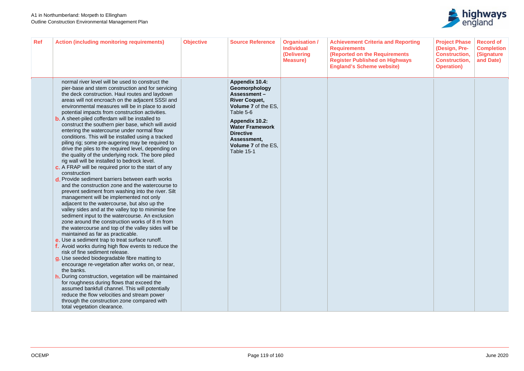

| <b>Ref</b> | <b>Action (including monitoring requirements)</b>                                                                                                                                                                                                                                                                                                                                                                                                                                                                                                                                                                                                                                                                                                                                                                                                                                                                                                                                                                                                                                                                                                                                                                                                                                                                                                                                                                                                                                                                                                                                                                                                                                                                                                                                                                                                                                                      | <b>Objective</b> | <b>Source Reference</b>                                                                                                                                                                                                                             | <b>Organisation /</b><br><b>Individual</b><br>(Delivering<br><b>Measure)</b> | <b>Achievement Criteria and Reporting</b><br><b>Requirements</b><br><b>(Reported on the Requirements)</b><br><b>Register Published on Highways</b><br><b>England's Scheme website)</b> | <b>Project Phase</b><br>(Design, Pre-<br><b>Construction,</b><br><b>Construction,</b><br><b>Operation</b> ) | <b>Record of</b><br><b>Completion</b><br>(Signature<br>and Date) |
|------------|--------------------------------------------------------------------------------------------------------------------------------------------------------------------------------------------------------------------------------------------------------------------------------------------------------------------------------------------------------------------------------------------------------------------------------------------------------------------------------------------------------------------------------------------------------------------------------------------------------------------------------------------------------------------------------------------------------------------------------------------------------------------------------------------------------------------------------------------------------------------------------------------------------------------------------------------------------------------------------------------------------------------------------------------------------------------------------------------------------------------------------------------------------------------------------------------------------------------------------------------------------------------------------------------------------------------------------------------------------------------------------------------------------------------------------------------------------------------------------------------------------------------------------------------------------------------------------------------------------------------------------------------------------------------------------------------------------------------------------------------------------------------------------------------------------------------------------------------------------------------------------------------------------|------------------|-----------------------------------------------------------------------------------------------------------------------------------------------------------------------------------------------------------------------------------------------------|------------------------------------------------------------------------------|----------------------------------------------------------------------------------------------------------------------------------------------------------------------------------------|-------------------------------------------------------------------------------------------------------------|------------------------------------------------------------------|
|            | normal river level will be used to construct the<br>pier-base and stem construction and for servicing<br>the deck construction. Haul routes and laydown<br>areas will not encroach on the adjacent SSSI and<br>environmental measures will be in place to avoid<br>potential impacts from construction activities.<br><b>b.</b> A sheet-piled cofferdam will be installed to<br>construct the southern pier base, which will avoid<br>entering the watercourse under normal flow<br>conditions. This will be installed using a tracked<br>piling rig; some pre-augering may be required to<br>drive the piles to the required level, depending on<br>the quality of the underlying rock. The bore piled<br>rig wall will be installed to bedrock level.<br>c. A FRAP will be required prior to the start of any<br>construction<br>d. Provide sediment barriers between earth works<br>and the construction zone and the watercourse to<br>prevent sediment from washing into the river. Silt<br>management will be implemented not only<br>adjacent to the watercourse, but also up the<br>valley sides and at the valley top to minimise fine<br>sediment input to the watercourse. An exclusion<br>zone around the construction works of 8 m from<br>the watercourse and top of the valley sides will be<br>maintained as far as practicable.<br>e. Use a sediment trap to treat surface runoff.<br>f. Avoid works during high flow events to reduce the<br>risk of fine sediment release.<br>g. Use seeded biodegradable fibre matting to<br>encourage re-vegetation after works on, or near,<br>the banks.<br>h. During construction, vegetation will be maintained<br>for roughness during flows that exceed the<br>assumed bankfull channel. This will potentially<br>reduce the flow velocities and stream power<br>through the construction zone compared with<br>total vegetation clearance. |                  | <b>Appendix 10.4:</b><br>Geomorphology<br>Assessment-<br><b>River Coquet,</b><br>Volume 7 of the ES,<br>Table 5-6<br><b>Appendix 10.2:</b><br><b>Water Framework</b><br><b>Directive</b><br>Assessment,<br>Volume 7 of the ES,<br><b>Table 15-1</b> |                                                                              |                                                                                                                                                                                        |                                                                                                             |                                                                  |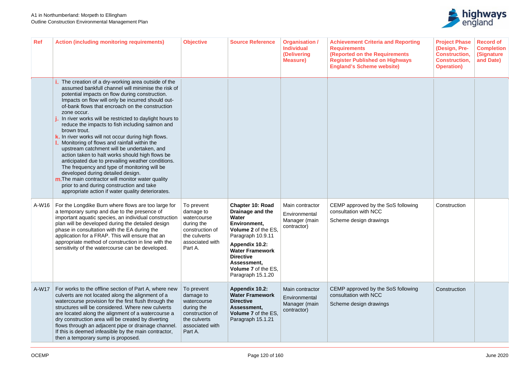

| <b>Ref</b> | <b>Action (including monitoring requirements)</b>                                                                                                                                                                                                                                                                                                                                                                                                                                                                                                                                                                                                                                                                                                                                                                                                                                                                     | <b>Objective</b>                                                                                                      | <b>Source Reference</b>                                                                                                                                                                                                                                   | <b>Organisation /</b><br><b>Individual</b><br>(Delivering<br><b>Measure)</b> | <b>Achievement Criteria and Reporting</b><br><b>Requirements</b><br><b>(Reported on the Requirements</b><br><b>Register Published on Highways</b><br><b>England's Scheme website)</b> | <b>Project Phase</b><br>(Design, Pre-<br><b>Construction,</b><br><b>Construction,</b><br><b>Operation</b> ) | <b>Record of</b><br><b>Completion</b><br><b>(Signature</b><br>and Date) |
|------------|-----------------------------------------------------------------------------------------------------------------------------------------------------------------------------------------------------------------------------------------------------------------------------------------------------------------------------------------------------------------------------------------------------------------------------------------------------------------------------------------------------------------------------------------------------------------------------------------------------------------------------------------------------------------------------------------------------------------------------------------------------------------------------------------------------------------------------------------------------------------------------------------------------------------------|-----------------------------------------------------------------------------------------------------------------------|-----------------------------------------------------------------------------------------------------------------------------------------------------------------------------------------------------------------------------------------------------------|------------------------------------------------------------------------------|---------------------------------------------------------------------------------------------------------------------------------------------------------------------------------------|-------------------------------------------------------------------------------------------------------------|-------------------------------------------------------------------------|
|            | The creation of a dry-working area outside of the<br>assumed bankfull channel will minimise the risk of<br>potential impacts on flow during construction.<br>Impacts on flow will only be incurred should out-<br>of-bank flows that encroach on the construction<br>zone occur.<br>In river works will be restricted to daylight hours to<br>reduce the impacts to fish including salmon and<br>brown trout.<br>k. In river works will not occur during high flows.<br>Monitoring of flows and rainfall within the<br>upstream catchment will be undertaken, and<br>action taken to halt works should high flows be<br>anticipated due to prevailing weather conditions.<br>The frequency and type of monitoring will be<br>developed during detailed design.<br>m. The main contractor will monitor water quality<br>prior to and during construction and take<br>appropriate action if water quality deteriorates. |                                                                                                                       |                                                                                                                                                                                                                                                           |                                                                              |                                                                                                                                                                                       |                                                                                                             |                                                                         |
| A-W16      | For the Longdike Burn where flows are too large for<br>a temporary sump and due to the presence of<br>important aquatic species, an individual construction<br>plan will be developed during the detailed design<br>phase in consultation with the EA during the<br>application for a FRAP. This will ensure that an<br>appropriate method of construction in line with the<br>sensitivity of the watercourse can be developed.                                                                                                                                                                                                                                                                                                                                                                                                                                                                                       | To prevent<br>damage to<br>watercourse<br>during the<br>construction of<br>the culverts<br>associated with<br>Part A. | Chapter 10: Road<br><b>Drainage and the</b><br><b>Water</b><br>Environment,<br>Volume 2 of the ES.<br>Paragraph 10.9.11<br><b>Appendix 10.2:</b><br><b>Water Framework</b><br><b>Directive</b><br>Assessment,<br>Volume 7 of the ES.<br>Paragraph 15.1.20 | Main contractor<br>Environmental<br>Manager (main<br>contractor)             | CEMP approved by the SoS following<br>consultation with NCC<br>Scheme design drawings                                                                                                 | Construction                                                                                                |                                                                         |
| A-W17      | For works to the offline section of Part A, where new<br>culverts are not located along the alignment of a<br>watercourse provision for the first flush through the<br>structures will be considered. Where new culverts<br>are located along the alignment of a watercourse a<br>dry construction area will be created by diverting<br>flows through an adjacent pipe or drainage channel.<br>If this is deemed infeasible by the main contractor,<br>then a temporary sump is proposed.                                                                                                                                                                                                                                                                                                                                                                                                                             | To prevent<br>damage to<br>watercourse<br>during the<br>construction of<br>the culverts<br>associated with<br>Part A. | <b>Appendix 10.2:</b><br><b>Water Framework</b><br><b>Directive</b><br>Assessment,<br><b>Volume 7</b> of the ES,<br>Paragraph 15.1.21                                                                                                                     | Main contractor<br>Environmental<br>Manager (main<br>contractor)             | CEMP approved by the SoS following<br>consultation with NCC<br>Scheme design drawings                                                                                                 | Construction                                                                                                |                                                                         |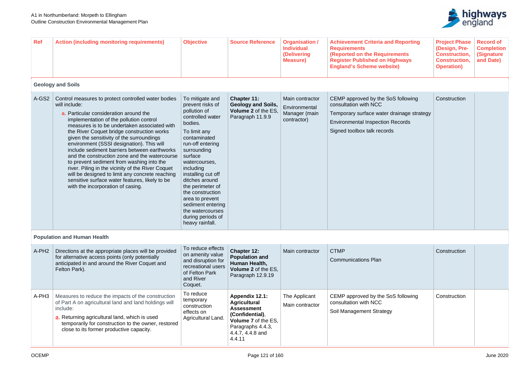

| <b>Ref</b>        | <b>Action (including monitoring requirements)</b>                                                                                                                                                                                                                                                                                                                                                                                                                                                                                                                                                                                                                                              | <b>Objective</b>                                                                                                                                                                                                                                                                                                                                                                   | <b>Source Reference</b>                                                                                                                                        | <b>Organisation /</b><br><b>Individual</b><br><b>(Delivering</b><br><b>Measure)</b> | <b>Achievement Criteria and Reporting</b><br><b>Requirements</b><br><b>(Reported on the Requirements</b><br><b>Register Published on Highways</b><br><b>England's Scheme website)</b> | <b>Project Phase</b><br>(Design, Pre-<br><b>Construction,</b><br><b>Construction,</b><br><b>Operation</b> ) | <b>Record of</b><br><b>Completion</b><br><b>(Signature</b><br>and Date) |
|-------------------|------------------------------------------------------------------------------------------------------------------------------------------------------------------------------------------------------------------------------------------------------------------------------------------------------------------------------------------------------------------------------------------------------------------------------------------------------------------------------------------------------------------------------------------------------------------------------------------------------------------------------------------------------------------------------------------------|------------------------------------------------------------------------------------------------------------------------------------------------------------------------------------------------------------------------------------------------------------------------------------------------------------------------------------------------------------------------------------|----------------------------------------------------------------------------------------------------------------------------------------------------------------|-------------------------------------------------------------------------------------|---------------------------------------------------------------------------------------------------------------------------------------------------------------------------------------|-------------------------------------------------------------------------------------------------------------|-------------------------------------------------------------------------|
|                   | <b>Geology and Soils</b>                                                                                                                                                                                                                                                                                                                                                                                                                                                                                                                                                                                                                                                                       |                                                                                                                                                                                                                                                                                                                                                                                    |                                                                                                                                                                |                                                                                     |                                                                                                                                                                                       |                                                                                                             |                                                                         |
| A-GS2             | Control measures to protect controlled water bodies<br>will include:<br>a. Particular consideration around the<br>implementation of the pollution control<br>measures is to be undertaken associated with<br>the River Coquet bridge construction works<br>given the sensitivity of the surroundings<br>environment (SSSI designation). This will<br>include sediment barriers between earthworks<br>and the construction zone and the watercourse<br>to prevent sediment from washing into the<br>river. Piling in the vicinity of the River Coquet<br>will be designed to limit any concrete reaching<br>sensitive surface water features, likely to be<br>with the incorporation of casing. | To mitigate and<br>prevent risks of<br>pollution of<br>controlled water<br>bodies.<br>To limit any<br>contaminated<br>run-off entering<br>surrounding<br>surface<br>watercourses,<br>including<br>installing cut off<br>ditches around<br>the perimeter of<br>the construction<br>area to prevent<br>sediment entering<br>the watercourses<br>during periods of<br>heavy rainfall. | Chapter 11:<br><b>Geology and Soils,</b><br>Volume 2 of the ES,<br>Paragraph 11.9.9                                                                            | Main contractor<br>Environmental<br>Manager (main<br>contractor)                    | CEMP approved by the SoS following<br>consultation with NCC<br>Temporary surface water drainage strategy<br><b>Environmental Inspection Records</b><br>Signed toolbox talk records    | Construction                                                                                                |                                                                         |
|                   | <b>Population and Human Health</b>                                                                                                                                                                                                                                                                                                                                                                                                                                                                                                                                                                                                                                                             |                                                                                                                                                                                                                                                                                                                                                                                    |                                                                                                                                                                |                                                                                     |                                                                                                                                                                                       |                                                                                                             |                                                                         |
| A-PH <sub>2</sub> | Directions at the appropriate places will be provided<br>for alternative access points (only potentially<br>anticipated in and around the River Coquet and<br>Felton Park).                                                                                                                                                                                                                                                                                                                                                                                                                                                                                                                    | To reduce effects<br>on amenity value<br>and disruption for<br>recreational users<br>of Felton Park<br>and River<br>Coquet.                                                                                                                                                                                                                                                        | Chapter 12:<br><b>Population and</b><br>Human Health,<br>Volume 2 of the ES,<br>Paragraph 12.9.19                                                              | Main contractor                                                                     | <b>CTMP</b><br><b>Communications Plan</b>                                                                                                                                             | Construction                                                                                                |                                                                         |
| A-PH3             | Measures to reduce the impacts of the construction<br>of Part A on agricultural land and land holdings will<br>include:<br>a. Returning agricultural land, which is used<br>temporarily for construction to the owner, restored<br>close to its former productive capacity.                                                                                                                                                                                                                                                                                                                                                                                                                    | To reduce<br>temporary<br>construction<br>effects on<br>Agricultural Land.                                                                                                                                                                                                                                                                                                         | <b>Appendix 12.1:</b><br><b>Agricultural</b><br><b>Assessment</b><br>(Confidential),<br>Volume 7 of the ES,<br>Paragraphs 4.4.3,<br>4.4.7, 4.4.8 and<br>4.4.11 | The Applicant<br>Main contractor                                                    | CEMP approved by the SoS following<br>consultation with NCC<br>Soil Management Strategy                                                                                               | Construction                                                                                                |                                                                         |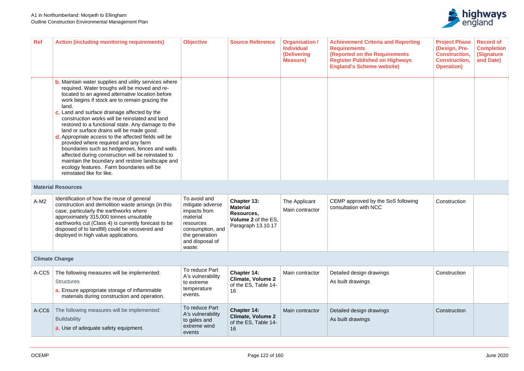

| <b>Ref</b> | <b>Action (including monitoring requirements)</b>                                                                                                                                                                                                                                                                                                                                                                                                                                                                                                                                                                                                                                                                                                                     | <b>Objective</b>                                                                                                                             | <b>Source Reference</b>                                                                          | <b>Organisation /</b><br><b>Individual</b><br><b>(Delivering</b><br><b>Measure)</b> | <b>Achievement Criteria and Reporting</b><br><b>Requirements</b><br><b>(Reported on the Requirements</b><br><b>Register Published on Highways</b><br><b>England's Scheme website)</b> | <b>Project Phase</b><br>(Design, Pre-<br><b>Construction,</b><br><b>Construction,</b><br><b>Operation</b> ) | <b>Record of</b><br><b>Completion</b><br><b>(Signature</b><br>and Date) |
|------------|-----------------------------------------------------------------------------------------------------------------------------------------------------------------------------------------------------------------------------------------------------------------------------------------------------------------------------------------------------------------------------------------------------------------------------------------------------------------------------------------------------------------------------------------------------------------------------------------------------------------------------------------------------------------------------------------------------------------------------------------------------------------------|----------------------------------------------------------------------------------------------------------------------------------------------|--------------------------------------------------------------------------------------------------|-------------------------------------------------------------------------------------|---------------------------------------------------------------------------------------------------------------------------------------------------------------------------------------|-------------------------------------------------------------------------------------------------------------|-------------------------------------------------------------------------|
|            | <b>b.</b> Maintain water supplies and utility services where<br>required. Water troughs will be moved and re-<br>located to an agreed alternative location before<br>work begins if stock are to remain grazing the<br>land.<br>c. Land and surface drainage affected by the<br>construction works will be reinstated and land<br>restored to a functional state. Any damage to the<br>land or surface drains will be made good.<br>d. Appropriate access to the affected fields will be<br>provided where required and any farm<br>boundaries such as hedgerows, fences and walls<br>affected during construction will be reinstated to<br>maintain the boundary and restore landscape and<br>ecology features. Farm boundaries will be<br>reinstated like for like. |                                                                                                                                              |                                                                                                  |                                                                                     |                                                                                                                                                                                       |                                                                                                             |                                                                         |
|            | <b>Material Resources</b>                                                                                                                                                                                                                                                                                                                                                                                                                                                                                                                                                                                                                                                                                                                                             |                                                                                                                                              |                                                                                                  |                                                                                     |                                                                                                                                                                                       |                                                                                                             |                                                                         |
| $A-M2$     | Identification of how the reuse of general<br>construction and demolition waste arisings (in this<br>case, particularly the earthworks where<br>approximately 315,000 tonnes unsuitable<br>earthworks cut (Class 4) is currently forecast to be<br>disposed of to landfill) could be recovered and<br>deployed in high value applications.                                                                                                                                                                                                                                                                                                                                                                                                                            | To avoid and<br>mitigate adverse<br>impacts from<br>material<br>resources<br>consumption, and<br>the generation<br>and disposal of<br>waste. | <b>Chapter 13:</b><br><b>Material</b><br>Resources,<br>Volume 2 of the ES.<br>Paragraph 13.10.17 | The Applicant<br>Main contractor                                                    | CEMP approved by the SoS following<br>consultation with NCC                                                                                                                           | Construction                                                                                                |                                                                         |
|            | <b>Climate Change</b>                                                                                                                                                                                                                                                                                                                                                                                                                                                                                                                                                                                                                                                                                                                                                 |                                                                                                                                              |                                                                                                  |                                                                                     |                                                                                                                                                                                       |                                                                                                             |                                                                         |
| A-CC5      | The following measures will be implemented:<br><b>Structures</b><br>a. Ensure appropriate storage of inflammable<br>materials during construction and operation.                                                                                                                                                                                                                                                                                                                                                                                                                                                                                                                                                                                                      | To reduce Part<br>A's vulnerability<br>to extreme<br>temperature<br>events.                                                                  | Chapter 14:<br><b>Climate, Volume 2</b><br>of the ES, Table 14-<br>16                            | Main contractor                                                                     | Detailed design drawings<br>As built drawings                                                                                                                                         | Construction                                                                                                |                                                                         |
| A-CC6      | The following measures will be implemented:<br><b>Buildability</b><br>a. Use of adequate safety equipment.                                                                                                                                                                                                                                                                                                                                                                                                                                                                                                                                                                                                                                                            | To reduce Part<br>A's vulnerability<br>to gales and<br>extreme wind<br>events                                                                | Chapter 14:<br><b>Climate, Volume 2</b><br>of the ES, Table 14-<br>16                            | Main contractor                                                                     | Detailed design drawings<br>As built drawings                                                                                                                                         | Construction                                                                                                |                                                                         |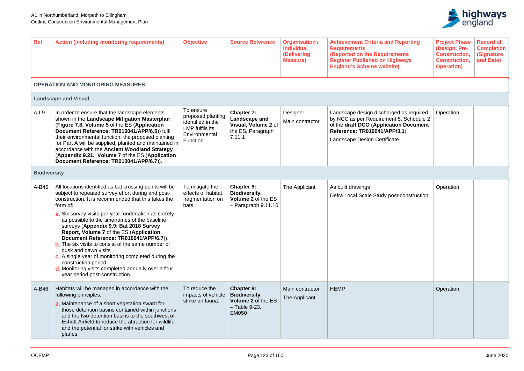

| <b>Ref</b>          | <b>Action (including monitoring requirements)</b>                                                                                                                                                                                                                                                                                                                                                                                                                                                                                                                                                                                                                                       | <b>Objective</b>                                                                                     | <b>Source Reference</b>                                                                            | <b>Organisation /</b><br><b>Individual</b><br>(Delivering<br><b>Measure)</b> | <b>Achievement Criteria and Reporting</b><br><b>Requirements</b><br><b>(Reported on the Requirements)</b><br><b>Register Published on Highways</b><br><b>England's Scheme website)</b>       | <b>Project Phase</b><br>(Design, Pre-<br><b>Construction,</b><br><b>Construction,</b><br><b>Operation</b> ) | <b>Record of</b><br><b>Completion</b><br><b>(Signature</b><br>and Date) |
|---------------------|-----------------------------------------------------------------------------------------------------------------------------------------------------------------------------------------------------------------------------------------------------------------------------------------------------------------------------------------------------------------------------------------------------------------------------------------------------------------------------------------------------------------------------------------------------------------------------------------------------------------------------------------------------------------------------------------|------------------------------------------------------------------------------------------------------|----------------------------------------------------------------------------------------------------|------------------------------------------------------------------------------|----------------------------------------------------------------------------------------------------------------------------------------------------------------------------------------------|-------------------------------------------------------------------------------------------------------------|-------------------------------------------------------------------------|
|                     | <b>OPERATION AND MONITORING MEASURES</b>                                                                                                                                                                                                                                                                                                                                                                                                                                                                                                                                                                                                                                                |                                                                                                      |                                                                                                    |                                                                              |                                                                                                                                                                                              |                                                                                                             |                                                                         |
|                     | <b>Landscape and Visual</b>                                                                                                                                                                                                                                                                                                                                                                                                                                                                                                                                                                                                                                                             |                                                                                                      |                                                                                                    |                                                                              |                                                                                                                                                                                              |                                                                                                             |                                                                         |
| A-L9                | In order to ensure that the landscape elements<br>shown in the Landscape Mitigation Masterplan<br>(Figure 7.8, Volume 5 of the ES (Application<br>Document Reference: TR010041/APP/6.5)) fulfil<br>their environmental function, the proposed planting<br>for Part A will be supplied, planted and maintained in<br>accordance with the Ancient Woodland Strategy<br>(Appendix 9.21, Volume 7 of the ES (Application<br>Document Reference: TR010041/APP/6.7)).                                                                                                                                                                                                                         | To ensure<br>proposed planting<br>identified in the<br>LMP fulfils its<br>Environmental<br>Function. | Chapter 7:<br>Landscape and<br>Visual, Volume 2 of<br>the ES, Paragraph<br>7.11.1                  | Designer<br>Main contractor                                                  | Landscape design discharged as required<br>by NCC as per Requirement 5, Schedule 2<br>of the draft DCO (Application Document<br>Reference: TR010041/APP/3.1)<br>Landscape Design Certificate | Operation                                                                                                   |                                                                         |
| <b>Biodiversity</b> |                                                                                                                                                                                                                                                                                                                                                                                                                                                                                                                                                                                                                                                                                         |                                                                                                      |                                                                                                    |                                                                              |                                                                                                                                                                                              |                                                                                                             |                                                                         |
| A-B45               | All locations identified as bat crossing points will be<br>subject to repeated survey effort during and post-<br>construction. It is recommended that this takes the<br>form of:<br>a. Six survey visits per year, undertaken as closely<br>as possible to the timeframes of the baseline<br>surveys (Appendix 9.9: Bat 2018 Survey<br>Report, Volume 7 of the ES (Application<br>Document Reference: TR010041/APP/6.7)).<br><b>b.</b> The six visits to consist of the same number of<br>dusk and dawn visits.<br>c. A single year of monitoring completed during the<br>construction period.<br>d. Monitoring visits completed annually over a four<br>year period post-construction. | To mitigate the<br>effects of habitat<br>fragmentation on<br>bats.                                   | <b>Chapter 9:</b><br><b>Biodiversity,</b><br>Volume 2 of the ES<br>$-$ Paragraph 9.11.10           | The Applicant                                                                | As built drawings<br>Defra Local Scale Study post-construction                                                                                                                               | Operation                                                                                                   |                                                                         |
| A-B46               | Habitats will be managed in accordance with the<br>following principles:<br>a. Maintenance of a short vegetation sward for<br>those detention basins contained within junctions<br>and the two detention basins to the southwest of<br>Eshott Airfield to reduce the attraction for wildlife<br>and the potential for strike with vehicles and<br>planes.                                                                                                                                                                                                                                                                                                                               | To reduce the<br>impacts of vehicle<br>strike on fauna.                                              | <b>Chapter 9:</b><br><b>Biodiversity,</b><br>Volume 2 of the ES<br>$-$ Table 9-23,<br><b>EM050</b> | Main contractor<br>The Applicant                                             | <b>HEMP</b>                                                                                                                                                                                  | Operation                                                                                                   |                                                                         |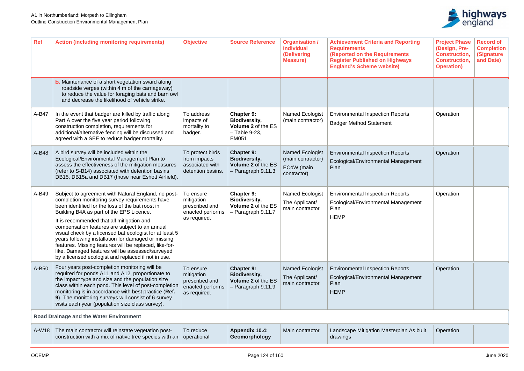

| <b>Ref</b> | <b>Action (including monitoring requirements)</b>                                                                                                                                                                                                                                                                                                                                                                                                                                                                                                                                           | <b>Objective</b>                                                              | <b>Source Reference</b>                                                                            | <b>Organisation /</b><br><b>Individual</b><br>(Delivering<br><b>Measure)</b> | <b>Achievement Criteria and Reporting</b><br><b>Requirements</b><br><b>(Reported on the Requirements</b><br><b>Register Published on Highways</b><br><b>England's Scheme website)</b> | <b>Project Phase</b><br>(Design, Pre-<br><b>Construction,</b><br><b>Construction,</b><br><b>Operation</b> ) | <b>Record of</b><br><b>Completion</b><br><b>(Signature</b><br>and Date) |
|------------|---------------------------------------------------------------------------------------------------------------------------------------------------------------------------------------------------------------------------------------------------------------------------------------------------------------------------------------------------------------------------------------------------------------------------------------------------------------------------------------------------------------------------------------------------------------------------------------------|-------------------------------------------------------------------------------|----------------------------------------------------------------------------------------------------|------------------------------------------------------------------------------|---------------------------------------------------------------------------------------------------------------------------------------------------------------------------------------|-------------------------------------------------------------------------------------------------------------|-------------------------------------------------------------------------|
|            | <b>b.</b> Maintenance of a short vegetation sward along<br>roadside verges (within 4 m of the carriageway)<br>to reduce the value for foraging bats and barn owl<br>and decrease the likelihood of vehicle strike.                                                                                                                                                                                                                                                                                                                                                                          |                                                                               |                                                                                                    |                                                                              |                                                                                                                                                                                       |                                                                                                             |                                                                         |
| A-B47      | In the event that badger are killed by traffic along<br>Part A over the five year period following<br>construction completion, requirements for<br>additional/alternative fencing will be discussed and<br>agreed with a SEE to reduce badger mortality.                                                                                                                                                                                                                                                                                                                                    | To address<br>impacts of<br>mortality to<br>badger.                           | <b>Chapter 9:</b><br><b>Biodiversity,</b><br>Volume 2 of the ES<br>$-$ Table 9-23,<br><b>EM051</b> | Named Ecologist<br>(main contractor)                                         | <b>Environmental Inspection Reports</b><br><b>Badger Method Statement</b>                                                                                                             | Operation                                                                                                   |                                                                         |
| A-B48      | A bird survey will be included within the<br>Ecological/Environmental Management Plan to<br>assess the effectiveness of the mitigation measures<br>(refer to S-B14) associated with detention basins<br>DB15, DB15a and DB17 (those near Eshott Airfield).                                                                                                                                                                                                                                                                                                                                  | To protect birds<br>from impacts<br>associated with<br>detention basins.      | <b>Chapter 9:</b><br><b>Biodiversity,</b><br>Volume 2 of the ES<br>$-$ Paragraph 9.11.3            | <b>Named Ecologist</b><br>(main contractor)<br>ECoW (main<br>contractor)     | <b>Environmental Inspection Reports</b><br>Ecological/Environmental Management<br>Plan                                                                                                | Operation                                                                                                   |                                                                         |
| A-B49      | Subject to agreement with Natural England, no post-<br>completion monitoring survey requirements have<br>been identified for the loss of the bat roost in<br>Building B4A as part of the EPS Licence.<br>It is recommended that all mitigation and<br>compensation features are subject to an annual<br>visual check by a licensed bat ecologist for at least 5<br>years following installation for damaged or missing<br>features. Missing features will be replaced, like-for-<br>like. Damaged features will be assessed/surveyed<br>by a licensed ecologist and replaced if not in use. | To ensure<br>mitigation<br>prescribed and<br>enacted performs<br>as required. | <b>Chapter 9:</b><br><b>Biodiversity,</b><br>Volume 2 of the ES<br>$-$ Paragraph 9.11.7            | Named Ecologist<br>The Applicant/<br>main contractor                         | <b>Environmental Inspection Reports</b><br>Ecological/Environmental Management<br>Plan<br><b>HEMP</b>                                                                                 | Operation                                                                                                   |                                                                         |
| A-B50      | Four years post-completion monitoring will be<br>required for ponds A11 and A12, proportionate to<br>the impact type and size and the population size<br>class within each pond. This level of post-completion<br>monitoring is in accordance with best practice (Ref.<br>9). The monitoring surveys will consist of 6 survey<br>visits each year (population size class survey).                                                                                                                                                                                                           | To ensure<br>mitigation<br>prescribed and<br>enacted performs<br>as required. | <b>Chapter 9:</b><br><b>Biodiversity,</b><br>Volume 2 of the ES<br>$-$ Paragraph 9.11.9            | <b>Named Ecologist</b><br>The Applicant/<br>main contractor                  | <b>Environmental Inspection Reports</b><br>Ecological/Environmental Management<br>Plan<br><b>HEMP</b>                                                                                 | Operation                                                                                                   |                                                                         |
|            | <b>Road Drainage and the Water Environment</b>                                                                                                                                                                                                                                                                                                                                                                                                                                                                                                                                              |                                                                               |                                                                                                    |                                                                              |                                                                                                                                                                                       |                                                                                                             |                                                                         |
| A-W18      | The main contractor will reinstate vegetation post-<br>construction with a mix of native tree species with an                                                                                                                                                                                                                                                                                                                                                                                                                                                                               | To reduce<br>operational                                                      | <b>Appendix 10.4:</b><br>Geomorphology                                                             | Main contractor                                                              | Landscape Mitigation Masterplan As built<br>drawings                                                                                                                                  | Operation                                                                                                   |                                                                         |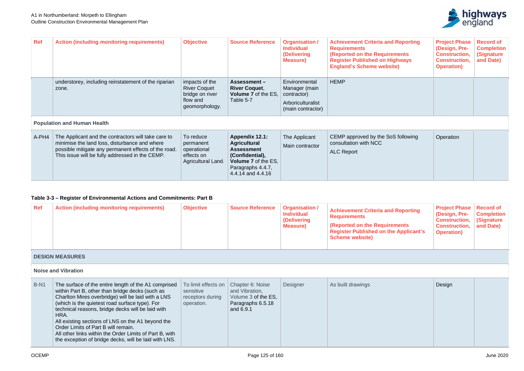

| <b>Ref</b> | <b>Action (including monitoring requirements)</b>                                                                                                                                                               | <b>Objective</b>                                                                       | <b>Source Reference</b>                                                                                                                                      | <b>Organisation /</b><br><b>Individual</b><br>(Delivering<br><b>Measure)</b>            | <b>Achievement Criteria and Reporting</b><br><b>Requirements</b><br><b>(Reported on the Requirements)</b><br><b>Register Published on Highways</b><br><b>England's Scheme website)</b> | <b>Project Phase</b><br>(Design, Pre-<br><b>Construction,</b><br><b>Construction,</b><br><b>Operation</b> ) | <b>Record of</b><br><b>Completion</b><br><b>(Signature</b><br>and Date) |
|------------|-----------------------------------------------------------------------------------------------------------------------------------------------------------------------------------------------------------------|----------------------------------------------------------------------------------------|--------------------------------------------------------------------------------------------------------------------------------------------------------------|-----------------------------------------------------------------------------------------|----------------------------------------------------------------------------------------------------------------------------------------------------------------------------------------|-------------------------------------------------------------------------------------------------------------|-------------------------------------------------------------------------|
|            | understorey, including reinstatement of the riparian<br>zone.                                                                                                                                                   | impacts of the<br><b>River Coquet</b><br>bridge on river<br>flow and<br>geomorphology. | Assessment -<br><b>River Coquet,</b><br><b>Volume 7 of the ES,</b><br>Table 5-7                                                                              | Environmental<br>Manager (main<br>contractor)<br>Arboriculturalist<br>(main contractor) | <b>HEMP</b>                                                                                                                                                                            |                                                                                                             |                                                                         |
|            | <b>Population and Human Health</b>                                                                                                                                                                              |                                                                                        |                                                                                                                                                              |                                                                                         |                                                                                                                                                                                        |                                                                                                             |                                                                         |
| A-PH4      | The Applicant and the contractors will take care to<br>minimise the land loss, disturbance and where<br>possible mitigate any permanent effects of the road.<br>This issue will be fully addressed in the CEMP. | To reduce<br>permanent<br>operational<br>effects on<br>Agricultural Land.              | <b>Appendix 12.1:</b><br><b>Agricultural</b><br><b>Assessment</b><br>(Confidential),<br><b>Volume 7 of the ES,</b><br>Paragraphs 4.4.7,<br>4.4.14 and 4.4.16 | The Applicant<br>Main contractor                                                        | CEMP approved by the SoS following<br>consultation with NCC<br><b>ALC Report</b>                                                                                                       | Operation                                                                                                   |                                                                         |

## **Table 3-3 – Register of Environmental Actions and Commitments: Part B**

| <b>Ref</b> | <b>Action (including monitoring requirements)</b> | <b>Objective</b> | <b>Source Reference</b> | <b>Organisation /</b><br>Individual<br><b>(Delivering</b><br><b>Measure)</b> | <b>Achievement Criteria and Reporting</b><br><b>Requirements</b><br><b>(Reported on the Requirements)</b><br><b>Register Published on the Applicant's</b><br><b>Scheme website)</b> | <b>Project Phase   Record of</b><br>(Design, Pre-<br><b>Construction,</b><br><b>Construction,</b><br><b>Operation</b> ) | <b>Completion</b><br><b>Signature</b><br>and Date) |
|------------|---------------------------------------------------|------------------|-------------------------|------------------------------------------------------------------------------|-------------------------------------------------------------------------------------------------------------------------------------------------------------------------------------|-------------------------------------------------------------------------------------------------------------------------|----------------------------------------------------|
|            | <b>DESIGN MEASURES</b>                            |                  |                         |                                                                              |                                                                                                                                                                                     |                                                                                                                         |                                                    |
|            |                                                   |                  |                         |                                                                              |                                                                                                                                                                                     |                                                                                                                         |                                                    |

|             | <b>Noise and Vibration</b>                                                                                                                                                                                                                                                                                                                                                                                                                                                                   |                                                                    |                                                                                             |          |                   |        |  |  |  |  |
|-------------|----------------------------------------------------------------------------------------------------------------------------------------------------------------------------------------------------------------------------------------------------------------------------------------------------------------------------------------------------------------------------------------------------------------------------------------------------------------------------------------------|--------------------------------------------------------------------|---------------------------------------------------------------------------------------------|----------|-------------------|--------|--|--|--|--|
| <b>B-N1</b> | The surface of the entire length of the A1 comprised<br>within Part B, other than bridge decks (such as<br>Charlton Mires overbridge) will be laid with a LNS<br>(which is the quietest road surface type). For<br>technical reasons, bridge decks will be laid with<br>HRA.<br>All existing sections of LNS on the A1 beyond the<br>Order Limits of Part B will remain.<br>All other links within the Order Limits of Part B, with<br>the exception of bridge decks, will be laid with LNS. | To limit effects on<br>sensitive<br>receptors during<br>operation. | Chapter 6: Noise<br>and Vibration,<br>Volume 3 of the ES,<br>Paragraphs 6.5.18<br>and 6.9.1 | Designer | As built drawings | Design |  |  |  |  |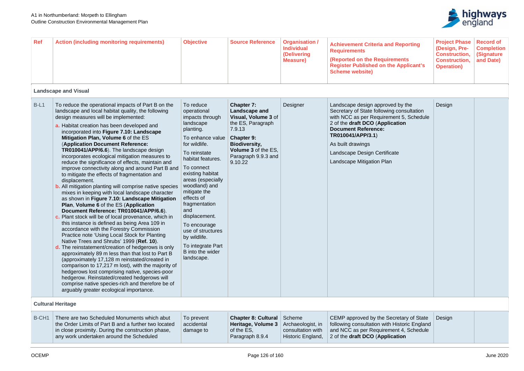

| <b>Ref</b> | <b>Action (including monitoring requirements)</b>                                                                                                                                                                                                                                                                                                                                                                                                                                                                                                                                                                                                                                                                                                                                                                                                                                                                                                                                                                                                                                                                                                                                                                                                                                                                                                                                                                                                                                                                      | <b>Objective</b>                                                                                                                                                                                                                                                                                                                                                                                           | <b>Source Reference</b>                                                                                                                                                                        | <b>Organisation /</b><br><b>Individual</b><br>(Delivering<br><b>Measure)</b> | <b>Achievement Criteria and Reporting</b><br><b>Requirements</b><br><b>(Reported on the Requirements</b><br><b>Register Published on the Applicant's</b><br><b>Scheme website)</b>                                                                                                               |
|------------|------------------------------------------------------------------------------------------------------------------------------------------------------------------------------------------------------------------------------------------------------------------------------------------------------------------------------------------------------------------------------------------------------------------------------------------------------------------------------------------------------------------------------------------------------------------------------------------------------------------------------------------------------------------------------------------------------------------------------------------------------------------------------------------------------------------------------------------------------------------------------------------------------------------------------------------------------------------------------------------------------------------------------------------------------------------------------------------------------------------------------------------------------------------------------------------------------------------------------------------------------------------------------------------------------------------------------------------------------------------------------------------------------------------------------------------------------------------------------------------------------------------------|------------------------------------------------------------------------------------------------------------------------------------------------------------------------------------------------------------------------------------------------------------------------------------------------------------------------------------------------------------------------------------------------------------|------------------------------------------------------------------------------------------------------------------------------------------------------------------------------------------------|------------------------------------------------------------------------------|--------------------------------------------------------------------------------------------------------------------------------------------------------------------------------------------------------------------------------------------------------------------------------------------------|
|            | <b>Landscape and Visual</b>                                                                                                                                                                                                                                                                                                                                                                                                                                                                                                                                                                                                                                                                                                                                                                                                                                                                                                                                                                                                                                                                                                                                                                                                                                                                                                                                                                                                                                                                                            |                                                                                                                                                                                                                                                                                                                                                                                                            |                                                                                                                                                                                                |                                                                              |                                                                                                                                                                                                                                                                                                  |
| $B-L1$     | To reduce the operational impacts of Part B on the<br>landscape and local habitat quality, the following<br>design measures will be implemented:<br>a. Habitat creation has been developed and<br>incorporated into Figure 7.10: Landscape<br>Mitigation Plan, Volume 6 of the ES<br>(Application Document Reference:<br>TR010041/APP/6.6). The landscape design<br>incorporates ecological mitigation measures to<br>reduce the significance of effects, maintain and<br>improve connectivity along and around Part B and<br>to mitigate the effects of fragmentation and<br>displacement.<br><b>b.</b> All mitigation planting will comprise native species<br>mixes in keeping with local landscape character<br>as shown in Figure 7.10: Landscape Mitigation<br>Plan, Volume 6 of the ES (Application<br>Document Reference: TR010041/APP/6.6).<br>c. Plant stock will be of local provenance, which in<br>this instance is defined as being Area 109 in<br>accordance with the Forestry Commission<br>Practice note 'Using Local Stock for Planting<br>Native Trees and Shrubs' 1999 (Ref. 10).<br>d. The reinstatement/creation of hedgerows is only<br>approximately 89 m less than that lost to Part B<br>(approximately 17,128 m reinstated/created in<br>comparison to 17,217 m lost), with the majority of<br>hedgerows lost comprising native, species-poor<br>hedgerow. Reinstated/created hedgerows will<br>comprise native species-rich and therefore be of<br>arguably greater ecological importance. | To reduce<br>operational<br>impacts through<br>landscape<br>planting.<br>To enhance value<br>for wildlife.<br>To reinstate<br>habitat features.<br>To connect<br>existing habitat<br>areas (especially<br>woodland) and<br>mitigate the<br>effects of<br>fragmentation<br>and<br>displacement.<br>To encourage<br>use of structures<br>by wildlife.<br>To integrate Part<br>B into the wider<br>landscape. | <b>Chapter 7:</b><br>Landscape and<br>Visual, Volume 3 of<br>the ES, Paragraph<br>7.9.13<br><b>Chapter 9:</b><br><b>Biodiversity,</b><br>Volume 3 of the ES,<br>Paragraph 9.9.3 and<br>9.10.22 | Designer                                                                     | Landscape design approved by the<br>Secretary of State following consultation<br>with NCC as per Requirement 5, Schedule<br>2 of the draft DCO (Application<br><b>Document Reference:</b><br>TR010041/APP/3.1)<br>As built drawings<br>Landscape Design Certificate<br>Landscape Mitigation Plan |
|            | <b>Cultural Heritage</b>                                                                                                                                                                                                                                                                                                                                                                                                                                                                                                                                                                                                                                                                                                                                                                                                                                                                                                                                                                                                                                                                                                                                                                                                                                                                                                                                                                                                                                                                                               |                                                                                                                                                                                                                                                                                                                                                                                                            |                                                                                                                                                                                                |                                                                              |                                                                                                                                                                                                                                                                                                  |
|            |                                                                                                                                                                                                                                                                                                                                                                                                                                                                                                                                                                                                                                                                                                                                                                                                                                                                                                                                                                                                                                                                                                                                                                                                                                                                                                                                                                                                                                                                                                                        |                                                                                                                                                                                                                                                                                                                                                                                                            |                                                                                                                                                                                                |                                                                              |                                                                                                                                                                                                                                                                                                  |

| <b>Reporting</b><br>nents<br><b>Applicant's</b>              | <b>Project Phase</b><br>(Design, Pre-<br><b>Construction,</b><br><b>Construction,</b><br><b>Operation)</b> | <b>Record of</b><br><b>Completion</b><br>(Signature<br>and Date) |
|--------------------------------------------------------------|------------------------------------------------------------------------------------------------------------|------------------------------------------------------------------|
|                                                              |                                                                                                            |                                                                  |
| by the<br>consultation<br>nt 5, Schedule<br>tion<br>e        | Design                                                                                                     |                                                                  |
|                                                              |                                                                                                            |                                                                  |
| retary of State<br>istoric England<br>nt 4, Schedule<br>tion | Design                                                                                                     |                                                                  |

| Paragraph 8.9.4<br>any work undertaken around the Scheduled<br>2 of the <b>draft DCO</b> (Application<br><b>Historic England,</b> | the Order Limits of Part B and a further two located<br>in close proximity. During the construction phase, | accidental<br>damage to | <b>Heritage, Volume 3</b> Archaeologist, in<br>of the ES. | consultation with | following consultation with Historic England<br>and NCC as per Requirement 4, Schedule |
|-----------------------------------------------------------------------------------------------------------------------------------|------------------------------------------------------------------------------------------------------------|-------------------------|-----------------------------------------------------------|-------------------|----------------------------------------------------------------------------------------|
|-----------------------------------------------------------------------------------------------------------------------------------|------------------------------------------------------------------------------------------------------------|-------------------------|-----------------------------------------------------------|-------------------|----------------------------------------------------------------------------------------|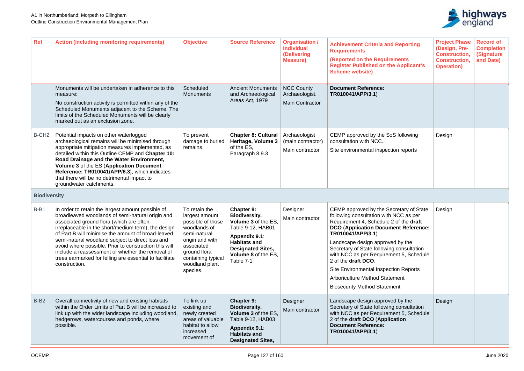

| <b>Ref</b>          | <b>Action (including monitoring requirements)</b>                                                                                                                                                                                                                                                                                                                                                                                                                                                           | <b>Objective</b>                                                                                                                                                                          | <b>Source Reference</b>                                                                                                                                                                              | <b>Organisation /</b><br><b>Individual</b><br>(Delivering<br><b>Measure)</b> | <b>Achievement Criteria and Reporting</b><br><b>Requirements</b><br><b>(Reported on the Requirements</b><br><b>Register Published on the Applicant's</b><br><b>Scheme website)</b>                                                                                                                                                                                                                                                                                                 | <b>Project Phase</b><br>(Design, Pre-<br><b>Construction,</b><br><b>Construction.</b><br><b>Operation</b> ) | <b>Record of</b><br><b>Completion</b><br><b>(Signature</b><br>and Date) |
|---------------------|-------------------------------------------------------------------------------------------------------------------------------------------------------------------------------------------------------------------------------------------------------------------------------------------------------------------------------------------------------------------------------------------------------------------------------------------------------------------------------------------------------------|-------------------------------------------------------------------------------------------------------------------------------------------------------------------------------------------|------------------------------------------------------------------------------------------------------------------------------------------------------------------------------------------------------|------------------------------------------------------------------------------|------------------------------------------------------------------------------------------------------------------------------------------------------------------------------------------------------------------------------------------------------------------------------------------------------------------------------------------------------------------------------------------------------------------------------------------------------------------------------------|-------------------------------------------------------------------------------------------------------------|-------------------------------------------------------------------------|
|                     | Monuments will be undertaken in adherence to this<br>measure:<br>No construction activity is permitted within any of the<br>Scheduled Monuments adjacent to the Scheme. The<br>limits of the Scheduled Monuments will be clearly<br>marked out as an exclusion zone.                                                                                                                                                                                                                                        | <b>Scheduled</b><br><b>Monuments</b>                                                                                                                                                      | <b>Ancient Monuments</b><br>and Archaeological<br>Areas Act, 1979                                                                                                                                    | <b>NCC County</b><br>Archaeologist.<br><b>Main Contractor</b>                | <b>Document Reference:</b><br>TR010041/APP/3.1)                                                                                                                                                                                                                                                                                                                                                                                                                                    |                                                                                                             |                                                                         |
| B-CH <sub>2</sub>   | Potential impacts on other waterlogged<br>archaeological remains will be minimised through<br>appropriate mitigation measures implemented, as<br>detailed within this Outline CEMP and Chapter 10:<br>Road Drainage and the Water Environment,<br>Volume 3 of the ES (Application Document<br>Reference: TR010041/APP/6.3), which indicates<br>that there will be no detrimental impact to<br>groundwater catchments.                                                                                       | To prevent<br>damage to buried<br>remains.                                                                                                                                                | <b>Chapter 8: Cultural</b><br>Heritage, Volume 3<br>of the ES,<br>Paragraph 8.9.3                                                                                                                    | Archaeologist<br>(main contractor)<br>Main contractor                        | CEMP approved by the SoS following<br>consultation with NCC.<br>Site environmental inspection reports                                                                                                                                                                                                                                                                                                                                                                              | Design                                                                                                      |                                                                         |
| <b>Biodiversity</b> |                                                                                                                                                                                                                                                                                                                                                                                                                                                                                                             |                                                                                                                                                                                           |                                                                                                                                                                                                      |                                                                              |                                                                                                                                                                                                                                                                                                                                                                                                                                                                                    |                                                                                                             |                                                                         |
| $B-B1$              | In order to retain the largest amount possible of<br>broadleaved woodlands of semi-natural origin and<br>associated ground flora (which are often<br>irreplaceable in the short/medium term), the design<br>of Part B will minimise the amount of broad-leaved<br>semi-natural woodland subject to direct loss and<br>avoid where possible. Prior to construction this will<br>include a reassessment of whether the removal of<br>trees earmarked for felling are essential to facilitate<br>construction. | To retain the<br>largest amount<br>possible of those<br>woodlands of<br>semi-natural<br>origin and with<br>associated<br>ground flora<br>containing typical<br>woodland plant<br>species. | <b>Chapter 9:</b><br><b>Biodiversity,</b><br>Volume 3 of the ES,<br>Table 9-12, HAB01<br><b>Appendix 9.1:</b><br><b>Habitats and</b><br><b>Designated Sites,</b><br>Volume 8 of the ES,<br>Table 7-1 | Designer<br>Main contractor                                                  | CEMP approved by the Secretary of State<br>following consultation with NCC as per<br>Requirement 4, Schedule 2 of the draft<br><b>DCO (Application Document Reference:</b><br>TR010041/APP/3.1)<br>Landscape design approved by the<br>Secretary of State following consultation<br>with NCC as per Requirement 5, Schedule<br>2 of the draft DCO.<br><b>Site Environmental Inspection Reports</b><br><b>Arboriculture Method Statement</b><br><b>Biosecurity Method Statement</b> | Design                                                                                                      |                                                                         |
| $B-B2$              | Overall connectivity of new and existing habitats<br>within the Order Limits of Part B will be increased to<br>link up with the wider landscape including woodland,<br>hedgerows, watercourses and ponds, where<br>possible.                                                                                                                                                                                                                                                                                | To link up<br>existing and<br>newly created<br>areas of valuable<br>habitat to allow<br>increased<br>movement of                                                                          | <b>Chapter 9:</b><br><b>Biodiversity,</b><br>Volume 3 of the ES,<br>Table 9-12, HAB03<br><b>Appendix 9.1:</b><br><b>Habitats and</b><br><b>Designated Sites,</b>                                     | Designer<br>Main contractor                                                  | Landscape design approved by the<br>Secretary of State following consultation<br>with NCC as per Requirement 5, Schedule<br>2 of the draft DCO (Application<br><b>Document Reference:</b><br>TR010041/APP/3.1)                                                                                                                                                                                                                                                                     | Design                                                                                                      |                                                                         |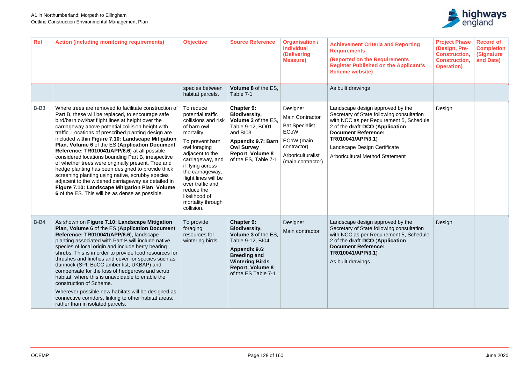

| <b>Ref</b> | <b>Action (including monitoring requirements)</b>                                                                                                                                                                                                                                                                                                                                                                                                                                                                                                                                                                                                                                                                                                                                                                          | <b>Objective</b>                                                                                                                                                                                                                                                                                                   | <b>Source Reference</b>                                                                                                                                                                                         | <b>Organisation /</b><br><b>Individual</b><br>(Delivering<br><b>Measure)</b>                                                                      | <b>Achievement Criteria and Reporting</b><br><b>Requirements</b><br><b>(Reported on the Requirements</b><br><b>Register Published on the Applicant's</b><br><b>Scheme website)</b>                                                                                                       | <b>Project Phase</b><br>(Design, Pre-<br><b>Construction,</b><br><b>Construction,</b><br><b>Operation</b> ) | <b>Record of</b><br><b>Completion</b><br>(Signature<br>and Date) |
|------------|----------------------------------------------------------------------------------------------------------------------------------------------------------------------------------------------------------------------------------------------------------------------------------------------------------------------------------------------------------------------------------------------------------------------------------------------------------------------------------------------------------------------------------------------------------------------------------------------------------------------------------------------------------------------------------------------------------------------------------------------------------------------------------------------------------------------------|--------------------------------------------------------------------------------------------------------------------------------------------------------------------------------------------------------------------------------------------------------------------------------------------------------------------|-----------------------------------------------------------------------------------------------------------------------------------------------------------------------------------------------------------------|---------------------------------------------------------------------------------------------------------------------------------------------------|------------------------------------------------------------------------------------------------------------------------------------------------------------------------------------------------------------------------------------------------------------------------------------------|-------------------------------------------------------------------------------------------------------------|------------------------------------------------------------------|
|            |                                                                                                                                                                                                                                                                                                                                                                                                                                                                                                                                                                                                                                                                                                                                                                                                                            | species between<br>habitat parcels.                                                                                                                                                                                                                                                                                | Volume 8 of the ES,<br>Table 7-1                                                                                                                                                                                |                                                                                                                                                   | As built drawings                                                                                                                                                                                                                                                                        |                                                                                                             |                                                                  |
| $B-B3$     | Where trees are removed to facilitate construction of<br>Part B, these will be replaced, to encourage safe<br>bird/barn owl/bat flight lines at height over the<br>carriageway above potential collision height with<br>traffic. Locations of prescribed planting design are<br>included within Figure 7.10: Landscape Mitigation<br><b>Plan, Volume 6 of the ES (Application Document</b><br>Reference: TR010041/APP/6.6) at all possible<br>considered locations bounding Part B, irrespective<br>of whether trees were originally present. Tree and<br>hedge planting has been designed to provide thick<br>screening planting using native, scrubby species<br>adjacent to the widened carriageway as detailed in<br>Figure 7.10: Landscape Mitigation Plan, Volume<br>6 of the ES. This will be as dense as possible. | To reduce<br>potential traffic<br>collisions and risk<br>of barn owl<br>mortality.<br>To prevent barn<br>owl foraging<br>adjacent to the<br>carriageway, and<br>if flying across<br>the carriageway,<br>flight lines will be<br>over traffic and<br>reduce the<br>likelihood of<br>mortality through<br>collision. | <b>Chapter 9:</b><br><b>Biodiversity,</b><br>Volume 3 of the ES,<br>Table 9-12, BO01<br>and BI03<br><b>Appendix 9.7: Barn</b><br><b>Owl Survey</b><br><b>Report, Volume 8</b><br>of the ES, Table 7-1           | Designer<br><b>Main Contractor</b><br><b>Bat Specialist</b><br><b>ECoW</b><br>ECoW (main<br>contractor)<br>Arboriculturalist<br>(main contractor) | Landscape design approved by the<br>Secretary of State following consultation<br>with NCC as per Requirement 5, Schedule<br>2 of the draft DCO (Application<br><b>Document Reference:</b><br>TR010041/APP/3.1)<br>Landscape Design Certificate<br><b>Arboricultural Method Statement</b> | Design                                                                                                      |                                                                  |
| $B-B4$     | As shown on Figure 7.10: Landscape Mitigation<br>Plan, Volume 6 of the ES (Application Document<br>Reference: TR010041/APP/6.6), landscape<br>planting associated with Part B will include native<br>species of local origin and include berry bearing<br>shrubs. This is in order to provide food resources for<br>thrushes and finches and cover for species such as<br>dunnock (SPI, BoCC amber list, UKBAP) and<br>compensate for the loss of hedgerows and scrub<br>habitat, where this is unavoidable to enable the<br>construction of Scheme.<br>Wherever possible new habitats will be designed as<br>connective corridors, linking to other habitat areas,<br>rather than in isolated parcels.                                                                                                                    | To provide<br>foraging<br>resources for<br>wintering birds.                                                                                                                                                                                                                                                        | <b>Chapter 9:</b><br><b>Biodiversity,</b><br>Volume 3 of the ES,<br>Table 9-12, BI04<br><b>Appendix 9.6:</b><br><b>Breeding and</b><br><b>Wintering Birds</b><br><b>Report, Volume 8</b><br>of the ES Table 7-1 | Designer<br>Main contractor                                                                                                                       | Landscape design approved by the<br>Secretary of State following consultation<br>with NCC as per Requirement 5, Schedule<br>2 of the draft DCO (Application<br><b>Document Reference:</b><br>TR010041/APP/3.1)<br>As built drawings                                                      | Design                                                                                                      |                                                                  |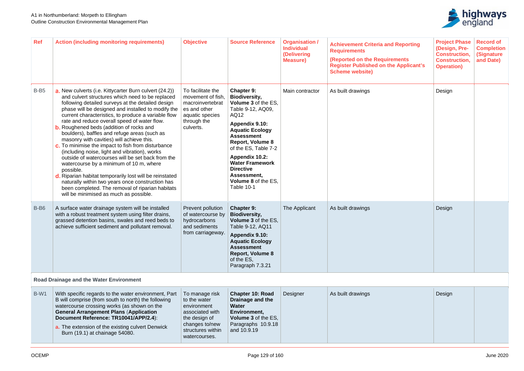

| <b>Ref</b>  | <b>Action (including monitoring requirements)</b>                                                                                                                                                                                                                                                                                                                                                                                                                                                                                                                                                                                                                                                                                                                                                                                                                                                             | <b>Objective</b>                                                                                                                          | <b>Source Reference</b>                                                                                                                                                                                                                                                                                                                      | <b>Organisation /</b><br><b>Individual</b><br><b>(Delivering</b><br><b>Measure)</b> | <b>Achievement Criteria and Reporting</b><br><b>Requirements</b><br><b>(Reported on the Requirements</b><br><b>Register Published on the Applicant's</b><br><b>Scheme website)</b> | <b>Project Phase</b><br>(Design, Pre-<br><b>Construction,</b><br><b>Construction,</b><br><b>Operation</b> ) | <b>Record of</b><br><b>Completion</b><br><b>(Signature</b><br>and Date) |
|-------------|---------------------------------------------------------------------------------------------------------------------------------------------------------------------------------------------------------------------------------------------------------------------------------------------------------------------------------------------------------------------------------------------------------------------------------------------------------------------------------------------------------------------------------------------------------------------------------------------------------------------------------------------------------------------------------------------------------------------------------------------------------------------------------------------------------------------------------------------------------------------------------------------------------------|-------------------------------------------------------------------------------------------------------------------------------------------|----------------------------------------------------------------------------------------------------------------------------------------------------------------------------------------------------------------------------------------------------------------------------------------------------------------------------------------------|-------------------------------------------------------------------------------------|------------------------------------------------------------------------------------------------------------------------------------------------------------------------------------|-------------------------------------------------------------------------------------------------------------|-------------------------------------------------------------------------|
| $B-B5$      | a. New culverts (i.e. Kittycarter Burn culvert (24.2))<br>and culvert structures which need to be replaced<br>following detailed surveys at the detailed design<br>phase will be designed and installed to modify the<br>current characteristics, to produce a variable flow<br>rate and reduce overall speed of water flow.<br><b>b.</b> Roughened beds (addition of rocks and<br>boulders), baffles and refuge areas (such as<br>masonry with cavities) will achieve this.<br>c. To minimise the impact to fish from disturbance<br>(including noise, light and vibration), works<br>outside of watercourses will be set back from the<br>watercourse by a minimum of 10 m, where<br>possible.<br>d. Riparian habitat temporarily lost will be reinstated<br>naturally within two years once construction has<br>been completed. The removal of riparian habitats<br>will be minimised as much as possible. | To facilitate the<br>movement of fish,<br>macroinvertebrat<br>es and other<br>aquatic species<br>through the<br>culverts.                 | <b>Chapter 9:</b><br><b>Biodiversity,</b><br>Volume 3 of the ES,<br>Table 9-12, AQ09,<br>AQ12<br>Appendix 9.10:<br><b>Aquatic Ecology</b><br><b>Assessment</b><br><b>Report, Volume 8</b><br>of the ES, Table 7-2<br><b>Appendix 10.2:</b><br><b>Water Framework</b><br><b>Directive</b><br>Assessment,<br>Volume 8 of the ES.<br>Table 10-1 | Main contractor                                                                     | As built drawings                                                                                                                                                                  | Design                                                                                                      |                                                                         |
| $B-6$       | A surface water drainage system will be installed<br>with a robust treatment system using filter drains,<br>grassed detention basins, swales and reed beds to<br>achieve sufficient sediment and pollutant removal.                                                                                                                                                                                                                                                                                                                                                                                                                                                                                                                                                                                                                                                                                           | Prevent pollution<br>of watercourse by<br>hydrocarbons<br>and sediments<br>from carriageway.                                              | <b>Chapter 9:</b><br><b>Biodiversity,</b><br>Volume 3 of the ES.<br>Table 9-12, AQ11<br><b>Appendix 9.10:</b><br><b>Aquatic Ecology</b><br><b>Assessment</b><br><b>Report, Volume 8</b><br>of the ES,<br>Paragraph 7.3.21                                                                                                                    | The Applicant                                                                       | As built drawings                                                                                                                                                                  | Design                                                                                                      |                                                                         |
|             | <b>Road Drainage and the Water Environment</b>                                                                                                                                                                                                                                                                                                                                                                                                                                                                                                                                                                                                                                                                                                                                                                                                                                                                |                                                                                                                                           |                                                                                                                                                                                                                                                                                                                                              |                                                                                     |                                                                                                                                                                                    |                                                                                                             |                                                                         |
| <b>B-W1</b> | With specific regards to the water environment, Part<br>B will comprise (from south to north) the following<br>watercourse crossing works (as shown on the<br><b>General Arrangement Plans (Application</b><br>Document Reference: TR10041/APP/2.4):<br>a. The extension of the existing culvert Denwick<br>Burn (19.1) at chainage 54080.                                                                                                                                                                                                                                                                                                                                                                                                                                                                                                                                                                    | To manage risk<br>to the water<br>environment<br>associated with<br>the design of<br>changes to/new<br>structures within<br>watercourses. | <b>Chapter 10: Road</b><br>Drainage and the<br><b>Water</b><br>Environment,<br><b>Volume 3 of the ES,</b><br>Paragraphs 10.9.18<br>and 10.9.19                                                                                                                                                                                               | Designer                                                                            | As built drawings                                                                                                                                                                  | Design                                                                                                      |                                                                         |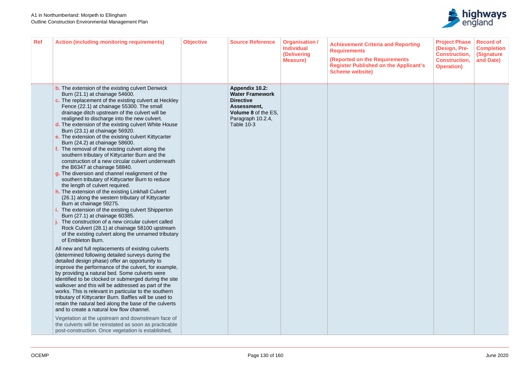

| <b>Ref</b> | <b>Action (including monitoring requirements)</b>                                                                                                                                                                                                                                                                                                                                                                                                                                                                                                                                                                                                                                                                                                                                                                                                                                                                                                                                                                                                                                                                                                                                                                                                                                                                                                                                                                                                                                                                                                                                                                                                                                                                                                                                                                                                                                                                                                                                                                                   | <b>Objective</b> | <b>Source Reference</b>                                                                                                                                    | <b>Organisation /</b><br><b>Individual</b><br>(Delivering<br><b>Measure)</b> | <b>Achievement Criteria and Reporting</b><br><b>Requirements</b><br><b>(Reported on the Requirements</b><br><b>Register Published on the Applicant's</b><br><b>Scheme website)</b> | <b>Project Phase</b><br>(Design, Pre-<br><b>Construction,</b><br><b>Construction,</b><br><b>Operation</b> ) | <b>Record of</b><br><b>Completion</b><br><b>(Signature</b><br>and Date) |
|------------|-------------------------------------------------------------------------------------------------------------------------------------------------------------------------------------------------------------------------------------------------------------------------------------------------------------------------------------------------------------------------------------------------------------------------------------------------------------------------------------------------------------------------------------------------------------------------------------------------------------------------------------------------------------------------------------------------------------------------------------------------------------------------------------------------------------------------------------------------------------------------------------------------------------------------------------------------------------------------------------------------------------------------------------------------------------------------------------------------------------------------------------------------------------------------------------------------------------------------------------------------------------------------------------------------------------------------------------------------------------------------------------------------------------------------------------------------------------------------------------------------------------------------------------------------------------------------------------------------------------------------------------------------------------------------------------------------------------------------------------------------------------------------------------------------------------------------------------------------------------------------------------------------------------------------------------------------------------------------------------------------------------------------------------|------------------|------------------------------------------------------------------------------------------------------------------------------------------------------------|------------------------------------------------------------------------------|------------------------------------------------------------------------------------------------------------------------------------------------------------------------------------|-------------------------------------------------------------------------------------------------------------|-------------------------------------------------------------------------|
|            | <b>b.</b> The extension of the existing culvert Denwick<br>Burn (21.1) at chainage 54600.<br>c. The replacement of the existing culvert at Heckley<br>Fence (22.1) at chainage 55300. The small<br>drainage ditch upstream of the culvert will be<br>realigned to discharge into the new culvert.<br>d. The extension of the existing culvert White House<br>Burn (23.1) at chainage 56920.<br>e. The extension of the existing culvert Kittycarter<br>Burn (24.2) at chainage 58600.<br>f. The removal of the existing culvert along the<br>southern tributary of Kittycarter Burn and the<br>construction of a new circular culvert underneath<br>the B6347 at chainage 58840.<br>g. The diversion and channel realignment of the<br>southern tributary of Kittycarter Burn to reduce<br>the length of culvert required.<br><b>h.</b> The extension of the existing Linkhall Culvert<br>(26.1) along the western tributary of Kittycarter<br>Burn at chainage 59275.<br>The extension of the existing culvert Shipperton<br>Burn (27.1) at chainage 60385.<br>The construction of a new circular culvert called<br>Rock Culvert (28.1) at chainage 58100 upstream<br>of the existing culvert along the unnamed tributary<br>of Embleton Burn.<br>All new and full replacements of existing culverts<br>(determined following detailed surveys during the<br>detailed design phase) offer an opportunity to<br>improve the performance of the culvert, for example,<br>by providing a natural bed. Some culverts were<br>identified to be clocked or submerged during the site<br>walkover and this will be addressed as part of the<br>works. This is relevant in particular to the southern<br>tributary of Kittycarter Burn. Baffles will be used to<br>retain the natural bed along the base of the culverts<br>and to create a natural low flow channel.<br>Vegetation at the upstream and downstream face of<br>the culverts will be reinstated as soon as practicable<br>post-construction. Once vegetation is established, |                  | <b>Appendix 10.2:</b><br><b>Water Framework</b><br><b>Directive</b><br>Assessment,<br><b>Volume 8 of the ES,</b><br>Paragraph 10.2.4,<br><b>Table 10-3</b> |                                                                              |                                                                                                                                                                                    |                                                                                                             |                                                                         |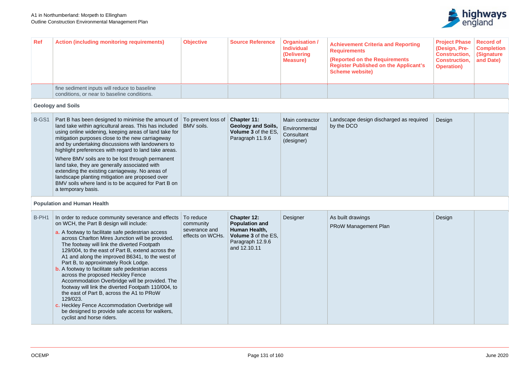

| <b>Ref</b>   | <b>Action (including monitoring requirements)</b>                                                                                                                                                                                                                                                                                                                                                                                                                                                                                                                                                                                                                                                                                                                                                          | <b>Objective</b>                                            | <b>Source Reference</b>                                                                                                 | <b>Organisation /</b><br><b>Individual</b><br><b>(Delivering</b><br><b>Measure)</b> | <b>Achievement Criteria and Reporting</b><br><b>Requirements</b><br><b>(Reported on the Requirements)</b><br><b>Register Published on the Applicant's</b><br><b>Scheme website)</b> | <b>Project Phase</b><br>(Design, Pre-<br><b>Construction,</b><br><b>Construction,</b><br><b>Operation</b> ) | <b>Record of</b><br><b>Completion</b><br><b>(Signature</b><br>and Date) |
|--------------|------------------------------------------------------------------------------------------------------------------------------------------------------------------------------------------------------------------------------------------------------------------------------------------------------------------------------------------------------------------------------------------------------------------------------------------------------------------------------------------------------------------------------------------------------------------------------------------------------------------------------------------------------------------------------------------------------------------------------------------------------------------------------------------------------------|-------------------------------------------------------------|-------------------------------------------------------------------------------------------------------------------------|-------------------------------------------------------------------------------------|-------------------------------------------------------------------------------------------------------------------------------------------------------------------------------------|-------------------------------------------------------------------------------------------------------------|-------------------------------------------------------------------------|
|              | fine sediment inputs will reduce to baseline<br>conditions, or near to baseline conditions.                                                                                                                                                                                                                                                                                                                                                                                                                                                                                                                                                                                                                                                                                                                |                                                             |                                                                                                                         |                                                                                     |                                                                                                                                                                                     |                                                                                                             |                                                                         |
|              | <b>Geology and Soils</b>                                                                                                                                                                                                                                                                                                                                                                                                                                                                                                                                                                                                                                                                                                                                                                                   |                                                             |                                                                                                                         |                                                                                     |                                                                                                                                                                                     |                                                                                                             |                                                                         |
| <b>B-GS1</b> | Part B has been designed to minimise the amount of<br>land take within agricultural areas. This has included<br>using online widening, keeping areas of land take for<br>mitigation purposes close to the new carriageway<br>and by undertaking discussions with landowners to<br>highlight preferences with regard to land take areas.<br>Where BMV soils are to be lost through permanent<br>land take, they are generally associated with<br>extending the existing carriageway. No areas of<br>landscape planting mitigation are proposed over<br>BMV soils where land is to be acquired for Part B on<br>a temporary basis.                                                                                                                                                                           | To prevent loss of<br>BMV soils.                            | <b>Chapter 11:</b><br><b>Geology and Soils,</b><br>Volume 3 of the ES,<br>Paragraph 11.9.6                              | Main contractor<br>Environmental<br>Consultant<br>(designer)                        | Landscape design discharged as required<br>by the DCO                                                                                                                               | Design                                                                                                      |                                                                         |
|              | <b>Population and Human Health</b>                                                                                                                                                                                                                                                                                                                                                                                                                                                                                                                                                                                                                                                                                                                                                                         |                                                             |                                                                                                                         |                                                                                     |                                                                                                                                                                                     |                                                                                                             |                                                                         |
| B-PH1        | In order to reduce community severance and effects<br>on WCH, the Part B design will include:<br>a. A footway to facilitate safe pedestrian access<br>across Charlton Mires Junction will be provided.<br>The footway will link the diverted Footpath<br>129/004, to the east of Part B, extend across the<br>A1 and along the improved B6341, to the west of<br>Part B, to approximately Rock Lodge.<br><b>b.</b> A footway to facilitate safe pedestrian access<br>across the proposed Heckley Fence<br>Accommodation Overbridge will be provided. The<br>footway will link the diverted Footpath 110/004, to<br>the east of Part B, across the A1 to PRoW<br>129/023.<br>c. Heckley Fence Accommodation Overbridge will<br>be designed to provide safe access for walkers,<br>cyclist and horse riders. | To reduce<br>community<br>severance and<br>effects on WCHs. | <b>Chapter 12:</b><br><b>Population and</b><br>Human Health,<br>Volume 3 of the ES,<br>Paragraph 12.9.6<br>and 12.10.11 | Designer                                                                            | As built drawings<br><b>PRoW Management Plan</b>                                                                                                                                    | Design                                                                                                      |                                                                         |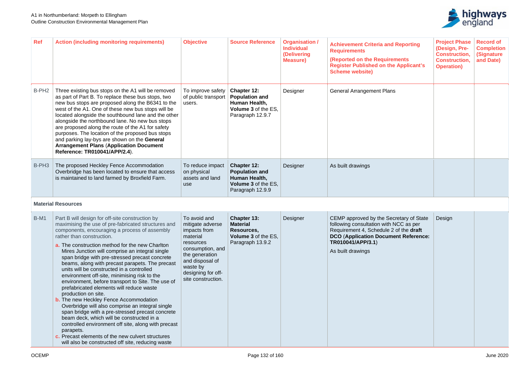

| <b>Ref</b>        | <b>Action (including monitoring requirements)</b>                                                                                                                                                                                                                                                                                                                                                                                                                                                                                                                                                                                                                                                                                                                                                                                                                                                                                                                                                        | <b>Objective</b>                                                                                                                                                                           | <b>Source Reference</b>                                                                                 | <b>Organisation /</b><br><b>Individual</b><br>(Delivering<br><b>Measure)</b> | <b>Achievement Criteria and Reporting</b><br><b>Requirements</b><br><b>(Reported on the Requirements)</b><br><b>Register Published on the Applicant's</b><br><b>Scheme website)</b>                                  | <b>Project Phase</b><br>(Design, Pre-<br><b>Construction,</b><br><b>Construction,</b><br><b>Operation</b> ) | <b>Record of</b><br><b>Completion</b><br>(Signature<br>and Date) |
|-------------------|----------------------------------------------------------------------------------------------------------------------------------------------------------------------------------------------------------------------------------------------------------------------------------------------------------------------------------------------------------------------------------------------------------------------------------------------------------------------------------------------------------------------------------------------------------------------------------------------------------------------------------------------------------------------------------------------------------------------------------------------------------------------------------------------------------------------------------------------------------------------------------------------------------------------------------------------------------------------------------------------------------|--------------------------------------------------------------------------------------------------------------------------------------------------------------------------------------------|---------------------------------------------------------------------------------------------------------|------------------------------------------------------------------------------|----------------------------------------------------------------------------------------------------------------------------------------------------------------------------------------------------------------------|-------------------------------------------------------------------------------------------------------------|------------------------------------------------------------------|
| B-PH <sub>2</sub> | Three existing bus stops on the A1 will be removed<br>as part of Part B. To replace these bus stops, two<br>new bus stops are proposed along the B6341 to the<br>west of the A1. One of these new bus stops will be<br>located alongside the southbound lane and the other<br>alongside the northbound lane. No new bus stops<br>are proposed along the route of the A1 for safety<br>purposes. The location of the proposed bus stops<br>and parking lay-bys are shown on the General<br><b>Arrangement Plans (Application Document</b><br>Reference: TR010041/APP/2.4).                                                                                                                                                                                                                                                                                                                                                                                                                                | To improve safety<br>of public transport<br>users.                                                                                                                                         | <b>Chapter 12:</b><br><b>Population and</b><br>Human Health,<br>Volume 3 of the ES,<br>Paragraph 12.9.7 | Designer                                                                     | <b>General Arrangement Plans</b>                                                                                                                                                                                     |                                                                                                             |                                                                  |
| B-PH <sub>3</sub> | The proposed Heckley Fence Accommodation<br>Overbridge has been located to ensure that access<br>is maintained to land farmed by Broxfield Farm.                                                                                                                                                                                                                                                                                                                                                                                                                                                                                                                                                                                                                                                                                                                                                                                                                                                         | To reduce impact<br>on physical<br>assets and land<br>use                                                                                                                                  | <b>Chapter 12:</b><br><b>Population and</b><br>Human Health,<br>Volume 3 of the ES,<br>Paragraph 12.9.9 | Designer                                                                     | As built drawings                                                                                                                                                                                                    |                                                                                                             |                                                                  |
|                   | <b>Material Resources</b>                                                                                                                                                                                                                                                                                                                                                                                                                                                                                                                                                                                                                                                                                                                                                                                                                                                                                                                                                                                |                                                                                                                                                                                            |                                                                                                         |                                                                              |                                                                                                                                                                                                                      |                                                                                                             |                                                                  |
| <b>B-M1</b>       | Part B will design for off-site construction by<br>maximising the use of pre-fabricated structures and<br>components, encouraging a process of assembly<br>rather than construction.<br>a. The construction method for the new Charlton<br>Mires Junction will comprise an integral single<br>span bridge with pre-stressed precast concrete<br>beams, along with precast parapets. The precast<br>units will be constructed in a controlled<br>environment off-site, minimising risk to the<br>environment, before transport to Site. The use of<br>prefabricated elements will reduce waste<br>production on site.<br><b>b.</b> The new Heckley Fence Accommodation<br>Overbridge will also comprise an integral single<br>span bridge with a pre-stressed precast concrete<br>beam deck, which will be constructed in a<br>controlled environment off site, along with precast<br>parapets.<br>c. Precast elements of the new culvert structures<br>will also be constructed off site, reducing waste | To avoid and<br>mitigate adverse<br>impacts from<br>material<br>resources<br>consumption, and<br>the generation<br>and disposal of<br>waste by<br>designing for off-<br>site construction. | <b>Chapter 13:</b><br><b>Material</b><br>Resources,<br><b>Volume 3 of the ES,</b><br>Paragraph 13.9.2   | Designer                                                                     | CEMP approved by the Secretary of State<br>following consultation with NCC as per<br>Requirement 4, Schedule 2 of the draft<br><b>DCO (Application Document Reference:</b><br>TR010041/APP/3.1)<br>As built drawings | Design                                                                                                      |                                                                  |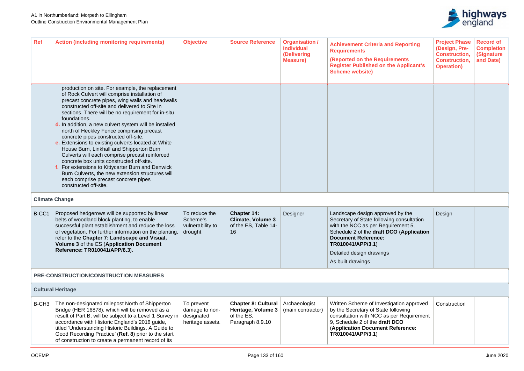

| <b>Ref</b>        | <b>Action (including monitoring requirements)</b>                                                                                                                                                                                                                                                                                                                                                                                                                                                                                                                                                                                                                                                                                                                                                      | <b>Objective</b>                                               | <b>Source Reference</b>                                                            | <b>Organisation /</b><br><b>Individual</b><br><b>(Delivering</b><br><b>Measure)</b> | <b>Achievement Criteria and Reporting</b><br><b>Requirements</b><br><b>(Reported on the Requirements</b><br><b>Register Published on the Applicant's</b><br><b>Scheme website)</b>                                                                                  | <b>Project Phase</b><br>(Design, Pre-<br><b>Construction,</b><br><b>Construction,</b><br><b>Operation</b> ) | <b>Record of</b><br><b>Completion</b><br><b>(Signature</b><br>and Date) |
|-------------------|--------------------------------------------------------------------------------------------------------------------------------------------------------------------------------------------------------------------------------------------------------------------------------------------------------------------------------------------------------------------------------------------------------------------------------------------------------------------------------------------------------------------------------------------------------------------------------------------------------------------------------------------------------------------------------------------------------------------------------------------------------------------------------------------------------|----------------------------------------------------------------|------------------------------------------------------------------------------------|-------------------------------------------------------------------------------------|---------------------------------------------------------------------------------------------------------------------------------------------------------------------------------------------------------------------------------------------------------------------|-------------------------------------------------------------------------------------------------------------|-------------------------------------------------------------------------|
|                   | production on site. For example, the replacement<br>of Rock Culvert will comprise installation of<br>precast concrete pipes, wing walls and headwalls<br>constructed off-site and delivered to Site in<br>sections. There will be no requirement for in-situ<br>foundations.<br>d. In addition, a new culvert system will be installed<br>north of Heckley Fence comprising precast<br>concrete pipes constructed off-site.<br>e. Extensions to existing culverts located at White<br>House Burn, Linkhall and Shipperton Burn<br>Culverts will each comprise precast reinforced<br>concrete box units constructed off-site.<br>f. For extensions to Kittycarter Burn and Denwick<br>Burn Culverts, the new extension structures will<br>each comprise precast concrete pipes<br>constructed off-site. |                                                                |                                                                                    |                                                                                     |                                                                                                                                                                                                                                                                     |                                                                                                             |                                                                         |
|                   | <b>Climate Change</b>                                                                                                                                                                                                                                                                                                                                                                                                                                                                                                                                                                                                                                                                                                                                                                                  |                                                                |                                                                                    |                                                                                     |                                                                                                                                                                                                                                                                     |                                                                                                             |                                                                         |
| B-CC1             | Proposed hedgerows will be supported by linear<br>belts of woodland block planting, to enable<br>successful plant establishment and reduce the loss<br>of vegetation. For further information on the planting,<br>refer to the Chapter 7: Landscape and Visual,<br>Volume 3 of the ES (Application Document<br>Reference: TR010041/APP/6.3).                                                                                                                                                                                                                                                                                                                                                                                                                                                           | To reduce the<br>Scheme's<br>vulnerability to<br>drought       | <b>Chapter 14:</b><br><b>Climate, Volume 3</b><br>of the ES, Table 14-<br>16       | Designer                                                                            | Landscape design approved by the<br>Secretary of State following consultation<br>with the NCC as per Requirement 5,<br>Schedule 2 of the draft DCO (Application<br><b>Document Reference:</b><br>TR010041/APP/3.1)<br>Detailed design drawings<br>As built drawings | Design                                                                                                      |                                                                         |
|                   | <b>PRE-CONSTRUCTION/CONSTRUCTION MEASURES</b>                                                                                                                                                                                                                                                                                                                                                                                                                                                                                                                                                                                                                                                                                                                                                          |                                                                |                                                                                    |                                                                                     |                                                                                                                                                                                                                                                                     |                                                                                                             |                                                                         |
|                   | <b>Cultural Heritage</b>                                                                                                                                                                                                                                                                                                                                                                                                                                                                                                                                                                                                                                                                                                                                                                               |                                                                |                                                                                    |                                                                                     |                                                                                                                                                                                                                                                                     |                                                                                                             |                                                                         |
| B-CH <sub>3</sub> | The non-designated milepost North of Shipperton<br>Bridge (HER 16878), which will be removed as a<br>result of Part B, will be subject to a Level 1 Survey in<br>accordance with Historic England's 2016 guide,<br>titled 'Understanding Historic Buildings. A Guide to<br>Good Recording Practice' (Ref. 8) prior to the start<br>of construction to create a permanent record of its                                                                                                                                                                                                                                                                                                                                                                                                                 | To prevent<br>damage to non-<br>designated<br>heritage assets. | <b>Chapter 8: Cultural</b><br>Heritage, Volume 3<br>of the ES,<br>Paragraph 8.9.10 | Archaeologist<br>(main contractor)                                                  | Written Scheme of Investigation approved<br>by the Secretary of State following<br>consultation with NCC as per Requirement<br>9. Schedule 2 of the draft DCO<br>(Application Document Reference:<br>TR010041/APP/3.1)                                              | Construction                                                                                                |                                                                         |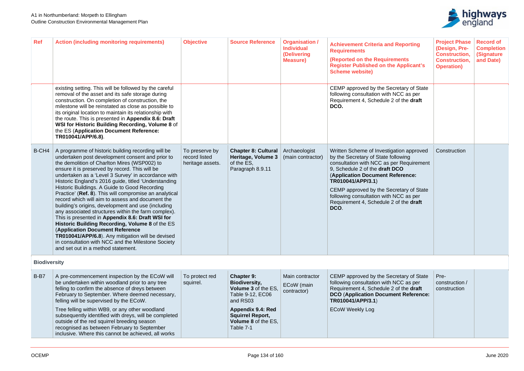

| <b>Ref</b>          | <b>Action (including monitoring requirements)</b>                                                                                                                                                                                                                                                                                                                                                                                                                                                                                                                                                                                                                                                                                                                                                                                                                                                     | <b>Objective</b>                                    | <b>Source Reference</b>                                                                                                                                                                     | <b>Organisation /</b><br><b>Individual</b><br>(Delivering<br><b>Measure)</b> | <b>Achievement Criteria and Reporting</b><br><b>Requirements</b><br><b>(Reported on the Requirements)</b><br><b>Register Published on the Applicant's</b><br><b>Scheme website)</b>                                                                                                                                                                           | <b>Project Phase</b><br>(Design, Pre-<br><b>Construction,</b><br><b>Construction.</b><br><b>Operation</b> ) | <b>Record of</b><br><b>Completion</b><br><b>(Signature</b><br>and Date) |
|---------------------|-------------------------------------------------------------------------------------------------------------------------------------------------------------------------------------------------------------------------------------------------------------------------------------------------------------------------------------------------------------------------------------------------------------------------------------------------------------------------------------------------------------------------------------------------------------------------------------------------------------------------------------------------------------------------------------------------------------------------------------------------------------------------------------------------------------------------------------------------------------------------------------------------------|-----------------------------------------------------|---------------------------------------------------------------------------------------------------------------------------------------------------------------------------------------------|------------------------------------------------------------------------------|---------------------------------------------------------------------------------------------------------------------------------------------------------------------------------------------------------------------------------------------------------------------------------------------------------------------------------------------------------------|-------------------------------------------------------------------------------------------------------------|-------------------------------------------------------------------------|
|                     | existing setting. This will be followed by the careful<br>removal of the asset and its safe storage during<br>construction. On completion of construction, the<br>milestone will be reinstated as close as possible to<br>its original location to maintain its relationship with<br>the route. This is presented in Appendix 8.6: Draft<br>WSI for Historic Building Recording, Volume 8 of<br>the ES (Application Document Reference:<br>TR010041/APP/6.8).                                                                                                                                                                                                                                                                                                                                                                                                                                         |                                                     |                                                                                                                                                                                             |                                                                              | CEMP approved by the Secretary of State<br>following consultation with NCC as per<br>Requirement 4, Schedule 2 of the draft<br>DCO.                                                                                                                                                                                                                           |                                                                                                             |                                                                         |
| B-CH4               | A programme of historic building recording will be<br>undertaken post development consent and prior to<br>the demolition of Charlton Mires (WSP002) to<br>ensure it is preserved by record. This will be<br>undertaken as a 'Level 3 Survey' in accordance with<br>Historic England's 2016 guide, titled 'Understanding<br>Historic Buildings. A Guide to Good Recording<br>Practice' (Ref. 8). This will compromise an analytical<br>record which will aim to assess and document the<br>building's origins, development and use (including<br>any associated structures within the farm complex).<br>This is presented in Appendix 8.6: Draft WSI for<br>Historic Building Recording, Volume 8 of the ES<br><b>(Application Document Reference</b><br>TR010041/APP/6.8). Any mitigation will be devised<br>in consultation with NCC and the Milestone Society<br>and set out in a method statement. | To preserve by<br>record listed<br>heritage assets. | <b>Chapter 8: Cultural</b><br>Heritage, Volume 3<br>of the ES,<br>Paragraph 8.9.11                                                                                                          | Archaeologist<br>(main contractor)                                           | Written Scheme of Investigation approved<br>by the Secretary of State following<br>consultation with NCC as per Requirement<br>9, Schedule 2 of the draft DCO<br>(Application Document Reference:<br>TR010041/APP/3.1)<br>CEMP approved by the Secretary of State<br>following consultation with NCC as per<br>Requirement 4, Schedule 2 of the draft<br>DCO. | Construction                                                                                                |                                                                         |
| <b>Biodiversity</b> |                                                                                                                                                                                                                                                                                                                                                                                                                                                                                                                                                                                                                                                                                                                                                                                                                                                                                                       |                                                     |                                                                                                                                                                                             |                                                                              |                                                                                                                                                                                                                                                                                                                                                               |                                                                                                             |                                                                         |
| $B-B7$              | A pre-commencement inspection by the ECoW will<br>be undertaken within woodland prior to any tree<br>felling to confirm the absence of dreys between<br>February to September. Where deemed necessary,<br>felling will be supervised by the ECoW.<br>Tree felling within WB9, or any other woodland<br>subsequently identified with dreys, will be completed<br>outside of the red squirrel breeding season<br>recognised as between February to September<br>inclusive. Where this cannot be achieved, all works                                                                                                                                                                                                                                                                                                                                                                                     | To protect red<br>squirrel.                         | <b>Chapter 9:</b><br><b>Biodiversity,</b><br>Volume 3 of the ES.<br>Table 9-12, EC06<br>and RS03<br><b>Appendix 9.4: Red</b><br><b>Squirrel Report,</b><br>Volume 8 of the ES.<br>Table 7-1 | Main contractor<br>ECoW (main<br>contractor)                                 | CEMP approved by the Secretary of State<br>following consultation with NCC as per<br>Requirement 4, Schedule 2 of the draft<br><b>DCO (Application Document Reference:</b><br>TR010041/APP/3.1)<br><b>ECoW Weekly Log</b>                                                                                                                                     | Pre-<br>construction /<br>construction                                                                      |                                                                         |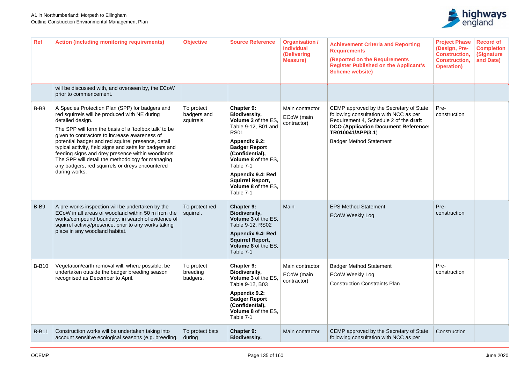

| <b>Ref</b>   | <b>Action (including monitoring requirements)</b>                                                                                                                                                                                                                                                                                                                                                                                                                                                                            | <b>Objective</b>                        | <b>Source Reference</b>                                                                                                                                                                                                                                                                                  | <b>Organisation /</b><br><b>Individual</b><br>(Delivering<br><b>Measure)</b> | <b>Achievement Criteria and Reporting</b><br><b>Requirements</b><br><b>(Reported on the Requirements)</b><br><b>Register Published on the Applicant's</b><br><b>Scheme website)</b>                                               | <b>Project Phase</b><br>(Design, Pre-<br><b>Construction,</b><br><b>Construction,</b><br><b>Operation</b> ) | <b>Record of</b><br><b>Completion</b><br><b>(Signature</b><br>and Date) |
|--------------|------------------------------------------------------------------------------------------------------------------------------------------------------------------------------------------------------------------------------------------------------------------------------------------------------------------------------------------------------------------------------------------------------------------------------------------------------------------------------------------------------------------------------|-----------------------------------------|----------------------------------------------------------------------------------------------------------------------------------------------------------------------------------------------------------------------------------------------------------------------------------------------------------|------------------------------------------------------------------------------|-----------------------------------------------------------------------------------------------------------------------------------------------------------------------------------------------------------------------------------|-------------------------------------------------------------------------------------------------------------|-------------------------------------------------------------------------|
|              | will be discussed with, and overseen by, the ECoW<br>prior to commencement.                                                                                                                                                                                                                                                                                                                                                                                                                                                  |                                         |                                                                                                                                                                                                                                                                                                          |                                                                              |                                                                                                                                                                                                                                   |                                                                                                             |                                                                         |
| B-B8         | A Species Protection Plan (SPP) for badgers and<br>red squirrels will be produced with NE during<br>detailed design.<br>The SPP will form the basis of a 'toolbox talk' to be<br>given to contractors to increase awareness of<br>potential badger and red squirrel presence, detail<br>typical activity, field signs and setts for badgers and<br>feeding signs and drey presence within woodlands.<br>The SPP will detail the methodology for managing<br>any badgers, red squirrels or dreys encountered<br>during works. | To protect<br>badgers and<br>squirrels. | <b>Chapter 9:</b><br><b>Biodiversity,</b><br>Volume 3 of the ES,<br>Table 9-12, B01 and<br><b>RS01</b><br><b>Appendix 9.2:</b><br><b>Badger Report</b><br>(Confidential),<br>Volume 8 of the ES.<br>Table 7-1<br><b>Appendix 9.4: Red</b><br><b>Squirrel Report,</b><br>Volume 8 of the ES.<br>Table 7-1 | Main contractor<br>ECoW (main<br>contractor)                                 | CEMP approved by the Secretary of State<br>following consultation with NCC as per<br>Requirement 4, Schedule 2 of the draft<br><b>DCO (Application Document Reference:</b><br>TR010041/APP/3.1)<br><b>Badger Method Statement</b> | Pre-<br>construction                                                                                        |                                                                         |
| <b>B-B9</b>  | A pre-works inspection will be undertaken by the<br>ECoW in all areas of woodland within 50 m from the<br>works/compound boundary, in search of evidence of<br>squirrel activity/presence, prior to any works taking<br>place in any woodland habitat.                                                                                                                                                                                                                                                                       | To protect red<br>squirrel.             | <b>Chapter 9:</b><br><b>Biodiversity,</b><br>Volume 3 of the ES,<br>Table 9-12, RS02<br>Appendix 9.4: Red<br><b>Squirrel Report,</b><br>Volume 8 of the ES,<br>Table 7-1                                                                                                                                 | Main                                                                         | <b>EPS Method Statement</b><br><b>ECoW Weekly Log</b>                                                                                                                                                                             | Pre-<br>construction                                                                                        |                                                                         |
| <b>B-B10</b> | Vegetation/earth removal will, where possible, be<br>undertaken outside the badger breeding season<br>recognised as December to April.                                                                                                                                                                                                                                                                                                                                                                                       | To protect<br>breeding<br>badgers.      | <b>Chapter 9:</b><br><b>Biodiversity,</b><br>Volume 3 of the ES,<br>Table 9-12, B03<br><b>Appendix 9.2:</b><br><b>Badger Report</b><br>(Confidential),<br>Volume 8 of the ES.<br>Table 7-1                                                                                                               | Main contractor<br>ECoW (main<br>contractor)                                 | <b>Badger Method Statement</b><br><b>ECoW Weekly Log</b><br><b>Construction Constraints Plan</b>                                                                                                                                  | Pre-<br>construction                                                                                        |                                                                         |
| <b>B-B11</b> | Construction works will be undertaken taking into<br>account sensitive ecological seasons (e.g. breeding,                                                                                                                                                                                                                                                                                                                                                                                                                    | To protect bats<br>during               | <b>Chapter 9:</b><br><b>Biodiversity,</b>                                                                                                                                                                                                                                                                | Main contractor                                                              | CEMP approved by the Secretary of State<br>following consultation with NCC as per                                                                                                                                                 | Construction                                                                                                |                                                                         |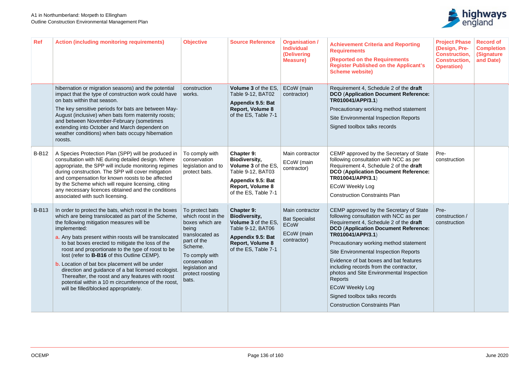

| <b>Ref</b>   | <b>Action (including monitoring requirements)</b>                                                                                                                                                                                                                                                                                                                                                                                                                                                                                                                                                                                                                         | <b>Objective</b>                                                                                                                                                                                 | <b>Source Reference</b>                                                                                                                                              | <b>Organisation /</b><br><b>Individual</b><br><b>(Delivering</b><br><b>Measure)</b>  | <b>Achievement Criteria and Reporting</b><br><b>Requirements</b><br><b>(Reported on the Requirements)</b><br><b>Register Published on the Applicant's</b><br><b>Scheme website)</b>                                                                                                                                                                                                                                                                                                                                                    | <b>Project Phase</b><br>(Design, Pre-<br><b>Construction,</b><br><b>Construction,</b><br><b>Operation</b> ) | <b>Record of</b><br><b>Completion</b><br>(Signature<br>and Date) |
|--------------|---------------------------------------------------------------------------------------------------------------------------------------------------------------------------------------------------------------------------------------------------------------------------------------------------------------------------------------------------------------------------------------------------------------------------------------------------------------------------------------------------------------------------------------------------------------------------------------------------------------------------------------------------------------------------|--------------------------------------------------------------------------------------------------------------------------------------------------------------------------------------------------|----------------------------------------------------------------------------------------------------------------------------------------------------------------------|--------------------------------------------------------------------------------------|----------------------------------------------------------------------------------------------------------------------------------------------------------------------------------------------------------------------------------------------------------------------------------------------------------------------------------------------------------------------------------------------------------------------------------------------------------------------------------------------------------------------------------------|-------------------------------------------------------------------------------------------------------------|------------------------------------------------------------------|
|              | hibernation or migration seasons) and the potential<br>impact that the type of construction work could have<br>on bats within that season.<br>The key sensitive periods for bats are between May-<br>August (inclusive) when bats form maternity roosts;<br>and between November-February (sometimes<br>extending into October and March dependent on<br>weather conditions) when bats occupy hibernation<br>roosts.                                                                                                                                                                                                                                                      | construction<br>works.                                                                                                                                                                           | Volume 3 of the ES,<br>Table 9-12, BAT02<br><b>Appendix 9.5: Bat</b><br><b>Report, Volume 8</b><br>of the ES, Table 7-1                                              | ECoW (main<br>contractor)                                                            | Requirement 4, Schedule 2 of the draft<br><b>DCO (Application Document Reference:</b><br>TR010041/APP/3.1)<br>Precautionary working method statement<br><b>Site Environmental Inspection Reports</b><br>Signed toolbox talks records                                                                                                                                                                                                                                                                                                   |                                                                                                             |                                                                  |
| <b>B-B12</b> | A Species Protection Plan (SPP) will be produced in<br>consultation with NE during detailed design. Where<br>appropriate, the SPP will include monitoring regimes<br>during construction. The SPP will cover mitigation<br>and compensation for known roosts to be affected<br>by the Scheme which will require licensing, citing<br>any necessary licences obtained and the conditions<br>associated with such licensing.                                                                                                                                                                                                                                                | To comply with<br>conservation<br>legislation and to<br>protect bats.                                                                                                                            | <b>Chapter 9:</b><br><b>Biodiversity,</b><br>Volume 3 of the ES,<br>Table 9-12, BAT03<br><b>Appendix 9.5: Bat</b><br><b>Report, Volume 8</b><br>of the ES, Table 7-1 | Main contractor<br>ECoW (main<br>contractor)                                         | CEMP approved by the Secretary of State<br>following consultation with NCC as per<br>Requirement 4, Schedule 2 of the draft<br><b>DCO (Application Document Reference:</b><br>TR010041/APP/3.1)<br><b>ECoW Weekly Log</b><br><b>Construction Constraints Plan</b>                                                                                                                                                                                                                                                                      | Pre-<br>construction                                                                                        |                                                                  |
| <b>B-B13</b> | In order to protect the bats, which roost in the boxes<br>which are being translocated as part of the Scheme,<br>the following mitigation measures will be<br>implemented:<br>a. Any bats present within roosts will be translocated<br>to bat boxes erected to mitigate the loss of the<br>roost and proportionate to the type of roost to be<br>lost (refer to <b>B-B16</b> of this Outline CEMP).<br><b>b.</b> Location of bat box placement will be under<br>direction and guidance of a bat licensed ecologist.<br>Thereafter, the roost and any features with roost<br>potential within a 10 m circumference of the roost,<br>will be filled/blocked appropriately. | To protect bats<br>which roost in the<br>boxes which are<br>being<br>translocated as<br>part of the<br>Scheme.<br>To comply with<br>conservation<br>legislation and<br>protect roosting<br>bats. | <b>Chapter 9:</b><br><b>Biodiversity,</b><br>Volume 3 of the ES,<br>Table 9-12, BAT06<br><b>Appendix 9.5: Bat</b><br><b>Report, Volume 8</b><br>of the ES, Table 7-1 | Main contractor<br><b>Bat Specialist</b><br><b>ECoW</b><br>ECoW (main<br>contractor) | CEMP approved by the Secretary of State<br>following consultation with NCC as per<br>Requirement 4, Schedule 2 of the draft<br><b>DCO (Application Document Reference:</b><br>TR010041/APP/3.1)<br>Precautionary working method statement<br><b>Site Environmental Inspection Reports</b><br>Evidence of bat boxes and bat features<br>including records from the contractor,<br>photos and Site Environmental Inspection<br>Reports<br><b>ECoW Weekly Log</b><br>Signed toolbox talks records<br><b>Construction Constraints Plan</b> | Pre-<br>construction /<br>construction                                                                      |                                                                  |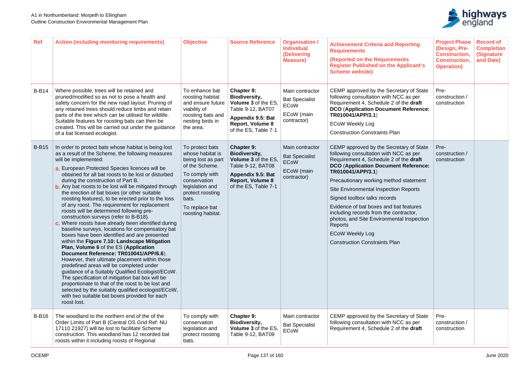

| <b>Ref</b>   | <b>Action (including monitoring requirements)</b>                                                                                                                                                                                                                                                                                                                                                                                                                                                                                                                                                                                                                                                                                                                                                                                                                                                                                                                                                                                                                                                                                                                                                                                                                             | <b>Objective</b>                                                                                                                                                                                     | <b>Source Reference</b>                                                                                                                                              | <b>Organisation /</b><br><b>Individual</b><br>(Delivering<br><b>Measure)</b>         | <b>Achievement Criteria and Reporting</b><br><b>Requirements</b><br><b>(Reported on the Requirements)</b><br><b>Register Published on the Applicant's</b><br><b>Scheme website)</b>                                                                                                                                                                                                                                                                                                                                                     | <b>Project Phase</b><br>(Design, Pre-<br><b>Construction,</b><br><b>Construction.</b><br><b>Operation</b> ) | <b>Record of</b><br><b>Completion</b><br>(Signature<br>and Date) |
|--------------|-------------------------------------------------------------------------------------------------------------------------------------------------------------------------------------------------------------------------------------------------------------------------------------------------------------------------------------------------------------------------------------------------------------------------------------------------------------------------------------------------------------------------------------------------------------------------------------------------------------------------------------------------------------------------------------------------------------------------------------------------------------------------------------------------------------------------------------------------------------------------------------------------------------------------------------------------------------------------------------------------------------------------------------------------------------------------------------------------------------------------------------------------------------------------------------------------------------------------------------------------------------------------------|------------------------------------------------------------------------------------------------------------------------------------------------------------------------------------------------------|----------------------------------------------------------------------------------------------------------------------------------------------------------------------|--------------------------------------------------------------------------------------|-----------------------------------------------------------------------------------------------------------------------------------------------------------------------------------------------------------------------------------------------------------------------------------------------------------------------------------------------------------------------------------------------------------------------------------------------------------------------------------------------------------------------------------------|-------------------------------------------------------------------------------------------------------------|------------------------------------------------------------------|
| <b>B-B14</b> | Where possible, trees will be retained and<br>pruned/modified so as not to pose a health and<br>safety concern for the new road layout. Pruning of<br>any retained trees should reduce limbs and retain<br>parts of the tree which can be utilised for wildlife.<br>Suitable features for roosting bats can then be<br>created. This will be carried out under the guidance<br>of a bat licensed ecologist.                                                                                                                                                                                                                                                                                                                                                                                                                                                                                                                                                                                                                                                                                                                                                                                                                                                                   | To enhance bat<br>roosting habitat<br>and ensure future<br>viability of<br>roosting bats and<br>nesting birds in<br>the area.                                                                        | <b>Chapter 9:</b><br><b>Biodiversity,</b><br>Volume 3 of the ES,<br>Table 9-12, BAT07<br><b>Appendix 9.5: Bat</b><br><b>Report, Volume 8</b><br>of the ES, Table 7-1 | Main contractor<br><b>Bat Specialist</b><br><b>ECoW</b><br>ECoW (main<br>contractor) | CEMP approved by the Secretary of State<br>following consultation with NCC as per<br>Requirement 4, Schedule 2 of the draft<br><b>DCO (Application Document Reference:</b><br>TR010041/APP/3.1)<br><b>ECoW Weekly Log</b><br><b>Construction Constraints Plan</b>                                                                                                                                                                                                                                                                       | Pre-<br>construction /<br>construction                                                                      |                                                                  |
| <b>B-B15</b> | In order to protect bats whose habitat is being lost<br>as a result of the Scheme, the following measures<br>will be implemented:<br>a. European Protected Species licences will be<br>obtained for all bat roosts to be lost or disturbed<br>during the construction of Part B.<br><b>b.</b> Any bat roosts to be lost will be mitigated through<br>the erection of bat boxes (or other suitable<br>roosting features), to be erected prior to the loss<br>of any roost. The requirement for replacement<br>roosts will be determined following pre-<br>construction surveys (refer to B-B18).<br>c. Where roosts have already been identified during<br>baseline surveys, locations for compensatory bat<br>boxes have been identified and are presented<br>within the Figure 7.10: Landscape Mitigation<br>Plan, Volume 6 of the ES (Application<br>Document Reference: TR010041/APP/6.6).<br>However, their ultimate placement within those<br>predefined areas will be completed under<br>guidance of a Suitably Qualified Ecologist/ECoW.<br>The specification of mitigation bat box will be<br>proportionate to that of the roost to be lost and<br>selected by the suitably qualified ecologist/ECoW,<br>with two suitable bat boxes provided for each<br>roost lost. | To protect bats<br>whose habitat is<br>being lost as part<br>of the Scheme.<br>To comply with<br>conservation<br>legislation and<br>protect roosting<br>bats.<br>To replace bat<br>roosting habitat. | <b>Chapter 9:</b><br><b>Biodiversity,</b><br>Volume 3 of the ES,<br>Table 9-12, BAT08<br><b>Appendix 9.5: Bat</b><br><b>Report, Volume 8</b><br>of the ES, Table 7-1 | Main contractor<br><b>Bat Specialist</b><br><b>ECoW</b><br>ECoW (main<br>contractor) | CEMP approved by the Secretary of State<br>following consultation with NCC as per<br>Requirement 4, Schedule 2 of the draft<br><b>DCO (Application Document Reference:</b><br>TR010041/APP/3.1)<br>Precautionary working method statement<br><b>Site Environmental Inspection Reports</b><br>Signed toolbox talks records<br>Evidence of bat boxes and bat features<br>including records from the contractor,<br>photos, and Site Environmental Inspection<br>Reports<br><b>ECoW Weekly Log</b><br><b>Construction Constraints Plan</b> | Pre-<br>construction /<br>construction                                                                      |                                                                  |
| <b>B-B16</b> | The woodland to the northern end of the of the<br>Order Limits of Part B (Central OS Grid Ref: NU<br>17110 21927) will be lost to facilitate Scheme<br>construction. This woodland has 12 recorded bat<br>roosts within it including roosts of Regional                                                                                                                                                                                                                                                                                                                                                                                                                                                                                                                                                                                                                                                                                                                                                                                                                                                                                                                                                                                                                       | To comply with<br>conservation<br>legislation and<br>protect roosting<br>bats.                                                                                                                       | <b>Chapter 9:</b><br><b>Biodiversity,</b><br>Volume 3 of the ES,<br>Table 9-12, BAT09                                                                                | Main contractor<br><b>Bat Specialist</b><br><b>ECoW</b>                              | CEMP approved by the Secretary of State<br>following consultation with NCC as per<br>Requirement 4, Schedule 2 of the draft                                                                                                                                                                                                                                                                                                                                                                                                             | Pre-<br>construction /<br>construction                                                                      |                                                                  |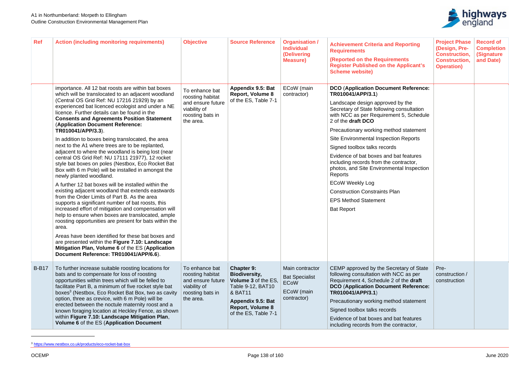

| <b>Ref</b>   | <b>Action (including monitoring requirements)</b>                                                                                                                                                                                                                                                                                                                                                                                                                                                                                                                                                                                                                                                                                                                                                                                                                                                                                                                                                                                                                                                                                                                                                                                                                                                                                           | <b>Objective</b>                                                                                         | <b>Source Reference</b>                                                                                                                                                         | <b>Organisation /</b><br><b>Individual</b><br>(Delivering<br><b>Measure)</b>         | <b>Achievement Criteria and Reporting</b><br><b>Requirements</b><br><b>(Reported on the Requirements</b><br><b>Register Published on the Applicant's</b><br><b>Scheme website)</b>                                                                                                                                                                                                                                                                                                                                                                                                                             | <b>Project Phase</b><br>(Design, Pre-<br><b>Construction,</b><br><b>Construction,</b><br><b>Operation</b> ) | <b>Record of</b><br><b>Completion</b><br><b>(Signature</b><br>and Date) |
|--------------|---------------------------------------------------------------------------------------------------------------------------------------------------------------------------------------------------------------------------------------------------------------------------------------------------------------------------------------------------------------------------------------------------------------------------------------------------------------------------------------------------------------------------------------------------------------------------------------------------------------------------------------------------------------------------------------------------------------------------------------------------------------------------------------------------------------------------------------------------------------------------------------------------------------------------------------------------------------------------------------------------------------------------------------------------------------------------------------------------------------------------------------------------------------------------------------------------------------------------------------------------------------------------------------------------------------------------------------------|----------------------------------------------------------------------------------------------------------|---------------------------------------------------------------------------------------------------------------------------------------------------------------------------------|--------------------------------------------------------------------------------------|----------------------------------------------------------------------------------------------------------------------------------------------------------------------------------------------------------------------------------------------------------------------------------------------------------------------------------------------------------------------------------------------------------------------------------------------------------------------------------------------------------------------------------------------------------------------------------------------------------------|-------------------------------------------------------------------------------------------------------------|-------------------------------------------------------------------------|
|              | importance. All 12 bat roosts are within bat boxes<br>which will be translocated to an adjacent woodland<br>(Central OS Grid Ref: NU 17216 21929) by an<br>experienced bat licenced ecologist and under a NE<br>licence. Further details can be found in the<br><b>Consents and Agreements Position Statement</b><br>(Application Document Reference:<br>TR010041/APP/3.3).<br>In addition to boxes being translocated, the area<br>next to the A1 where trees are to be replanted,<br>adjacent to where the woodland is being lost (near<br>central OS Grid Ref: NU 17111 21977), 12 rocket<br>style bat boxes on poles (Nestbox, Eco Rocket Bat<br>Box with 6 m Pole) will be installed in amongst the<br>newly planted woodland.<br>A further 12 bat boxes will be installed within the<br>existing adjacent woodland that extends eastwards<br>from the Order Limits of Part B. As the area<br>supports a significant number of bat roosts, this<br>increased effort of mitigation and compensation will<br>help to ensure when boxes are translocated, ample<br>roosting opportunities are present for bats within the<br>area.<br>Areas have been identified for these bat boxes and<br>are presented within the Figure 7.10: Landscape<br>Mitigation Plan, Volume 6 of the ES (Application<br>Document Reference: TR010041/APP/6.6). | To enhance bat<br>roosting habitat<br>and ensure future<br>viability of<br>roosting bats in<br>the area. | <b>Appendix 9.5: Bat</b><br><b>Report, Volume 8</b><br>of the ES, Table 7-1                                                                                                     | ECoW (main<br>contractor)                                                            | <b>DCO (Application Document Reference:</b><br>TR010041/APP/3.1)<br>Landscape design approved by the<br>Secretary of State following consultation<br>with NCC as per Requirement 5, Schedule<br>2 of the draft DCO<br>Precautionary working method statement<br><b>Site Environmental Inspection Reports</b><br>Signed toolbox talks records<br>Evidence of bat boxes and bat features<br>including records from the contractor,<br>photos, and Site Environmental Inspection<br>Reports<br><b>ECoW Weekly Log</b><br><b>Construction Constraints Plan</b><br><b>EPS Method Statement</b><br><b>Bat Report</b> |                                                                                                             |                                                                         |
| <b>B-B17</b> | To further increase suitable roosting locations for<br>bats and to compensate for loss of roosting<br>opportunities within trees which will be felled to<br>facilitate Part B, a minimum of five rocket style bat<br>boxes <sup>3</sup> (Nestbox, Eco Rocket Bat Box, two as cavity<br>option, three as crevice, with 6 m Pole) will be<br>erected between the noctule maternity roost and a<br>known foraging location at Heckley Fence, as shown<br>within Figure 7.10: Landscape Mitigation Plan,<br>Volume 6 of the ES (Application Document                                                                                                                                                                                                                                                                                                                                                                                                                                                                                                                                                                                                                                                                                                                                                                                            | To enhance bat<br>roosting habitat<br>and ensure future<br>viability of<br>roosting bats in<br>the area. | <b>Chapter 9:</b><br><b>Biodiversity,</b><br>Volume 3 of the ES,<br>Table 9-12, BAT10<br>& BAT11<br><b>Appendix 9.5: Bat</b><br><b>Report, Volume 8</b><br>of the ES, Table 7-1 | Main contractor<br><b>Bat Specialist</b><br><b>ECoW</b><br>ECoW (main<br>contractor) | CEMP approved by the Secretary of State<br>following consultation with NCC as per<br>Requirement 4, Schedule 2 of the draft<br><b>DCO (Application Document Reference:</b><br>TR010041/APP/3.1)<br>Precautionary working method statement<br>Signed toolbox talks records<br>Evidence of bat boxes and bat features<br>including records from the contractor,                                                                                                                                                                                                                                                  | Pre-<br>construction /<br>construction                                                                      |                                                                         |

<sup>3</sup> https://www.nestbox.co.uk/products/eco-rocket-bat-box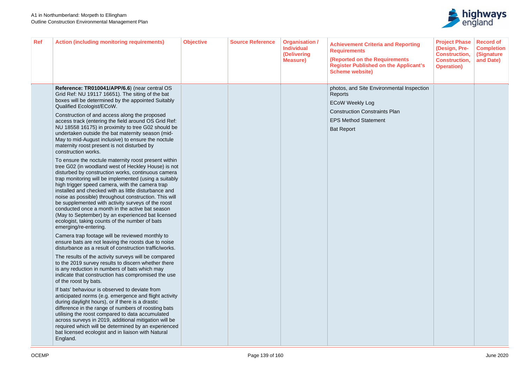

| <b>Ref</b> | <b>Action (including monitoring requirements)</b>                                                                                                                                                                                                                                                                                                                                                                                                                                                                                                                                                                                                                                                                                                                                                                                                                                                                                                                                                                                                                                                                                                                                                                                                                                                                                                                                                                                                                                                                                                                                                                                                                                                                                                                                                                                                                                                                                                                                                                                                  | <b>Objective</b> | <b>Source Reference</b> | <b>Organisation /</b><br><b>Individual</b><br>(Delivering<br><b>Measure)</b> | <b>Achievement Criteria and Reporting</b><br><b>Requirements</b><br><b>(Reported on the Requirements</b><br><b>Register Published on the Applicant's</b><br><b>Scheme website)</b> | <b>Project Phase</b><br>(Design, Pre-<br><b>Construction,</b><br><b>Construction,</b><br><b>Operation</b> ) | <b>Record of</b><br><b>Completion</b><br><b>(Signature</b><br>and Date) |
|------------|----------------------------------------------------------------------------------------------------------------------------------------------------------------------------------------------------------------------------------------------------------------------------------------------------------------------------------------------------------------------------------------------------------------------------------------------------------------------------------------------------------------------------------------------------------------------------------------------------------------------------------------------------------------------------------------------------------------------------------------------------------------------------------------------------------------------------------------------------------------------------------------------------------------------------------------------------------------------------------------------------------------------------------------------------------------------------------------------------------------------------------------------------------------------------------------------------------------------------------------------------------------------------------------------------------------------------------------------------------------------------------------------------------------------------------------------------------------------------------------------------------------------------------------------------------------------------------------------------------------------------------------------------------------------------------------------------------------------------------------------------------------------------------------------------------------------------------------------------------------------------------------------------------------------------------------------------------------------------------------------------------------------------------------------------|------------------|-------------------------|------------------------------------------------------------------------------|------------------------------------------------------------------------------------------------------------------------------------------------------------------------------------|-------------------------------------------------------------------------------------------------------------|-------------------------------------------------------------------------|
|            | Reference: TR010041/APP/6.6) (near central OS<br>Grid Ref: NU 19117 16651). The siting of the bat<br>boxes will be determined by the appointed Suitably<br>Qualified Ecologist/ECoW.<br>Construction of and access along the proposed<br>access track (entering the field around OS Grid Ref:<br>NU 18558 16175) in proximity to tree G02 should be<br>undertaken outside the bat maternity season (mid-<br>May to mid-August inclusive) to ensure the noctule<br>maternity roost present is not disturbed by<br>construction works.<br>To ensure the noctule maternity roost present within<br>tree G02 (in woodland west of Heckley House) is not<br>disturbed by construction works, continuous camera<br>trap monitoring will be implemented (using a suitably<br>high trigger speed camera, with the camera trap<br>installed and checked with as little disturbance and<br>noise as possible) throughout construction. This will<br>be supplemented with activity surveys of the roost<br>conducted once a month in the active bat season<br>(May to September) by an experienced bat licensed<br>ecologist, taking counts of the number of bats<br>emerging/re-entering.<br>Camera trap footage will be reviewed monthly to<br>ensure bats are not leaving the roosts due to noise<br>disturbance as a result of construction traffic/works.<br>The results of the activity surveys will be compared<br>to the 2019 survey results to discern whether there<br>is any reduction in numbers of bats which may<br>indicate that construction has compromised the use<br>of the roost by bats.<br>If bats' behaviour is observed to deviate from<br>anticipated norms (e.g. emergence and flight activity<br>during daylight hours), or if there is a drastic<br>difference in the range of numbers of roosting bats<br>utilising the roost compared to data accumulated<br>across surveys in 2019, additional mitigation will be<br>required which will be determined by an experienced<br>bat licensed ecologist and in liaison with Natural |                  |                         |                                                                              | photos, and Site Environmental Inspection<br>Reports<br><b>ECoW Weekly Log</b><br><b>Construction Constraints Plan</b><br><b>EPS Method Statement</b><br><b>Bat Report</b>         |                                                                                                             |                                                                         |
|            | England.                                                                                                                                                                                                                                                                                                                                                                                                                                                                                                                                                                                                                                                                                                                                                                                                                                                                                                                                                                                                                                                                                                                                                                                                                                                                                                                                                                                                                                                                                                                                                                                                                                                                                                                                                                                                                                                                                                                                                                                                                                           |                  |                         |                                                                              |                                                                                                                                                                                    |                                                                                                             |                                                                         |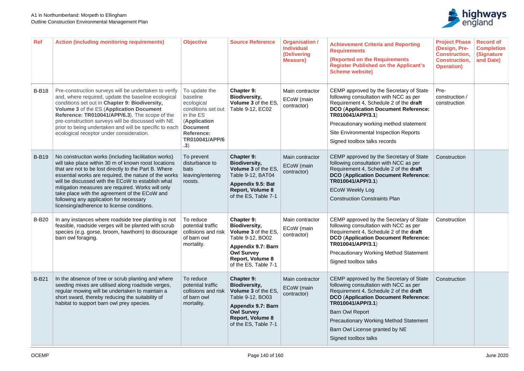

| <b>Ref</b>   | <b>Action (including monitoring requirements)</b>                                                                                                                                                                                                                                                                                                                                                                                                                                  | <b>Objective</b>                                                                                                                                                          | <b>Source Reference</b>                                                                                                                                                                          | <b>Organisation /</b><br><b>Individual</b><br>(Delivering<br><b>Measure)</b> | <b>Achievement Criteria and Reporting</b><br><b>Requirements</b><br><b>(Reported on the Requirements)</b><br><b>Register Published on the Applicant's</b><br><b>Scheme website)</b>                                                                                                                                                  | <b>Project Phase</b><br>(Design, Pre-<br><b>Construction,</b><br><b>Construction,</b><br><b>Operation</b> ) | <b>Record of</b><br><b>Completion</b><br>(Signature<br>and Date) |
|--------------|------------------------------------------------------------------------------------------------------------------------------------------------------------------------------------------------------------------------------------------------------------------------------------------------------------------------------------------------------------------------------------------------------------------------------------------------------------------------------------|---------------------------------------------------------------------------------------------------------------------------------------------------------------------------|--------------------------------------------------------------------------------------------------------------------------------------------------------------------------------------------------|------------------------------------------------------------------------------|--------------------------------------------------------------------------------------------------------------------------------------------------------------------------------------------------------------------------------------------------------------------------------------------------------------------------------------|-------------------------------------------------------------------------------------------------------------|------------------------------------------------------------------|
| <b>B-B18</b> | Pre-construction surveys will be undertaken to verify<br>and, where required, update the baseline ecological<br>conditions set out in Chapter 9: Biodiversity,<br>Volume 3 of the ES (Application Document<br>Reference: TR010041/APP/6.3). The scope of the<br>pre-construction surveys will be discussed with NE<br>prior to being undertaken and will be specific to each<br>ecological receptor under consideration.                                                           | To update the<br>baseline<br>ecological<br>conditions set out<br>in the ES<br><b>(Application</b><br><b>Document</b><br><b>Reference:</b><br><b>TR010041/APP/6</b><br>.3) | <b>Chapter 9:</b><br><b>Biodiversity,</b><br>Volume 3 of the ES,<br>Table 9-12, EC02                                                                                                             | Main contractor<br>ECoW (main<br>contractor)                                 | CEMP approved by the Secretary of State<br>following consultation with NCC as per<br>Requirement 4, Schedule 2 of the draft<br><b>DCO (Application Document Reference:</b><br>TR010041/APP/3.1)<br>Precautionary working method statement<br><b>Site Environmental Inspection Reports</b><br>Signed toolbox talks records            | Pre-<br>construction /<br>construction                                                                      |                                                                  |
| <b>B-B19</b> | No construction works (including facilitation works)<br>will take place within 30 m of known roost locations<br>that are not to be lost directly to the Part B. Where<br>essential works are required, the nature of the works<br>will be discussed with the ECoW to establish what<br>mitigation measures are required. Works will only<br>take place with the agreement of the ECoW and<br>following any application for necessary<br>licensing/adherence to license conditions. | To prevent<br>disturbance to<br>bats<br>leaving/entering<br>roosts.                                                                                                       | <b>Chapter 9:</b><br><b>Biodiversity,</b><br>Volume 3 of the ES,<br>Table 9-12, BAT04<br><b>Appendix 9.5: Bat</b><br><b>Report, Volume 8</b><br>of the ES, Table 7-1                             | Main contractor<br>ECoW (main<br>contractor)                                 | CEMP approved by the Secretary of State<br>following consultation with NCC as per<br>Requirement 4, Schedule 2 of the draft<br><b>DCO (Application Document Reference:</b><br>TR010041/APP/3.1)<br><b>ECoW Weekly Log</b><br><b>Construction Constraints Plan</b>                                                                    | Construction                                                                                                |                                                                  |
| <b>B-B20</b> | In any instances where roadside tree planting is not<br>feasible, roadside verges will be planted with scrub<br>species (e.g. gorse, broom, hawthorn) to discourage<br>barn owl foraging.                                                                                                                                                                                                                                                                                          | To reduce<br>potential traffic<br>collisions and risk<br>of barn owl<br>mortality.                                                                                        | <b>Chapter 9:</b><br><b>Biodiversity,</b><br><b>Volume 3 of the ES,</b><br>Table 9-12, BO02<br><b>Appendix 9.7: Barn</b><br><b>Owl Survey</b><br><b>Report, Volume 8</b><br>of the ES, Table 7-1 | Main contractor<br>ECoW (main<br>contractor)                                 | CEMP approved by the Secretary of State<br>following consultation with NCC as per<br>Requirement 4, Schedule 2 of the draft<br><b>DCO (Application Document Reference:</b><br>TR010041/APP/3.1)<br><b>Precautionary Working Method Statement</b><br>Signed toolbox talks                                                             | Construction                                                                                                |                                                                  |
| <b>B-B21</b> | In the absence of tree or scrub planting and where<br>seeding mixes are utilised along roadside verges,<br>regular mowing will be undertaken to maintain a<br>short sward, thereby reducing the suitability of<br>habitat to support barn owl prey species.                                                                                                                                                                                                                        | To reduce<br>potential traffic<br>collisions and risk<br>of barn owl<br>mortality.                                                                                        | <b>Chapter 9:</b><br><b>Biodiversity,</b><br>Volume 3 of the ES,<br>Table 9-12, BO03<br><b>Appendix 9.7: Barn</b><br><b>Owl Survey</b><br><b>Report, Volume 8</b><br>of the ES, Table 7-1        | Main contractor<br>ECoW (main<br>contractor)                                 | CEMP approved by the Secretary of State<br>following consultation with NCC as per<br>Requirement 4, Schedule 2 of the draft<br><b>DCO (Application Document Reference:</b><br>TR010041/APP/3.1)<br><b>Barn Owl Report</b><br><b>Precautionary Working Method Statement</b><br>Barn Owl License granted by NE<br>Signed toolbox talks | Construction                                                                                                |                                                                  |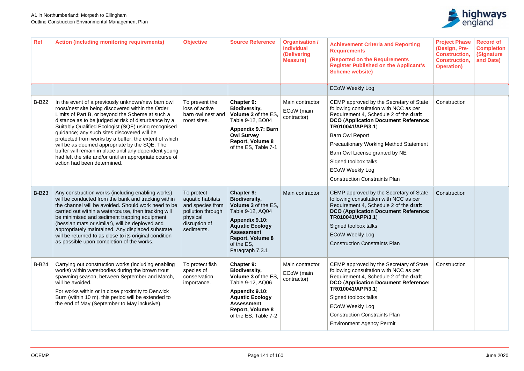

| <b>Ref</b>   | <b>Action (including monitoring requirements)</b>                                                                                                                                                                                                                                                                                                                                                                                                                                                                                                                                     | <b>Objective</b>                                                                                                   | <b>Source Reference</b>                                                                                                                                                                                           | <b>Organisation /</b><br><b>Individual</b><br><b>(Delivering</b><br><b>Measure)</b> | <b>Achievement Criteria and Reporting</b><br><b>Requirements</b><br><b>(Reported on the Requirements)</b><br><b>Register Published on the Applicant's</b><br><b>Scheme website)</b>                                                                                                                                                                                                                    | <b>Project Phase</b><br>(Design, Pre-<br><b>Construction,</b><br><b>Construction,</b><br><b>Operation</b> ) | <b>Record of</b><br><b>Completion</b><br><b>(Signature</b><br>and Date) |
|--------------|---------------------------------------------------------------------------------------------------------------------------------------------------------------------------------------------------------------------------------------------------------------------------------------------------------------------------------------------------------------------------------------------------------------------------------------------------------------------------------------------------------------------------------------------------------------------------------------|--------------------------------------------------------------------------------------------------------------------|-------------------------------------------------------------------------------------------------------------------------------------------------------------------------------------------------------------------|-------------------------------------------------------------------------------------|--------------------------------------------------------------------------------------------------------------------------------------------------------------------------------------------------------------------------------------------------------------------------------------------------------------------------------------------------------------------------------------------------------|-------------------------------------------------------------------------------------------------------------|-------------------------------------------------------------------------|
|              |                                                                                                                                                                                                                                                                                                                                                                                                                                                                                                                                                                                       |                                                                                                                    |                                                                                                                                                                                                                   |                                                                                     | <b>ECoW Weekly Log</b>                                                                                                                                                                                                                                                                                                                                                                                 |                                                                                                             |                                                                         |
| <b>B-B22</b> | In the event of a previously unknown/new barn owl<br>roost/nest site being discovered within the Order<br>Limits of Part B, or beyond the Scheme at such a<br>distance as to be judged at risk of disturbance by a<br>Suitably Qualified Ecologist (SQE) using recognised<br>guidance; any such sites discovered will be<br>protected from works by a buffer, the extent of which<br>will be as deemed appropriate by the SQE. The<br>buffer will remain in place until any dependent young<br>had left the site and/or until an appropriate course of<br>action had been determined. | To prevent the<br>loss of active<br>barn owl nest and<br>roost sites.                                              | <b>Chapter 9:</b><br><b>Biodiversity,</b><br>Volume 3 of the ES,<br>Table 9-12, BO04<br><b>Appendix 9.7: Barn</b><br><b>Owl Survey</b><br><b>Report, Volume 8</b><br>of the ES, Table 7-1                         | Main contractor<br>ECoW (main<br>contractor)                                        | CEMP approved by the Secretary of State<br>following consultation with NCC as per<br>Requirement 4, Schedule 2 of the draft<br><b>DCO (Application Document Reference:</b><br>TR010041/APP/3.1)<br><b>Barn Owl Report</b><br><b>Precautionary Working Method Statement</b><br>Barn Owl License granted by NE<br>Signed toolbox talks<br><b>ECoW Weekly Log</b><br><b>Construction Constraints Plan</b> | Construction                                                                                                |                                                                         |
| <b>B-B23</b> | Any construction works (including enabling works)<br>will be conducted from the bank and tracking within<br>the channel will be avoided. Should work need to be<br>carried out within a watercourse, then tracking will<br>be minimised and sediment trapping equipment<br>(hessian mats or similar), will be deployed and<br>appropriately maintained. Any displaced substrate<br>will be returned to as close to its original condition<br>as possible upon completion of the works.                                                                                                | To protect<br>aquatic habitats<br>and species from<br>pollution through<br>physical<br>disruption of<br>sediments. | <b>Chapter 9:</b><br><b>Biodiversity,</b><br>Volume 3 of the ES,<br>Table 9-12, AQ04<br>Appendix 9.10:<br><b>Aquatic Ecology</b><br><b>Assessment</b><br><b>Report, Volume 8</b><br>of the ES,<br>Paragraph 7.3.1 | Main contractor                                                                     | CEMP approved by the Secretary of State<br>following consultation with NCC as per<br>Requirement 4, Schedule 2 of the draft<br><b>DCO (Application Document Reference:</b><br>TR010041/APP/3.1)<br>Signed toolbox talks<br><b>ECoW Weekly Log</b><br><b>Construction Constraints Plan</b>                                                                                                              | Construction                                                                                                |                                                                         |
| <b>B-B24</b> | Carrying out construction works (including enabling<br>works) within waterbodies during the brown trout<br>spawning season, between September and March,<br>will be avoided.<br>For works within or in close proximity to Denwick<br>Burn (within 10 m), this period will be extended to<br>the end of May (September to May inclusive).                                                                                                                                                                                                                                              | To protect fish<br>species of<br>conservation<br>importance.                                                       | <b>Chapter 9:</b><br><b>Biodiversity,</b><br>Volume 3 of the ES,<br>Table 9-12, AQ06<br>Appendix 9.10:<br><b>Aquatic Ecology</b><br><b>Assessment</b><br><b>Report, Volume 8</b><br>of the ES, Table 7-2          | Main contractor<br>ECoW (main<br>contractor)                                        | CEMP approved by the Secretary of State<br>following consultation with NCC as per<br>Requirement 4, Schedule 2 of the draft<br><b>DCO (Application Document Reference:</b><br>TR010041/APP/3.1)<br>Signed toolbox talks<br><b>ECoW Weekly Log</b><br><b>Construction Constraints Plan</b><br><b>Environment Agency Permit</b>                                                                          | Construction                                                                                                |                                                                         |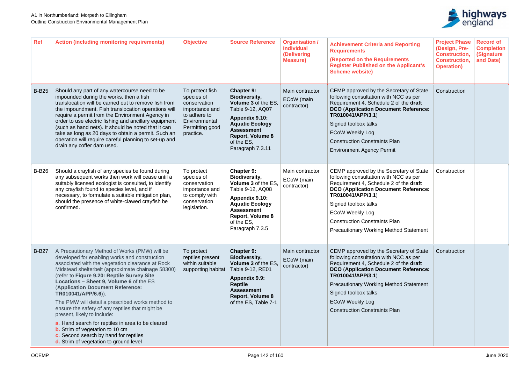

| <b>Ref</b>   | <b>Action (including monitoring requirements)</b>                                                                                                                                                                                                                                                                                                                                                                                                                                                                                                                                                                                                                                   | <b>Objective</b>                                                                                                                 | <b>Source Reference</b>                                                                                                                                                                                            | <b>Organisation /</b><br><b>Individual</b><br>(Delivering<br><b>Measure)</b> | <b>Achievement Criteria and Reporting</b><br><b>Requirements</b><br><b>(Reported on the Requirements</b><br><b>Register Published on the Applicant's</b><br><b>Scheme website)</b>                                                                                                                                                         | <b>Project Phase</b><br>(Design, Pre-<br><b>Construction,</b><br><b>Construction,</b><br><b>Operation</b> ) | <b>Record of</b><br><b>Completion</b><br><b>(Signature</b><br>and Date) |
|--------------|-------------------------------------------------------------------------------------------------------------------------------------------------------------------------------------------------------------------------------------------------------------------------------------------------------------------------------------------------------------------------------------------------------------------------------------------------------------------------------------------------------------------------------------------------------------------------------------------------------------------------------------------------------------------------------------|----------------------------------------------------------------------------------------------------------------------------------|--------------------------------------------------------------------------------------------------------------------------------------------------------------------------------------------------------------------|------------------------------------------------------------------------------|--------------------------------------------------------------------------------------------------------------------------------------------------------------------------------------------------------------------------------------------------------------------------------------------------------------------------------------------|-------------------------------------------------------------------------------------------------------------|-------------------------------------------------------------------------|
| <b>B-B25</b> | Should any part of any watercourse need to be<br>impounded during the works, then a fish<br>translocation will be carried out to remove fish from<br>the impoundment. Fish translocation operations will<br>require a permit from the Environment Agency in<br>order to use electric fishing and ancillary equipment<br>(such as hand nets). It should be noted that it can<br>take as long as 20 days to obtain a permit. Such an<br>operation will require careful planning to set-up and<br>drain any coffer dam used.                                                                                                                                                           | To protect fish<br>species of<br>conservation<br>importance and<br>to adhere to<br>Environmental<br>Permitting good<br>practice. | <b>Chapter 9:</b><br><b>Biodiversity,</b><br>Volume 3 of the ES,<br>Table 9-12, AQ07<br>Appendix 9.10:<br><b>Aquatic Ecology</b><br><b>Assessment</b><br><b>Report, Volume 8</b><br>of the ES,<br>Paragraph 7.3.11 | Main contractor<br>ECoW (main<br>contractor)                                 | CEMP approved by the Secretary of State<br>following consultation with NCC as per<br>Requirement 4, Schedule 2 of the draft<br><b>DCO (Application Document Reference:</b><br>TR010041/APP/3.1)<br>Signed toolbox talks<br><b>ECoW Weekly Log</b><br><b>Construction Constraints Plan</b><br><b>Environment Agency Permit</b>              | Construction                                                                                                |                                                                         |
| <b>B-B26</b> | Should a crayfish of any species be found during<br>any subsequent works then work will cease until a<br>suitably licensed ecologist is consulted, to identify<br>any crayfish found to species level, and if<br>necessary, to formulate a suitable mitigation plan,<br>should the presence of white-clawed crayfish be<br>confirmed.                                                                                                                                                                                                                                                                                                                                               | To protect<br>species of<br>conservation<br>importance and<br>to comply with<br>conservation<br>legislation.                     | <b>Chapter 9:</b><br><b>Biodiversity,</b><br>Volume 3 of the ES,<br>Table 9-12, AQ08<br>Appendix 9.10:<br><b>Aquatic Ecology</b><br><b>Assessment</b><br><b>Report, Volume 8</b><br>of the ES,<br>Paragraph 7.3.5  | Main contractor<br>ECoW (main<br>contractor)                                 | CEMP approved by the Secretary of State<br>following consultation with NCC as per<br>Requirement 4, Schedule 2 of the draft<br><b>DCO (Application Document Reference:</b><br>TR010041/APP/3.1)<br>Signed toolbox talks<br><b>ECoW Weekly Log</b><br><b>Construction Constraints Plan</b><br><b>Precautionary Working Method Statement</b> | Construction                                                                                                |                                                                         |
| <b>B-B27</b> | A Precautionary Method of Works (PMW) will be<br>developed for enabling works and construction<br>associated with the vegetation clearance at Rock<br>Midstead shelterbelt (approximate chainage 58300)<br>(refer to Figure 9.20: Reptile Survey Site<br>Locations - Sheet 9, Volume 6 of the ES<br>(Application Document Reference:<br>TR010041/APP/6.6)).<br>The PMW will detail a prescribed works method to<br>ensure the safety of any reptiles that might be<br>present, likely to include:<br>a. Hand search for reptiles in area to be cleared<br><b>b.</b> Strim of vegetation to 10 cm<br>c. Second search by hand for reptiles<br>d. Strim of vegetation to ground level | To protect<br>reptiles present<br>within suitable<br>supporting habitat                                                          | <b>Chapter 9:</b><br><b>Biodiversity,</b><br>Volume 3 of the ES,<br>Table 9-12, RE01<br><b>Appendix 9.9:</b><br><b>Reptile</b><br><b>Assessment</b><br><b>Report, Volume 8</b><br>of the ES, Table 7-1             | Main contractor<br>ECoW (main<br>contractor)                                 | CEMP approved by the Secretary of State<br>following consultation with NCC as per<br>Requirement 4, Schedule 2 of the draft<br><b>DCO (Application Document Reference:</b><br>TR010041/APP/3.1)<br><b>Precautionary Working Method Statement</b><br>Signed toolbox talks<br><b>ECoW Weekly Log</b><br><b>Construction Constraints Plan</b> | Construction                                                                                                |                                                                         |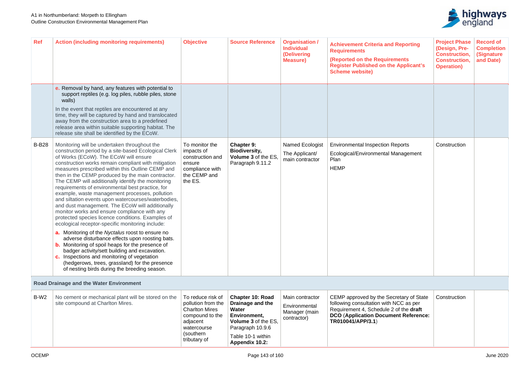

| <b>Ref</b>   | <b>Action (including monitoring requirements)</b>                                                                                                                                                                                                                                                                                                                                                                                                                                                                                                                                                                                                                                                                                                                                                                                                                                                                                                                                                                                                                                                                | <b>Objective</b>                                                                                                                            | <b>Source Reference</b>                                                                                                                                       | <b>Organisation /</b><br><b>Individual</b><br><b>(Delivering</b><br><b>Measure)</b> | <b>Achievement Criteria and Reporting</b><br><b>Requirements</b><br><b>(Reported on the Requirements</b><br><b>Register Published on the Applicant's</b><br><b>Scheme website)</b>              | <b>Project Phase</b><br>(Design, Pre-<br><b>Construction,</b><br><b>Construction,</b><br><b>Operation</b> ) | <b>Record of</b><br><b>Completion</b><br><b>(Signature</b><br>and Date) |
|--------------|------------------------------------------------------------------------------------------------------------------------------------------------------------------------------------------------------------------------------------------------------------------------------------------------------------------------------------------------------------------------------------------------------------------------------------------------------------------------------------------------------------------------------------------------------------------------------------------------------------------------------------------------------------------------------------------------------------------------------------------------------------------------------------------------------------------------------------------------------------------------------------------------------------------------------------------------------------------------------------------------------------------------------------------------------------------------------------------------------------------|---------------------------------------------------------------------------------------------------------------------------------------------|---------------------------------------------------------------------------------------------------------------------------------------------------------------|-------------------------------------------------------------------------------------|-------------------------------------------------------------------------------------------------------------------------------------------------------------------------------------------------|-------------------------------------------------------------------------------------------------------------|-------------------------------------------------------------------------|
|              | e. Removal by hand, any features with potential to<br>support reptiles (e.g. log piles, rubble piles, stone<br>walls)<br>In the event that reptiles are encountered at any<br>time, they will be captured by hand and translocated<br>away from the construction area to a predefined<br>release area within suitable supporting habitat. The<br>release site shall be identified by the ECoW.                                                                                                                                                                                                                                                                                                                                                                                                                                                                                                                                                                                                                                                                                                                   |                                                                                                                                             |                                                                                                                                                               |                                                                                     |                                                                                                                                                                                                 |                                                                                                             |                                                                         |
| <b>B-B28</b> | Monitoring will be undertaken throughout the<br>construction period by a site-based Ecological Clerk<br>of Works (ECoW). The ECoW will ensure<br>construction works remain compliant with mitigation<br>measures prescribed within this Outline CEMP and<br>then in the CEMP produced by the main contractor.<br>The CEMP will additionally identify the monitoring<br>requirements of environmental best practice, for<br>example, waste management processes, pollution<br>and siltation events upon watercourses/waterbodies,<br>and dust management. The ECoW will additionally<br>monitor works and ensure compliance with any<br>protected species licence conditions. Examples of<br>ecological receptor-specific monitoring include:<br>a. Monitoring of the Nyctalus roost to ensure no<br>adverse disturbance effects upon roosting bats.<br><b>b.</b> Monitoring of spoil heaps for the presence of<br>badger activity/sett building and excavation.<br>c. Inspections and monitoring of vegetation<br>(hedgerows, trees, grassland) for the presence<br>of nesting birds during the breeding season. | To monitor the<br>impacts of<br>construction and<br>ensure<br>compliance with<br>the CEMP and<br>the ES.                                    | Chapter 9:<br><b>Biodiversity,</b><br>Volume 3 of the ES,<br>Paragraph 9.11.2                                                                                 | Named Ecologist<br>The Applicant/<br>main contractor                                | <b>Environmental Inspection Reports</b><br>Ecological/Environmental Management<br>Plan<br><b>HEMP</b>                                                                                           | Construction                                                                                                |                                                                         |
|              | <b>Road Drainage and the Water Environment</b>                                                                                                                                                                                                                                                                                                                                                                                                                                                                                                                                                                                                                                                                                                                                                                                                                                                                                                                                                                                                                                                                   |                                                                                                                                             |                                                                                                                                                               |                                                                                     |                                                                                                                                                                                                 |                                                                                                             |                                                                         |
| $B-W2$       | No cement or mechanical plant will be stored on the<br>site compound at Charlton Mires.                                                                                                                                                                                                                                                                                                                                                                                                                                                                                                                                                                                                                                                                                                                                                                                                                                                                                                                                                                                                                          | To reduce risk of<br>pollution from the<br><b>Charlton Mires</b><br>compound to the<br>adjacent<br>watercourse<br>(southern<br>tributary of | <b>Chapter 10: Road</b><br>Drainage and the<br>Water<br>Environment,<br>Volume 3 of the ES,<br>Paragraph 10.9.6<br>Table 10-1 within<br><b>Appendix 10.2:</b> | Main contractor<br>Environmental<br>Manager (main<br>contractor)                    | CEMP approved by the Secretary of State<br>following consultation with NCC as per<br>Requirement 4, Schedule 2 of the draft<br><b>DCO (Application Document Reference:</b><br>TR010041/APP/3.1) | Construction                                                                                                |                                                                         |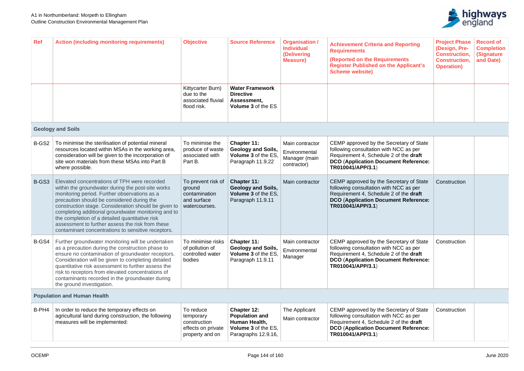

| <b>Ref</b> | <b>Action (including monitoring requirements)</b>                                                                                                                                                                                                                                                                                                                                                                                                                          | <b>Objective</b>                                                                | <b>Source Reference</b>                                                                                    | <b>Organisation /</b><br><b>Individual</b><br>(Delivering<br><b>Measure)</b> | <b>Achievement Criteria and Reporting</b><br><b>Requirements</b><br><b>(Reported on the Requirements)</b><br><b>Register Published on the Applicant's</b><br><b>Scheme website)</b>             | <b>Project Phase</b><br>(Design, Pre-<br><b>Construction,</b><br><b>Construction,</b><br><b>Operation</b> ) | <b>Record of</b><br><b>Completion</b><br><b>(Signature</b><br>and Date) |
|------------|----------------------------------------------------------------------------------------------------------------------------------------------------------------------------------------------------------------------------------------------------------------------------------------------------------------------------------------------------------------------------------------------------------------------------------------------------------------------------|---------------------------------------------------------------------------------|------------------------------------------------------------------------------------------------------------|------------------------------------------------------------------------------|-------------------------------------------------------------------------------------------------------------------------------------------------------------------------------------------------|-------------------------------------------------------------------------------------------------------------|-------------------------------------------------------------------------|
|            |                                                                                                                                                                                                                                                                                                                                                                                                                                                                            | Kittycarter Burn)<br>due to the<br>associated fluvial<br>flood risk.            | <b>Water Framework</b><br><b>Directive</b><br>Assessment,<br><b>Volume 3 of the ES</b>                     |                                                                              |                                                                                                                                                                                                 |                                                                                                             |                                                                         |
|            | <b>Geology and Soils</b>                                                                                                                                                                                                                                                                                                                                                                                                                                                   |                                                                                 |                                                                                                            |                                                                              |                                                                                                                                                                                                 |                                                                                                             |                                                                         |
| B-GS2      | To minimise the sterilisation of potential mineral<br>resources located within MSAs in the working area,<br>consideration will be given to the incorporation of<br>site won materials from these MSAs into Part B<br>where possible.                                                                                                                                                                                                                                       | To minimise the<br>produce of waste<br>associated with<br>Part B.               | Chapter 11:<br><b>Geology and Soils,</b><br>Volume 3 of the ES,<br>Paragraph 11.9.22                       | Main contractor<br>Environmental<br>Manager (main<br>contractor)             | CEMP approved by the Secretary of State<br>following consultation with NCC as per<br>Requirement 4, Schedule 2 of the draft<br><b>DCO (Application Document Reference:</b><br>TR010041/APP/3.1) |                                                                                                             |                                                                         |
| B-GS3      | Elevated concentrations of TPH were recorded<br>within the groundwater during the post-site works<br>monitoring period. Further observations as a<br>precaution should be considered during the<br>construction stage. Consideration should be given to<br>completing additional groundwater monitoring and to<br>the completion of a detailed quantitative risk<br>assessment to further assess the risk from these<br>contaminant concentrations to sensitive receptors. | To prevent risk of<br>ground<br>contamination<br>and surface<br>watercourses.   | Chapter 11:<br><b>Geology and Soils,</b><br>Volume 3 of the ES,<br>Paragraph 11.9.11                       | Main contractor                                                              | CEMP approved by the Secretary of State<br>following consultation with NCC as per<br>Requirement 4, Schedule 2 of the draft<br><b>DCO (Application Document Reference:</b><br>TR010041/APP/3.1) | Construction                                                                                                |                                                                         |
| B-GS4      | Further groundwater monitoring will be undertaken<br>as a precaution during the construction phase to<br>ensure no contamination of groundwater receptors.<br>Consideration will be given to completing detailed<br>quantitative risk assessment to further assess the<br>risk to receptors from elevated concentrations of<br>contaminants recorded in the groundwater during<br>the ground investigation.                                                                | To minimise risks<br>of pollution of<br>controlled water<br>bodies              | Chapter 11:<br><b>Geology and Soils,</b><br>Volume 3 of the ES,<br>Paragraph 11.9.11                       | Main contractor<br>Environmental<br>Manager                                  | CEMP approved by the Secretary of State<br>following consultation with NCC as per<br>Requirement 4, Schedule 2 of the draft<br><b>DCO (Application Document Reference:</b><br>TR010041/APP/3.1) | Construction                                                                                                |                                                                         |
|            | <b>Population and Human Health</b>                                                                                                                                                                                                                                                                                                                                                                                                                                         |                                                                                 |                                                                                                            |                                                                              |                                                                                                                                                                                                 |                                                                                                             |                                                                         |
| B-PH4      | In order to reduce the temporary effects on<br>agricultural land during construction, the following<br>measures will be implemented:                                                                                                                                                                                                                                                                                                                                       | To reduce<br>temporary<br>construction<br>effects on private<br>property and on | <b>Chapter 12:</b><br><b>Population and</b><br>Human Health,<br>Volume 3 of the ES,<br>Paragraphs 12.9.16, | The Applicant<br>Main contractor                                             | CEMP approved by the Secretary of State<br>following consultation with NCC as per<br>Requirement 4, Schedule 2 of the draft<br><b>DCO (Application Document Reference:</b><br>TR010041/APP/3.1) | Construction                                                                                                |                                                                         |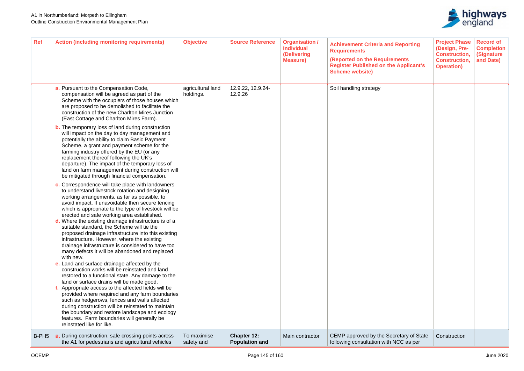

| <b>Ref</b>        | <b>Action (including monitoring requirements)</b>                                                                                                                                                                                                                                                                                                                                                                                                                                                                                                                                                                                                                                                                                                 | <b>Objective</b>               | <b>Source Reference</b>                     | <b>Organisation /</b><br><b>Individual</b><br>(Delivering<br><b>Measure)</b> | <b>Achievement Criteria and Reporting</b><br><b>Requirements</b><br><b>(Reported on the Requirements</b><br><b>Register Published on the Applicant's</b><br><b>Scheme website)</b> | <b>Project Phase</b><br>(Design, Pre-<br><b>Construction,</b><br><b>Construction,</b><br><b>Operation</b> ) | <b>Record of</b><br><b>Completion</b><br><b>(Signature</b><br>and Date) |
|-------------------|---------------------------------------------------------------------------------------------------------------------------------------------------------------------------------------------------------------------------------------------------------------------------------------------------------------------------------------------------------------------------------------------------------------------------------------------------------------------------------------------------------------------------------------------------------------------------------------------------------------------------------------------------------------------------------------------------------------------------------------------------|--------------------------------|---------------------------------------------|------------------------------------------------------------------------------|------------------------------------------------------------------------------------------------------------------------------------------------------------------------------------|-------------------------------------------------------------------------------------------------------------|-------------------------------------------------------------------------|
|                   | a. Pursuant to the Compensation Code,<br>compensation will be agreed as part of the<br>Scheme with the occupiers of those houses which<br>are proposed to be demolished to facilitate the<br>construction of the new Charlton Mires Junction<br>(East Cottage and Charlton Mires Farm).                                                                                                                                                                                                                                                                                                                                                                                                                                                           | agricultural land<br>holdings. | 12.9.22, 12.9.24-<br>12.9.26                |                                                                              | Soil handling strategy                                                                                                                                                             |                                                                                                             |                                                                         |
|                   | <b>b.</b> The temporary loss of land during construction<br>will impact on the day to day management and<br>potentially the ability to claim Basic Payment<br>Scheme, a grant and payment scheme for the<br>farming industry offered by the EU (or any<br>replacement thereof following the UK's<br>departure). The impact of the temporary loss of<br>land on farm management during construction will<br>be mitigated through financial compensation.                                                                                                                                                                                                                                                                                           |                                |                                             |                                                                              |                                                                                                                                                                                    |                                                                                                             |                                                                         |
|                   | c. Correspondence will take place with landowners<br>to understand livestock rotation and designing<br>working arrangements, as far as possible, to<br>avoid impact. If unavoidable then secure fencing<br>which is appropriate to the type of livestock will be<br>erected and safe working area established.<br>d. Where the existing drainage infrastructure is of a<br>suitable standard, the Scheme will tie the<br>proposed drainage infrastructure into this existing<br>infrastructure. However, where the existing<br>drainage infrastructure is considered to have too<br>many defects it will be abandoned and replaced<br>with new.<br>e. Land and surface drainage affected by the<br>construction works will be reinstated and land |                                |                                             |                                                                              |                                                                                                                                                                                    |                                                                                                             |                                                                         |
|                   | restored to a functional state. Any damage to the<br>land or surface drains will be made good.<br>Appropriate access to the affected fields will be<br>provided where required and any farm boundaries<br>such as hedgerows, fences and walls affected<br>during construction will be reinstated to maintain<br>the boundary and restore landscape and ecology<br>features. Farm boundaries will generally be<br>reinstated like for like.                                                                                                                                                                                                                                                                                                        |                                |                                             |                                                                              |                                                                                                                                                                                    |                                                                                                             |                                                                         |
| B-PH <sub>5</sub> | During construction, safe crossing points across<br>а.<br>the A1 for pedestrians and agricultural vehicles                                                                                                                                                                                                                                                                                                                                                                                                                                                                                                                                                                                                                                        | To maximise<br>safety and      | <b>Chapter 12:</b><br><b>Population and</b> | Main contractor                                                              | CEMP approved by the Secretary of State<br>following consultation with NCC as per                                                                                                  | Construction                                                                                                |                                                                         |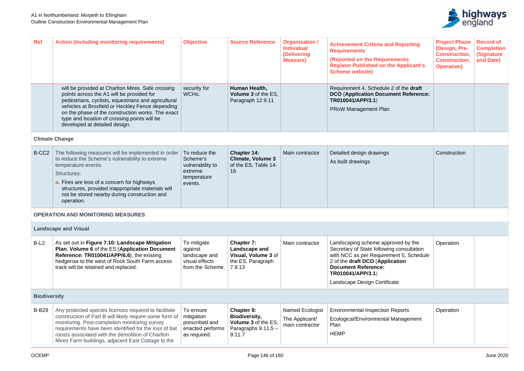

| <b>Ref</b>          | <b>Action (including monitoring requirements)</b>                                                                                                                                                                                                                                                                                               | <b>Objective</b>                                                                   | <b>Source Reference</b>                                                                      | <b>Organisation /</b><br><b>Individual</b><br>(Delivering<br><b>Measure)</b> | <b>Achievement Criteria and Reporting</b><br><b>Requirements</b><br><b>(Reported on the Requirements)</b><br><b>Register Published on the Applicant's</b><br><b>Scheme website)</b>                              | <b>Project Phase</b><br>(Design, Pre-<br><b>Construction,</b><br><b>Construction,</b><br><b>Operation</b> ) | <b>Record of</b><br><b>Completion</b><br><b>(Signature</b><br>and Date) |
|---------------------|-------------------------------------------------------------------------------------------------------------------------------------------------------------------------------------------------------------------------------------------------------------------------------------------------------------------------------------------------|------------------------------------------------------------------------------------|----------------------------------------------------------------------------------------------|------------------------------------------------------------------------------|------------------------------------------------------------------------------------------------------------------------------------------------------------------------------------------------------------------|-------------------------------------------------------------------------------------------------------------|-------------------------------------------------------------------------|
|                     | will be provided at Charlton Mires. Safe crossing<br>points across the A1 will be provided for<br>pedestrians, cyclists, equestrians and agricultural<br>vehicles at Broxfield or Heckley Fence depending<br>on the phase of the construction works. The exact<br>type and location of crossing points will be<br>developed at detailed design. | security for<br>WCHs.                                                              | Human Health,<br>Volume 3 of the ES.<br>Paragraph 12.9.11                                    |                                                                              | Requirement 4, Schedule 2 of the draft<br><b>DCO (Application Document Reference:</b><br>TR010041/APP/3.1)<br><b>PRoW Management Plan</b>                                                                        |                                                                                                             |                                                                         |
|                     | <b>Climate Change</b>                                                                                                                                                                                                                                                                                                                           |                                                                                    |                                                                                              |                                                                              |                                                                                                                                                                                                                  |                                                                                                             |                                                                         |
| B-CC <sub>2</sub>   | The following measures will be implemented in order<br>to reduce the Scheme's vulnerability to extreme<br>temperature events.<br><b>Structures:</b><br>a. Fires are less of a concern for highways<br>structures, provided inappropriate materials will<br>not be stored nearby during construction and<br>operation.                           | To reduce the<br>Scheme's<br>vulnerability to<br>extreme<br>temperature<br>events. | <b>Chapter 14:</b><br><b>Climate, Volume 3</b><br>of the ES, Table 14-<br>16                 | Main contractor                                                              | Detailed design drawings<br>As built drawings                                                                                                                                                                    | Construction                                                                                                |                                                                         |
|                     | <b>OPERATION AND MONITORING MEASURES</b>                                                                                                                                                                                                                                                                                                        |                                                                                    |                                                                                              |                                                                              |                                                                                                                                                                                                                  |                                                                                                             |                                                                         |
|                     | <b>Landscape and Visual</b>                                                                                                                                                                                                                                                                                                                     |                                                                                    |                                                                                              |                                                                              |                                                                                                                                                                                                                  |                                                                                                             |                                                                         |
| $B-L2$              | As set out in Figure 7.10: Landscape Mitigation<br>Plan, Volume 6 of the ES (Application Document<br>Reference: TR010041/APP/6.6), the existing<br>hedgerow to the west of Rock South Farm access<br>track will be retained and replaced.                                                                                                       | To mitigate<br>against<br>landscape and<br>visual effects<br>from the Scheme.      | Chapter 7:<br>Landscape and<br>Visual, Volume 3 of<br>the ES, Paragraph<br>7.9.13            | Main contractor                                                              | Landscaping scheme approved by the<br>Secretary of State following consultation<br>with NCC as per Requirement 5, Schedule<br>2 of the draft DCO (Application<br><b>Document Reference:</b><br>TR010041/APP/3.1) | Operation                                                                                                   |                                                                         |
|                     |                                                                                                                                                                                                                                                                                                                                                 |                                                                                    |                                                                                              |                                                                              | Landscape Design Certificate                                                                                                                                                                                     |                                                                                                             |                                                                         |
| <b>Biodiversity</b> |                                                                                                                                                                                                                                                                                                                                                 |                                                                                    |                                                                                              |                                                                              |                                                                                                                                                                                                                  |                                                                                                             |                                                                         |
| <b>B-B29</b>        | Any protected species licences required to facilitate<br>construction of Part B will likely require some form of<br>monitoring. Post-completion monitoring survey<br>requirements have been identified for the loss of bat<br>roosts associated with the demolition of Charlton<br>Mires Farm buildings, adjacent East Cottage to the           | To ensure<br>mitigation<br>prescribed and<br>enacted performs<br>as required.      | Chapter 9:<br><b>Biodiversity,</b><br>Volume 3 of the ES.<br>Paragraphs $9.11.5 -$<br>9.11.7 | <b>Named Ecologist</b><br>The Applicant/<br>main contractor                  | <b>Environmental Inspection Reports</b><br>Ecological/Environmental Management<br>Plan<br><b>HEMP</b>                                                                                                            | Operation                                                                                                   |                                                                         |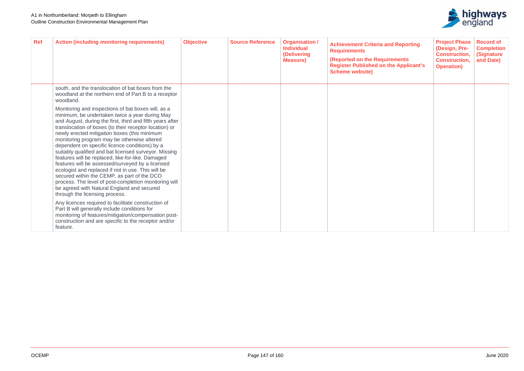

| <b>Ref</b> | <b>Action (including monitoring requirements)</b>                                                                                                                                                                                                                                                                                                                                                                                                                                                                                                                                                                                                                                                                                                                                                                                                   | <b>Objective</b> | <b>Source Reference</b> | <b>Organisation /</b><br><b>Individual</b><br>(Delivering<br><b>Measure)</b> | <b>Achievement Criteria and Reporting</b><br><b>Requirements</b><br><b>(Reported on the Requirements</b><br><b>Register Published on the Applicant's</b><br><b>Scheme website)</b> | <b>Project Phase</b><br>(Design, Pre-<br><b>Construction.</b><br><b>Construction.</b><br><b>Operation</b> ) | <b>Record of</b><br><b>Completion</b><br><b>(Signature</b><br>and Date) |
|------------|-----------------------------------------------------------------------------------------------------------------------------------------------------------------------------------------------------------------------------------------------------------------------------------------------------------------------------------------------------------------------------------------------------------------------------------------------------------------------------------------------------------------------------------------------------------------------------------------------------------------------------------------------------------------------------------------------------------------------------------------------------------------------------------------------------------------------------------------------------|------------------|-------------------------|------------------------------------------------------------------------------|------------------------------------------------------------------------------------------------------------------------------------------------------------------------------------|-------------------------------------------------------------------------------------------------------------|-------------------------------------------------------------------------|
|            | south, and the translocation of bat boxes from the<br>woodland at the northern end of Part B to a receptor<br>woodland.                                                                                                                                                                                                                                                                                                                                                                                                                                                                                                                                                                                                                                                                                                                             |                  |                         |                                                                              |                                                                                                                                                                                    |                                                                                                             |                                                                         |
|            | Monitoring and inspections of bat boxes will, as a<br>minimum, be undertaken twice a year during May<br>and August, during the first, third and fifth years after<br>translocation of boxes (to their receptor location) or<br>newly erected mitigation boxes (this minimum<br>monitoring program may be otherwise altered<br>dependent on specific licence conditions) by a<br>suitably qualified and bat licensed surveyor. Missing<br>features will be replaced, like-for-like. Damaged<br>features will be assessed/surveyed by a licensed<br>ecologist and replaced if not in use. This will be<br>secured within the CEMP, as part of the DCO<br>process. The level of post-completion monitoring will<br>be agreed with Natural England and secured<br>through the licensing process.<br>Any licences required to facilitate construction of |                  |                         |                                                                              |                                                                                                                                                                                    |                                                                                                             |                                                                         |
|            | Part B will generally include conditions for<br>monitoring of features/mitigation/compensation post-<br>construction and are specific to the receptor and/or<br>feature.                                                                                                                                                                                                                                                                                                                                                                                                                                                                                                                                                                                                                                                                            |                  |                         |                                                                              |                                                                                                                                                                                    |                                                                                                             |                                                                         |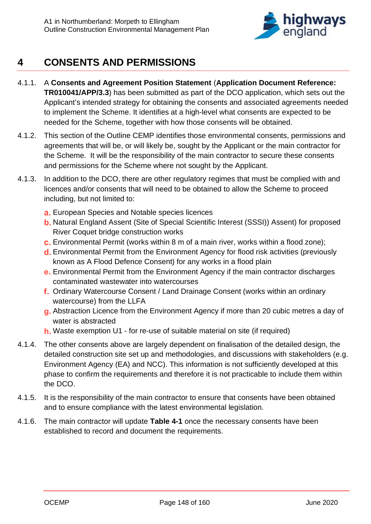

# **4 CONSENTS AND PERMISSIONS**

- 4.1.1. A **Consents and Agreement Position Statement** (**Application Document Reference: TR010041/APP/3.3**) has been submitted as part of the DCO application, which sets out the Applicant's intended strategy for obtaining the consents and associated agreements needed to implement the Scheme. It identifies at a high-level what consents are expected to be needed for the Scheme, together with how those consents will be obtained.
- 4.1.2. This section of the Outline CEMP identifies those environmental consents, permissions and agreements that will be, or will likely be, sought by the Applicant or the main contractor for the Scheme. It will be the responsibility of the main contractor to secure these consents and permissions for the Scheme where not sought by the Applicant.
- 4.1.3. In addition to the DCO, there are other regulatory regimes that must be complied with and licences and/or consents that will need to be obtained to allow the Scheme to proceed including, but not limited to:
	- a. European Species and Notable species licences
	- **b.** Natural England Assent (Site of Special Scientific Interest (SSSI)) Assent) for proposed River Coquet bridge construction works
	- Environmental Permit (works within 8 m of a main river, works within a flood zone);
	- d. Environmental Permit from the Environment Agency for flood risk activities (previously known as A Flood Defence Consent) for any works in a flood plain
	- Environmental Permit from the Environment Agency if the main contractor discharges contaminated wastewater into watercourses
	- f. Ordinary Watercourse Consent / Land Drainage Consent (works within an ordinary watercourse) from the LLFA
	- Abstraction Licence from the Environment Agency if more than 20 cubic metres a day of water is abstracted
	- h. Waste exemption U1 for re-use of suitable material on site (if required)
- 4.1.4. The other consents above are largely dependent on finalisation of the detailed design, the detailed construction site set up and methodologies, and discussions with stakeholders (e.g. Environment Agency (EA) and NCC). This information is not sufficiently developed at this phase to confirm the requirements and therefore it is not practicable to include them within the DCO.
- 4.1.5. It is the responsibility of the main contractor to ensure that consents have been obtained and to ensure compliance with the latest environmental legislation.
- 4.1.6. The main contractor will update **Table 4-1** once the necessary consents have been established to record and document the requirements.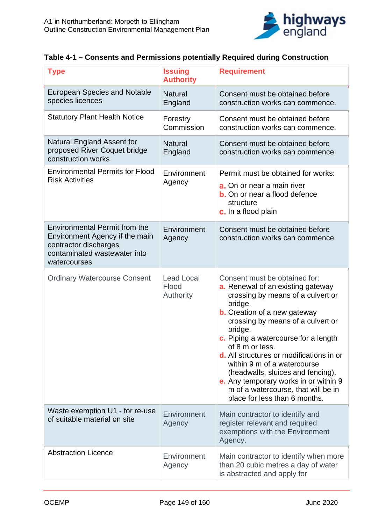

| Table 4-1 – Consents and Permissions potentially Required during Construction |  |  |
|-------------------------------------------------------------------------------|--|--|
|-------------------------------------------------------------------------------|--|--|

| <b>Type</b>                                                                                                                              | <b>Issuing</b><br><b>Authority</b>      | <b>Requirement</b>                                                                                                                                                                                                                                                                                                                                                                                                                                                                                    |
|------------------------------------------------------------------------------------------------------------------------------------------|-----------------------------------------|-------------------------------------------------------------------------------------------------------------------------------------------------------------------------------------------------------------------------------------------------------------------------------------------------------------------------------------------------------------------------------------------------------------------------------------------------------------------------------------------------------|
| <b>European Species and Notable</b><br>species licences                                                                                  | <b>Natural</b><br>England               | Consent must be obtained before<br>construction works can commence.                                                                                                                                                                                                                                                                                                                                                                                                                                   |
| <b>Statutory Plant Health Notice</b>                                                                                                     | Forestry<br>Commission                  | Consent must be obtained before<br>construction works can commence.                                                                                                                                                                                                                                                                                                                                                                                                                                   |
| Natural England Assent for<br>proposed River Coquet bridge<br>construction works                                                         | <b>Natural</b><br>England               | Consent must be obtained before<br>construction works can commence.                                                                                                                                                                                                                                                                                                                                                                                                                                   |
| <b>Environmental Permits for Flood</b><br><b>Risk Activities</b>                                                                         | Environment<br>Agency                   | Permit must be obtained for works:<br>a. On or near a main river<br><b>b.</b> On or near a flood defence<br>structure<br>c. In a flood plain                                                                                                                                                                                                                                                                                                                                                          |
| Environmental Permit from the<br>Environment Agency if the main<br>contractor discharges<br>contaminated wastewater into<br>watercourses | Environment<br>Agency                   | Consent must be obtained before<br>construction works can commence.                                                                                                                                                                                                                                                                                                                                                                                                                                   |
| <b>Ordinary Watercourse Consent</b>                                                                                                      | <b>Lead Local</b><br>Flood<br>Authority | Consent must be obtained for:<br>a. Renewal of an existing gateway<br>crossing by means of a culvert or<br>bridge.<br><b>b.</b> Creation of a new gateway<br>crossing by means of a culvert or<br>bridge.<br>c. Piping a watercourse for a length<br>of 8 m or less.<br>d. All structures or modifications in or<br>within 9 m of a watercourse<br>(headwalls, sluices and fencing).<br>e. Any temporary works in or within 9<br>m of a watercourse, that will be in<br>place for less than 6 months. |
| Waste exemption U1 - for re-use<br>of suitable material on site                                                                          | Environment<br>Agency                   | Main contractor to identify and<br>register relevant and required<br>exemptions with the Environment<br>Agency.                                                                                                                                                                                                                                                                                                                                                                                       |
| <b>Abstraction Licence</b>                                                                                                               | Environment<br>Agency                   | Main contractor to identify when more<br>than 20 cubic metres a day of water<br>is abstracted and apply for                                                                                                                                                                                                                                                                                                                                                                                           |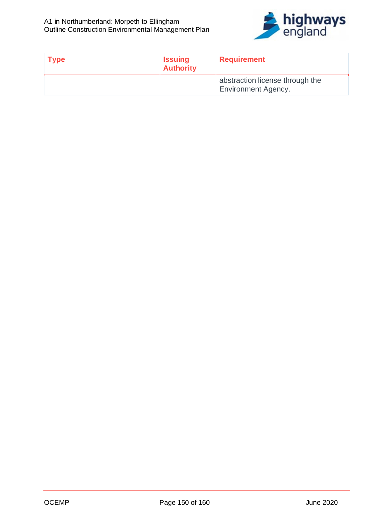

| <b>Type</b> | <b>Issuing</b><br><b>Authority</b> | <b>Requirement</b>                                            |
|-------------|------------------------------------|---------------------------------------------------------------|
|             |                                    | abstraction license through the<br><b>Environment Agency.</b> |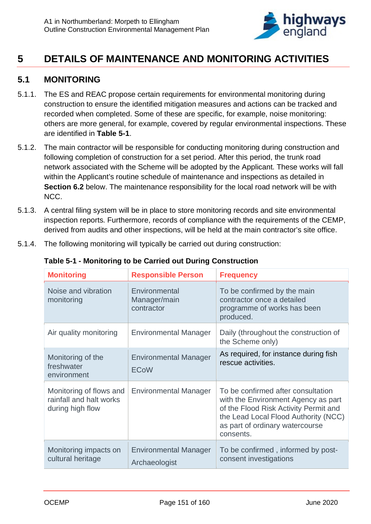

### **5 DETAILS OF MAINTENANCE AND MONITORING ACTIVITIES**

#### **5.1 MONITORING**

- 5.1.1. The ES and REAC propose certain requirements for environmental monitoring during construction to ensure the identified mitigation measures and actions can be tracked and recorded when completed. Some of these are specific, for example, noise monitoring: others are more general, for example, covered by regular environmental inspections. These are identified in **Table 5-1**.
- 5.1.2. The main contractor will be responsible for conducting monitoring during construction and following completion of construction for a set period. After this period, the trunk road network associated with the Scheme will be adopted by the Applicant. These works will fall within the Applicant's routine schedule of maintenance and inspections as detailed in **Section 6.2** below. The maintenance responsibility for the local road network will be with NCC.
- 5.1.3. A central filing system will be in place to store monitoring records and site environmental inspection reports. Furthermore, records of compliance with the requirements of the CEMP, derived from audits and other inspections, will be held at the main contractor's site office.
- 5.1.4. The following monitoring will typically be carried out during construction:

| <b>Monitoring</b>                                                      | <b>Responsible Person</b>                     | <b>Frequency</b>                                                                                                                                                                                           |
|------------------------------------------------------------------------|-----------------------------------------------|------------------------------------------------------------------------------------------------------------------------------------------------------------------------------------------------------------|
| Noise and vibration<br>monitoring                                      | Environmental<br>Manager/main<br>contractor   | To be confirmed by the main<br>contractor once a detailed<br>programme of works has been<br>produced.                                                                                                      |
| Air quality monitoring                                                 | Environmental Manager                         | Daily (throughout the construction of<br>the Scheme only)                                                                                                                                                  |
| Monitoring of the<br>freshwater<br>environment                         | <b>Environmental Manager</b><br><b>ECoW</b>   | As required, for instance during fish<br>rescue activities.                                                                                                                                                |
| Monitoring of flows and<br>rainfall and halt works<br>during high flow | <b>Environmental Manager</b>                  | To be confirmed after consultation<br>with the Environment Agency as part<br>of the Flood Risk Activity Permit and<br>the Lead Local Flood Authority (NCC)<br>as part of ordinary watercourse<br>consents. |
| Monitoring impacts on<br>cultural heritage                             | <b>Environmental Manager</b><br>Archaeologist | To be confirmed, informed by post-<br>consent investigations                                                                                                                                               |

#### **Table 5-1 - Monitoring to be Carried out During Construction**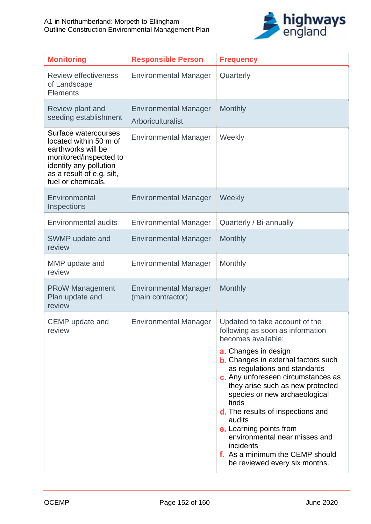

| <b>Monitoring</b>                                                                                                                                                           | <b>Responsible Person</b>                         | <b>Frequency</b>                                                                                                                                                                                                                                                                                                                                                                                                                                                                                               |
|-----------------------------------------------------------------------------------------------------------------------------------------------------------------------------|---------------------------------------------------|----------------------------------------------------------------------------------------------------------------------------------------------------------------------------------------------------------------------------------------------------------------------------------------------------------------------------------------------------------------------------------------------------------------------------------------------------------------------------------------------------------------|
| <b>Review effectiveness</b><br>of Landscape<br><b>Elements</b>                                                                                                              | <b>Environmental Manager</b>                      | Quarterly                                                                                                                                                                                                                                                                                                                                                                                                                                                                                                      |
| Review plant and<br>seeding establishment                                                                                                                                   | <b>Environmental Manager</b><br>Arboriculturalist | Monthly                                                                                                                                                                                                                                                                                                                                                                                                                                                                                                        |
| Surface watercourses<br>located within 50 m of<br>earthworks will be<br>monitored/inspected to<br>identify any pollution<br>as a result of e.g. silt,<br>fuel or chemicals. | <b>Environmental Manager</b>                      | Weekly                                                                                                                                                                                                                                                                                                                                                                                                                                                                                                         |
| Environmental<br>Inspections                                                                                                                                                | <b>Environmental Manager</b>                      | Weekly                                                                                                                                                                                                                                                                                                                                                                                                                                                                                                         |
| <b>Environmental audits</b>                                                                                                                                                 | <b>Environmental Manager</b>                      | Quarterly / Bi-annually                                                                                                                                                                                                                                                                                                                                                                                                                                                                                        |
| SWMP update and<br>review                                                                                                                                                   | <b>Environmental Manager</b>                      | Monthly                                                                                                                                                                                                                                                                                                                                                                                                                                                                                                        |
| MMP update and<br>review                                                                                                                                                    | <b>Environmental Manager</b>                      | Monthly                                                                                                                                                                                                                                                                                                                                                                                                                                                                                                        |
| <b>PRoW Management</b><br>Plan update and<br>review                                                                                                                         | <b>Environmental Manager</b><br>(main contractor) | Monthly                                                                                                                                                                                                                                                                                                                                                                                                                                                                                                        |
| CEMP update and<br>review                                                                                                                                                   | <b>Environmental Manager</b>                      | Updated to take account of the<br>following as soon as information<br>becomes available:<br>a. Changes in design<br><b>b.</b> Changes in external factors such<br>as regulations and standards<br>c. Any unforeseen circumstances as<br>they arise such as new protected<br>species or new archaeological<br>finds<br>d. The results of inspections and<br>audits<br>e. Learning points from<br>environmental near misses and<br>incidents<br>f. As a minimum the CEMP should<br>be reviewed every six months. |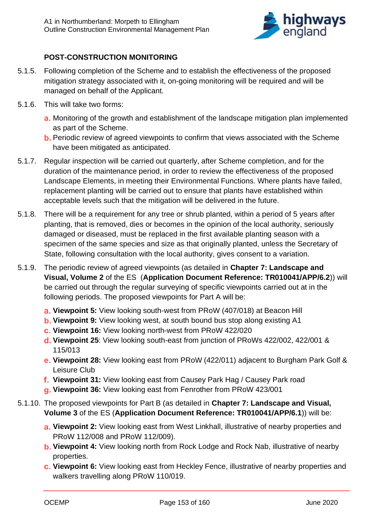

#### **POST-CONSTRUCTION MONITORING**

- 5.1.5. Following completion of the Scheme and to establish the effectiveness of the proposed mitigation strategy associated with it, on-going monitoring will be required and will be managed on behalf of the Applicant.
- 5.1.6. This will take two forms:
	- a. Monitoring of the growth and establishment of the landscape mitigation plan implemented as part of the Scheme.
	- **b.** Periodic review of agreed viewpoints to confirm that views associated with the Scheme have been mitigated as anticipated.
- 5.1.7. Regular inspection will be carried out quarterly, after Scheme completion, and for the duration of the maintenance period, in order to review the effectiveness of the proposed Landscape Elements, in meeting their Environmental Functions. Where plants have failed, replacement planting will be carried out to ensure that plants have established within acceptable levels such that the mitigation will be delivered in the future.
- 5.1.8. There will be a requirement for any tree or shrub planted, within a period of 5 years after planting, that is removed, dies or becomes in the opinion of the local authority, seriously damaged or diseased, must be replaced in the first available planting season with a specimen of the same species and size as that originally planted, unless the Secretary of State, following consultation with the local authority, gives consent to a variation.
- 5.1.9. The periodic review of agreed viewpoints (as detailed in **Chapter 7: Landscape and Visual, Volume 2** of the ES (**Application Document Reference: TR010041/APP/6.2**)) will be carried out through the regular surveying of specific viewpoints carried out at in the following periods. The proposed viewpoints for Part A will be:
	- **Viewpoint 5:** View looking south-west from PRoW (407/018) at Beacon Hill
	- **b. Viewpoint 9:** View looking west, at south bound bus stop along existing A1
	- **Viewpoint 16:** View looking north-west from PRoW 422/020
	- **Viewpoint 25**: View looking south-east from junction of PRoWs 422/002, 422/001 & 115/013
	- **Viewpoint 28:** View looking east from PRoW (422/011) adjacent to Burgham Park Golf & Leisure Club
	- **Viewpoint 31:** View looking east from Causey Park Hag / Causey Park road
	- **Viewpoint 36:** View looking east from Fenrother from PRoW 423/001
- 5.1.10. The proposed viewpoints for Part B (as detailed in **Chapter 7: Landscape and Visual, Volume 3** of the ES (**Application Document Reference: TR010041/APP/6.1**)) will be:
	- **a. Viewpoint 2:** View looking east from West Linkhall, illustrative of nearby properties and PRoW 112/008 and PRoW 112/009).
	- **b. Viewpoint 4:** View looking north from Rock Lodge and Rock Nab, illustrative of nearby properties.
	- **Viewpoint 6:** View looking east from Heckley Fence, illustrative of nearby properties and walkers travelling along PRoW 110/019.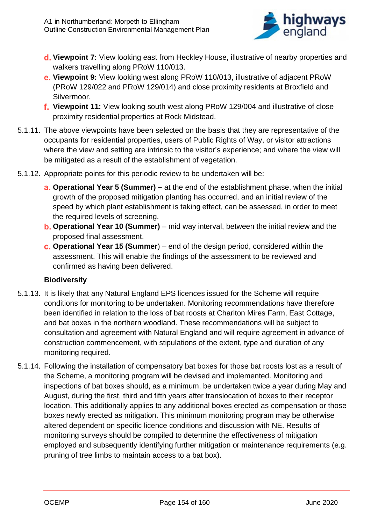

- **Viewpoint 7:** View looking east from Heckley House, illustrative of nearby properties and walkers travelling along PRoW 110/013.
- **Viewpoint 9:** View looking west along PRoW 110/013, illustrative of adjacent PRoW (PRoW 129/022 and PRoW 129/014) and close proximity residents at Broxfield and Silvermoor.
- **Viewpoint 11:** View looking south west along PRoW 129/004 and illustrative of close proximity residential properties at Rock Midstead.
- 5.1.11. The above viewpoints have been selected on the basis that they are representative of the occupants for residential properties, users of Public Rights of Way, or visitor attractions where the view and setting are intrinsic to the visitor's experience; and where the view will be mitigated as a result of the establishment of vegetation.
- 5.1.12. Appropriate points for this periodic review to be undertaken will be:
	- **Operational Year 5 (Summer) –** at the end of the establishment phase, when the initial growth of the proposed mitigation planting has occurred, and an initial review of the speed by which plant establishment is taking effect, can be assessed, in order to meet the required levels of screening.
	- **Operational Year 10 (Summer)** mid way interval, between the initial review and the proposed final assessment.
	- **Operational Year 15 (Summer**) end of the design period, considered within the assessment. This will enable the findings of the assessment to be reviewed and confirmed as having been delivered.

#### **Biodiversity**

- 5.1.13. It is likely that any Natural England EPS licences issued for the Scheme will require conditions for monitoring to be undertaken. Monitoring recommendations have therefore been identified in relation to the loss of bat roosts at Charlton Mires Farm, East Cottage, and bat boxes in the northern woodland. These recommendations will be subject to consultation and agreement with Natural England and will require agreement in advance of construction commencement, with stipulations of the extent, type and duration of any monitoring required.
- 5.1.14. Following the installation of compensatory bat boxes for those bat roosts lost as a result of the Scheme, a monitoring program will be devised and implemented. Monitoring and inspections of bat boxes should, as a minimum, be undertaken twice a year during May and August, during the first, third and fifth years after translocation of boxes to their receptor location. This additionally applies to any additional boxes erected as compensation or those boxes newly erected as mitigation. This minimum monitoring program may be otherwise altered dependent on specific licence conditions and discussion with NE. Results of monitoring surveys should be compiled to determine the effectiveness of mitigation employed and subsequently identifying further mitigation or maintenance requirements (e.g. pruning of tree limbs to maintain access to a bat box).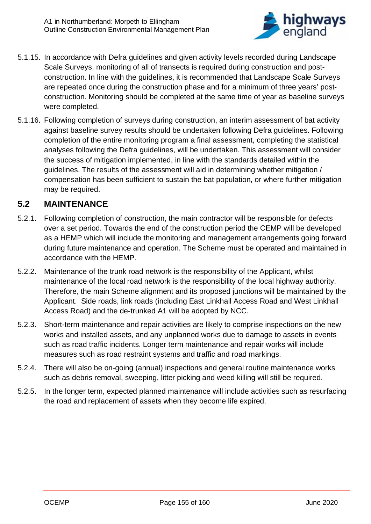

- 5.1.15. In accordance with Defra guidelines and given activity levels recorded during Landscape Scale Surveys, monitoring of all of transects is required during construction and postconstruction. In line with the guidelines, it is recommended that Landscape Scale Surveys are repeated once during the construction phase and for a minimum of three years' postconstruction. Monitoring should be completed at the same time of year as baseline surveys were completed.
- 5.1.16. Following completion of surveys during construction, an interim assessment of bat activity against baseline survey results should be undertaken following Defra guidelines. Following completion of the entire monitoring program a final assessment, completing the statistical analyses following the Defra guidelines, will be undertaken. This assessment will consider the success of mitigation implemented, in line with the standards detailed within the guidelines. The results of the assessment will aid in determining whether mitigation / compensation has been sufficient to sustain the bat population, or where further mitigation may be required.

### **5.2 MAINTENANCE**

- 5.2.1. Following completion of construction, the main contractor will be responsible for defects over a set period. Towards the end of the construction period the CEMP will be developed as a HEMP which will include the monitoring and management arrangements going forward during future maintenance and operation. The Scheme must be operated and maintained in accordance with the HEMP.
- 5.2.2. Maintenance of the trunk road network is the responsibility of the Applicant, whilst maintenance of the local road network is the responsibility of the local highway authority. Therefore, the main Scheme alignment and its proposed junctions will be maintained by the Applicant. Side roads, link roads (including East Linkhall Access Road and West Linkhall Access Road) and the de-trunked A1 will be adopted by NCC.
- 5.2.3. Short-term maintenance and repair activities are likely to comprise inspections on the new works and installed assets, and any unplanned works due to damage to assets in events such as road traffic incidents. Longer term maintenance and repair works will include measures such as road restraint systems and traffic and road markings.
- 5.2.4. There will also be on-going (annual) inspections and general routine maintenance works such as debris removal, sweeping, litter picking and weed killing will still be required.
- 5.2.5. In the longer term, expected planned maintenance will include activities such as resurfacing the road and replacement of assets when they become life expired.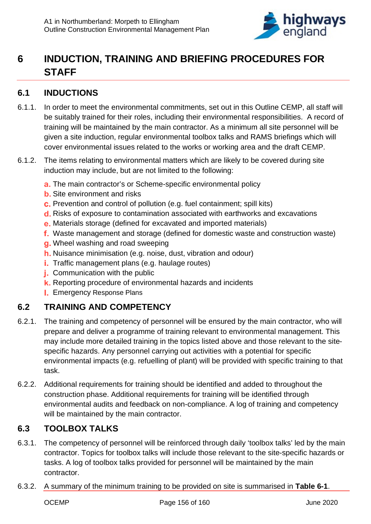

# **6 INDUCTION, TRAINING AND BRIEFING PROCEDURES FOR STAFF**

### **6.1 INDUCTIONS**

- 6.1.1. In order to meet the environmental commitments, set out in this Outline CEMP, all staff will be suitably trained for their roles, including their environmental responsibilities. A record of training will be maintained by the main contractor. As a minimum all site personnel will be given a site induction, regular environmental toolbox talks and RAMS briefings which will cover environmental issues related to the works or working area and the draft CEMP.
- 6.1.2. The items relating to environmental matters which are likely to be covered during site induction may include, but are not limited to the following:
	- a. The main contractor's or Scheme-specific environmental policy
	- **b.** Site environment and risks
	- Prevention and control of pollution (e.g. fuel containment; spill kits)
	- d. Risks of exposure to contamination associated with earthworks and excavations
	- e. Materials storage (defined for excavated and imported materials)
	- Waste management and storage (defined for domestic waste and construction waste)
	- Wheel washing and road sweeping
	- h. Nuisance minimisation (e.g. noise, dust, vibration and odour)
	- i. Traffic management plans (e.g. haulage routes)
	- $\mathbf{i}$ . Communication with the public
	- **k.** Reporting procedure of environmental hazards and incidents
	- **I.** Emergency Response Plans

### **6.2 TRAINING AND COMPETENCY**

- 6.2.1. The training and competency of personnel will be ensured by the main contractor, who will prepare and deliver a programme of training relevant to environmental management. This may include more detailed training in the topics listed above and those relevant to the sitespecific hazards. Any personnel carrying out activities with a potential for specific environmental impacts (e.g. refuelling of plant) will be provided with specific training to that task.
- 6.2.2. Additional requirements for training should be identified and added to throughout the construction phase. Additional requirements for training will be identified through environmental audits and feedback on non-compliance. A log of training and competency will be maintained by the main contractor.

### **6.3 TOOLBOX TALKS**

- 6.3.1. The competency of personnel will be reinforced through daily 'toolbox talks' led by the main contractor. Topics for toolbox talks will include those relevant to the site-specific hazards or tasks. A log of toolbox talks provided for personnel will be maintained by the main contractor.
- 6.3.2. A summary of the minimum training to be provided on site is summarised in **Table 6-1**.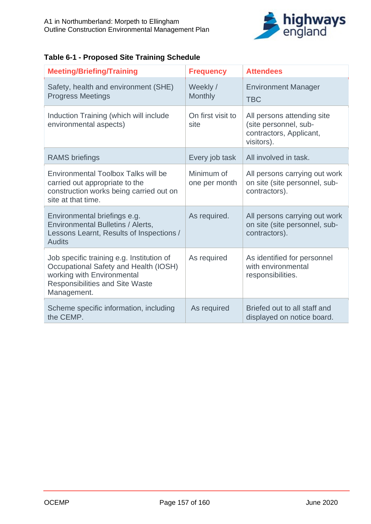

#### **Table 6-1 - Proposed Site Training Schedule**

| <b>Meeting/Briefing/Training</b>                                                                                                                                          | <b>Frequency</b>            | <b>Attendees</b>                                                                             |
|---------------------------------------------------------------------------------------------------------------------------------------------------------------------------|-----------------------------|----------------------------------------------------------------------------------------------|
| Safety, health and environment (SHE)<br><b>Progress Meetings</b>                                                                                                          | Weekly /<br>Monthly         | <b>Environment Manager</b><br><b>TBC</b>                                                     |
| Induction Training (which will include<br>environmental aspects)                                                                                                          | On first visit to<br>site   | All persons attending site<br>(site personnel, sub-<br>contractors, Applicant,<br>visitors). |
| <b>RAMS</b> briefings                                                                                                                                                     | Every job task              | All involved in task.                                                                        |
| Environmental Toolbox Talks will be<br>carried out appropriate to the<br>construction works being carried out on<br>site at that time.                                    | Minimum of<br>one per month | All persons carrying out work<br>on site (site personnel, sub-<br>contractors).              |
| Environmental briefings e.g.<br>Environmental Bulletins / Alerts,<br>Lessons Learnt, Results of Inspections /<br><b>Audits</b>                                            | As required.                | All persons carrying out work<br>on site (site personnel, sub-<br>contractors).              |
| Job specific training e.g. Institution of<br>Occupational Safety and Health (IOSH)<br>working with Environmental<br><b>Responsibilities and Site Waste</b><br>Management. | As required                 | As identified for personnel<br>with environmental<br>responsibilities.                       |
| Scheme specific information, including<br>the CEMP.                                                                                                                       | As required                 | Briefed out to all staff and<br>displayed on notice board.                                   |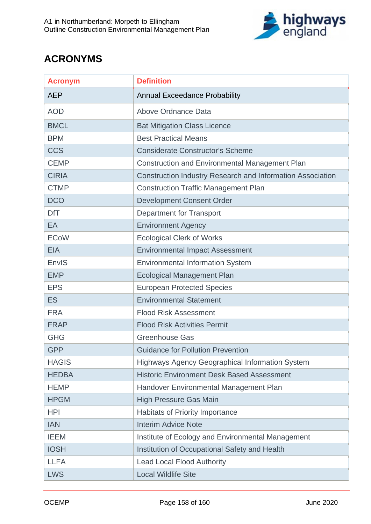

# **ACRONYMS**

| <b>Acronym</b> | <b>Definition</b>                                                 |
|----------------|-------------------------------------------------------------------|
| <b>AEP</b>     | <b>Annual Exceedance Probability</b>                              |
| <b>AOD</b>     | Above Ordnance Data                                               |
| <b>BMCL</b>    | <b>Bat Mitigation Class Licence</b>                               |
| <b>BPM</b>     | <b>Best Practical Means</b>                                       |
| <b>CCS</b>     | <b>Considerate Constructor's Scheme</b>                           |
| <b>CEMP</b>    | <b>Construction and Environmental Management Plan</b>             |
| <b>CIRIA</b>   | <b>Construction Industry Research and Information Association</b> |
| <b>CTMP</b>    | <b>Construction Traffic Management Plan</b>                       |
| <b>DCO</b>     | <b>Development Consent Order</b>                                  |
| <b>DfT</b>     | <b>Department for Transport</b>                                   |
| EA             | <b>Environment Agency</b>                                         |
| <b>ECoW</b>    | <b>Ecological Clerk of Works</b>                                  |
| <b>EIA</b>     | <b>Environmental Impact Assessment</b>                            |
| <b>EnvIS</b>   | <b>Environmental Information System</b>                           |
| <b>EMP</b>     | <b>Ecological Management Plan</b>                                 |
| <b>EPS</b>     | <b>European Protected Species</b>                                 |
| <b>ES</b>      | <b>Environmental Statement</b>                                    |
| <b>FRA</b>     | <b>Flood Risk Assessment</b>                                      |
| <b>FRAP</b>    | <b>Flood Risk Activities Permit</b>                               |
| <b>GHG</b>     | <b>Greenhouse Gas</b>                                             |
| <b>GPP</b>     | <b>Guidance for Pollution Prevention</b>                          |
| <b>HAGIS</b>   | <b>Highways Agency Geographical Information System</b>            |
| <b>HEDBA</b>   | <b>Historic Environment Desk Based Assessment</b>                 |
| <b>HEMP</b>    | Handover Environmental Management Plan                            |
| <b>HPGM</b>    | <b>High Pressure Gas Main</b>                                     |
| <b>HPI</b>     | <b>Habitats of Priority Importance</b>                            |
| <b>IAN</b>     | <b>Interim Advice Note</b>                                        |
| <b>IEEM</b>    | Institute of Ecology and Environmental Management                 |
| <b>IOSH</b>    | Institution of Occupational Safety and Health                     |
| <b>LLFA</b>    | <b>Lead Local Flood Authority</b>                                 |
| <b>LWS</b>     | <b>Local Wildlife Site</b>                                        |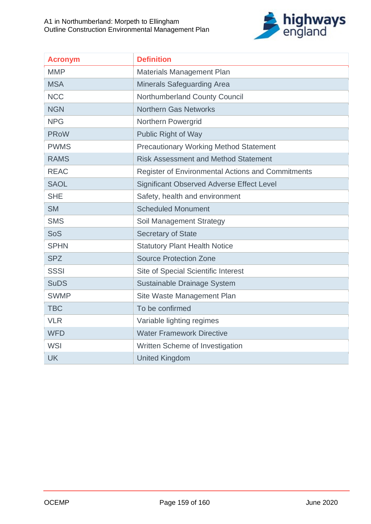

| <b>Acronym</b> | <b>Definition</b>                                        |
|----------------|----------------------------------------------------------|
| <b>MMP</b>     | Materials Management Plan                                |
| <b>MSA</b>     | <b>Minerals Safeguarding Area</b>                        |
| <b>NCC</b>     | <b>Northumberland County Council</b>                     |
| <b>NGN</b>     | <b>Northern Gas Networks</b>                             |
| <b>NPG</b>     | Northern Powergrid                                       |
| <b>PRoW</b>    | <b>Public Right of Way</b>                               |
| <b>PWMS</b>    | <b>Precautionary Working Method Statement</b>            |
| <b>RAMS</b>    | <b>Risk Assessment and Method Statement</b>              |
| <b>REAC</b>    | <b>Register of Environmental Actions and Commitments</b> |
| <b>SAOL</b>    | <b>Significant Observed Adverse Effect Level</b>         |
| <b>SHE</b>     | Safety, health and environment                           |
| <b>SM</b>      | <b>Scheduled Monument</b>                                |
| <b>SMS</b>     | Soil Management Strategy                                 |
| <b>SoS</b>     | <b>Secretary of State</b>                                |
| <b>SPHN</b>    | <b>Statutory Plant Health Notice</b>                     |
| <b>SPZ</b>     | <b>Source Protection Zone</b>                            |
| <b>SSSI</b>    | <b>Site of Special Scientific Interest</b>               |
| <b>SuDS</b>    | Sustainable Drainage System                              |
| <b>SWMP</b>    | Site Waste Management Plan                               |
| <b>TBC</b>     | To be confirmed                                          |
| <b>VLR</b>     | Variable lighting regimes                                |
| <b>WFD</b>     | <b>Water Framework Directive</b>                         |
| <b>WSI</b>     | Written Scheme of Investigation                          |
| <b>UK</b>      | <b>United Kingdom</b>                                    |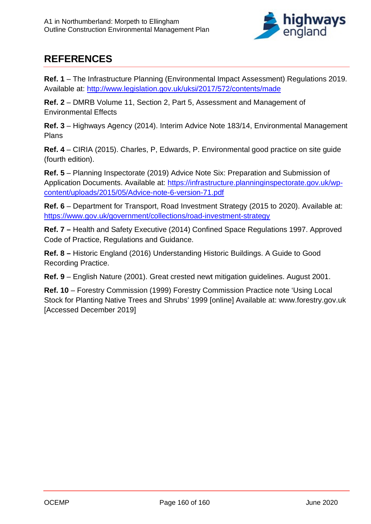

# **REFERENCES**

**Ref. 1** – The Infrastructure Planning (Environmental Impact Assessment) Regulations 2019. Available at: http://www.legislation.gov.uk/uksi/2017/572/contents/made

**Ref. 2** – DMRB Volume 11, Section 2, Part 5, Assessment and Management of Environmental Effects

**Ref. 3** – Highways Agency (2014). Interim Advice Note 183/14, Environmental Management Plans

**Ref. 4** – CIRIA (2015). Charles, P, Edwards, P. Environmental good practice on site guide (fourth edition).

**Ref. 5** – Planning Inspectorate (2019) Advice Note Six: Preparation and Submission of Application Documents. Available at: https://infrastructure.planninginspectorate.gov.uk/wpcontent/uploads/2015/05/Advice-note-6-version-71.pdf

**Ref. 6** – Department for Transport, Road Investment Strategy (2015 to 2020). Available at: https://www.gov.uk/government/collections/road-investment-strategy

**Ref. 7 –** Health and Safety Executive (2014) Confined Space Regulations 1997. Approved Code of Practice, Regulations and Guidance.

**Ref. 8 –** Historic England (2016) Understanding Historic Buildings. A Guide to Good Recording Practice.

**Ref. 9** – English Nature (2001). Great crested newt mitigation guidelines. August 2001.

**Ref. 10** – Forestry Commission (1999) Forestry Commission Practice note 'Using Local Stock for Planting Native Trees and Shrubs' 1999 [online] Available at: www.forestry.gov.uk [Accessed December 2019]